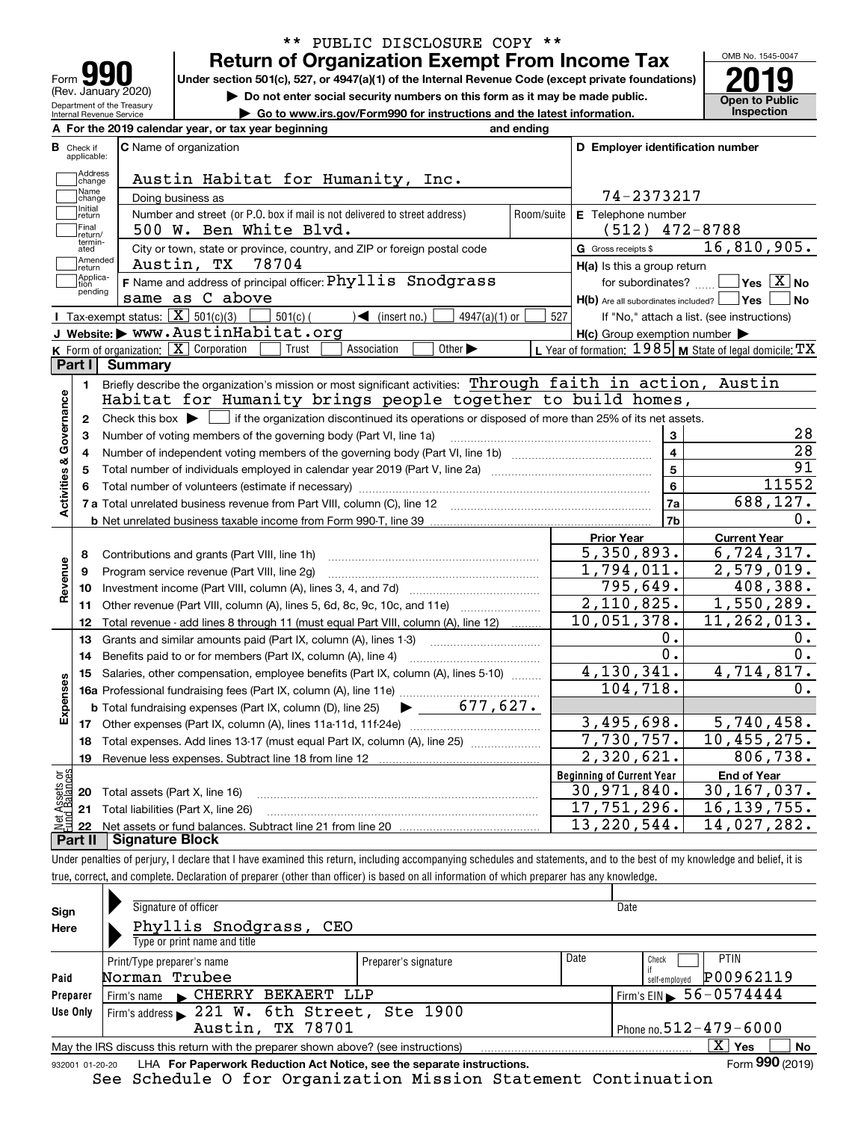| Form                                                          |
|---------------------------------------------------------------|
| (Rev. January 2020)                                           |
| Department of the Treasury<br><b>Internal Revenue Service</b> |

# **Return of Organization Exempt From Income Tax** \*\* PUBLIC DISCLOSURE COPY \*\*

Under section 501(c), 527, or 4947(a)(1) of the Internal Revenue Code (except private foundations) **2019** 

**| Do not enter social security numbers on this form as it may be made public.**

**| Go to www.irs.gov/Form990 for instructions and the latest information. Inspection**



|                         |                            | A For the 2019 calendar year, or tax year beginning                                                                                                      | and ending |                                                           |                                                           |
|-------------------------|----------------------------|----------------------------------------------------------------------------------------------------------------------------------------------------------|------------|-----------------------------------------------------------|-----------------------------------------------------------|
| в<br>Check if           | applicable:                | <b>C</b> Name of organization                                                                                                                            |            | D Employer identification number                          |                                                           |
|                         | Address<br>change          | Austin Habitat for Humanity, Inc.                                                                                                                        |            |                                                           |                                                           |
|                         | Name<br>change             | Doing business as                                                                                                                                        |            | 74-2373217                                                |                                                           |
|                         | Initial<br>return          | Number and street (or P.O. box if mail is not delivered to street address)                                                                               | Room/suite | E Telephone number                                        |                                                           |
|                         | Final                      | 500 W. Ben White Blvd.                                                                                                                                   |            | $(512)$ 472-8788                                          |                                                           |
|                         | return/<br>termin-<br>ated | City or town, state or province, country, and ZIP or foreign postal code                                                                                 |            | G Gross receipts \$                                       | 16,810,905.                                               |
|                         | Amended<br>Ireturn         | 78704<br>Austin, TX                                                                                                                                      |            | $H(a)$ is this a group return                             |                                                           |
|                         | Applica-<br>tion           | <b>F</b> Name and address of principal officer: $Phyllis$ Snodgrass                                                                                      |            | for subordinates?                                         | $\overline{\ }$ Yes $\overline{\rm X}$ No                 |
|                         | pending                    | same as C above                                                                                                                                          |            | $H(b)$ Are all subordinates included? $\vert$ Yes $\vert$ | No                                                        |
|                         |                            | Tax-exempt status: $\boxed{\mathbf{X}}$ 501(c)(3)<br>$\sqrt{\frac{1}{1}}$ (insert no.)<br>$501(c)$ (<br>$4947(a)(1)$ or                                  | 527        |                                                           | If "No," attach a list. (see instructions)                |
|                         |                            | J Website: WWW.AustinHabitat.org                                                                                                                         |            | $H(c)$ Group exemption number $\blacktriangleright$       |                                                           |
|                         |                            | K Form of organization: $\boxed{\mathbf{X}}$ Corporation<br>Other $\blacktriangleright$<br>Association<br>Trust                                          |            |                                                           | L Year of formation: $1985$ M State of legal domicile: TX |
| Part I                  |                            | <b>Summary</b>                                                                                                                                           |            |                                                           |                                                           |
|                         | 1.                         | Briefly describe the organization's mission or most significant activities: Through faith in action, Austin                                              |            |                                                           |                                                           |
|                         |                            | Habitat for Humanity brings people together to build homes,                                                                                              |            |                                                           |                                                           |
|                         | $\mathbf{2}$               | Check this box $\blacktriangleright$ $\Box$ if the organization discontinued its operations or disposed of more than 25% of its net assets.              |            |                                                           |                                                           |
|                         | 3                          | Number of voting members of the governing body (Part VI, line 1a)                                                                                        |            | 3                                                         | 28                                                        |
|                         | 4                          |                                                                                                                                                          |            | $\overline{\mathbf{4}}$                                   | $\overline{28}$                                           |
|                         | 5                          | Total number of individuals employed in calendar year 2019 (Part V, line 2a) manufacture of individuals employed in calendar year 2019 (Part V, line 2a) |            | $\overline{5}$                                            | 91                                                        |
| Activities & Governance |                            |                                                                                                                                                          |            | 6                                                         | 11552                                                     |
|                         |                            |                                                                                                                                                          |            | 7a                                                        | 688,127.                                                  |
|                         |                            |                                                                                                                                                          |            | 7 <sub>b</sub>                                            | 0.                                                        |
|                         |                            |                                                                                                                                                          |            | <b>Prior Year</b>                                         | <b>Current Year</b>                                       |
|                         | 8                          | Contributions and grants (Part VIII, line 1h)                                                                                                            |            | 5,350,893.                                                | 6,724,317.                                                |
| Revenue                 | 9                          | Program service revenue (Part VIII, line 2g)                                                                                                             |            | 1,794,011.                                                | 2,579,019.                                                |
|                         | 10                         |                                                                                                                                                          |            | 795,649.                                                  | 408,388.                                                  |
|                         | 11                         | Other revenue (Part VIII, column (A), lines 5, 6d, 8c, 9c, 10c, and 11e)                                                                                 |            | 2,110,825.                                                | 1,550,289.                                                |
|                         | 12                         | Total revenue - add lines 8 through 11 (must equal Part VIII, column (A), line 12)                                                                       |            | $\overline{10}$ , 051, 378.                               | 11,262,013.                                               |
|                         | 13                         | Grants and similar amounts paid (Part IX, column (A), lines 1-3)                                                                                         |            | ο.                                                        | 0.                                                        |
|                         | 14                         | Benefits paid to or for members (Part IX, column (A), line 4)                                                                                            |            | О.                                                        | 0.                                                        |
|                         | 15                         | Salaries, other compensation, employee benefits (Part IX, column (A), lines 5-10)                                                                        |            | 4,130,341.                                                | 4,714,817.                                                |
| Expenses                |                            |                                                                                                                                                          |            | 104,718.                                                  | 0.                                                        |
|                         |                            | 677.627.<br><b>b</b> Total fundraising expenses (Part IX, column (D), line 25)                                                                           |            |                                                           |                                                           |
|                         |                            | 17 Other expenses (Part IX, column (A), lines 11a-11d, 11f-24e)                                                                                          |            | $\overline{3,495},698.$                                   | 5,740,458.                                                |
|                         | 18                         | Total expenses. Add lines 13-17 (must equal Part IX, column (A), line 25)                                                                                |            | 7,730,757.                                                | 10,455,275.                                               |
|                         | 19                         |                                                                                                                                                          |            | 2,320,621.                                                | 806,738.                                                  |
| äš                      |                            |                                                                                                                                                          |            | <b>Beginning of Current Year</b>                          | <b>End of Year</b>                                        |
| Assets<br>  Balanc      |                            | 20 Total assets (Part X, line 16)                                                                                                                        |            | 30,971,840.                                               | 30, 167, 037.                                             |
|                         |                            | 21 Total liabilities (Part X, line 26)                                                                                                                   |            | 17,751,296.                                               | 16, 139, 755.                                             |
|                         |                            | <u> T Cianaturo Plook</u>                                                                                                                                |            | $\overline{13}$ , 220, 544.                               | $\overline{14}$ , 027, 282.                               |

**Part II Signature Block**

Under penalties of perjury, I declare that I have examined this return, including accompanying schedules and statements, and to the best of my knowledge and belief, it is true, correct, and complete. Declaration of preparer (other than officer) is based on all information of which preparer has any knowledge.

| Sign<br>Here | Signature of officer<br>Phyllis Snodgrass, CEO<br>Type or print name and title                               |                      |      | Date                                        |  |  |  |  |
|--------------|--------------------------------------------------------------------------------------------------------------|----------------------|------|---------------------------------------------|--|--|--|--|
| Paid         | Print/Type preparer's name<br>Norman Trubee                                                                  | Preparer's signature | Date | PTIN<br>Check<br>P00962119<br>self-employed |  |  |  |  |
| Preparer     | Firm's name CHERRY BEKAERT LLP                                                                               |                      |      | Firm's EIN $\triangleright$ 56-0574444      |  |  |  |  |
| Use Only     | Firm's address 221 W. 6th Street, Ste 1900                                                                   |                      |      |                                             |  |  |  |  |
|              | Austin, TX 78701                                                                                             |                      |      | Phone no. $512 - 479 - 6000$                |  |  |  |  |
|              | May the IRS discuss this return with the preparer shown above? (see instructions)                            |                      |      | $X \mid Y$ es<br><b>No</b>                  |  |  |  |  |
|              | Form 990 (2019)<br>LHA For Paperwork Reduction Act Notice, see the separate instructions.<br>932001 01-20-20 |                      |      |                                             |  |  |  |  |

See Schedule O for Organization Mission Statement Continuation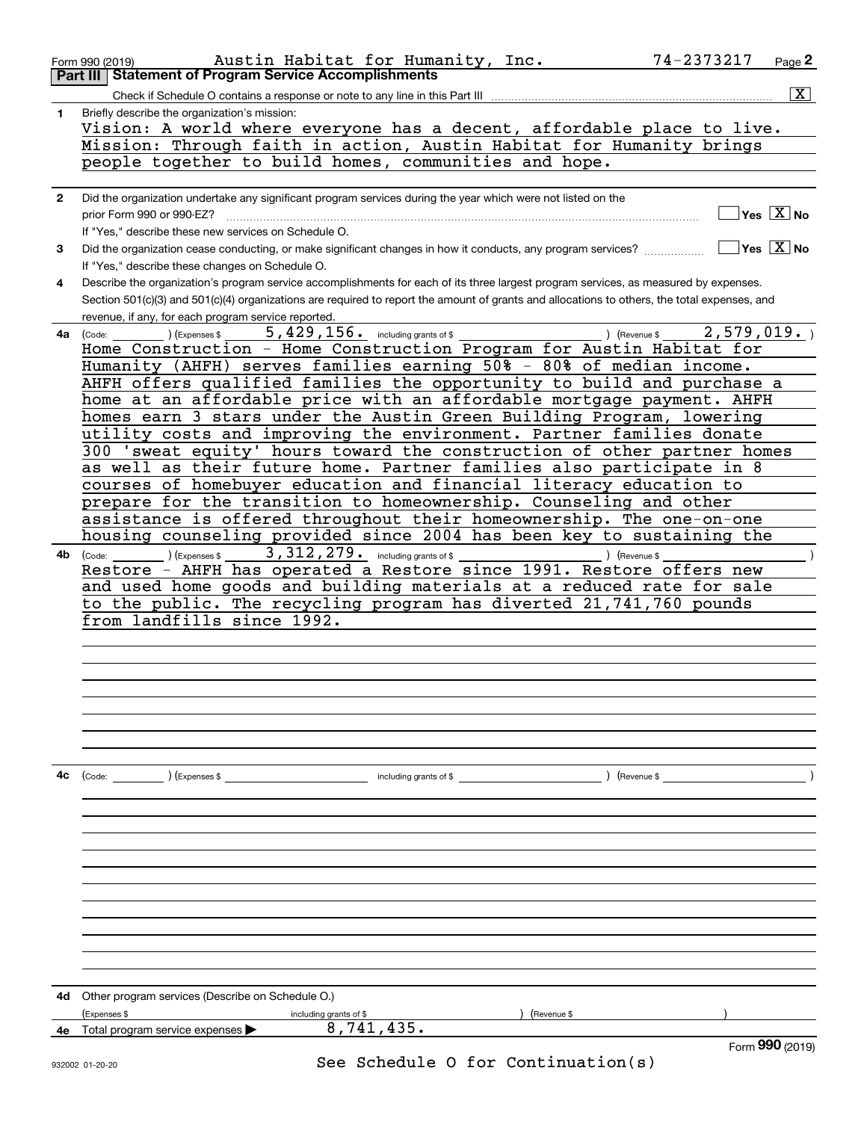|              | Austin Habitat for Humanity, Inc.<br>74-2373217<br>Form 990 (2019)<br><b>Statement of Program Service Accomplishments</b>                                        | Page 2                  |
|--------------|------------------------------------------------------------------------------------------------------------------------------------------------------------------|-------------------------|
|              | Part III                                                                                                                                                         |                         |
|              | Check if Schedule O contains a response or note to any line in this Part III                                                                                     | $\overline{\mathbf{x}}$ |
| 1.           | Briefly describe the organization's mission:<br>Vision: A world where everyone has a decent, affordable place to live.                                           |                         |
|              | Mission: Through faith in action, Austin Habitat for Humanity brings                                                                                             |                         |
|              | people together to build homes, communities and hope.                                                                                                            |                         |
|              |                                                                                                                                                                  |                         |
| $\mathbf{2}$ |                                                                                                                                                                  |                         |
|              | Did the organization undertake any significant program services during the year which were not listed on the<br>$\overline{\ }$ Yes $\overline{\phantom{a}X}$ No |                         |
|              | prior Form 990 or 990-EZ?<br>If "Yes," describe these new services on Schedule O.                                                                                |                         |
|              | $\sqrt{}$ Yes $\sqrt{X}$ No                                                                                                                                      |                         |
| 3.           | Did the organization cease conducting, or make significant changes in how it conducts, any program services?                                                     |                         |
|              | If "Yes," describe these changes on Schedule O.                                                                                                                  |                         |
| 4            | Describe the organization's program service accomplishments for each of its three largest program services, as measured by expenses.                             |                         |
|              | Section 501(c)(3) and 501(c)(4) organizations are required to report the amount of grants and allocations to others, the total expenses, and                     |                         |
|              | revenue, if any, for each program service reported.<br>$5,429,156$ $\cdot$ including grants of \$<br>2,579,019.<br>) (Revenue \$                                 |                         |
| 4a l         | ) (Expenses \$<br>(Code:<br>Home Construction - Home Construction Program for Austin Habitat for                                                                 |                         |
|              | Humanity (AHFH) serves families earning 50% - 80% of median income.                                                                                              |                         |
|              | AHFH offers qualified families the opportunity to build and purchase a                                                                                           |                         |
|              | home at an affordable price with an affordable mortgage payment. AHFH                                                                                            |                         |
|              | homes earn 3 stars under the Austin Green Building Program, lowering                                                                                             |                         |
|              | utility costs and improving the environment. Partner families donate                                                                                             |                         |
|              | 300 'sweat equity' hours toward the construction of other partner homes                                                                                          |                         |
|              | as well as their future home. Partner families also participate in 8                                                                                             |                         |
|              | courses of homebuyer education and financial literacy education to                                                                                               |                         |
|              | prepare for the transition to homeownership. Counseling and other                                                                                                |                         |
|              | assistance is offered throughout their homeownership. The one-on-one                                                                                             |                         |
|              | housing counseling provided since 2004 has been key to sustaining the                                                                                            |                         |
| 4b           | $3,312,279$ encluding grants of \$<br>) (Expenses \$<br>) (Revenue \$<br>(Code:                                                                                  |                         |
|              | Restore - AHFH has operated a Restore since 1991. Restore offers new                                                                                             |                         |
|              | and used home goods and building materials at a reduced rate for sale                                                                                            |                         |
|              | to the public. The recycling program has diverted 21,741,760 pounds                                                                                              |                         |
|              | from landfills since 1992.                                                                                                                                       |                         |
|              |                                                                                                                                                                  |                         |
|              |                                                                                                                                                                  |                         |
|              |                                                                                                                                                                  |                         |
|              |                                                                                                                                                                  |                         |
|              |                                                                                                                                                                  |                         |
|              |                                                                                                                                                                  |                         |
|              |                                                                                                                                                                  |                         |
|              |                                                                                                                                                                  |                         |
| 4c           | (Code: ) (Expenses \$<br>including grants of \$<br>) (Revenue \$                                                                                                 |                         |
|              |                                                                                                                                                                  |                         |
|              |                                                                                                                                                                  |                         |
|              |                                                                                                                                                                  |                         |
|              |                                                                                                                                                                  |                         |
|              |                                                                                                                                                                  |                         |
|              |                                                                                                                                                                  |                         |
|              |                                                                                                                                                                  |                         |
|              |                                                                                                                                                                  |                         |
|              |                                                                                                                                                                  |                         |
|              |                                                                                                                                                                  |                         |
|              |                                                                                                                                                                  |                         |
|              |                                                                                                                                                                  |                         |
| 4d           | Other program services (Describe on Schedule O.)                                                                                                                 |                         |
|              | (Expenses \$<br>(Revenue \$<br>including grants of \$                                                                                                            |                         |
| 4е           | 8,741,435.<br>Total program service expenses ▶                                                                                                                   |                         |
|              | Form 990 (2019)                                                                                                                                                  |                         |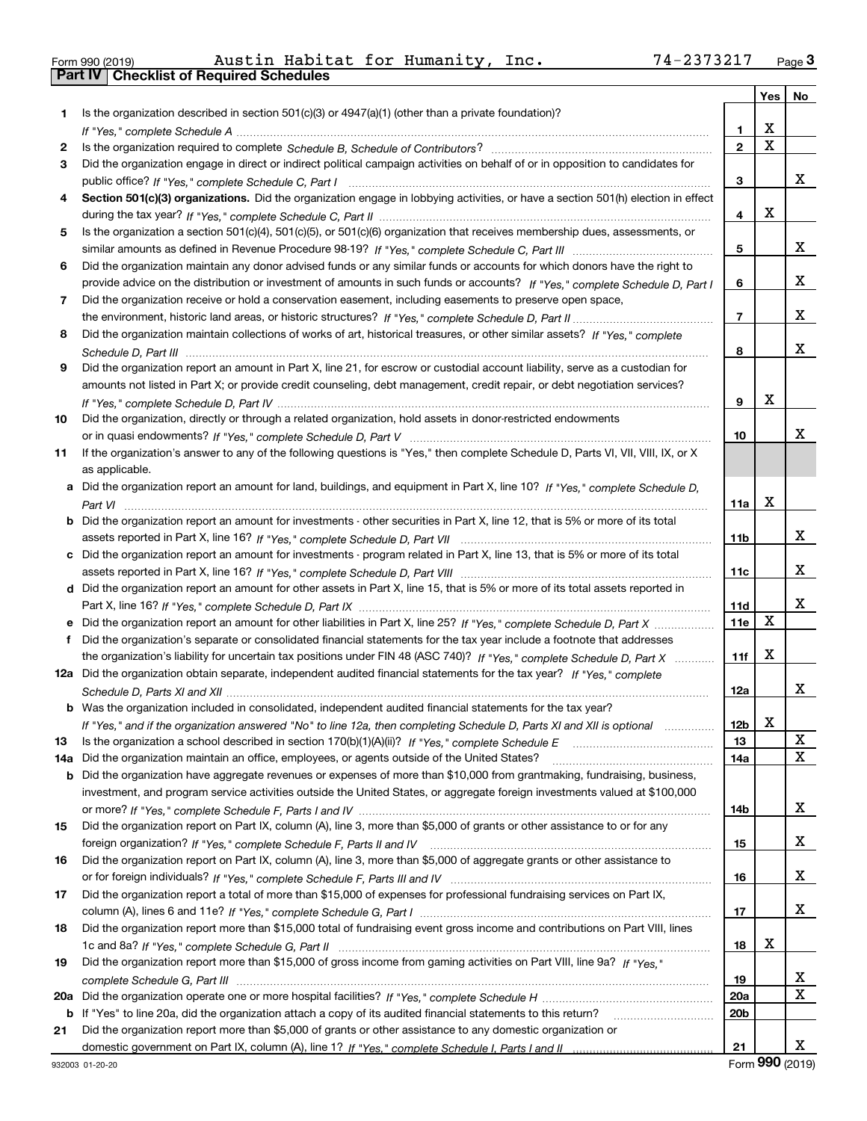| Form 990 (2019) |  |  |
|-----------------|--|--|

Form 990 (2019) Austin Habitat for Humanity, Inc**.** 74-2373217 <sub>Page</sub> 3<br>**Part IV | Checklist of Required Schedules** 

|     |                                                                                                                                       |                 | Yes                     | No          |
|-----|---------------------------------------------------------------------------------------------------------------------------------------|-----------------|-------------------------|-------------|
| 1.  | Is the organization described in section $501(c)(3)$ or $4947(a)(1)$ (other than a private foundation)?                               |                 |                         |             |
|     |                                                                                                                                       | 1.              | X                       |             |
| 2   |                                                                                                                                       | $\overline{2}$  | $\overline{\mathbf{x}}$ |             |
| 3   | Did the organization engage in direct or indirect political campaign activities on behalf of or in opposition to candidates for       |                 |                         |             |
|     |                                                                                                                                       | 3               |                         | x           |
| 4   | Section 501(c)(3) organizations. Did the organization engage in lobbying activities, or have a section 501(h) election in effect      |                 |                         |             |
|     |                                                                                                                                       | 4               | X                       |             |
| 5   | Is the organization a section 501(c)(4), 501(c)(5), or 501(c)(6) organization that receives membership dues, assessments, or          |                 |                         |             |
|     |                                                                                                                                       | 5               |                         | x           |
| 6   | Did the organization maintain any donor advised funds or any similar funds or accounts for which donors have the right to             |                 |                         |             |
|     | provide advice on the distribution or investment of amounts in such funds or accounts? If "Yes," complete Schedule D, Part I          | 6               |                         | x           |
| 7   | Did the organization receive or hold a conservation easement, including easements to preserve open space,                             |                 |                         |             |
|     |                                                                                                                                       | $\overline{7}$  |                         | x           |
| 8   | Did the organization maintain collections of works of art, historical treasures, or other similar assets? If "Yes," complete          |                 |                         | x           |
|     |                                                                                                                                       | 8               |                         |             |
| 9   | Did the organization report an amount in Part X, line 21, for escrow or custodial account liability, serve as a custodian for         |                 |                         |             |
|     | amounts not listed in Part X; or provide credit counseling, debt management, credit repair, or debt negotiation services?             | 9               | X                       |             |
| 10  | Did the organization, directly or through a related organization, hold assets in donor-restricted endowments                          |                 |                         |             |
|     |                                                                                                                                       | 10              |                         | x           |
| 11  | If the organization's answer to any of the following questions is "Yes," then complete Schedule D, Parts VI, VIII, VIII, IX, or X     |                 |                         |             |
|     | as applicable.                                                                                                                        |                 |                         |             |
|     | a Did the organization report an amount for land, buildings, and equipment in Part X, line 10? If "Yes," complete Schedule D.         |                 |                         |             |
|     |                                                                                                                                       | 11a             | X                       |             |
|     | <b>b</b> Did the organization report an amount for investments - other securities in Part X, line 12, that is 5% or more of its total |                 |                         |             |
|     |                                                                                                                                       | 11 <sub>b</sub> |                         | x           |
|     | c Did the organization report an amount for investments - program related in Part X, line 13, that is 5% or more of its total         |                 |                         |             |
|     |                                                                                                                                       | 11c             |                         | x           |
|     | d Did the organization report an amount for other assets in Part X, line 15, that is 5% or more of its total assets reported in       |                 |                         |             |
|     |                                                                                                                                       | 11d             |                         | x           |
|     | e Did the organization report an amount for other liabilities in Part X, line 25? If "Yes," complete Schedule D, Part X               | 11e             | X                       |             |
| f   | Did the organization's separate or consolidated financial statements for the tax year include a footnote that addresses               |                 |                         |             |
|     | the organization's liability for uncertain tax positions under FIN 48 (ASC 740)? If "Yes," complete Schedule D, Part X                | 11f             | X                       |             |
|     | 12a Did the organization obtain separate, independent audited financial statements for the tax year? If "Yes," complete               |                 |                         |             |
|     |                                                                                                                                       | 12a             |                         | x           |
|     | <b>b</b> Was the organization included in consolidated, independent audited financial statements for the tax year?                    |                 |                         |             |
|     | If "Yes," and if the organization answered "No" to line 12a, then completing Schedule D, Parts XI and XII is optional                 | 12b             | ▵                       |             |
| 13  | Is the organization a school described in section $170(b)(1)(A)(ii)?$ If "Yes," complete Schedule E                                   | 13              |                         | х           |
| 14a | Did the organization maintain an office, employees, or agents outside of the United States?                                           | 14a             |                         | X           |
|     | <b>b</b> Did the organization have aggregate revenues or expenses of more than \$10,000 from grantmaking, fundraising, business,      |                 |                         |             |
|     | investment, and program service activities outside the United States, or aggregate foreign investments valued at \$100,000            |                 |                         |             |
|     |                                                                                                                                       | 14b             |                         | x           |
| 15  | Did the organization report on Part IX, column (A), line 3, more than \$5,000 of grants or other assistance to or for any             |                 |                         | x           |
|     | Did the organization report on Part IX, column (A), line 3, more than \$5,000 of aggregate grants or other assistance to              | 15              |                         |             |
| 16  |                                                                                                                                       | 16              |                         | x           |
| 17  | Did the organization report a total of more than \$15,000 of expenses for professional fundraising services on Part IX,               |                 |                         |             |
|     |                                                                                                                                       | 17              |                         | X           |
| 18  | Did the organization report more than \$15,000 total of fundraising event gross income and contributions on Part VIII, lines          |                 |                         |             |
|     |                                                                                                                                       | 18              | х                       |             |
| 19  | Did the organization report more than \$15,000 of gross income from gaming activities on Part VIII, line 9a? If "Yes."                |                 |                         |             |
|     |                                                                                                                                       | 19              |                         | X           |
| 20a |                                                                                                                                       | 20a             |                         | $\mathbf X$ |
|     | b If "Yes" to line 20a, did the organization attach a copy of its audited financial statements to this return?                        | 20 <sub>b</sub> |                         |             |
| 21  | Did the organization report more than \$5,000 of grants or other assistance to any domestic organization or                           |                 |                         |             |
|     |                                                                                                                                       | 21              |                         | x           |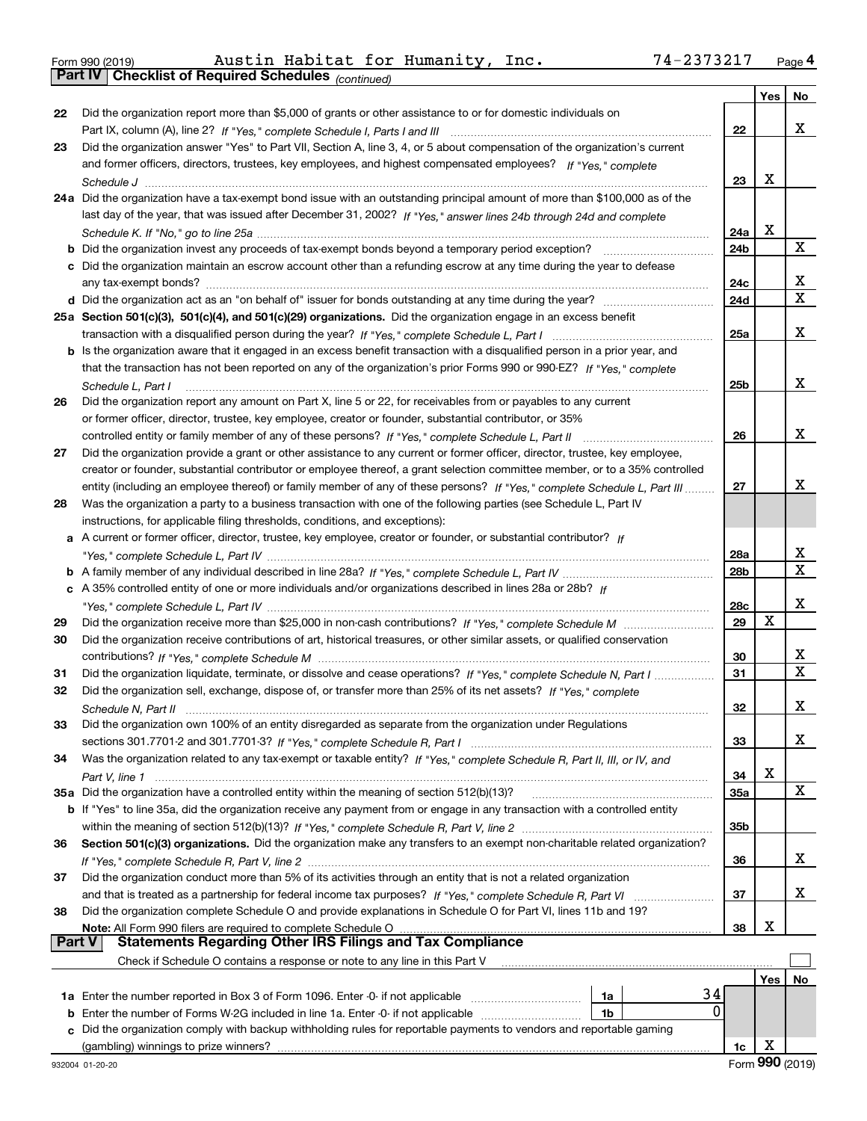|  | Form 990 (2019) |  |
|--|-----------------|--|
|  |                 |  |

|               |                                                                                                                              |                        | Yes         | No          |
|---------------|------------------------------------------------------------------------------------------------------------------------------|------------------------|-------------|-------------|
| 22            | Did the organization report more than \$5,000 of grants or other assistance to or for domestic individuals on                |                        |             |             |
|               |                                                                                                                              | 22                     |             | x           |
| 23            | Did the organization answer "Yes" to Part VII, Section A, line 3, 4, or 5 about compensation of the organization's current   |                        |             |             |
|               | and former officers, directors, trustees, key employees, and highest compensated employees? If "Yes," complete               |                        |             |             |
|               |                                                                                                                              | 23                     | X           |             |
|               | 24a Did the organization have a tax-exempt bond issue with an outstanding principal amount of more than \$100,000 as of the  |                        |             |             |
|               | last day of the year, that was issued after December 31, 2002? If "Yes," answer lines 24b through 24d and complete           |                        |             |             |
|               |                                                                                                                              | 24a                    | X           |             |
|               |                                                                                                                              | 24b                    |             | $\mathbf X$ |
|               | c Did the organization maintain an escrow account other than a refunding escrow at any time during the year to defease       |                        |             |             |
|               |                                                                                                                              | 24c                    |             | х           |
|               |                                                                                                                              | 24d                    |             | $\mathbf X$ |
|               | 25a Section 501(c)(3), 501(c)(4), and 501(c)(29) organizations. Did the organization engage in an excess benefit             |                        |             |             |
|               |                                                                                                                              | 25a                    |             | х           |
|               | b Is the organization aware that it engaged in an excess benefit transaction with a disqualified person in a prior year, and |                        |             |             |
|               | that the transaction has not been reported on any of the organization's prior Forms 990 or 990-EZ? If "Yes," complete        |                        |             |             |
|               | Schedule L, Part I                                                                                                           | 25b                    |             | х           |
| 26            | Did the organization report any amount on Part X, line 5 or 22, for receivables from or payables to any current              |                        |             |             |
|               | or former officer, director, trustee, key employee, creator or founder, substantial contributor, or 35%                      |                        |             |             |
|               | controlled entity or family member of any of these persons? If "Yes," complete Schedule L, Part II                           | 26                     |             | х           |
| 27            | Did the organization provide a grant or other assistance to any current or former officer, director, trustee, key employee,  |                        |             |             |
|               | creator or founder, substantial contributor or employee thereof, a grant selection committee member, or to a 35% controlled  |                        |             | x           |
|               | entity (including an employee thereof) or family member of any of these persons? If "Yes," complete Schedule L, Part III     | 27                     |             |             |
| 28            | Was the organization a party to a business transaction with one of the following parties (see Schedule L, Part IV            |                        |             |             |
|               | instructions, for applicable filing thresholds, conditions, and exceptions):                                                 |                        |             |             |
|               | a A current or former officer, director, trustee, key employee, creator or founder, or substantial contributor? If           |                        |             | х           |
|               |                                                                                                                              | 28a<br>28 <sub>b</sub> |             | $\mathbf X$ |
|               | c A 35% controlled entity of one or more individuals and/or organizations described in lines 28a or 28b? If                  |                        |             |             |
|               |                                                                                                                              | 28c                    |             | x           |
| 29            |                                                                                                                              | 29                     | $\mathbf X$ |             |
| 30            | Did the organization receive contributions of art, historical treasures, or other similar assets, or qualified conservation  |                        |             |             |
|               |                                                                                                                              | 30                     |             | х           |
| 31            | Did the organization liquidate, terminate, or dissolve and cease operations? If "Yes," complete Schedule N, Part I           | 31                     |             | $\mathbf X$ |
| 32            | Did the organization sell, exchange, dispose of, or transfer more than 25% of its net assets? If "Yes," complete             |                        |             |             |
|               |                                                                                                                              | 32                     |             | х           |
| 33            | Did the organization own 100% of an entity disregarded as separate from the organization under Regulations                   |                        |             |             |
|               |                                                                                                                              | 33                     |             | x           |
| 34            | Was the organization related to any tax-exempt or taxable entity? If "Yes," complete Schedule R, Part II, III, or IV, and    |                        |             |             |
|               |                                                                                                                              | 34                     | х           |             |
|               | 35a Did the organization have a controlled entity within the meaning of section 512(b)(13)?                                  | 35a                    |             | X           |
|               | b If "Yes" to line 35a, did the organization receive any payment from or engage in any transaction with a controlled entity  |                        |             |             |
|               |                                                                                                                              | 35b                    |             |             |
| 36            | Section 501(c)(3) organizations. Did the organization make any transfers to an exempt non-charitable related organization?   |                        |             |             |
|               |                                                                                                                              | 36                     |             | x           |
| 37            | Did the organization conduct more than 5% of its activities through an entity that is not a related organization             |                        |             |             |
|               |                                                                                                                              | 37                     |             | x           |
| 38            | Did the organization complete Schedule O and provide explanations in Schedule O for Part VI, lines 11b and 19?               |                        |             |             |
|               | Note: All Form 990 filers are required to complete Schedule O                                                                | 38                     | х           |             |
| <b>Part V</b> | <b>Statements Regarding Other IRS Filings and Tax Compliance</b>                                                             |                        |             |             |
|               | Check if Schedule O contains a response or note to any line in this Part V                                                   |                        |             |             |
|               |                                                                                                                              |                        | Yes         | No          |
|               | 34<br>1a Enter the number reported in Box 3 of Form 1096. Enter -0- if not applicable<br>1a                                  |                        |             |             |
| b             | 0<br>Enter the number of Forms W-2G included in line 1a. Enter -0- if not applicable<br>1b                                   |                        |             |             |
|               | Did the organization comply with backup withholding rules for reportable payments to vendors and reportable gaming           |                        |             |             |
|               |                                                                                                                              | 1c                     | X           |             |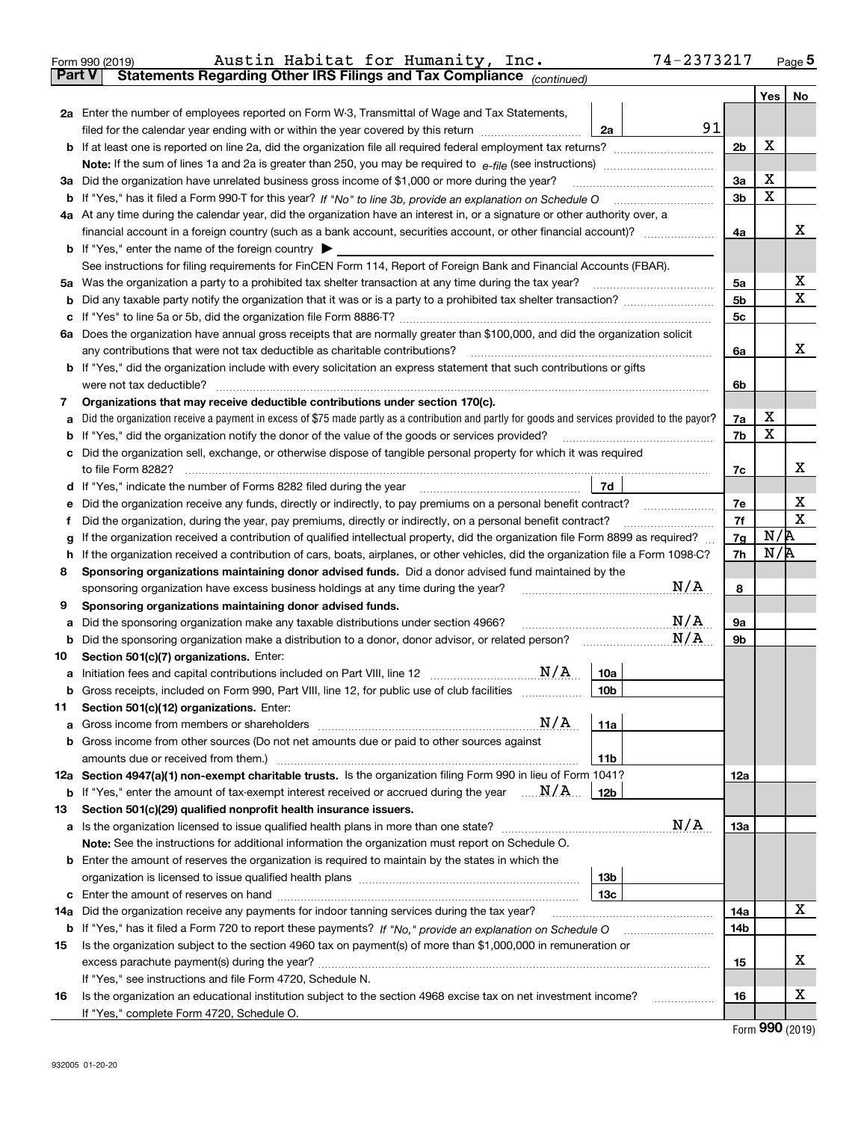|               | 74-2373217<br>Austin Habitat for Humanity, Inc.<br>Form 990 (2019)                                                                                                                |            |     | $_{\text{Page}}$ 5          |
|---------------|-----------------------------------------------------------------------------------------------------------------------------------------------------------------------------------|------------|-----|-----------------------------|
| <b>Part V</b> | Statements Regarding Other IRS Filings and Tax Compliance (continued)                                                                                                             |            |     |                             |
|               |                                                                                                                                                                                   |            | Yes | No                          |
|               | 2a Enter the number of employees reported on Form W-3, Transmittal of Wage and Tax Statements,                                                                                    |            |     |                             |
|               | 91<br>filed for the calendar year ending with or within the year covered by this return<br>2a                                                                                     |            |     |                             |
|               |                                                                                                                                                                                   | 2b         | X   |                             |
|               |                                                                                                                                                                                   |            |     |                             |
|               | 3a Did the organization have unrelated business gross income of \$1,000 or more during the year?                                                                                  | 3a         | X   |                             |
| b             |                                                                                                                                                                                   | 3b         | X   |                             |
|               | 4a At any time during the calendar year, did the organization have an interest in, or a signature or other authority over, a                                                      |            |     |                             |
|               |                                                                                                                                                                                   | 4a         |     | х                           |
|               | <b>b</b> If "Yes," enter the name of the foreign country $\blacktriangleright$                                                                                                    |            |     |                             |
|               | See instructions for filing requirements for FinCEN Form 114, Report of Foreign Bank and Financial Accounts (FBAR).                                                               |            |     |                             |
|               |                                                                                                                                                                                   | 5а         |     | х                           |
| b             |                                                                                                                                                                                   | 5b         |     | X                           |
| c             |                                                                                                                                                                                   | 5c         |     |                             |
|               | 6a Does the organization have annual gross receipts that are normally greater than \$100,000, and did the organization solicit                                                    |            |     |                             |
|               | any contributions that were not tax deductible as charitable contributions?                                                                                                       | 6a         |     | х                           |
|               | <b>b</b> If "Yes," did the organization include with every solicitation an express statement that such contributions or gifts                                                     |            |     |                             |
|               | were not tax deductible?                                                                                                                                                          | 6b         |     |                             |
| 7             | Organizations that may receive deductible contributions under section 170(c).                                                                                                     |            |     |                             |
| а             | Did the organization receive a payment in excess of \$75 made partly as a contribution and partly for goods and services provided to the payor?                                   | 7a         | х   |                             |
| b             | If "Yes," did the organization notify the donor of the value of the goods or services provided?                                                                                   | 7b         | X   |                             |
|               | c Did the organization sell, exchange, or otherwise dispose of tangible personal property for which it was required                                                               |            |     |                             |
|               |                                                                                                                                                                                   | 7c         |     | х                           |
|               | 7d<br>d If "Yes," indicate the number of Forms 8282 filed during the year [11] [11] No. 2010 [12] Henry Manuscones (                                                              |            |     |                             |
| е             | Did the organization receive any funds, directly or indirectly, to pay premiums on a personal benefit contract?                                                                   | 7е         |     | х                           |
| f             | Did the organization, during the year, pay premiums, directly or indirectly, on a personal benefit contract?                                                                      | 7f         |     | $\mathbf X$                 |
| g             | If the organization received a contribution of qualified intellectual property, did the organization file Form 8899 as required?                                                  | 7g         | N/R |                             |
| h             | If the organization received a contribution of cars, boats, airplanes, or other vehicles, did the organization file a Form 1098-C?                                                | 7h         | N/R |                             |
| 8             | Sponsoring organizations maintaining donor advised funds. Did a donor advised fund maintained by the                                                                              |            |     |                             |
|               | N/A<br>sponsoring organization have excess business holdings at any time during the year?                                                                                         | 8          |     |                             |
| 9             | Sponsoring organizations maintaining donor advised funds.                                                                                                                         |            |     |                             |
| а             | $\mathrm{N}/\mathrm{A}$<br>Did the sponsoring organization make any taxable distributions under section 4966?                                                                     | 9а         |     |                             |
| b             | N/A<br>Did the sponsoring organization make a distribution to a donor, donor advisor, or related person?                                                                          | 9b         |     |                             |
| 10            | Section 501(c)(7) organizations. Enter:                                                                                                                                           |            |     |                             |
|               | N/A<br>10a<br>a Initiation fees and capital contributions included on Part VIII, line 12 [111] [11] [11] Initiation fees and capital contributions included on Part VIII, line 12 |            |     |                             |
|               | Gross receipts, included on Form 990, Part VIII, line 12, for public use of club facilities<br>10 <sub>b</sub>                                                                    |            |     |                             |
| 11            | Section 501(c)(12) organizations. Enter:                                                                                                                                          |            |     |                             |
|               | N/A<br>11a                                                                                                                                                                        |            |     |                             |
|               | b Gross income from other sources (Do not net amounts due or paid to other sources against                                                                                        |            |     |                             |
|               | 11 <sub>b</sub>                                                                                                                                                                   |            |     |                             |
|               | 12a Section 4947(a)(1) non-exempt charitable trusts. Is the organization filing Form 990 in lieu of Form 1041?                                                                    | <b>12a</b> |     |                             |
|               | <b>b</b> If "Yes," enter the amount of tax-exempt interest received or accrued during the year $\ldots \mathbf{N}/\mathbf{A}$<br>12b                                              |            |     |                             |
| 13            | Section 501(c)(29) qualified nonprofit health insurance issuers.                                                                                                                  |            |     |                             |
|               | N/A<br><b>a</b> Is the organization licensed to issue qualified health plans in more than one state?                                                                              | <b>13a</b> |     |                             |
|               | Note: See the instructions for additional information the organization must report on Schedule O.                                                                                 |            |     |                             |
|               | <b>b</b> Enter the amount of reserves the organization is required to maintain by the states in which the                                                                         |            |     |                             |
|               | 13 <sub>b</sub>                                                                                                                                                                   |            |     |                             |
|               | 13 <sub>c</sub>                                                                                                                                                                   |            |     |                             |
| 14a           | Did the organization receive any payments for indoor tanning services during the tax year?                                                                                        | 14a        |     | X                           |
| b             | If "Yes," has it filed a Form 720 to report these payments? If "No," provide an explanation on Schedule O                                                                         | 14b        |     |                             |
| 15            | Is the organization subject to the section 4960 tax on payment(s) of more than \$1,000,000 in remuneration or                                                                     |            |     |                             |
|               |                                                                                                                                                                                   | 15         |     | x                           |
|               | If "Yes," see instructions and file Form 4720, Schedule N.                                                                                                                        |            |     |                             |
| 16            | Is the organization an educational institution subject to the section 4968 excise tax on net investment income?                                                                   | 16         |     | х                           |
|               | If "Yes," complete Form 4720, Schedule O.                                                                                                                                         |            |     | $F_{\text{arm}}$ 990 (2010) |

Form (2019) **990**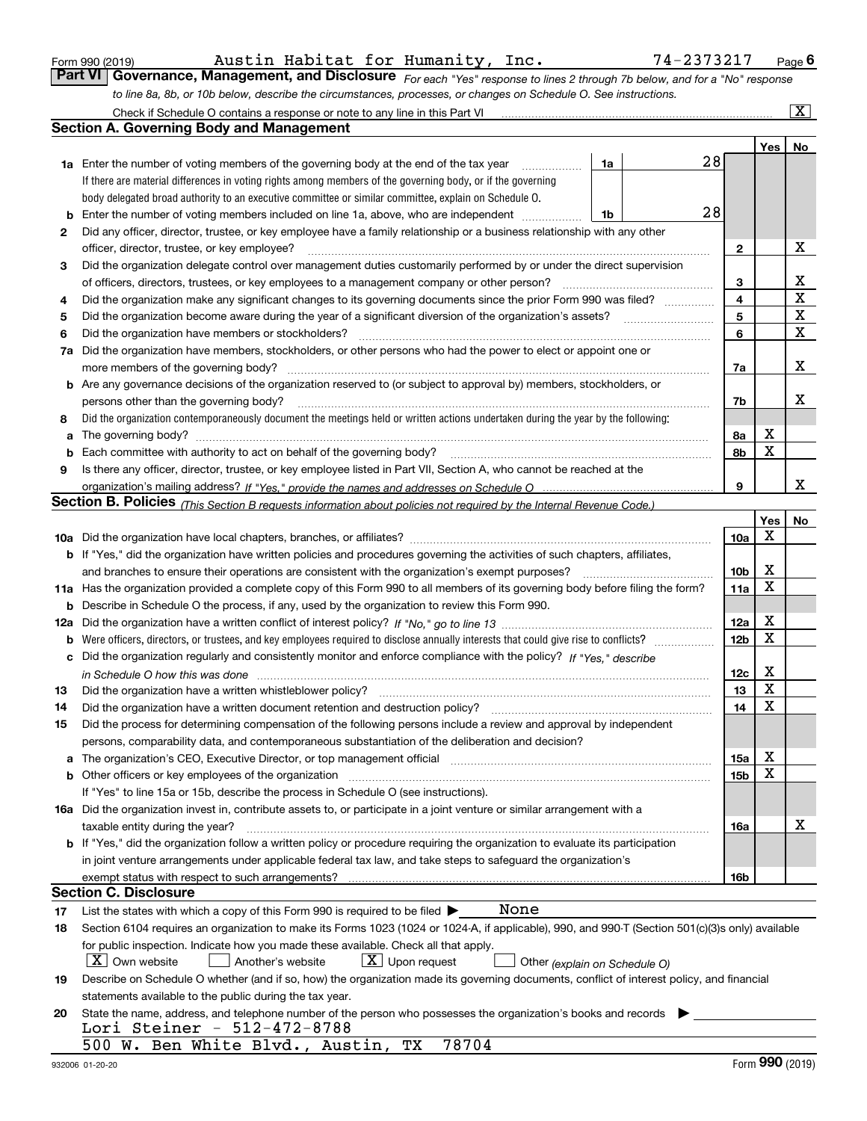| Form 990 (2019) |  |  |
|-----------------|--|--|
|                 |  |  |

*For each "Yes" response to lines 2 through 7b below, and for a "No" response to line 8a, 8b, or 10b below, describe the circumstances, processes, or changes on Schedule O. See instructions.* Form 990 (2019) Page **6Part VI Governance, Management, and Disclosure**  Austin Habitat for Humanity, Inc. 74-2373217 Check if Schedule O contains a response or note to any line in this Part VI

|     | Check if Schedule O contains a response or note to any line in this Part VI                                                                                                                                                    |    |    |                 |                             | $\mathbf{X}$ |
|-----|--------------------------------------------------------------------------------------------------------------------------------------------------------------------------------------------------------------------------------|----|----|-----------------|-----------------------------|--------------|
|     | <b>Section A. Governing Body and Management</b>                                                                                                                                                                                |    |    |                 |                             |              |
|     |                                                                                                                                                                                                                                |    |    |                 | Yes                         | No           |
|     | <b>1a</b> Enter the number of voting members of the governing body at the end of the tax year                                                                                                                                  | 1a | 28 |                 |                             |              |
|     | If there are material differences in voting rights among members of the governing body, or if the governing                                                                                                                    |    |    |                 |                             |              |
|     | body delegated broad authority to an executive committee or similar committee, explain on Schedule O.                                                                                                                          |    |    |                 |                             |              |
| b   | Enter the number of voting members included on line 1a, above, who are independent                                                                                                                                             | 1b | 28 |                 |                             |              |
| 2   | Did any officer, director, trustee, or key employee have a family relationship or a business relationship with any other                                                                                                       |    |    |                 |                             |              |
|     | officer, director, trustee, or key employee?                                                                                                                                                                                   |    |    | 2               |                             | х            |
| 3   | Did the organization delegate control over management duties customarily performed by or under the direct supervision                                                                                                          |    |    |                 |                             |              |
|     | of officers, directors, trustees, or key employees to a management company or other person?                                                                                                                                    |    |    | 3               |                             | х            |
| 4   | Did the organization make any significant changes to its governing documents since the prior Form 990 was filed?                                                                                                               |    |    | 4               |                             | X            |
| 5   |                                                                                                                                                                                                                                |    |    | 5               |                             | X            |
| 6   | Did the organization have members or stockholders?                                                                                                                                                                             |    |    | 6               |                             | X            |
| 7a  | Did the organization have members, stockholders, or other persons who had the power to elect or appoint one or                                                                                                                 |    |    |                 |                             |              |
|     | more members of the governing body?                                                                                                                                                                                            |    |    | 7a              |                             | Х            |
|     | <b>b</b> Are any governance decisions of the organization reserved to (or subject to approval by) members, stockholders, or                                                                                                    |    |    |                 |                             |              |
|     | persons other than the governing body?                                                                                                                                                                                         |    |    | 7b              |                             | x            |
| 8   | Did the organization contemporaneously document the meetings held or written actions undertaken during the year by the following:                                                                                              |    |    |                 |                             |              |
| a   |                                                                                                                                                                                                                                |    |    | 8а              | x                           |              |
| b   |                                                                                                                                                                                                                                |    |    | 8b              | X                           |              |
| 9   | Is there any officer, director, trustee, or key employee listed in Part VII, Section A, who cannot be reached at the                                                                                                           |    |    |                 |                             |              |
|     |                                                                                                                                                                                                                                |    |    | 9               |                             | x            |
|     | <b>Section B. Policies</b> (This Section B requests information about policies not required by the Internal Revenue Code.)                                                                                                     |    |    |                 |                             |              |
|     |                                                                                                                                                                                                                                |    |    |                 | Yes                         | No           |
|     |                                                                                                                                                                                                                                |    |    | <b>10a</b>      | X                           |              |
|     | <b>b</b> If "Yes," did the organization have written policies and procedures governing the activities of such chapters, affiliates,                                                                                            |    |    |                 |                             |              |
|     | and branches to ensure their operations are consistent with the organization's exempt purposes?                                                                                                                                |    |    | 10 <sub>b</sub> | X                           |              |
|     | 11a Has the organization provided a complete copy of this Form 990 to all members of its governing body before filing the form?                                                                                                |    |    | 11a             | x                           |              |
| b   | Describe in Schedule O the process, if any, used by the organization to review this Form 990.                                                                                                                                  |    |    |                 |                             |              |
| 12a |                                                                                                                                                                                                                                |    |    | 12a             | X                           |              |
| b   |                                                                                                                                                                                                                                |    |    | 12 <sub>b</sub> | X                           |              |
|     | c Did the organization regularly and consistently monitor and enforce compliance with the policy? If "Yes." describe                                                                                                           |    |    |                 |                             |              |
|     | in Schedule O how this was done measured and the control of the control of the state of the control of the control of the control of the control of the control of the control of the control of the control of the control of |    |    | 12c             | X                           |              |
| 13  | Did the organization have a written whistleblower policy?                                                                                                                                                                      |    |    | 13              | X                           |              |
| 14  | Did the organization have a written document retention and destruction policy?                                                                                                                                                 |    |    | 14              | X                           |              |
| 15  | Did the process for determining compensation of the following persons include a review and approval by independent                                                                                                             |    |    |                 |                             |              |
|     | persons, comparability data, and contemporaneous substantiation of the deliberation and decision?                                                                                                                              |    |    |                 |                             |              |
| a   | The organization's CEO, Executive Director, or top management official manufactured content of the organization's CEO, Executive Director, or top management official                                                          |    |    | 15a             | х                           |              |
|     | <b>b</b> Other officers or key employees of the organization                                                                                                                                                                   |    |    | 15 <sub>b</sub> | х                           |              |
|     | If "Yes" to line 15a or 15b, describe the process in Schedule O (see instructions).                                                                                                                                            |    |    |                 |                             |              |
|     | 16a Did the organization invest in, contribute assets to, or participate in a joint venture or similar arrangement with a                                                                                                      |    |    |                 |                             |              |
|     | taxable entity during the year?                                                                                                                                                                                                |    |    | 16a             |                             | х            |
|     | b If "Yes," did the organization follow a written policy or procedure requiring the organization to evaluate its participation                                                                                                 |    |    |                 |                             |              |
|     | in joint venture arrangements under applicable federal tax law, and take steps to safequard the organization's                                                                                                                 |    |    |                 |                             |              |
|     | exempt status with respect to such arrangements?                                                                                                                                                                               |    |    | 16b             |                             |              |
|     | Section C. Disclosure                                                                                                                                                                                                          |    |    |                 |                             |              |
| 17  | None<br>List the states with which a copy of this Form 990 is required to be filed $\blacktriangleright$                                                                                                                       |    |    |                 |                             |              |
| 18  | Section 6104 requires an organization to make its Forms 1023 (1024 or 1024-A, if applicable), 990, and 990-T (Section 501(c)(3)s only) available                                                                               |    |    |                 |                             |              |
|     | for public inspection. Indicate how you made these available. Check all that apply.                                                                                                                                            |    |    |                 |                             |              |
|     | $X$ Own website<br>$\lfloor x \rfloor$ Upon request<br>Another's website<br>Other (explain on Schedule O)                                                                                                                      |    |    |                 |                             |              |
| 19  | Describe on Schedule O whether (and if so, how) the organization made its governing documents, conflict of interest policy, and financial                                                                                      |    |    |                 |                             |              |
|     | statements available to the public during the tax year.                                                                                                                                                                        |    |    |                 |                             |              |
| 20  | State the name, address, and telephone number of the person who possesses the organization's books and records                                                                                                                 |    |    |                 |                             |              |
|     | Lori Steiner - 512-472-8788                                                                                                                                                                                                    |    |    |                 |                             |              |
|     | 500 W. Ben White Blvd., Austin,<br>78704<br>TХ                                                                                                                                                                                 |    |    |                 |                             |              |
|     |                                                                                                                                                                                                                                |    |    |                 | $F_{\text{arm}}$ 990 (2010) |              |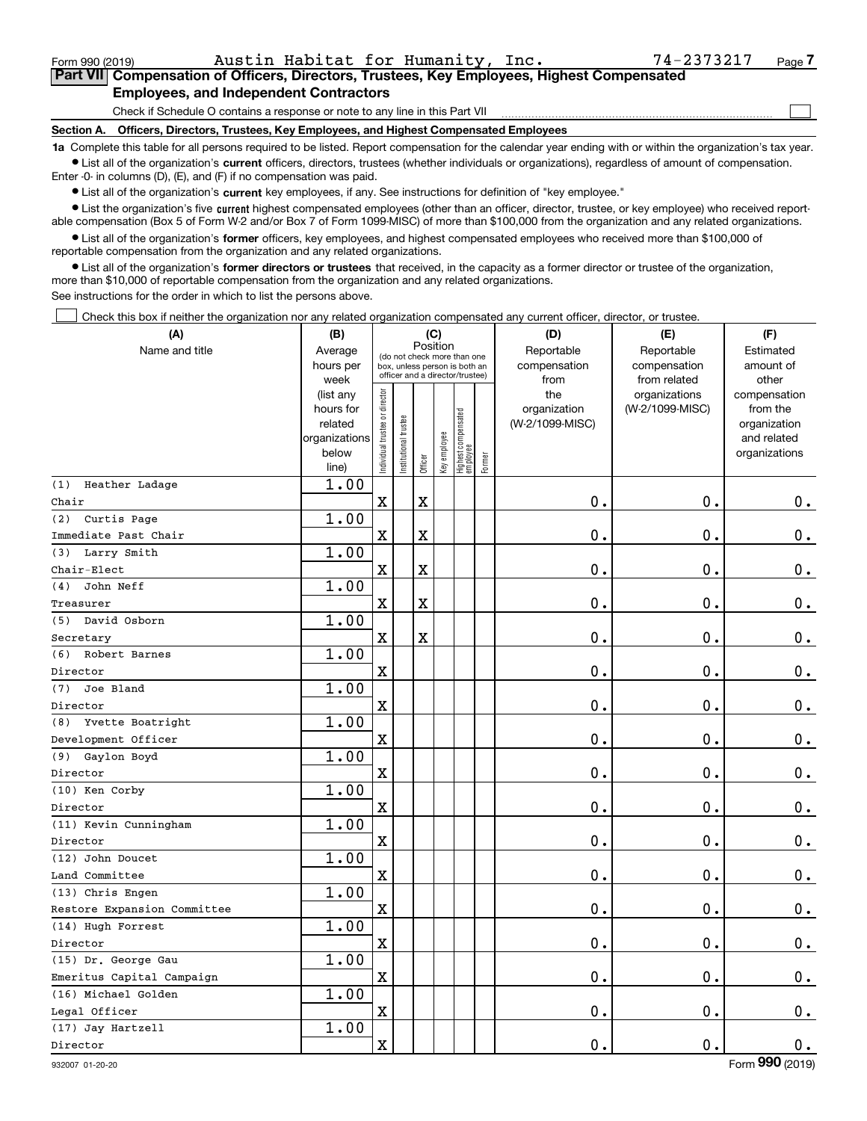| Form 990 (2019) | Austin Habitat for Humanity, Inc.                                                                  | 74-2373217 | Page |
|-----------------|----------------------------------------------------------------------------------------------------|------------|------|
|                 | <b>Part VIII Compensation of Officers, Directors, Trustees, Key Employees, Highest Compensated</b> |            |      |
|                 | <b>Employees, and Independent Contractors</b>                                                      |            |      |
|                 | Check if Schedule O contains a response or note to any line in this Part VII                       |            |      |
| Section A.      | Officers, Directors, Trustees, Key Employees, and Highest Compensated Employees                    |            |      |

Austin Habitat for Humanity, Inc. 74-2373217

**1a**  Complete this table for all persons required to be listed. Report compensation for the calendar year ending with or within the organization's tax year. **•** List all of the organization's current officers, directors, trustees (whether individuals or organizations), regardless of amount of compensation.

Enter -0- in columns (D), (E), and (F) if no compensation was paid.

 $\bullet$  List all of the organization's  $\,$ current key employees, if any. See instructions for definition of "key employee."

**•** List the organization's five current highest compensated employees (other than an officer, director, trustee, or key employee) who received reportable compensation (Box 5 of Form W-2 and/or Box 7 of Form 1099-MISC) of more than \$100,000 from the organization and any related organizations.

**•** List all of the organization's former officers, key employees, and highest compensated employees who received more than \$100,000 of reportable compensation from the organization and any related organizations.

**former directors or trustees**  ¥ List all of the organization's that received, in the capacity as a former director or trustee of the organization, more than \$10,000 of reportable compensation from the organization and any related organizations.

See instructions for the order in which to list the persons above.

Check this box if neither the organization nor any related organization compensated any current officer, director, or trustee.  $\mathcal{L}^{\text{max}}$ 

| (A)                         | (B)                                                                  |                                |                        | (C)                     |              |                                                                                                 |        | (D)                                                                              | (E)                              | (F)                                                                      |
|-----------------------------|----------------------------------------------------------------------|--------------------------------|------------------------|-------------------------|--------------|-------------------------------------------------------------------------------------------------|--------|----------------------------------------------------------------------------------|----------------------------------|--------------------------------------------------------------------------|
| Name and title              | Average<br>hours per<br>week                                         |                                |                        | Position                |              | (do not check more than one<br>box, unless person is both an<br>officer and a director/trustee) |        | Reportable<br>Reportable<br>compensation<br>compensation<br>from<br>from related |                                  | Estimated<br>amount of<br>other                                          |
|                             | (list any<br>hours for<br>related<br>organizations<br>below<br>line) | Individual trustee or director | In stitutional trustee | Officer                 | Key employee | Highest compensated<br>  employee                                                               | Former | the<br>organization<br>(W-2/1099-MISC)                                           | organizations<br>(W-2/1099-MISC) | compensation<br>from the<br>organization<br>and related<br>organizations |
| Heather Ladage<br>(1)       | 1.00                                                                 |                                |                        |                         |              |                                                                                                 |        |                                                                                  |                                  |                                                                          |
| Chair                       |                                                                      | $\mathbf X$                    |                        | X                       |              |                                                                                                 |        | $0$ .                                                                            | $\mathbf 0$ .                    | $0_{.}$                                                                  |
| (2) Curtis Page             | 1.00                                                                 |                                |                        |                         |              |                                                                                                 |        |                                                                                  |                                  |                                                                          |
| Immediate Past Chair        |                                                                      | $\mathbf X$                    |                        | X                       |              |                                                                                                 |        | $\mathbf 0$ .                                                                    | $\mathbf 0$ .                    | $\mathbf 0$ .                                                            |
| (3) Larry Smith             | 1.00                                                                 |                                |                        |                         |              |                                                                                                 |        |                                                                                  |                                  |                                                                          |
| Chair-Elect                 |                                                                      | $\mathbf x$                    |                        | X                       |              |                                                                                                 |        | 0.                                                                               | $\mathbf 0$ .                    | $0_{.}$                                                                  |
| $(4)$ John Neff             | 1.00                                                                 |                                |                        |                         |              |                                                                                                 |        |                                                                                  |                                  |                                                                          |
| Treasurer                   |                                                                      | $\mathbf X$                    |                        | $\overline{\textbf{X}}$ |              |                                                                                                 |        | $0$ .                                                                            | 0.                               | $0_{.}$                                                                  |
| (5) David Osborn            | 1.00                                                                 |                                |                        |                         |              |                                                                                                 |        |                                                                                  |                                  |                                                                          |
| Secretary                   |                                                                      | $\mathbf x$                    |                        | $\mathbf x$             |              |                                                                                                 |        | $0$ .                                                                            | $\mathbf 0$ .                    | $\pmb{0}$ .                                                              |
| (6) Robert Barnes           | 1.00                                                                 |                                |                        |                         |              |                                                                                                 |        |                                                                                  |                                  |                                                                          |
| Director                    |                                                                      | $\mathbf X$                    |                        |                         |              |                                                                                                 |        | $\mathbf 0$ .                                                                    | $\mathbf 0$ .                    | $\mathbf 0$ .                                                            |
| Joe Bland<br>(7)            | 1.00                                                                 |                                |                        |                         |              |                                                                                                 |        |                                                                                  |                                  |                                                                          |
| Director                    |                                                                      | $\mathbf x$                    |                        |                         |              |                                                                                                 |        | 0.                                                                               | $\mathbf 0$ .                    | $\mathbf 0$ .                                                            |
| (8) Yvette Boatright        | 1.00                                                                 |                                |                        |                         |              |                                                                                                 |        |                                                                                  |                                  |                                                                          |
| Development Officer         |                                                                      | $\mathbf X$                    |                        |                         |              |                                                                                                 |        | 0.                                                                               | $\mathbf 0$ .                    | 0.                                                                       |
| (9) Gaylon Boyd             | 1.00                                                                 |                                |                        |                         |              |                                                                                                 |        |                                                                                  |                                  |                                                                          |
| Director                    |                                                                      | $\mathbf X$                    |                        |                         |              |                                                                                                 |        | 0.                                                                               | $\mathbf 0$ .                    | $0_{.}$                                                                  |
| (10) Ken Corby              | 1.00                                                                 |                                |                        |                         |              |                                                                                                 |        |                                                                                  |                                  |                                                                          |
| Director                    |                                                                      | $\mathbf X$                    |                        |                         |              |                                                                                                 |        | $\mathbf 0$ .                                                                    | $\mathbf 0$ .                    | $\mathbf 0$ .                                                            |
| (11) Kevin Cunningham       | 1.00                                                                 |                                |                        |                         |              |                                                                                                 |        |                                                                                  |                                  |                                                                          |
| Director                    |                                                                      | $\mathbf x$                    |                        |                         |              |                                                                                                 |        | $\mathbf 0$ .                                                                    | $\mathbf 0$ .                    | $\mathbf 0$ .                                                            |
| (12) John Doucet            | 1.00                                                                 |                                |                        |                         |              |                                                                                                 |        |                                                                                  |                                  |                                                                          |
| Land Committee              |                                                                      | $\mathbf X$                    |                        |                         |              |                                                                                                 |        | $\mathbf 0$ .                                                                    | 0.                               | $0_{.}$                                                                  |
| (13) Chris Engen            | 1.00                                                                 |                                |                        |                         |              |                                                                                                 |        |                                                                                  |                                  |                                                                          |
| Restore Expansion Committee |                                                                      | $\mathbf x$                    |                        |                         |              |                                                                                                 |        | $\mathbf 0$ .                                                                    | 0.                               | 0.                                                                       |
| (14) Hugh Forrest           | 1.00                                                                 |                                |                        |                         |              |                                                                                                 |        |                                                                                  |                                  |                                                                          |
| Director                    |                                                                      | $\mathbf X$                    |                        |                         |              |                                                                                                 |        | $\mathbf 0$ .                                                                    | 0.                               | $\mathbf 0$ .                                                            |
| (15) Dr. George Gau         | 1.00                                                                 |                                |                        |                         |              |                                                                                                 |        |                                                                                  |                                  |                                                                          |
| Emeritus Capital Campaign   |                                                                      | $\mathbf x$                    |                        |                         |              |                                                                                                 |        | $\mathbf 0$ .                                                                    | $\mathbf 0$ .                    | $\mathbf 0$ .                                                            |
| (16) Michael Golden         | 1.00                                                                 |                                |                        |                         |              |                                                                                                 |        |                                                                                  |                                  |                                                                          |
| Legal Officer               |                                                                      | $\mathbf X$                    |                        |                         |              |                                                                                                 |        | 0.                                                                               | $\mathbf 0$ .                    | $\mathbf 0$ .                                                            |
| (17) Jay Hartzell           | 1.00                                                                 |                                |                        |                         |              |                                                                                                 |        |                                                                                  |                                  |                                                                          |
| Director                    |                                                                      | $\mathbf x$                    |                        |                         |              |                                                                                                 |        | $\mathbf 0$ .                                                                    | $\mathbf 0$ .                    | 0.                                                                       |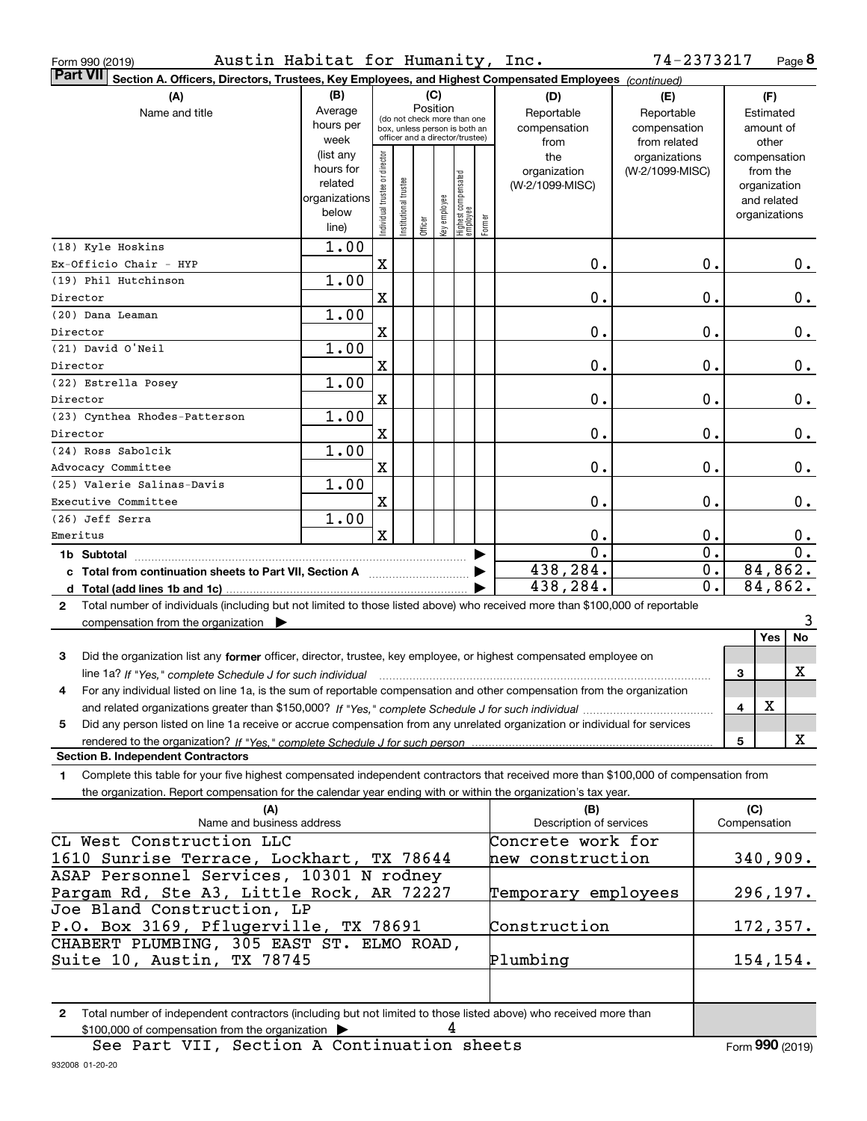| Austin Habitat for Humanity, Inc.<br>Form 990 (2019)                                                                                         |                                                                          |                                |                      |          |                |                                  |        |                         | 74-2373217       |              |                             | Page 8           |
|----------------------------------------------------------------------------------------------------------------------------------------------|--------------------------------------------------------------------------|--------------------------------|----------------------|----------|----------------|----------------------------------|--------|-------------------------|------------------|--------------|-----------------------------|------------------|
| <b>Part VII</b><br>Section A. Officers, Directors, Trustees, Key Employees, and Highest Compensated Employees (continued)                    |                                                                          |                                |                      |          |                |                                  |        |                         |                  |              |                             |                  |
| (A)                                                                                                                                          | (B)                                                                      |                                |                      | (C)      |                |                                  |        | (D)                     | (E)              |              | (F)                         |                  |
| Name and title                                                                                                                               | Average                                                                  |                                |                      | Position |                | (do not check more than one      |        | Reportable              | Reportable       |              | Estimated                   |                  |
|                                                                                                                                              | hours per                                                                |                                |                      |          |                | box, unless person is both an    |        | compensation            | compensation     |              | amount of                   |                  |
|                                                                                                                                              | week                                                                     |                                |                      |          |                | officer and a director/trustee)  |        | from                    | from related     |              | other                       |                  |
|                                                                                                                                              | (list any                                                                |                                |                      |          |                |                                  |        | the                     | organizations    |              | compensation                |                  |
|                                                                                                                                              | hours for<br>related                                                     |                                |                      |          |                |                                  |        | organization            | (W-2/1099-MISC)  |              | from the                    |                  |
|                                                                                                                                              | organizations                                                            |                                |                      |          |                |                                  |        | (W-2/1099-MISC)         |                  |              | organization<br>and related |                  |
|                                                                                                                                              | below                                                                    |                                |                      |          |                |                                  |        |                         |                  |              | organizations               |                  |
|                                                                                                                                              | line)                                                                    | Individual trustee or director | nstitutional trustee | Officer  | ea⁄opduua ⁄iay | Highest compensated<br> employee | Former |                         |                  |              |                             |                  |
| (18) Kyle Hoskins                                                                                                                            | 1.00                                                                     |                                |                      |          |                |                                  |        |                         |                  |              |                             |                  |
| Ex-Officio Chair - HYP                                                                                                                       |                                                                          | $\mathbf X$                    |                      |          |                |                                  |        | 0.                      | 0.               |              |                             | 0.               |
| (19) Phil Hutchinson                                                                                                                         | 1.00                                                                     |                                |                      |          |                |                                  |        |                         |                  |              |                             |                  |
| Director                                                                                                                                     |                                                                          | X                              |                      |          |                |                                  |        | 0.                      | 0.               |              |                             | 0.               |
| (20) Dana Leaman                                                                                                                             | 1.00                                                                     |                                |                      |          |                |                                  |        |                         |                  |              |                             |                  |
| Director                                                                                                                                     |                                                                          | X                              |                      |          |                |                                  |        | 0.                      | 0.               |              |                             | 0.               |
| (21) David O'Neil                                                                                                                            | 1.00                                                                     |                                |                      |          |                |                                  |        |                         |                  |              |                             |                  |
| Director                                                                                                                                     |                                                                          | $\mathbf X$                    |                      |          |                |                                  |        | 0.                      | 0.               |              |                             | 0.               |
| (22) Estrella Posey                                                                                                                          | 1.00                                                                     |                                |                      |          |                |                                  |        |                         |                  |              |                             |                  |
| Director                                                                                                                                     |                                                                          | $\mathbf X$                    |                      |          |                |                                  |        | 0.                      | 0.               |              |                             | 0.               |
| (23) Cynthea Rhodes-Patterson                                                                                                                | 1.00                                                                     |                                |                      |          |                |                                  |        |                         |                  |              |                             |                  |
| Director                                                                                                                                     |                                                                          | $\mathbf X$                    |                      |          |                |                                  |        | 0.                      | 0.               |              |                             | 0.               |
| (24) Ross Sabolcik                                                                                                                           | 1.00                                                                     |                                |                      |          |                |                                  |        |                         |                  |              |                             |                  |
| Advocacy Committee                                                                                                                           |                                                                          | $\mathbf X$                    |                      |          |                |                                  |        | 0.                      | 0.               |              |                             | 0.               |
| (25) Valerie Salinas-Davis                                                                                                                   | 1.00                                                                     |                                |                      |          |                |                                  |        |                         |                  |              |                             |                  |
| Executive Committee                                                                                                                          |                                                                          | X                              |                      |          |                |                                  |        | 0.                      | 0.               |              |                             | 0.               |
| (26) Jeff Serra                                                                                                                              | 1.00                                                                     |                                |                      |          |                |                                  |        |                         |                  |              |                             |                  |
| Emeritus                                                                                                                                     |                                                                          | $\mathbf x$                    |                      |          |                |                                  |        | $\mathbf 0$ .           | 0.               |              |                             | 0.               |
|                                                                                                                                              |                                                                          |                                |                      |          |                |                                  |        | $\overline{0}$ .        | $\overline{0}$ . |              |                             | $\overline{0}$ . |
| c Total from continuation sheets to Part VII, Section A                                                                                      |                                                                          |                                |                      |          |                |                                  |        | 438,284.                | $0$ .            |              | 84,862.                     |                  |
|                                                                                                                                              |                                                                          |                                |                      |          |                |                                  |        | 438,284.                | 0.               |              | 84,862.                     |                  |
| Total number of individuals (including but not limited to those listed above) who received more than \$100,000 of reportable<br>$\mathbf{2}$ |                                                                          |                                |                      |          |                |                                  |        |                         |                  |              |                             |                  |
| compensation from the organization $\blacktriangleright$                                                                                     |                                                                          |                                |                      |          |                |                                  |        |                         |                  |              |                             | 3                |
|                                                                                                                                              |                                                                          |                                |                      |          |                |                                  |        |                         |                  |              | Yes                         | No               |
| 3<br>Did the organization list any former officer, director, trustee, key employee, or highest compensated employee on                       |                                                                          |                                |                      |          |                |                                  |        |                         |                  |              |                             |                  |
| line 1a? If "Yes," complete Schedule J for such individual manufactured contained and the Yes," complete Schedule J for such individual      |                                                                          |                                |                      |          |                |                                  |        |                         |                  | 3            |                             | х                |
| For any individual listed on line 1a, is the sum of reportable compensation and other compensation from the organization                     |                                                                          |                                |                      |          |                |                                  |        |                         |                  |              |                             |                  |
|                                                                                                                                              |                                                                          |                                |                      |          |                |                                  |        |                         |                  | 4            | X                           |                  |
| Did any person listed on line 1a receive or accrue compensation from any unrelated organization or individual for services<br>5              |                                                                          |                                |                      |          |                |                                  |        |                         |                  |              |                             |                  |
| rendered to the organization? If "Yes." complete Schedule J for such person                                                                  |                                                                          |                                |                      |          |                |                                  |        |                         |                  | 5            |                             | x                |
| <b>Section B. Independent Contractors</b>                                                                                                    |                                                                          |                                |                      |          |                |                                  |        |                         |                  |              |                             |                  |
| Complete this table for your five highest compensated independent contractors that received more than \$100,000 of compensation from<br>1.   |                                                                          |                                |                      |          |                |                                  |        |                         |                  |              |                             |                  |
| the organization. Report compensation for the calendar year ending with or within the organization's tax year.                               |                                                                          |                                |                      |          |                |                                  |        |                         |                  |              |                             |                  |
| (A)                                                                                                                                          |                                                                          |                                |                      |          |                |                                  |        | (B)                     |                  |              | (C)                         |                  |
| Name and business address                                                                                                                    |                                                                          |                                |                      |          |                |                                  |        | Description of services |                  | Compensation |                             |                  |
| CL West Construction LLC                                                                                                                     |                                                                          |                                |                      |          |                |                                  |        | Concrete work for       |                  |              |                             |                  |
|                                                                                                                                              | 1610 Sunrise Terrace, Lockhart, TX 78644<br>340,909.<br>hew construction |                                |                      |          |                |                                  |        |                         |                  |              |                             |                  |
| ASAP Personnel Services, 10301 N rodney                                                                                                      |                                                                          |                                |                      |          |                |                                  |        |                         |                  |              |                             |                  |
| Pargam Rd, Ste A3, Little Rock, AR 72227                                                                                                     |                                                                          |                                |                      |          |                |                                  |        | Temporary employees     |                  |              | 296, 197.                   |                  |
| Joe Bland Construction, LP                                                                                                                   |                                                                          |                                |                      |          |                |                                  |        |                         |                  |              |                             |                  |
| P.O. Box 3169, Pflugerville, TX 78691                                                                                                        |                                                                          |                                |                      |          |                |                                  |        | Construction            |                  |              | 172,357.                    |                  |
| CHABERT PLUMBING, 305 EAST ST. ELMO ROAD,                                                                                                    |                                                                          |                                |                      |          |                |                                  |        |                         |                  |              |                             |                  |
| Suite 10, Austin, TX 78745                                                                                                                   |                                                                          |                                |                      |          |                |                                  |        | Plumbing                |                  |              | <u>154,154.</u>             |                  |
|                                                                                                                                              |                                                                          |                                |                      |          |                |                                  |        |                         |                  |              |                             |                  |
|                                                                                                                                              |                                                                          |                                |                      |          |                |                                  |        |                         |                  |              |                             |                  |

**2**Total number of independent contractors (including but not limited to those listed above) who received more than \$100,000 of compensation from the organization  $\qquad \blacktriangleright$   $\qquad \qquad \blacktriangleleft$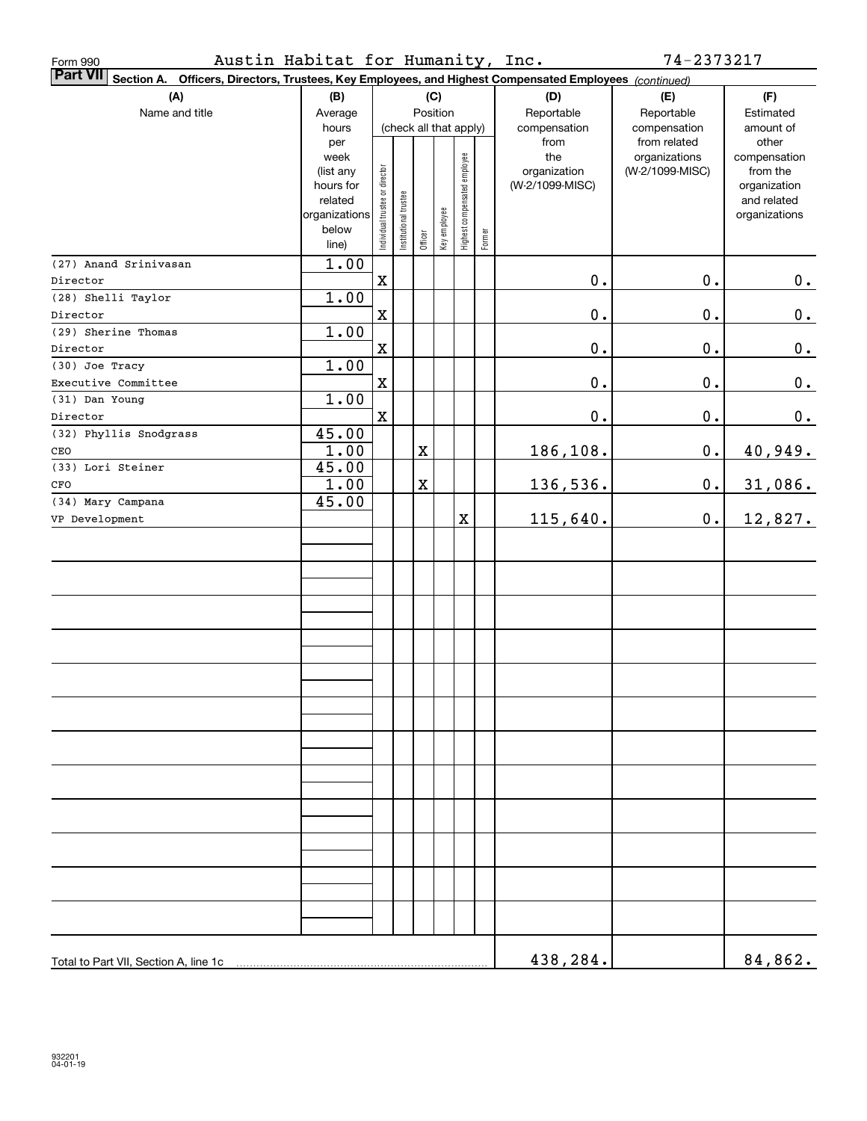| Austin Habitat for Humanity, Inc.<br>Form 990                                                                             |                   |                                |                       |             |              |                              |        |                     | 74-2373217                       |                          |
|---------------------------------------------------------------------------------------------------------------------------|-------------------|--------------------------------|-----------------------|-------------|--------------|------------------------------|--------|---------------------|----------------------------------|--------------------------|
| <b>Part VII</b><br>Section A. Officers, Directors, Trustees, Key Employees, and Highest Compensated Employees (continued) |                   |                                |                       |             |              |                              |        |                     |                                  |                          |
| (A)                                                                                                                       | (B)               |                                |                       |             | (C)          |                              |        | (D)                 | (E)                              | (F)                      |
| Name and title                                                                                                            | Average           |                                |                       |             | Position     |                              |        | Reportable          | Reportable                       | Estimated                |
|                                                                                                                           | hours             |                                |                       |             |              | (check all that apply)       |        | compensation        | compensation                     | amount of                |
|                                                                                                                           | per               |                                |                       |             |              |                              |        | from                | from related                     | other                    |
|                                                                                                                           | week<br>(list any |                                |                       |             |              |                              |        | the<br>organization | organizations<br>(W-2/1099-MISC) | compensation<br>from the |
|                                                                                                                           | hours for         |                                |                       |             |              |                              |        | (W-2/1099-MISC)     |                                  | organization             |
|                                                                                                                           | related           |                                |                       |             |              |                              |        |                     |                                  | and related              |
|                                                                                                                           | organizations     |                                |                       |             |              |                              |        |                     |                                  | organizations            |
|                                                                                                                           | below<br>line)    | Individual trustee or director | Institutional trustee | Officer     | Key employee | Highest compensated employee | Former |                     |                                  |                          |
| (27) Anand Srinivasan                                                                                                     | 1.00              |                                |                       |             |              |                              |        |                     |                                  |                          |
| Director                                                                                                                  |                   | $\mathbf x$                    |                       |             |              |                              |        | $\mathbf 0$ .       | $\mathbf 0$ .                    | 0.                       |
| (28) Shelli Taylor                                                                                                        | 1.00              |                                |                       |             |              |                              |        |                     |                                  |                          |
| Director                                                                                                                  |                   | $\mathbf X$                    |                       |             |              |                              |        | $\mathbf 0$ .       | $\mathbf 0$ .                    | $0_{\cdot}$              |
| (29) Sherine Thomas                                                                                                       | 1.00              |                                |                       |             |              |                              |        |                     |                                  |                          |
| Director                                                                                                                  |                   | $\mathbf X$                    |                       |             |              |                              |        | $\mathbf 0$ .       | $\mathbf 0$ .                    | $0_{\cdot}$              |
| (30) Joe Tracy                                                                                                            | 1.00              |                                |                       |             |              |                              |        |                     |                                  |                          |
| Executive Committee                                                                                                       |                   | $\mathbf X$                    |                       |             |              |                              |        | $\mathbf 0$ .       | $\mathbf 0$ .                    | $0_{.}$                  |
| (31) Dan Young                                                                                                            | 1.00              |                                |                       |             |              |                              |        |                     |                                  |                          |
| Director                                                                                                                  |                   | $\mathbf x$                    |                       |             |              |                              |        | $\mathbf 0$ .       | $\mathbf 0$ .                    | $0_{.}$                  |
| (32) Phyllis Snodgrass                                                                                                    | 45.00             |                                |                       |             |              |                              |        |                     |                                  |                          |
| CEO                                                                                                                       | 1.00              |                                |                       | $\mathbf X$ |              |                              |        | 186,108.            | $\mathbf 0$ .                    | 40,949.                  |
| (33) Lori Steiner                                                                                                         | 45.00             |                                |                       |             |              |                              |        |                     |                                  |                          |
| CFO                                                                                                                       | 1.00              |                                |                       | $\mathbf X$ |              |                              |        | 136,536.            | $\mathbf 0$ .                    | 31,086.                  |
| (34) Mary Campana                                                                                                         | 45.00             |                                |                       |             |              |                              |        |                     |                                  |                          |
| VP Development                                                                                                            |                   |                                |                       |             |              | X                            |        | 115,640.            | 0.                               | 12,827.                  |
|                                                                                                                           |                   |                                |                       |             |              |                              |        |                     |                                  |                          |
|                                                                                                                           |                   |                                |                       |             |              |                              |        |                     |                                  |                          |
|                                                                                                                           |                   |                                |                       |             |              |                              |        |                     |                                  |                          |
|                                                                                                                           |                   |                                |                       |             |              |                              |        |                     |                                  |                          |
|                                                                                                                           |                   |                                |                       |             |              |                              |        |                     |                                  |                          |
|                                                                                                                           |                   |                                |                       |             |              |                              |        |                     |                                  |                          |
|                                                                                                                           |                   |                                |                       |             |              |                              |        |                     |                                  |                          |
|                                                                                                                           |                   |                                |                       |             |              |                              |        |                     |                                  |                          |
|                                                                                                                           |                   |                                |                       |             |              |                              |        |                     |                                  |                          |
|                                                                                                                           |                   |                                |                       |             |              |                              |        |                     |                                  |                          |
|                                                                                                                           |                   |                                |                       |             |              |                              |        |                     |                                  |                          |
|                                                                                                                           |                   |                                |                       |             |              |                              |        |                     |                                  |                          |
|                                                                                                                           |                   |                                |                       |             |              |                              |        |                     |                                  |                          |
|                                                                                                                           |                   |                                |                       |             |              |                              |        |                     |                                  |                          |
|                                                                                                                           |                   |                                |                       |             |              |                              |        |                     |                                  |                          |
|                                                                                                                           |                   |                                |                       |             |              |                              |        |                     |                                  |                          |
|                                                                                                                           |                   |                                |                       |             |              |                              |        |                     |                                  |                          |
|                                                                                                                           |                   |                                |                       |             |              |                              |        |                     |                                  |                          |
|                                                                                                                           |                   |                                |                       |             |              |                              |        |                     |                                  |                          |
|                                                                                                                           |                   |                                |                       |             |              |                              |        |                     |                                  |                          |
|                                                                                                                           |                   |                                |                       |             |              |                              |        |                     |                                  |                          |
|                                                                                                                           |                   |                                |                       |             |              |                              |        |                     |                                  |                          |
|                                                                                                                           |                   |                                |                       |             |              |                              |        |                     |                                  |                          |
|                                                                                                                           |                   |                                |                       |             |              |                              |        | 438,284.            |                                  | 84,862.                  |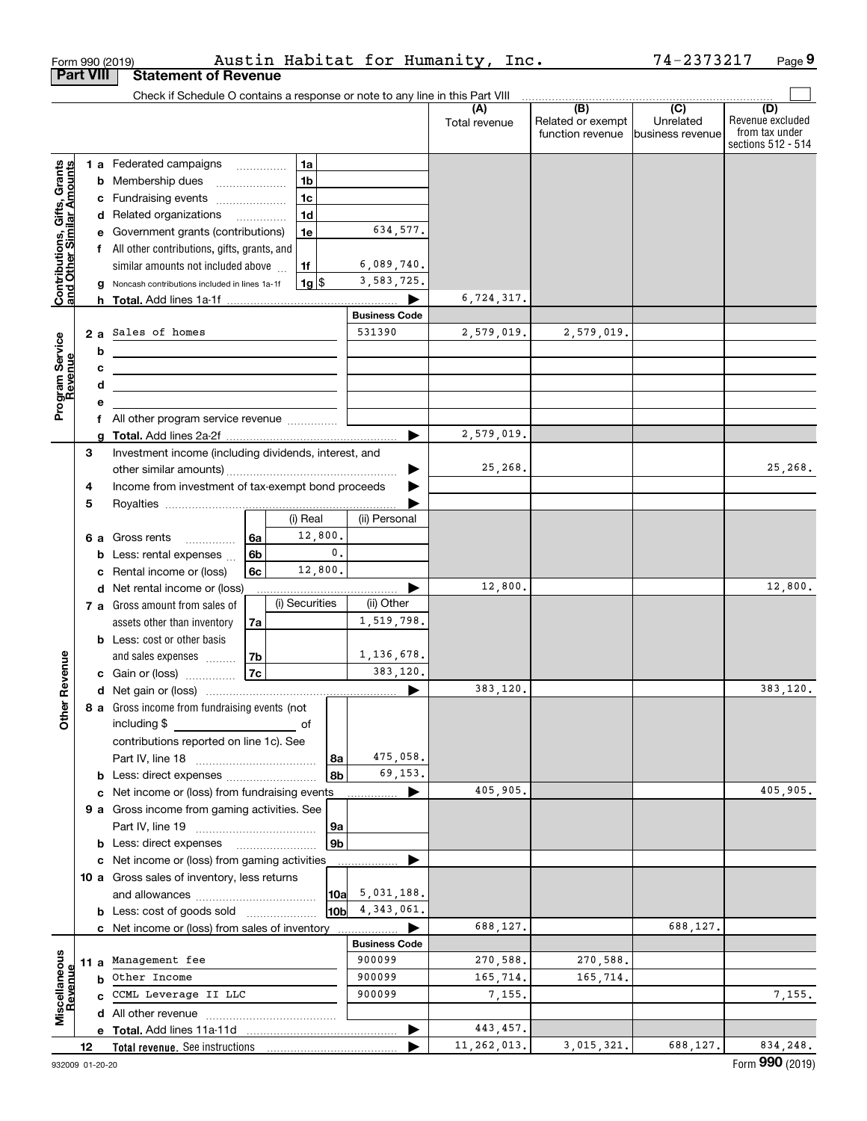|                                                           |                  | Form 990 (2019)                                                                                                                     |    |                    |                |                       | Austin Habitat for Humanity, Inc. |                                                           | 74-2373217                           | Page 9                                                          |
|-----------------------------------------------------------|------------------|-------------------------------------------------------------------------------------------------------------------------------------|----|--------------------|----------------|-----------------------|-----------------------------------|-----------------------------------------------------------|--------------------------------------|-----------------------------------------------------------------|
|                                                           | <b>Part VIII</b> | <b>Statement of Revenue</b>                                                                                                         |    |                    |                |                       |                                   |                                                           |                                      |                                                                 |
|                                                           |                  | Check if Schedule O contains a response or note to any line in this Part VIII                                                       |    |                    |                |                       |                                   |                                                           |                                      |                                                                 |
|                                                           |                  |                                                                                                                                     |    |                    |                |                       | (A)<br>Total revenue              | $\overline{(B)}$<br>Related or exempt<br>function revenue | (C)<br>Unrelated<br>business revenue | (D)<br>Revenue excluded<br>from tax under<br>sections 512 - 514 |
|                                                           |                  | <b>1 a</b> Federated campaigns                                                                                                      |    | 1a                 |                |                       |                                   |                                                           |                                      |                                                                 |
| Contributions, Gifts, Grants<br>and Other Similar Amounts |                  | <b>b</b> Membership dues                                                                                                            |    | 1 <sub>b</sub>     |                |                       |                                   |                                                           |                                      |                                                                 |
|                                                           |                  | c Fundraising events                                                                                                                |    | 1 <sub>c</sub>     |                |                       |                                   |                                                           |                                      |                                                                 |
|                                                           |                  | d Related organizations                                                                                                             |    | 1 <sub>d</sub>     |                |                       |                                   |                                                           |                                      |                                                                 |
|                                                           |                  | e Government grants (contributions)                                                                                                 |    | 1e                 |                | 634,577.              |                                   |                                                           |                                      |                                                                 |
|                                                           |                  | f All other contributions, gifts, grants, and                                                                                       |    |                    |                |                       |                                   |                                                           |                                      |                                                                 |
|                                                           |                  | similar amounts not included above                                                                                                  |    | 1f                 |                | 6,089,740.            |                                   |                                                           |                                      |                                                                 |
|                                                           |                  | g Noncash contributions included in lines 1a-1f                                                                                     |    | $1g$ $\frac{1}{3}$ |                | 3,583,725.            |                                   |                                                           |                                      |                                                                 |
|                                                           |                  |                                                                                                                                     |    |                    |                |                       | 6,724,317.                        |                                                           |                                      |                                                                 |
|                                                           |                  |                                                                                                                                     |    |                    |                | <b>Business Code</b>  |                                   |                                                           |                                      |                                                                 |
|                                                           | 2a               | Sales of homes                                                                                                                      |    |                    |                | 531390                | 2,579,019.                        | 2,579,019.                                                |                                      |                                                                 |
|                                                           | b                | <u> 1989 - Andrea Station Barbara, amerikan per</u>                                                                                 |    |                    |                |                       |                                   |                                                           |                                      |                                                                 |
| Program Service<br>Revenue                                | c                | the control of the control of the control of the control of the control of the control of                                           |    |                    |                |                       |                                   |                                                           |                                      |                                                                 |
|                                                           | d                |                                                                                                                                     |    |                    |                |                       |                                   |                                                           |                                      |                                                                 |
|                                                           | е                |                                                                                                                                     |    |                    |                |                       |                                   |                                                           |                                      |                                                                 |
|                                                           |                  | All other program service revenue                                                                                                   |    |                    |                |                       |                                   |                                                           |                                      |                                                                 |
|                                                           | a                |                                                                                                                                     |    |                    |                |                       | 2,579,019.                        |                                                           |                                      |                                                                 |
|                                                           | 3                | Investment income (including dividends, interest, and                                                                               |    |                    |                |                       |                                   |                                                           |                                      |                                                                 |
|                                                           |                  |                                                                                                                                     |    |                    |                |                       | 25,268.                           |                                                           |                                      | 25, 268.                                                        |
|                                                           | 4                | Income from investment of tax-exempt bond proceeds                                                                                  |    |                    |                |                       |                                   |                                                           |                                      |                                                                 |
|                                                           | 5                |                                                                                                                                     |    | (i) Real           |                | (ii) Personal         |                                   |                                                           |                                      |                                                                 |
|                                                           |                  | 6 a Gross rents                                                                                                                     | 6a |                    | 12,800.        |                       |                                   |                                                           |                                      |                                                                 |
|                                                           |                  | <b>b</b> Less: rental expenses $\ldots$                                                                                             | 6b |                    | $\mathbf{0}$ . |                       |                                   |                                                           |                                      |                                                                 |
|                                                           |                  | Rental income or (loss)                                                                                                             | 6c |                    | 12,800.        |                       |                                   |                                                           |                                      |                                                                 |
|                                                           |                  | d Net rental income or (loss)                                                                                                       |    |                    |                | $\blacktriangleright$ | 12,800.                           |                                                           |                                      | 12,800.                                                         |
|                                                           |                  | 7 a Gross amount from sales of                                                                                                      |    | (i) Securities     |                | (ii) Other            |                                   |                                                           |                                      |                                                                 |
|                                                           |                  | assets other than inventory                                                                                                         | 7a |                    |                | 1,519,798.            |                                   |                                                           |                                      |                                                                 |
|                                                           |                  | <b>b</b> Less: cost or other basis                                                                                                  |    |                    |                |                       |                                   |                                                           |                                      |                                                                 |
|                                                           |                  | and sales expenses                                                                                                                  | 7b |                    |                | 1,136,678.            |                                   |                                                           |                                      |                                                                 |
| venue                                                     |                  | <b>c</b> Gain or (loss) $\ldots$                                                                                                    | 7c |                    |                | 383,120.              |                                   |                                                           |                                      |                                                                 |
|                                                           |                  |                                                                                                                                     |    |                    |                |                       | 383,120.                          |                                                           |                                      | 383,120.                                                        |
| Other R                                                   |                  | 8 a Gross income from fundraising events (not                                                                                       |    |                    |                |                       |                                   |                                                           |                                      |                                                                 |
|                                                           |                  | including \$<br>and the contract of the contract of the contract of the contract of the contract of the contract of the contract of |    |                    |                |                       |                                   |                                                           |                                      |                                                                 |
|                                                           |                  | contributions reported on line 1c). See                                                                                             |    |                    |                |                       |                                   |                                                           |                                      |                                                                 |
|                                                           |                  |                                                                                                                                     |    |                    | 8a             | 475,058.              |                                   |                                                           |                                      |                                                                 |
|                                                           |                  | <b>b</b> Less: direct expenses <i></i>                                                                                              |    |                    | 8b             | 69,153.               |                                   |                                                           |                                      |                                                                 |
|                                                           |                  | c Net income or (loss) from fundraising events                                                                                      |    |                    |                | ▶                     | 405,905.                          |                                                           |                                      | 405,905.                                                        |
|                                                           |                  | 9 a Gross income from gaming activities. See                                                                                        |    |                    |                |                       |                                   |                                                           |                                      |                                                                 |
|                                                           |                  |                                                                                                                                     |    |                    | 9а             |                       |                                   |                                                           |                                      |                                                                 |
|                                                           |                  | <b>b</b> Less: direct expenses                                                                                                      |    |                    | 9 <sub>b</sub> |                       |                                   |                                                           |                                      |                                                                 |
|                                                           |                  | c Net income or (loss) from gaming activities                                                                                       |    |                    |                | ▶                     |                                   |                                                           |                                      |                                                                 |
|                                                           |                  | 10 a Gross sales of inventory, less returns                                                                                         |    |                    |                |                       |                                   |                                                           |                                      |                                                                 |
|                                                           |                  |                                                                                                                                     |    |                    | 10a            | 5,031,188.            |                                   |                                                           |                                      |                                                                 |
|                                                           |                  | <b>b</b> Less: cost of goods sold                                                                                                   |    |                    | 10b            | 4, 343, 061.          | 688,127.                          |                                                           | 688,127.                             |                                                                 |
|                                                           |                  | c Net income or (loss) from sales of inventory                                                                                      |    |                    |                | <b>Business Code</b>  |                                   |                                                           |                                      |                                                                 |
|                                                           | 11 a             | Management fee                                                                                                                      |    |                    |                | 900099                | 270,588.                          | 270,588.                                                  |                                      |                                                                 |
|                                                           | b                | Other Income                                                                                                                        |    |                    |                | 900099                | 165,714.                          | 165,714.                                                  |                                      |                                                                 |
|                                                           |                  | CCML Leverage II LLC                                                                                                                |    |                    |                | 900099                | 7,155.                            |                                                           |                                      | 7,155.                                                          |
| Miscellaneous<br>Revenue                                  |                  |                                                                                                                                     |    |                    |                |                       |                                   |                                                           |                                      |                                                                 |
|                                                           |                  |                                                                                                                                     |    |                    |                | ▶                     | 443,457.                          |                                                           |                                      |                                                                 |
|                                                           | 12               | Total revenue. See instructions                                                                                                     |    |                    |                | ▶                     | 11,262,013.                       | 3,015,321.                                                | 688,127.                             | 834,248.                                                        |
|                                                           |                  |                                                                                                                                     |    |                    |                |                       |                                   |                                                           |                                      |                                                                 |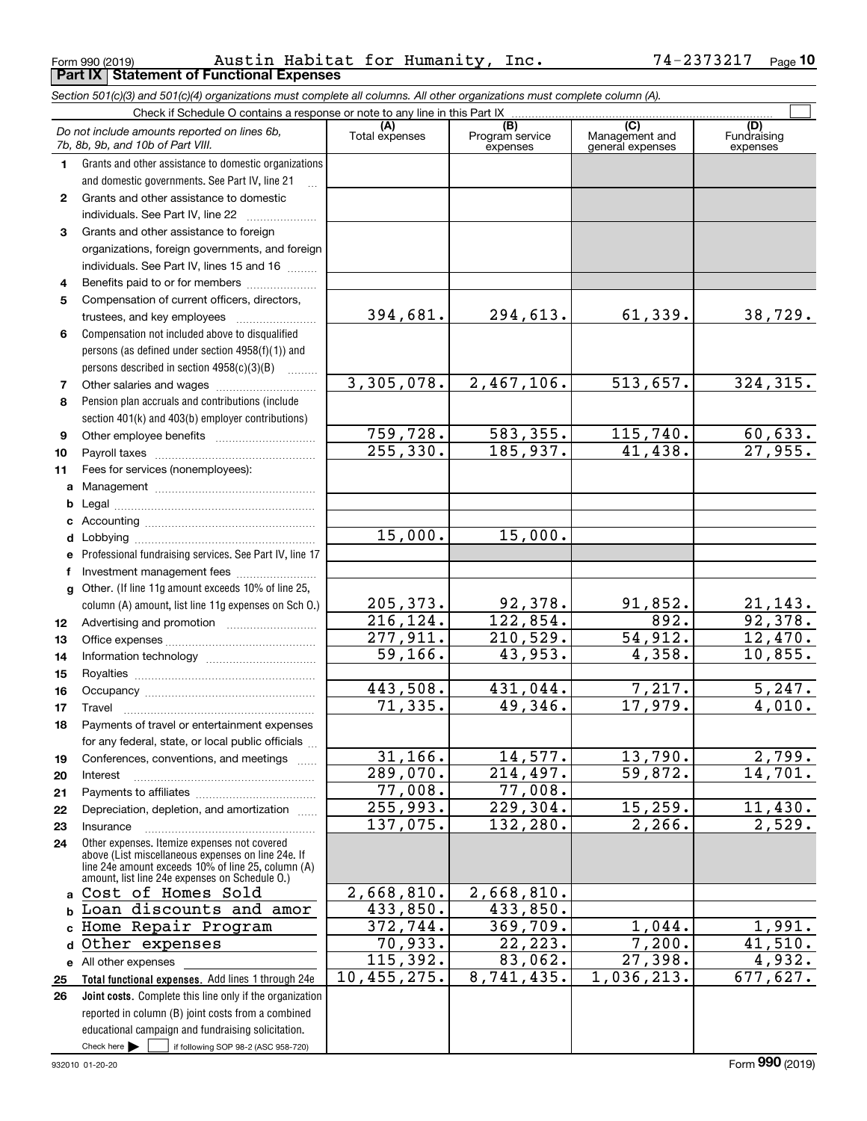Form 990 (2019) Page **Part IX Statement of Functional Expenses** Austin Habitat for Humanity, Inc. 74-2373217

|              | Section 501(c)(3) and 501(c)(4) organizations must complete all columns. All other organizations must complete column (A). |                                     |                                    |                                           |                                |
|--------------|----------------------------------------------------------------------------------------------------------------------------|-------------------------------------|------------------------------------|-------------------------------------------|--------------------------------|
|              | Check if Schedule O contains a response or note to any line in this Part IX                                                |                                     |                                    |                                           |                                |
|              | Do not include amounts reported on lines 6b,<br>7b, 8b, 9b, and 10b of Part VIII.                                          | (A)<br>Total expenses               | (B)<br>Program service<br>expenses | (C)<br>Management and<br>general expenses | (D)<br>Fundraising<br>expenses |
| 1.           | Grants and other assistance to domestic organizations                                                                      |                                     |                                    |                                           |                                |
|              | and domestic governments. See Part IV, line 21                                                                             |                                     |                                    |                                           |                                |
| $\mathbf{2}$ | Grants and other assistance to domestic                                                                                    |                                     |                                    |                                           |                                |
|              | individuals. See Part IV, line 22                                                                                          |                                     |                                    |                                           |                                |
| 3            | Grants and other assistance to foreign                                                                                     |                                     |                                    |                                           |                                |
|              | organizations, foreign governments, and foreign                                                                            |                                     |                                    |                                           |                                |
|              | individuals. See Part IV, lines 15 and 16                                                                                  |                                     |                                    |                                           |                                |
| 4            | Benefits paid to or for members                                                                                            |                                     |                                    |                                           |                                |
| 5            | Compensation of current officers, directors,                                                                               |                                     |                                    |                                           |                                |
|              |                                                                                                                            | 394,681.                            | 294,613.                           | 61,339.                                   | 38,729.                        |
| 6            | Compensation not included above to disqualified                                                                            |                                     |                                    |                                           |                                |
|              | persons (as defined under section 4958(f)(1)) and                                                                          |                                     |                                    |                                           |                                |
|              | persons described in section 4958(c)(3)(B)                                                                                 |                                     |                                    |                                           |                                |
| 7            |                                                                                                                            | 3,305,078.                          | 2,467,106.                         | 513,657.                                  | 324, 315.                      |
| 8            | Pension plan accruals and contributions (include                                                                           |                                     |                                    |                                           |                                |
|              | section 401(k) and 403(b) employer contributions)                                                                          |                                     |                                    |                                           |                                |
| 9            |                                                                                                                            | 759, 728.                           | 583, 355.                          | 115,740.                                  | 60, 633.                       |
| 10           |                                                                                                                            | 255, 330.                           | 185,937.                           | 41,438.                                   | 27,955.                        |
| 11           | Fees for services (nonemployees):                                                                                          |                                     |                                    |                                           |                                |
| а            |                                                                                                                            |                                     |                                    |                                           |                                |
| b            |                                                                                                                            |                                     |                                    |                                           |                                |
| с            |                                                                                                                            |                                     |                                    |                                           |                                |
| d            |                                                                                                                            | 15,000.                             | 15,000.                            |                                           |                                |
|              | Professional fundraising services. See Part IV, line 17                                                                    |                                     |                                    |                                           |                                |
| f            | Investment management fees                                                                                                 |                                     |                                    |                                           |                                |
| g            | Other. (If line 11g amount exceeds 10% of line 25,                                                                         |                                     |                                    |                                           |                                |
|              | column (A) amount, list line 11g expenses on Sch O.)                                                                       | 205, 373.                           | 92,378.<br>122,854.                | 91,852.<br>892.                           | $\frac{21,143.}{92,378.}$      |
| 12           |                                                                                                                            | 216, 124.<br>$\overline{277,911}$ . | 210,529.                           | 54,912.                                   | 12,470.                        |
| 13           |                                                                                                                            | 59,166.                             | 43,953.                            | 4,358.                                    | 10,855.                        |
| 14           |                                                                                                                            |                                     |                                    |                                           |                                |
| 15           |                                                                                                                            | 443,508.                            | 431,044.                           | 7,217.                                    | 5,247.                         |
| 16           |                                                                                                                            | 71, 335.                            | 49,346.                            | 17,979.                                   | 4,010.                         |
| 17           | Payments of travel or entertainment expenses                                                                               |                                     |                                    |                                           |                                |
| 18           | for any federal, state, or local public officials                                                                          |                                     |                                    |                                           |                                |
| 19           | Conferences, conventions, and meetings                                                                                     | 31, 166.                            | 14,577.                            | 13,790.                                   | 2,799.                         |
| 20           | Interest                                                                                                                   | 289,070.                            | 214,497.                           | 59,872.                                   | 14,701.                        |
| 21           |                                                                                                                            | 77,008.                             | 77,008.                            |                                           |                                |
| 22           | Depreciation, depletion, and amortization                                                                                  | 255,993.                            | $\overline{229,304}$ .             | 15, 259.                                  | 11,430.                        |
| 23           | Insurance                                                                                                                  | 137,075.                            | 132,280.                           | 2, 266.                                   | 2,529.                         |
| 24           | Other expenses. Itemize expenses not covered<br>above (List miscellaneous expenses on line 24e. If                         |                                     |                                    |                                           |                                |
|              | line 24e amount exceeds 10% of line 25, column (A)                                                                         |                                     |                                    |                                           |                                |
|              | amount, list line 24e expenses on Schedule O.)                                                                             |                                     | 2,668,810.                         |                                           |                                |
| a            | Cost of Homes Sold                                                                                                         | 2,668,810.                          |                                    |                                           |                                |
|              | Loan discounts and amor                                                                                                    | 433,850.<br>372, 744.               | 433,850.<br>369,709.               | 1,044.                                    | 1,991.                         |
|              | Home Repair Program                                                                                                        | 70,933.                             | $\overline{22, 223.}$              | 7,200.                                    | 41,510.                        |
| d            | Other expenses                                                                                                             | 115,392.                            | 83,062.                            | 27,398.                                   | 4,932.                         |
| е            | All other expenses<br>Total functional expenses. Add lines 1 through 24e                                                   | 10,455,275.                         | 8,741,435.                         | 1,036,213.                                | 677,627.                       |
| 25<br>26     | Joint costs. Complete this line only if the organization                                                                   |                                     |                                    |                                           |                                |
|              | reported in column (B) joint costs from a combined                                                                         |                                     |                                    |                                           |                                |
|              | educational campaign and fundraising solicitation.                                                                         |                                     |                                    |                                           |                                |
|              | Check here $\blacktriangleright$<br>if following SOP 98-2 (ASC 958-720)                                                    |                                     |                                    |                                           |                                |
|              |                                                                                                                            |                                     |                                    |                                           |                                |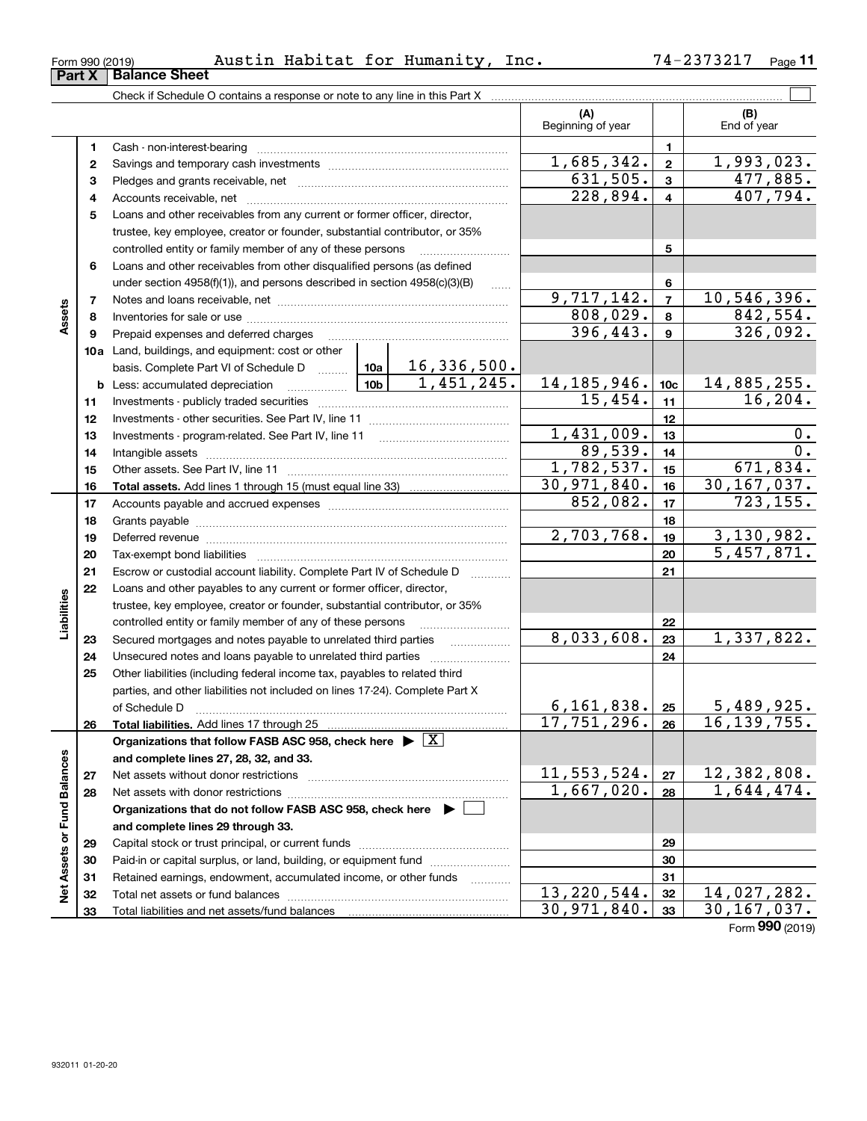| 2373217<br>Habitat<br>Humanity,<br>74–.<br>Austin<br>for<br>Inc.<br>Form 990 (2019) | $P$ age |
|-------------------------------------------------------------------------------------|---------|
|-------------------------------------------------------------------------------------|---------|

|                             |          | Check if Schedule O contains a response or note to any line in this Part X                                                                                                                                                     |                                                                                            |             |                          |                         |                    |
|-----------------------------|----------|--------------------------------------------------------------------------------------------------------------------------------------------------------------------------------------------------------------------------------|--------------------------------------------------------------------------------------------|-------------|--------------------------|-------------------------|--------------------|
|                             |          |                                                                                                                                                                                                                                |                                                                                            |             | (A)<br>Beginning of year |                         | (B)<br>End of year |
|                             | 1        |                                                                                                                                                                                                                                |                                                                                            |             |                          | $\mathbf{1}$            |                    |
|                             | 2        |                                                                                                                                                                                                                                |                                                                                            |             | 1,685,342.               | $\mathbf{2}$            | 1,993,023.         |
|                             | 3        |                                                                                                                                                                                                                                |                                                                                            |             | 631,505.                 | $\mathbf{3}$            | 477,885.           |
|                             | 4        |                                                                                                                                                                                                                                |                                                                                            |             | 228,894.                 | $\overline{\mathbf{4}}$ | 407,794.           |
|                             | 5        | Loans and other receivables from any current or former officer, director,                                                                                                                                                      |                                                                                            |             |                          |                         |                    |
|                             |          | trustee, key employee, creator or founder, substantial contributor, or 35%                                                                                                                                                     |                                                                                            |             |                          |                         |                    |
|                             |          | controlled entity or family member of any of these persons                                                                                                                                                                     |                                                                                            |             |                          | 5                       |                    |
|                             | 6        | Loans and other receivables from other disqualified persons (as defined                                                                                                                                                        | $\ldots$                                                                                   |             |                          |                         |                    |
|                             |          | under section 4958(f)(1)), and persons described in section 4958(c)(3)(B)                                                                                                                                                      |                                                                                            |             |                          | 6<br>$\overline{7}$     |                    |
|                             | 7        |                                                                                                                                                                                                                                |                                                                                            |             |                          |                         | 10, 546, 396.      |
| Assets                      | 8        |                                                                                                                                                                                                                                | 808,029.                                                                                   | 8           | 842,554.                 |                         |                    |
|                             | 9        | Prepaid expenses and deferred charges                                                                                                                                                                                          |                                                                                            | 396,443.    | $\boldsymbol{9}$         | 326,092.                |                    |
|                             |          | 10a Land, buildings, and equipment: cost or other                                                                                                                                                                              |                                                                                            |             |                          |                         |                    |
|                             |          |                                                                                                                                                                                                                                | 16,336,500.<br>basis. Complete Part VI of Schedule D  10a<br>1,451,245.<br>10 <sub>b</sub> |             |                          |                         |                    |
|                             |          | <b>b</b> Less: accumulated depreciation                                                                                                                                                                                        |                                                                                            |             | 14, 185, 946.            | 10 <sub>c</sub>         | 14,885,255.        |
|                             | 11       |                                                                                                                                                                                                                                |                                                                                            |             | 15,454.                  | 11                      | 16, 204.           |
|                             | 12       |                                                                                                                                                                                                                                |                                                                                            |             |                          | 12                      |                    |
|                             | 13       |                                                                                                                                                                                                                                | 1,431,009.                                                                                 | 13          | 0.                       |                         |                    |
|                             | 14       |                                                                                                                                                                                                                                | 89,539.                                                                                    | 14          | $\overline{0}$ .         |                         |                    |
|                             | 15       |                                                                                                                                                                                                                                | 1,782,537.                                                                                 | 15          | 671,834.                 |                         |                    |
|                             | 16       |                                                                                                                                                                                                                                | 30,971,840.                                                                                | 16          | 30, 167, 037.            |                         |                    |
|                             | 17       |                                                                                                                                                                                                                                |                                                                                            |             | 852,082.                 | 17                      | 723, 155.          |
|                             | 18       |                                                                                                                                                                                                                                |                                                                                            |             |                          | 18                      |                    |
|                             | 19       | Deferred revenue manual contracts and contracts are contracted and contract and contract are contracted and contract are contracted and contract are contracted and contract are contracted and contract are contracted and co |                                                                                            |             | 2,703,768.               | 19                      | 3,130,982.         |
|                             | 20       |                                                                                                                                                                                                                                |                                                                                            |             |                          | 20                      | 5,457,871.         |
|                             | 21       | Escrow or custodial account liability. Complete Part IV of Schedule D                                                                                                                                                          |                                                                                            | $\sim$      |                          | 21                      |                    |
|                             | 22       | Loans and other payables to any current or former officer, director,                                                                                                                                                           |                                                                                            |             |                          |                         |                    |
| Liabilities                 |          | trustee, key employee, creator or founder, substantial contributor, or 35%                                                                                                                                                     |                                                                                            |             |                          |                         |                    |
|                             |          | controlled entity or family member of any of these persons                                                                                                                                                                     |                                                                                            |             |                          | 22                      |                    |
|                             | 23       | Secured mortgages and notes payable to unrelated third parties                                                                                                                                                                 |                                                                                            |             | 8,033,608.               | 23                      | 1,337,822.         |
|                             | 24       | Unsecured notes and loans payable to unrelated third parties                                                                                                                                                                   |                                                                                            |             |                          | 24                      |                    |
|                             | 25       | Other liabilities (including federal income tax, payables to related third                                                                                                                                                     |                                                                                            |             |                          |                         |                    |
|                             |          | parties, and other liabilities not included on lines 17-24). Complete Part X                                                                                                                                                   |                                                                                            |             | 6, 161, 838.             |                         | 5,489,925.         |
|                             |          | of Schedule D                                                                                                                                                                                                                  |                                                                                            | 17,751,296. | 25<br>26                 | 16, 139, 755.           |                    |
|                             | 26       | Total liabilities. Add lines 17 through 25                                                                                                                                                                                     |                                                                                            |             |                          |                         |                    |
|                             |          | Organizations that follow FASB ASC 958, check here $\triangleright \lfloor X \rfloor$                                                                                                                                          |                                                                                            |             |                          |                         |                    |
|                             |          | and complete lines 27, 28, 32, and 33.                                                                                                                                                                                         |                                                                                            |             | 11,553,524.              | 27                      | 12,382,808.        |
|                             | 27<br>28 |                                                                                                                                                                                                                                |                                                                                            |             | 1,667,020.               | 28                      | 1,644,474.         |
|                             |          | Organizations that do not follow FASB ASC 958, check here ▶ □                                                                                                                                                                  |                                                                                            |             |                          |                         |                    |
|                             |          | and complete lines 29 through 33.                                                                                                                                                                                              |                                                                                            |             |                          |                         |                    |
|                             | 29       |                                                                                                                                                                                                                                |                                                                                            |             |                          | 29                      |                    |
|                             | 30       | Paid-in or capital surplus, or land, building, or equipment fund                                                                                                                                                               |                                                                                            |             |                          | 30                      |                    |
|                             | 31       | Retained earnings, endowment, accumulated income, or other funds                                                                                                                                                               |                                                                                            |             |                          | 31                      |                    |
| Net Assets or Fund Balances | 32       |                                                                                                                                                                                                                                |                                                                                            |             | 13, 220, 544.            | 32                      | 14,027,282.        |
|                             | 33       |                                                                                                                                                                                                                                |                                                                                            |             | 30,971,840.              | 33                      | 30, 167, 037.      |
|                             |          |                                                                                                                                                                                                                                |                                                                                            |             |                          |                         |                    |

Form (2019) **990**

# **Part X Balance Sheet**

| Form 990 (2019 |  |
|----------------|--|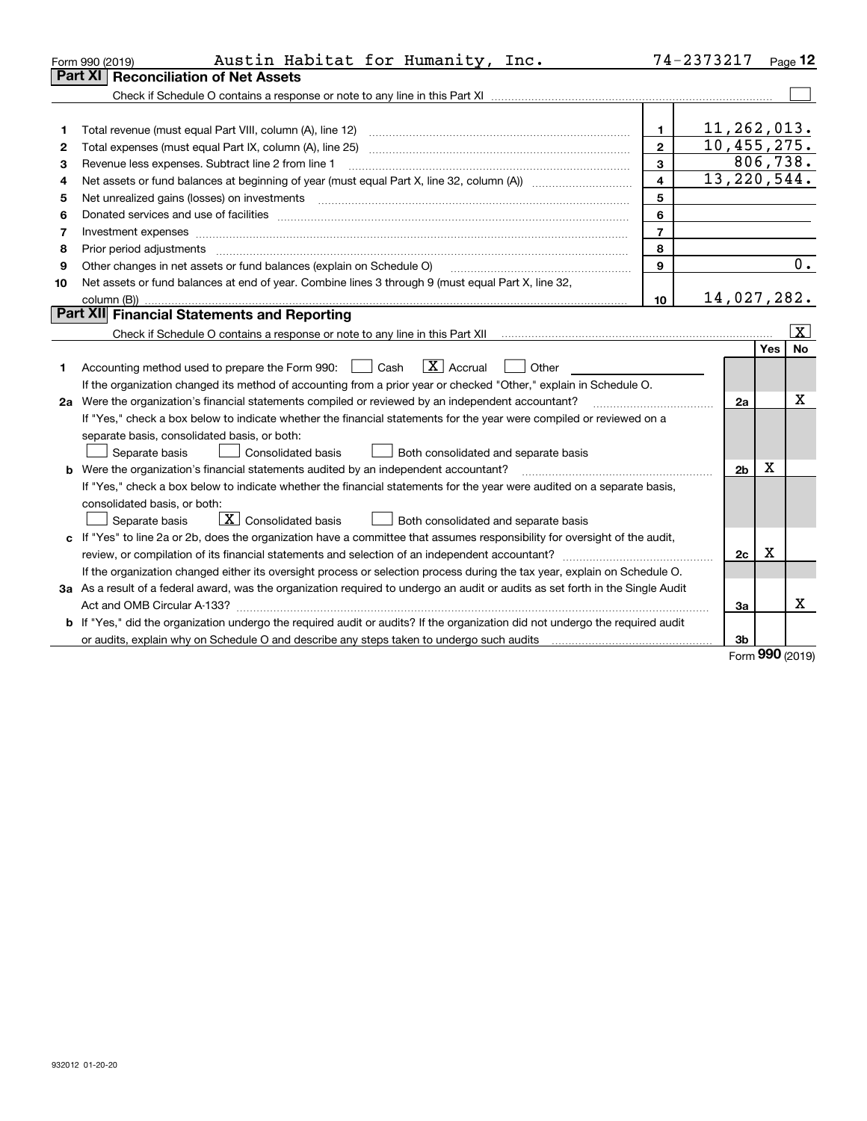| Form 990 (2019) | Austin Habitat for Humanity, Inc.                                                                                               |                         | 74-2373217     |         | Page 12                 |
|-----------------|---------------------------------------------------------------------------------------------------------------------------------|-------------------------|----------------|---------|-------------------------|
| Part XI         | <b>Reconciliation of Net Assets</b>                                                                                             |                         |                |         |                         |
|                 |                                                                                                                                 |                         |                |         |                         |
|                 |                                                                                                                                 |                         |                |         |                         |
| 1               | Total revenue (must equal Part VIII, column (A), line 12)                                                                       | 1                       | 11,262,013.    |         |                         |
| 2               |                                                                                                                                 | $\overline{2}$          | 10,455,275.    |         |                         |
| 3               | Revenue less expenses. Subtract line 2 from line 1                                                                              | 3                       |                |         | 806,738.                |
| 4               |                                                                                                                                 | $\overline{\mathbf{4}}$ | 13, 220, 544.  |         |                         |
| 5               |                                                                                                                                 | 5                       |                |         |                         |
| 6               |                                                                                                                                 | 6                       |                |         |                         |
| 7               |                                                                                                                                 | $\overline{7}$          |                |         |                         |
| 8               | Prior period adjustments                                                                                                        | 8                       |                |         |                         |
| 9               | Other changes in net assets or fund balances (explain on Schedule O)                                                            | 9                       |                |         | 0.                      |
| 10              | Net assets or fund balances at end of year. Combine lines 3 through 9 (must equal Part X, line 32,                              |                         |                |         |                         |
|                 |                                                                                                                                 | 10                      | 14,027,282.    |         |                         |
|                 | Part XII Financial Statements and Reporting                                                                                     |                         |                |         |                         |
|                 |                                                                                                                                 |                         |                |         | $\overline{\mathbf{X}}$ |
|                 |                                                                                                                                 |                         |                | Yes     | <b>No</b>               |
|                 | $\boxed{\textbf{X}}$ Accrual<br>Accounting method used to prepare the Form 990: <u>I</u> Cash<br>Other                          |                         |                |         |                         |
|                 | If the organization changed its method of accounting from a prior year or checked "Other," explain in Schedule O.               |                         |                |         |                         |
|                 | 2a Were the organization's financial statements compiled or reviewed by an independent accountant?                              |                         | 2a             |         | x                       |
|                 | If "Yes," check a box below to indicate whether the financial statements for the year were compiled or reviewed on a            |                         |                |         |                         |
|                 | separate basis, consolidated basis, or both:                                                                                    |                         |                |         |                         |
|                 | Separate basis<br>Consolidated basis<br>Both consolidated and separate basis                                                    |                         |                |         |                         |
|                 | <b>b</b> Were the organization's financial statements audited by an independent accountant?                                     |                         | 2 <sub>b</sub> | х       |                         |
|                 | If "Yes," check a box below to indicate whether the financial statements for the year were audited on a separate basis,         |                         |                |         |                         |
|                 | consolidated basis, or both:                                                                                                    |                         |                |         |                         |
|                 | $\boxed{\textbf{X}}$ Consolidated basis<br>Separate basis<br>Both consolidated and separate basis                               |                         |                |         |                         |
|                 | c If "Yes" to line 2a or 2b, does the organization have a committee that assumes responsibility for oversight of the audit,     |                         |                |         |                         |
|                 |                                                                                                                                 |                         | 2c             | х       |                         |
|                 | If the organization changed either its oversight process or selection process during the tax year, explain on Schedule O.       |                         |                |         |                         |
|                 | 3a As a result of a federal award, was the organization required to undergo an audit or audits as set forth in the Single Audit |                         |                |         |                         |
|                 |                                                                                                                                 |                         | 3a             |         | X                       |
|                 | b If "Yes," did the organization undergo the required audit or audits? If the organization did not undergo the required audit   |                         |                |         |                         |
|                 |                                                                                                                                 |                         | 3 <sub>b</sub> | <b></b> |                         |

Form (2019) **990**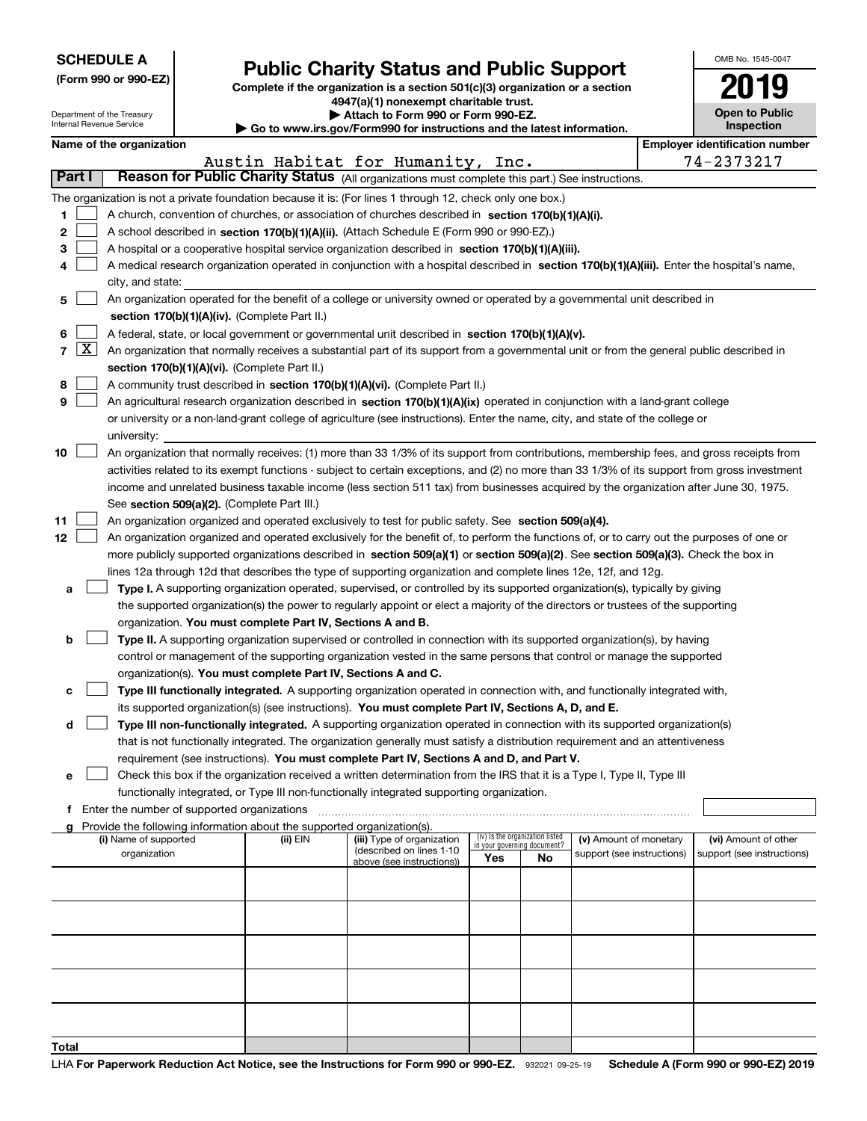| <b>SCHEDULE A</b> |  |  |  |  |  |  |
|-------------------|--|--|--|--|--|--|
|-------------------|--|--|--|--|--|--|

# **Public Charity Status and Public Support**

**Complete if the organization is a section 501(c)(3) organization or a section 4947(a)(1) nonexempt charitable trust. | Attach to Form 990 or Form 990-EZ.** 

| OMB No 1545-0047                  |
|-----------------------------------|
| 7019                              |
| <b>Open to Public</b><br>cnootion |

| Department of the Treasury<br>Internal Revenue Service |                                                      |  | Attach to Form 990 or Form 990-EZ.<br>Go to www.irs.gov/Form990 for instructions and the latest information. |                                                                                                                                               |     |                                                                |                            | <b>Open to Public</b><br>Inspection |                                       |
|--------------------------------------------------------|------------------------------------------------------|--|--------------------------------------------------------------------------------------------------------------|-----------------------------------------------------------------------------------------------------------------------------------------------|-----|----------------------------------------------------------------|----------------------------|-------------------------------------|---------------------------------------|
| Name of the organization                               |                                                      |  |                                                                                                              |                                                                                                                                               |     |                                                                |                            |                                     | <b>Employer identification number</b> |
|                                                        | 74-2373217<br>Austin Habitat for Humanity, Inc.      |  |                                                                                                              |                                                                                                                                               |     |                                                                |                            |                                     |                                       |
| Part I                                                 |                                                      |  |                                                                                                              | Reason for Public Charity Status (All organizations must complete this part.) See instructions.                                               |     |                                                                |                            |                                     |                                       |
|                                                        |                                                      |  |                                                                                                              | The organization is not a private foundation because it is: (For lines 1 through 12, check only one box.)                                     |     |                                                                |                            |                                     |                                       |
| 1                                                      |                                                      |  |                                                                                                              | A church, convention of churches, or association of churches described in section 170(b)(1)(A)(i).                                            |     |                                                                |                            |                                     |                                       |
| 2                                                      |                                                      |  |                                                                                                              | A school described in section 170(b)(1)(A)(ii). (Attach Schedule E (Form 990 or 990-EZ).)                                                     |     |                                                                |                            |                                     |                                       |
|                                                        |                                                      |  |                                                                                                              |                                                                                                                                               |     |                                                                |                            |                                     |                                       |
| 3                                                      |                                                      |  |                                                                                                              | A hospital or a cooperative hospital service organization described in section 170(b)(1)(A)(iii).                                             |     |                                                                |                            |                                     |                                       |
| 4                                                      |                                                      |  |                                                                                                              | A medical research organization operated in conjunction with a hospital described in section 170(b)(1)(A)(iii). Enter the hospital's name,    |     |                                                                |                            |                                     |                                       |
|                                                        | city, and state:                                     |  |                                                                                                              |                                                                                                                                               |     |                                                                |                            |                                     |                                       |
| 5                                                      |                                                      |  |                                                                                                              | An organization operated for the benefit of a college or university owned or operated by a governmental unit described in                     |     |                                                                |                            |                                     |                                       |
|                                                        |                                                      |  | section 170(b)(1)(A)(iv). (Complete Part II.)                                                                |                                                                                                                                               |     |                                                                |                            |                                     |                                       |
| 6                                                      |                                                      |  |                                                                                                              | A federal, state, or local government or governmental unit described in section 170(b)(1)(A)(v).                                              |     |                                                                |                            |                                     |                                       |
| 7   X                                                  |                                                      |  |                                                                                                              | An organization that normally receives a substantial part of its support from a governmental unit or from the general public described in     |     |                                                                |                            |                                     |                                       |
|                                                        |                                                      |  | section 170(b)(1)(A)(vi). (Complete Part II.)                                                                |                                                                                                                                               |     |                                                                |                            |                                     |                                       |
| 8                                                      |                                                      |  |                                                                                                              | A community trust described in section 170(b)(1)(A)(vi). (Complete Part II.)                                                                  |     |                                                                |                            |                                     |                                       |
| 9                                                      |                                                      |  |                                                                                                              | An agricultural research organization described in section 170(b)(1)(A)(ix) operated in conjunction with a land-grant college                 |     |                                                                |                            |                                     |                                       |
|                                                        |                                                      |  |                                                                                                              | or university or a non-land-grant college of agriculture (see instructions). Enter the name, city, and state of the college or                |     |                                                                |                            |                                     |                                       |
|                                                        | university:                                          |  |                                                                                                              |                                                                                                                                               |     |                                                                |                            |                                     |                                       |
| 10                                                     |                                                      |  |                                                                                                              | An organization that normally receives: (1) more than 33 1/3% of its support from contributions, membership fees, and gross receipts from     |     |                                                                |                            |                                     |                                       |
|                                                        |                                                      |  |                                                                                                              | activities related to its exempt functions - subject to certain exceptions, and (2) no more than 33 1/3% of its support from gross investment |     |                                                                |                            |                                     |                                       |
|                                                        |                                                      |  |                                                                                                              | income and unrelated business taxable income (less section 511 tax) from businesses acquired by the organization after June 30, 1975.         |     |                                                                |                            |                                     |                                       |
|                                                        |                                                      |  | See section 509(a)(2). (Complete Part III.)                                                                  |                                                                                                                                               |     |                                                                |                            |                                     |                                       |
| 11                                                     |                                                      |  |                                                                                                              | An organization organized and operated exclusively to test for public safety. See section 509(a)(4).                                          |     |                                                                |                            |                                     |                                       |
| 12                                                     |                                                      |  |                                                                                                              | An organization organized and operated exclusively for the benefit of, to perform the functions of, or to carry out the purposes of one or    |     |                                                                |                            |                                     |                                       |
|                                                        |                                                      |  |                                                                                                              | more publicly supported organizations described in section 509(a)(1) or section 509(a)(2). See section 509(a)(3). Check the box in            |     |                                                                |                            |                                     |                                       |
|                                                        |                                                      |  |                                                                                                              | lines 12a through 12d that describes the type of supporting organization and complete lines 12e, 12f, and 12g.                                |     |                                                                |                            |                                     |                                       |
| а                                                      |                                                      |  |                                                                                                              | Type I. A supporting organization operated, supervised, or controlled by its supported organization(s), typically by giving                   |     |                                                                |                            |                                     |                                       |
|                                                        |                                                      |  |                                                                                                              | the supported organization(s) the power to regularly appoint or elect a majority of the directors or trustees of the supporting               |     |                                                                |                            |                                     |                                       |
|                                                        |                                                      |  | organization. You must complete Part IV, Sections A and B.                                                   |                                                                                                                                               |     |                                                                |                            |                                     |                                       |
|                                                        |                                                      |  |                                                                                                              |                                                                                                                                               |     |                                                                |                            |                                     |                                       |
| b                                                      |                                                      |  |                                                                                                              | Type II. A supporting organization supervised or controlled in connection with its supported organization(s), by having                       |     |                                                                |                            |                                     |                                       |
|                                                        |                                                      |  |                                                                                                              | control or management of the supporting organization vested in the same persons that control or manage the supported                          |     |                                                                |                            |                                     |                                       |
|                                                        |                                                      |  | organization(s). You must complete Part IV, Sections A and C.                                                |                                                                                                                                               |     |                                                                |                            |                                     |                                       |
| с                                                      |                                                      |  |                                                                                                              | Type III functionally integrated. A supporting organization operated in connection with, and functionally integrated with,                    |     |                                                                |                            |                                     |                                       |
|                                                        |                                                      |  |                                                                                                              | its supported organization(s) (see instructions). You must complete Part IV, Sections A, D, and E.                                            |     |                                                                |                            |                                     |                                       |
| d                                                      |                                                      |  |                                                                                                              | Type III non-functionally integrated. A supporting organization operated in connection with its supported organization(s)                     |     |                                                                |                            |                                     |                                       |
|                                                        |                                                      |  |                                                                                                              | that is not functionally integrated. The organization generally must satisfy a distribution requirement and an attentiveness                  |     |                                                                |                            |                                     |                                       |
|                                                        |                                                      |  |                                                                                                              | requirement (see instructions). You must complete Part IV, Sections A and D, and Part V.                                                      |     |                                                                |                            |                                     |                                       |
| е                                                      |                                                      |  |                                                                                                              | Check this box if the organization received a written determination from the IRS that it is a Type I, Type II, Type III                       |     |                                                                |                            |                                     |                                       |
|                                                        |                                                      |  |                                                                                                              | functionally integrated, or Type III non-functionally integrated supporting organization.                                                     |     |                                                                |                            |                                     |                                       |
|                                                        | <b>f</b> Enter the number of supported organizations |  |                                                                                                              |                                                                                                                                               |     |                                                                |                            |                                     |                                       |
| g                                                      |                                                      |  | Provide the following information about the supported organization(s).                                       |                                                                                                                                               |     |                                                                |                            |                                     |                                       |
|                                                        | (i) Name of supported                                |  | (ii) EIN                                                                                                     | (iii) Type of organization<br>(described on lines 1-10                                                                                        |     | (iv) Is the organization listed<br>in your governing document? | (v) Amount of monetary     |                                     | (vi) Amount of other                  |
|                                                        | organization                                         |  |                                                                                                              | above (see instructions))                                                                                                                     | Yes | No                                                             | support (see instructions) |                                     | support (see instructions)            |
|                                                        |                                                      |  |                                                                                                              |                                                                                                                                               |     |                                                                |                            |                                     |                                       |
|                                                        |                                                      |  |                                                                                                              |                                                                                                                                               |     |                                                                |                            |                                     |                                       |
|                                                        |                                                      |  |                                                                                                              |                                                                                                                                               |     |                                                                |                            |                                     |                                       |
|                                                        |                                                      |  |                                                                                                              |                                                                                                                                               |     |                                                                |                            |                                     |                                       |
|                                                        |                                                      |  |                                                                                                              |                                                                                                                                               |     |                                                                |                            |                                     |                                       |
|                                                        |                                                      |  |                                                                                                              |                                                                                                                                               |     |                                                                |                            |                                     |                                       |
|                                                        |                                                      |  |                                                                                                              |                                                                                                                                               |     |                                                                |                            |                                     |                                       |
|                                                        |                                                      |  |                                                                                                              |                                                                                                                                               |     |                                                                |                            |                                     |                                       |
|                                                        |                                                      |  |                                                                                                              |                                                                                                                                               |     |                                                                |                            |                                     |                                       |
|                                                        |                                                      |  |                                                                                                              |                                                                                                                                               |     |                                                                |                            |                                     |                                       |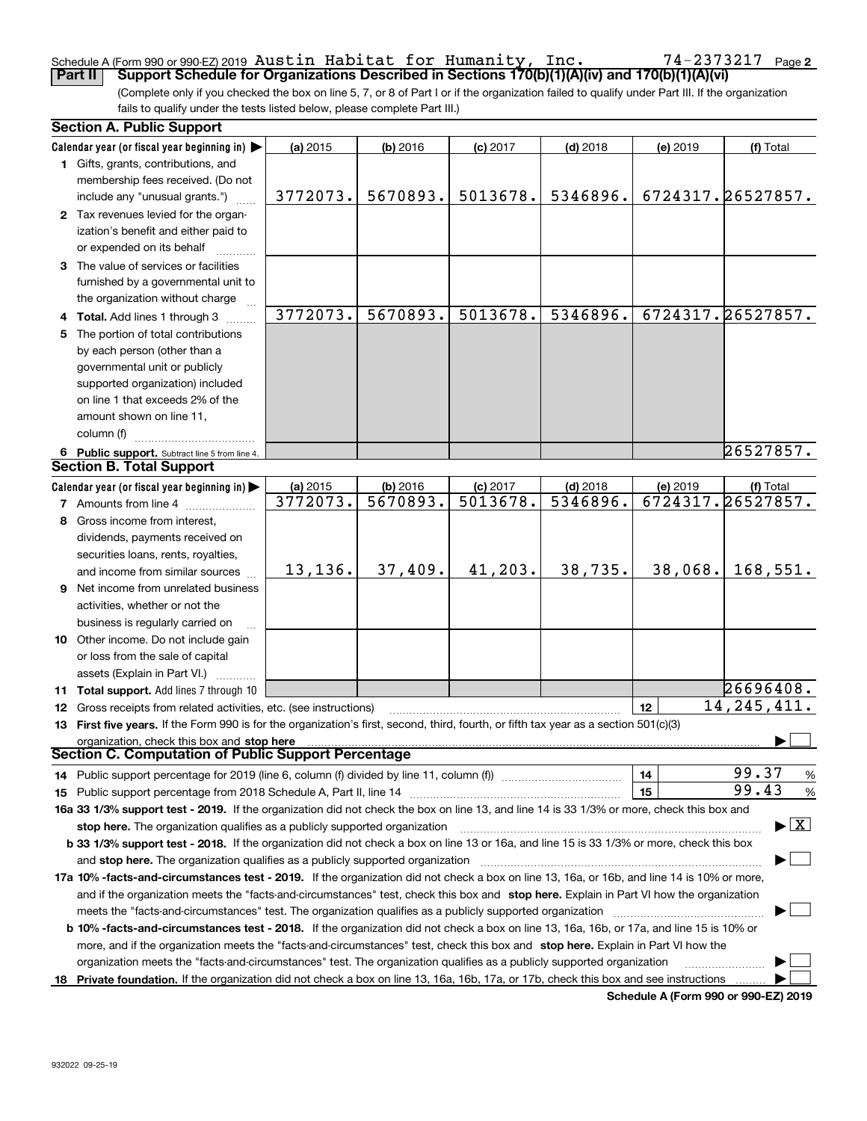### Schedule A (Form 990 or 990-EZ) 2019 Page Austin Habitat for Humanity, Inc. 74-2373217

(Complete only if you checked the box on line 5, 7, or 8 of Part I or if the organization failed to qualify under Part III. If the organization fails to qualify under the tests listed below, please complete Part III.) **Part II Support Schedule for Organizations Described in Sections 170(b)(1)(A)(iv) and 170(b)(1)(A)(vi)**

|    | <b>Section A. Public Support</b>                                                                                                                                                                                                                           |          |            |            |            |          |                                          |
|----|------------------------------------------------------------------------------------------------------------------------------------------------------------------------------------------------------------------------------------------------------------|----------|------------|------------|------------|----------|------------------------------------------|
|    | Calendar year (or fiscal year beginning in) $\blacktriangleright$                                                                                                                                                                                          | (a) 2015 | $(b)$ 2016 | $(c)$ 2017 | $(d)$ 2018 | (e) 2019 | (f) Total                                |
|    | 1 Gifts, grants, contributions, and                                                                                                                                                                                                                        |          |            |            |            |          |                                          |
|    | membership fees received. (Do not                                                                                                                                                                                                                          |          |            |            |            |          |                                          |
|    | include any "unusual grants.")                                                                                                                                                                                                                             | 3772073. | 5670893.   | 5013678.   | 5346896.   |          | 6724317.26527857.                        |
|    | 2 Tax revenues levied for the organ-                                                                                                                                                                                                                       |          |            |            |            |          |                                          |
|    | ization's benefit and either paid to                                                                                                                                                                                                                       |          |            |            |            |          |                                          |
|    | or expended on its behalf                                                                                                                                                                                                                                  |          |            |            |            |          |                                          |
|    | 3 The value of services or facilities                                                                                                                                                                                                                      |          |            |            |            |          |                                          |
|    | furnished by a governmental unit to                                                                                                                                                                                                                        |          |            |            |            |          |                                          |
|    | the organization without charge                                                                                                                                                                                                                            |          |            |            |            |          |                                          |
|    | 4 Total. Add lines 1 through 3                                                                                                                                                                                                                             | 3772073. | 5670893.   | 5013678.   | 5346896.   |          | 6724317.26527857.                        |
| 5. | The portion of total contributions                                                                                                                                                                                                                         |          |            |            |            |          |                                          |
|    | by each person (other than a                                                                                                                                                                                                                               |          |            |            |            |          |                                          |
|    | governmental unit or publicly                                                                                                                                                                                                                              |          |            |            |            |          |                                          |
|    | supported organization) included                                                                                                                                                                                                                           |          |            |            |            |          |                                          |
|    | on line 1 that exceeds 2% of the                                                                                                                                                                                                                           |          |            |            |            |          |                                          |
|    | amount shown on line 11,                                                                                                                                                                                                                                   |          |            |            |            |          |                                          |
|    | column (f)                                                                                                                                                                                                                                                 |          |            |            |            |          |                                          |
|    | 6 Public support. Subtract line 5 from line 4.                                                                                                                                                                                                             |          |            |            |            |          | 26527857.                                |
|    | <b>Section B. Total Support</b>                                                                                                                                                                                                                            |          |            |            |            |          |                                          |
|    | Calendar year (or fiscal year beginning in)                                                                                                                                                                                                                | (a) 2015 | (b) 2016   | $(c)$ 2017 | $(d)$ 2018 | (e) 2019 | (f) Total                                |
|    | <b>7</b> Amounts from line 4                                                                                                                                                                                                                               | 3772073. | 5670893.   | 5013678.   | 5346896.   |          | 6724317.26527857.                        |
| 8  | Gross income from interest,                                                                                                                                                                                                                                |          |            |            |            |          |                                          |
|    | dividends, payments received on                                                                                                                                                                                                                            |          |            |            |            |          |                                          |
|    | securities loans, rents, royalties,                                                                                                                                                                                                                        |          |            |            |            |          |                                          |
|    | and income from similar sources                                                                                                                                                                                                                            | 13,136.  | 37,409.    | 41,203.    | 38,735.    | 38,068.  | 168,551.                                 |
|    | 9 Net income from unrelated business                                                                                                                                                                                                                       |          |            |            |            |          |                                          |
|    | activities, whether or not the                                                                                                                                                                                                                             |          |            |            |            |          |                                          |
|    | business is regularly carried on                                                                                                                                                                                                                           |          |            |            |            |          |                                          |
|    | 10 Other income. Do not include gain                                                                                                                                                                                                                       |          |            |            |            |          |                                          |
|    | or loss from the sale of capital                                                                                                                                                                                                                           |          |            |            |            |          |                                          |
|    | assets (Explain in Part VI.)                                                                                                                                                                                                                               |          |            |            |            |          |                                          |
|    | 11 Total support. Add lines 7 through 10                                                                                                                                                                                                                   |          |            |            |            |          | 26696408.                                |
|    | <b>12</b> Gross receipts from related activities, etc. (see instructions)                                                                                                                                                                                  |          |            |            |            | 12       | 14, 245, 411.                            |
|    | 13 First five years. If the Form 990 is for the organization's first, second, third, fourth, or fifth tax year as a section 501(c)(3)                                                                                                                      |          |            |            |            |          |                                          |
|    | organization, check this box and stop here                                                                                                                                                                                                                 |          |            |            |            |          |                                          |
|    | Section C. Computation of Public Support Percentage                                                                                                                                                                                                        |          |            |            |            |          |                                          |
|    | 14 Public support percentage for 2019 (line 6, column (f) divided by line 11, column (f) <i>manumumumumum</i>                                                                                                                                              |          |            |            |            | 14       | 99.37<br>%                               |
|    |                                                                                                                                                                                                                                                            |          |            |            |            | 15       | 99.43<br>%                               |
|    | 16a 33 1/3% support test - 2019. If the organization did not check the box on line 13, and line 14 is 33 1/3% or more, check this box and                                                                                                                  |          |            |            |            |          |                                          |
|    | stop here. The organization qualifies as a publicly supported organization                                                                                                                                                                                 |          |            |            |            |          | $\blacktriangleright$ $\boxed{\text{X}}$ |
|    | b 33 1/3% support test - 2018. If the organization did not check a box on line 13 or 16a, and line 15 is 33 1/3% or more, check this box                                                                                                                   |          |            |            |            |          |                                          |
|    | and stop here. The organization qualifies as a publicly supported organization                                                                                                                                                                             |          |            |            |            |          |                                          |
|    | 17a 10% -facts-and-circumstances test - 2019. If the organization did not check a box on line 13, 16a, or 16b, and line 14 is 10% or more,                                                                                                                 |          |            |            |            |          |                                          |
|    |                                                                                                                                                                                                                                                            |          |            |            |            |          |                                          |
|    | and if the organization meets the "facts-and-circumstances" test, check this box and stop here. Explain in Part VI how the organization                                                                                                                    |          |            |            |            |          |                                          |
|    | <b>b 10% -facts-and-circumstances test - 2018.</b> If the organization did not check a box on line 13, 16a, 16b, or 17a, and line 15 is 10% or                                                                                                             |          |            |            |            |          |                                          |
|    |                                                                                                                                                                                                                                                            |          |            |            |            |          |                                          |
|    | more, and if the organization meets the "facts-and-circumstances" test, check this box and stop here. Explain in Part VI how the<br>organization meets the "facts-and-circumstances" test. The organization qualifies as a publicly supported organization |          |            |            |            |          |                                          |
|    |                                                                                                                                                                                                                                                            |          |            |            |            |          |                                          |
|    | 18 Private foundation. If the organization did not check a box on line 13, 16a, 16b, 17a, or 17b, check this box and see instructions                                                                                                                      |          |            |            |            |          |                                          |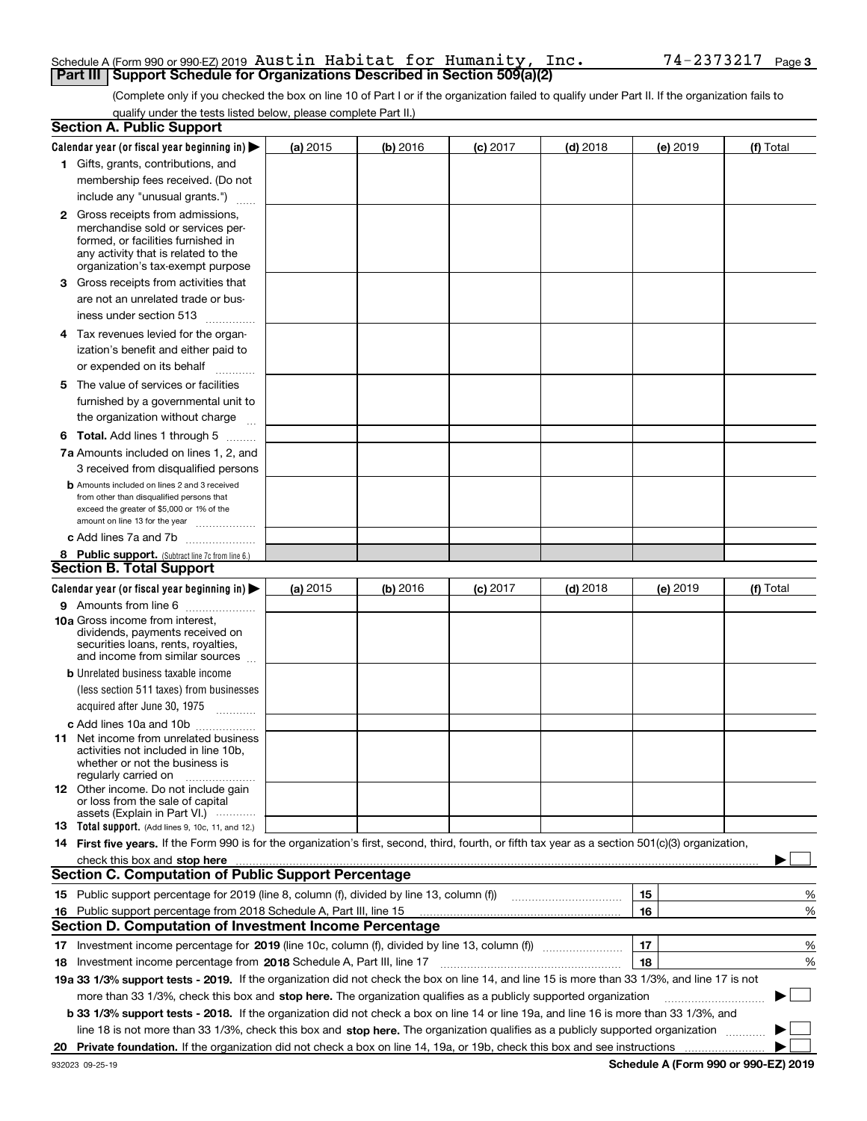### Schedule A (Form 990 or 990-EZ) 2019 Page Austin Habitat for Humanity, Inc. 74-2373217**Part III | Support Schedule for Organizations Described in Section 509(a)(2)**

(Complete only if you checked the box on line 10 of Part I or if the organization failed to qualify under Part II. If the organization fails to qualify under the tests listed below, please complete Part II.)

|    | <b>Section A. Public Support</b>                                                                                                                                                                                              |          |          |            |            |          |           |
|----|-------------------------------------------------------------------------------------------------------------------------------------------------------------------------------------------------------------------------------|----------|----------|------------|------------|----------|-----------|
|    | Calendar year (or fiscal year beginning in) $\blacktriangleright$                                                                                                                                                             | (a) 2015 | (b) 2016 | $(c)$ 2017 | $(d)$ 2018 | (e) 2019 | (f) Total |
|    | 1 Gifts, grants, contributions, and                                                                                                                                                                                           |          |          |            |            |          |           |
|    | membership fees received. (Do not                                                                                                                                                                                             |          |          |            |            |          |           |
|    | include any "unusual grants.")                                                                                                                                                                                                |          |          |            |            |          |           |
|    | <b>2</b> Gross receipts from admissions,                                                                                                                                                                                      |          |          |            |            |          |           |
|    | merchandise sold or services per-                                                                                                                                                                                             |          |          |            |            |          |           |
|    | formed, or facilities furnished in                                                                                                                                                                                            |          |          |            |            |          |           |
|    | any activity that is related to the<br>organization's tax-exempt purpose                                                                                                                                                      |          |          |            |            |          |           |
|    | 3 Gross receipts from activities that                                                                                                                                                                                         |          |          |            |            |          |           |
|    | are not an unrelated trade or bus-                                                                                                                                                                                            |          |          |            |            |          |           |
|    | iness under section 513                                                                                                                                                                                                       |          |          |            |            |          |           |
|    | 4 Tax revenues levied for the organ-                                                                                                                                                                                          |          |          |            |            |          |           |
|    | ization's benefit and either paid to                                                                                                                                                                                          |          |          |            |            |          |           |
|    | or expended on its behalf<br>.                                                                                                                                                                                                |          |          |            |            |          |           |
|    | 5 The value of services or facilities                                                                                                                                                                                         |          |          |            |            |          |           |
|    | furnished by a governmental unit to                                                                                                                                                                                           |          |          |            |            |          |           |
|    | the organization without charge                                                                                                                                                                                               |          |          |            |            |          |           |
|    | <b>6 Total.</b> Add lines 1 through 5 $\dots$                                                                                                                                                                                 |          |          |            |            |          |           |
|    | 7a Amounts included on lines 1, 2, and                                                                                                                                                                                        |          |          |            |            |          |           |
|    | 3 received from disqualified persons                                                                                                                                                                                          |          |          |            |            |          |           |
|    | <b>b</b> Amounts included on lines 2 and 3 received                                                                                                                                                                           |          |          |            |            |          |           |
|    | from other than disqualified persons that                                                                                                                                                                                     |          |          |            |            |          |           |
|    | exceed the greater of \$5,000 or 1% of the                                                                                                                                                                                    |          |          |            |            |          |           |
|    | amount on line 13 for the year                                                                                                                                                                                                |          |          |            |            |          |           |
|    | c Add lines 7a and 7b                                                                                                                                                                                                         |          |          |            |            |          |           |
|    | 8 Public support. (Subtract line 7c from line 6.)<br><b>Section B. Total Support</b>                                                                                                                                          |          |          |            |            |          |           |
|    |                                                                                                                                                                                                                               |          |          |            |            |          |           |
|    | Calendar year (or fiscal year beginning in)                                                                                                                                                                                   | (a) 2015 | (b) 2016 | $(c)$ 2017 | $(d)$ 2018 | (e) 2019 | (f) Total |
|    | 9 Amounts from line 6<br>10a Gross income from interest,                                                                                                                                                                      |          |          |            |            |          |           |
|    | dividends, payments received on                                                                                                                                                                                               |          |          |            |            |          |           |
|    | securities loans, rents, royalties,                                                                                                                                                                                           |          |          |            |            |          |           |
|    | and income from similar sources                                                                                                                                                                                               |          |          |            |            |          |           |
|    | <b>b</b> Unrelated business taxable income                                                                                                                                                                                    |          |          |            |            |          |           |
|    | (less section 511 taxes) from businesses                                                                                                                                                                                      |          |          |            |            |          |           |
|    | acquired after June 30, 1975 [10001]                                                                                                                                                                                          |          |          |            |            |          |           |
|    | c Add lines 10a and 10b                                                                                                                                                                                                       |          |          |            |            |          |           |
|    | 11 Net income from unrelated business<br>activities not included in line 10b,                                                                                                                                                 |          |          |            |            |          |           |
|    | whether or not the business is                                                                                                                                                                                                |          |          |            |            |          |           |
|    | regularly carried on                                                                                                                                                                                                          |          |          |            |            |          |           |
|    | <b>12</b> Other income. Do not include gain<br>or loss from the sale of capital                                                                                                                                               |          |          |            |            |          |           |
|    | assets (Explain in Part VI.)                                                                                                                                                                                                  |          |          |            |            |          |           |
|    | 13 Total support. (Add lines 9, 10c, 11, and 12.)                                                                                                                                                                             |          |          |            |            |          |           |
|    | 14 First five years. If the Form 990 is for the organization's first, second, third, fourth, or fifth tax year as a section 501(c)(3) organization,                                                                           |          |          |            |            |          |           |
|    | check this box and stop here manufactured content to the state of the state of the state of the state of the state of the state of the state of the state of the state of the state of the state of the state of the state of |          |          |            |            |          |           |
|    | <b>Section C. Computation of Public Support Percentage</b>                                                                                                                                                                    |          |          |            |            |          |           |
|    | 15 Public support percentage for 2019 (line 8, column (f), divided by line 13, column (f))                                                                                                                                    |          |          |            |            | 15       | %         |
| 16 | Public support percentage from 2018 Schedule A, Part III, line 15                                                                                                                                                             |          |          |            |            | 16       | %         |
|    | Section D. Computation of Investment Income Percentage                                                                                                                                                                        |          |          |            |            |          |           |
|    | 17 Investment income percentage for 2019 (line 10c, column (f), divided by line 13, column (f))                                                                                                                               |          |          |            |            | 17       | %         |
|    | 18 Investment income percentage from 2018 Schedule A, Part III, line 17                                                                                                                                                       |          |          |            |            | 18       | %         |
|    | 19a 33 1/3% support tests - 2019. If the organization did not check the box on line 14, and line 15 is more than 33 1/3%, and line 17 is not                                                                                  |          |          |            |            |          |           |
|    | more than 33 1/3%, check this box and stop here. The organization qualifies as a publicly supported organization                                                                                                              |          |          |            |            |          | $\sim$ 1  |
|    | b 33 1/3% support tests - 2018. If the organization did not check a box on line 14 or line 19a, and line 16 is more than 33 1/3%, and                                                                                         |          |          |            |            |          |           |
|    | line 18 is not more than 33 1/3%, check this box and stop here. The organization qualifies as a publicly supported organization                                                                                               |          |          |            |            |          |           |
| 20 |                                                                                                                                                                                                                               |          |          |            |            |          |           |
|    |                                                                                                                                                                                                                               |          |          |            |            |          |           |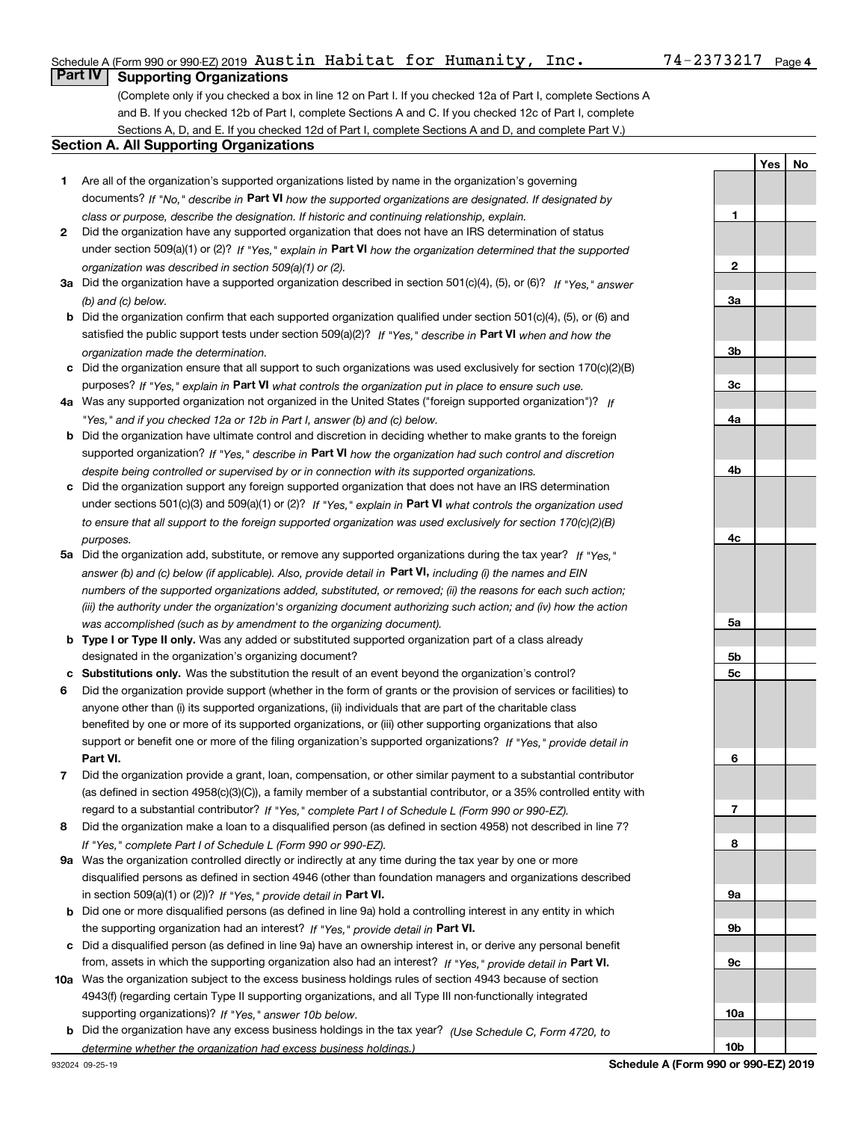### Schedule A (Form 990 or 990-EZ) 2019 Page Austin Habitat for Humanity, Inc. 74-2373217

# **Part IV Supporting Organizations**

(Complete only if you checked a box in line 12 on Part I. If you checked 12a of Part I, complete Sections A and B. If you checked 12b of Part I, complete Sections A and C. If you checked 12c of Part I, complete Sections A, D, and E. If you checked 12d of Part I, complete Sections A and D, and complete Part V.)

### **Section A. All Supporting Organizations**

- **1** Are all of the organization's supported organizations listed by name in the organization's governing documents? If "No," describe in **Part VI** how the supported organizations are designated. If designated by *class or purpose, describe the designation. If historic and continuing relationship, explain.*
- **2** Did the organization have any supported organization that does not have an IRS determination of status under section 509(a)(1) or (2)? If "Yes," explain in Part VI how the organization determined that the supported *organization was described in section 509(a)(1) or (2).*
- **3a** Did the organization have a supported organization described in section 501(c)(4), (5), or (6)? If "Yes," answer *(b) and (c) below.*
- **b** Did the organization confirm that each supported organization qualified under section 501(c)(4), (5), or (6) and satisfied the public support tests under section 509(a)(2)? If "Yes," describe in **Part VI** when and how the *organization made the determination.*
- **c**Did the organization ensure that all support to such organizations was used exclusively for section 170(c)(2)(B) purposes? If "Yes," explain in **Part VI** what controls the organization put in place to ensure such use.
- **4a***If* Was any supported organization not organized in the United States ("foreign supported organization")? *"Yes," and if you checked 12a or 12b in Part I, answer (b) and (c) below.*
- **b** Did the organization have ultimate control and discretion in deciding whether to make grants to the foreign supported organization? If "Yes," describe in **Part VI** how the organization had such control and discretion *despite being controlled or supervised by or in connection with its supported organizations.*
- **c** Did the organization support any foreign supported organization that does not have an IRS determination under sections 501(c)(3) and 509(a)(1) or (2)? If "Yes," explain in **Part VI** what controls the organization used *to ensure that all support to the foreign supported organization was used exclusively for section 170(c)(2)(B) purposes.*
- **5a***If "Yes,"* Did the organization add, substitute, or remove any supported organizations during the tax year? answer (b) and (c) below (if applicable). Also, provide detail in **Part VI,** including (i) the names and EIN *numbers of the supported organizations added, substituted, or removed; (ii) the reasons for each such action; (iii) the authority under the organization's organizing document authorizing such action; and (iv) how the action was accomplished (such as by amendment to the organizing document).*
- **b** Type I or Type II only. Was any added or substituted supported organization part of a class already designated in the organization's organizing document?
- **cSubstitutions only.**  Was the substitution the result of an event beyond the organization's control?
- **6** Did the organization provide support (whether in the form of grants or the provision of services or facilities) to **Part VI.** *If "Yes," provide detail in* support or benefit one or more of the filing organization's supported organizations? anyone other than (i) its supported organizations, (ii) individuals that are part of the charitable class benefited by one or more of its supported organizations, or (iii) other supporting organizations that also
- **7**Did the organization provide a grant, loan, compensation, or other similar payment to a substantial contributor *If "Yes," complete Part I of Schedule L (Form 990 or 990-EZ).* regard to a substantial contributor? (as defined in section 4958(c)(3)(C)), a family member of a substantial contributor, or a 35% controlled entity with
- **8** Did the organization make a loan to a disqualified person (as defined in section 4958) not described in line 7? *If "Yes," complete Part I of Schedule L (Form 990 or 990-EZ).*
- **9a** Was the organization controlled directly or indirectly at any time during the tax year by one or more in section 509(a)(1) or (2))? If "Yes," *provide detail in* <code>Part VI.</code> disqualified persons as defined in section 4946 (other than foundation managers and organizations described
- **b** Did one or more disqualified persons (as defined in line 9a) hold a controlling interest in any entity in which the supporting organization had an interest? If "Yes," provide detail in P**art VI**.
- **c**Did a disqualified person (as defined in line 9a) have an ownership interest in, or derive any personal benefit from, assets in which the supporting organization also had an interest? If "Yes," provide detail in P**art VI.**
- **10a** Was the organization subject to the excess business holdings rules of section 4943 because of section supporting organizations)? If "Yes," answer 10b below. 4943(f) (regarding certain Type II supporting organizations, and all Type III non-functionally integrated
- **b** Did the organization have any excess business holdings in the tax year? (Use Schedule C, Form 4720, to *determine whether the organization had excess business holdings.)*

**4b4c5a5b5c6789a 9b9c10a10bSchedule A (Form 990 or 990-EZ) 2019**

**YesNo**

**1**

**2**

**3a**

**3b**

**3c**

**4a**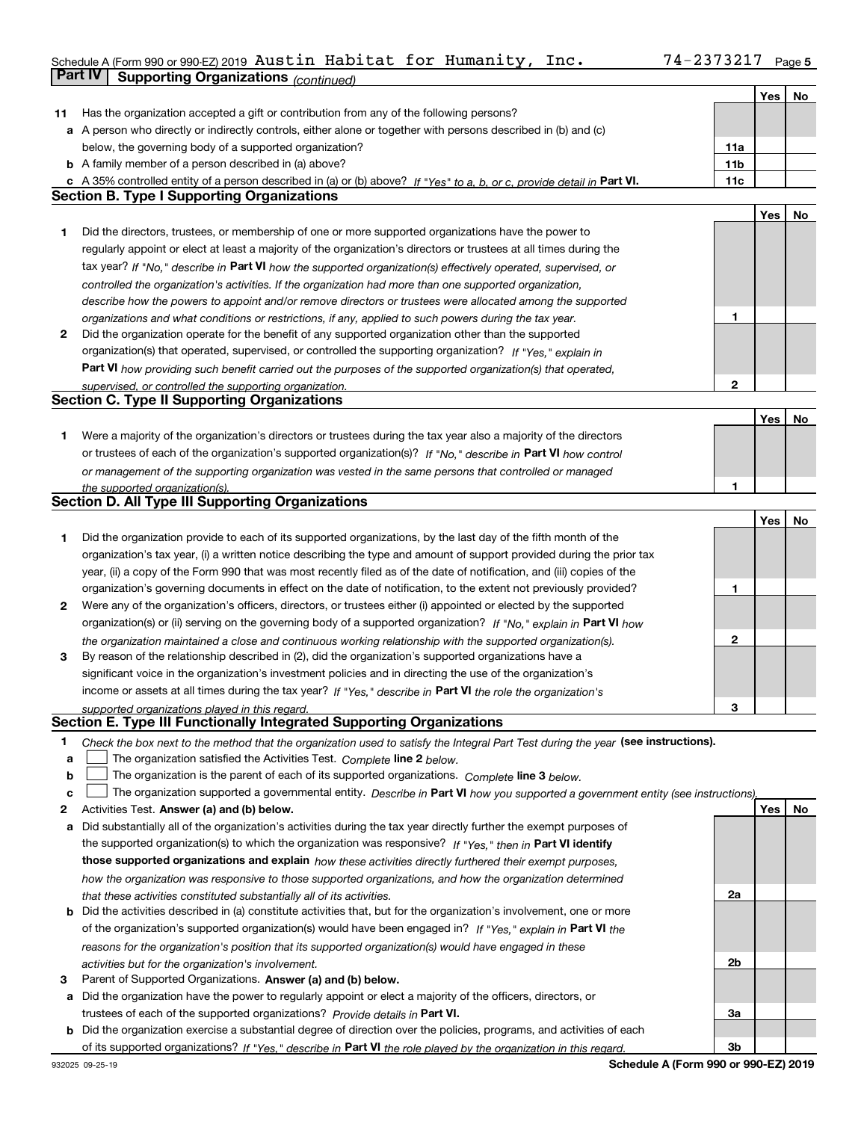### Schedule A (Form 990 or 990-EZ) 2019 Page **Part IV Supporting Organizations** *(continued)* Austin Habitat for Humanity, Inc. 74-2373217

|    |                                                                                                                                   |                 | <b>Yes</b> | No  |
|----|-----------------------------------------------------------------------------------------------------------------------------------|-----------------|------------|-----|
| 11 | Has the organization accepted a gift or contribution from any of the following persons?                                           |                 |            |     |
|    | a A person who directly or indirectly controls, either alone or together with persons described in (b) and (c)                    |                 |            |     |
|    | below, the governing body of a supported organization?                                                                            | 11a             |            |     |
|    | <b>b</b> A family member of a person described in (a) above?                                                                      | 11 <sub>b</sub> |            |     |
|    | c A 35% controlled entity of a person described in (a) or (b) above? If "Yes" to a, b, or c, provide detail in Part VI.           | 11c             |            |     |
|    | <b>Section B. Type I Supporting Organizations</b>                                                                                 |                 |            |     |
|    |                                                                                                                                   |                 | Yes        | No  |
| 1  | Did the directors, trustees, or membership of one or more supported organizations have the power to                               |                 |            |     |
|    | regularly appoint or elect at least a majority of the organization's directors or trustees at all times during the                |                 |            |     |
|    | tax year? If "No," describe in Part VI how the supported organization(s) effectively operated, supervised, or                     |                 |            |     |
|    | controlled the organization's activities. If the organization had more than one supported organization,                           |                 |            |     |
|    | describe how the powers to appoint and/or remove directors or trustees were allocated among the supported                         |                 |            |     |
|    | organizations and what conditions or restrictions, if any, applied to such powers during the tax year.                            | 1               |            |     |
| 2  | Did the organization operate for the benefit of any supported organization other than the supported                               |                 |            |     |
|    | organization(s) that operated, supervised, or controlled the supporting organization? If "Yes," explain in                        |                 |            |     |
|    | Part VI how providing such benefit carried out the purposes of the supported organization(s) that operated,                       |                 |            |     |
|    | supervised, or controlled the supporting organization.                                                                            | 2               |            |     |
|    | <b>Section C. Type II Supporting Organizations</b>                                                                                |                 |            |     |
|    |                                                                                                                                   |                 | Yes        | No  |
| 1  | Were a majority of the organization's directors or trustees during the tax year also a majority of the directors                  |                 |            |     |
|    | or trustees of each of the organization's supported organization(s)? If "No." describe in Part VI how control                     |                 |            |     |
|    | or management of the supporting organization was vested in the same persons that controlled or managed                            |                 |            |     |
|    | the supported organization(s).                                                                                                    | 1               |            |     |
|    | <b>Section D. All Type III Supporting Organizations</b>                                                                           |                 |            |     |
|    |                                                                                                                                   |                 | Yes        | No  |
| 1  | Did the organization provide to each of its supported organizations, by the last day of the fifth month of the                    |                 |            |     |
|    | organization's tax year, (i) a written notice describing the type and amount of support provided during the prior tax             |                 |            |     |
|    | year, (ii) a copy of the Form 990 that was most recently filed as of the date of notification, and (iii) copies of the            |                 |            |     |
|    | organization's governing documents in effect on the date of notification, to the extent not previously provided?                  | 1               |            |     |
| 2  | Were any of the organization's officers, directors, or trustees either (i) appointed or elected by the supported                  |                 |            |     |
|    | organization(s) or (ii) serving on the governing body of a supported organization? If "No," explain in Part VI how                |                 |            |     |
|    | the organization maintained a close and continuous working relationship with the supported organization(s).                       | 2               |            |     |
| 3  | By reason of the relationship described in (2), did the organization's supported organizations have a                             |                 |            |     |
|    | significant voice in the organization's investment policies and in directing the use of the organization's                        |                 |            |     |
|    | income or assets at all times during the tax year? If "Yes," describe in Part VI the role the organization's                      |                 |            |     |
|    | supported organizations played in this regard.                                                                                    | з               |            |     |
|    | Section E. Type III Functionally Integrated Supporting Organizations                                                              |                 |            |     |
| 1  | Check the box next to the method that the organization used to satisfy the Integral Part Test during the year (see instructions). |                 |            |     |
| a  | The organization satisfied the Activities Test. Complete line 2 below.                                                            |                 |            |     |
| b  | The organization is the parent of each of its supported organizations. Complete line 3 below.                                     |                 |            |     |
| c  | The organization supported a governmental entity. Describe in Part VI how you supported a government entity (see instructions),   |                 |            |     |
| 2  | Activities Test. Answer (a) and (b) below.                                                                                        |                 | Yes        | No. |
| а  | Did substantially all of the organization's activities during the tax year directly further the exempt purposes of                |                 |            |     |
|    | the supported organization(s) to which the organization was responsive? If "Yes," then in Part VI identify                        |                 |            |     |
|    | those supported organizations and explain how these activities directly furthered their exempt purposes,                          |                 |            |     |
|    | how the organization was responsive to those supported organizations, and how the organization determined                         |                 |            |     |
|    | that these activities constituted substantially all of its activities.                                                            | 2a              |            |     |
|    | <b>b</b> Did the activities described in (a) constitute activities that, but for the organization's involvement, one or more      |                 |            |     |
|    | of the organization's supported organization(s) would have been engaged in? If "Yes," explain in Part VI the                      |                 |            |     |
|    | reasons for the organization's position that its supported organization(s) would have engaged in these                            |                 |            |     |
| з  | activities but for the organization's involvement.<br>Parent of Supported Organizations. Answer (a) and (b) below.                | 2b              |            |     |
|    | a Did the organization have the power to regularly appoint or elect a majority of the officers, directors, or                     |                 |            |     |
|    | trustees of each of the supported organizations? Provide details in Part VI.                                                      | За              |            |     |
|    | <b>b</b> Did the organization exercise a substantial degree of direction over the policies, programs, and activities of each      |                 |            |     |
|    | of its supported organizations? If "Yes," describe in Part VI the role played by the organization in this regard.                 | 3b              |            |     |
|    |                                                                                                                                   |                 |            |     |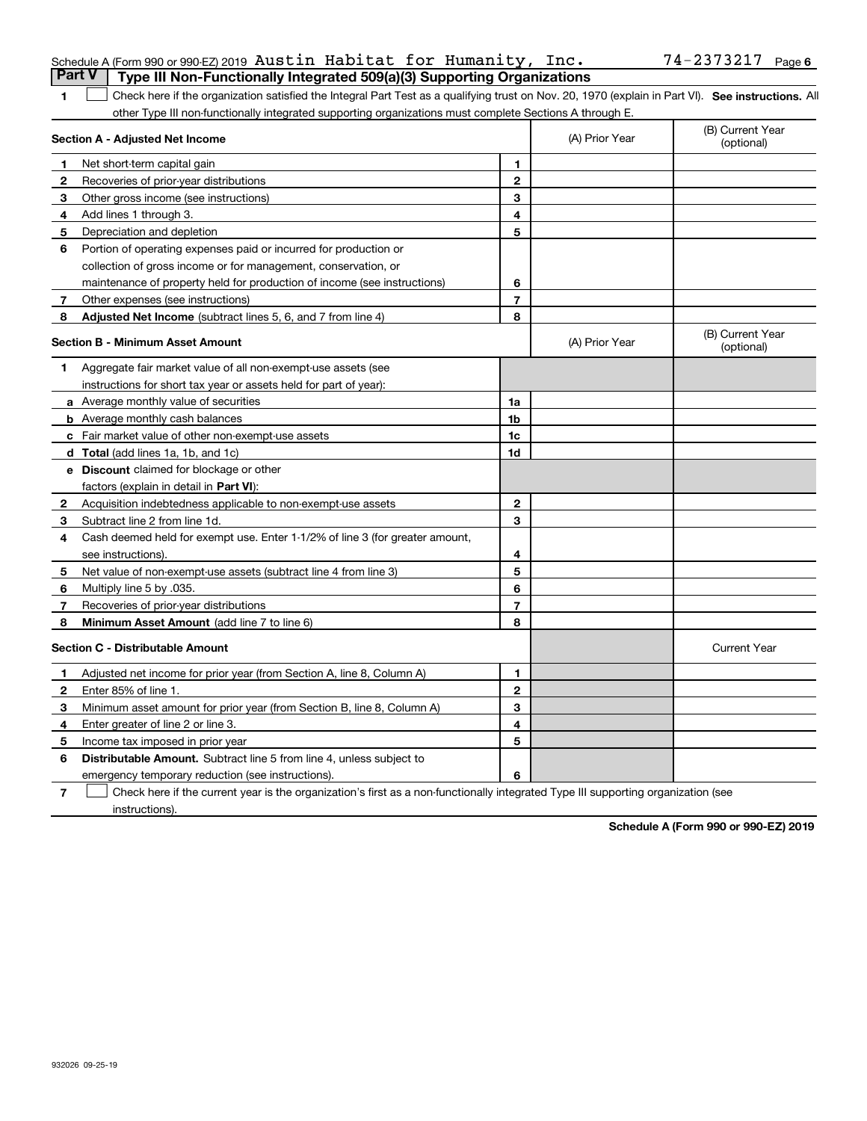|              | Part V<br>Type III Non-Functionally Integrated 509(a)(3) Supporting Organizations                                                                  |                |                |                                |
|--------------|----------------------------------------------------------------------------------------------------------------------------------------------------|----------------|----------------|--------------------------------|
| 1.           | Check here if the organization satisfied the Integral Part Test as a qualifying trust on Nov. 20, 1970 (explain in Part VI). See instructions. All |                |                |                                |
|              | other Type III non-functionally integrated supporting organizations must complete Sections A through E.                                            |                |                |                                |
|              | Section A - Adjusted Net Income                                                                                                                    |                | (A) Prior Year | (B) Current Year<br>(optional) |
| 1            | Net short-term capital gain                                                                                                                        | 1              |                |                                |
| $\mathbf{2}$ | Recoveries of prior-year distributions                                                                                                             | $\mathbf{2}$   |                |                                |
| 3            | Other gross income (see instructions)                                                                                                              | 3              |                |                                |
| 4            | Add lines 1 through 3.                                                                                                                             | 4              |                |                                |
| 5            | Depreciation and depletion                                                                                                                         | 5              |                |                                |
| 6            | Portion of operating expenses paid or incurred for production or                                                                                   |                |                |                                |
|              | collection of gross income or for management, conservation, or                                                                                     |                |                |                                |
|              | maintenance of property held for production of income (see instructions)                                                                           | 6              |                |                                |
| 7            | Other expenses (see instructions)                                                                                                                  | $\overline{7}$ |                |                                |
| 8            | Adjusted Net Income (subtract lines 5, 6, and 7 from line 4)                                                                                       | 8              |                |                                |
|              | <b>Section B - Minimum Asset Amount</b>                                                                                                            |                | (A) Prior Year | (B) Current Year<br>(optional) |
| 1            | Aggregate fair market value of all non-exempt-use assets (see                                                                                      |                |                |                                |
|              | instructions for short tax year or assets held for part of year):                                                                                  |                |                |                                |
|              | a Average monthly value of securities                                                                                                              | 1a             |                |                                |
|              | <b>b</b> Average monthly cash balances                                                                                                             | 1 <sub>b</sub> |                |                                |
|              | c Fair market value of other non-exempt-use assets                                                                                                 | 1c             |                |                                |
|              | d Total (add lines 1a, 1b, and 1c)                                                                                                                 | 1d             |                |                                |
|              | <b>e</b> Discount claimed for blockage or other                                                                                                    |                |                |                                |
|              | factors (explain in detail in Part VI):                                                                                                            |                |                |                                |
| $\mathbf{2}$ | Acquisition indebtedness applicable to non-exempt-use assets                                                                                       | $\mathbf{2}$   |                |                                |
| 3            | Subtract line 2 from line 1d.                                                                                                                      | 3              |                |                                |
| 4            | Cash deemed held for exempt use. Enter 1-1/2% of line 3 (for greater amount,                                                                       |                |                |                                |
|              | see instructions).                                                                                                                                 | 4              |                |                                |
| 5            | Net value of non-exempt-use assets (subtract line 4 from line 3)                                                                                   | 5              |                |                                |
| 6            | Multiply line 5 by .035.                                                                                                                           | 6              |                |                                |
| 7            | Recoveries of prior-year distributions                                                                                                             | $\overline{7}$ |                |                                |
| 8            | <b>Minimum Asset Amount</b> (add line 7 to line 6)                                                                                                 | 8              |                |                                |
|              | <b>Section C - Distributable Amount</b>                                                                                                            |                |                | <b>Current Year</b>            |
| 1            | Adjusted net income for prior year (from Section A, line 8, Column A)                                                                              | 1              |                |                                |
| $\mathbf{2}$ | Enter 85% of line 1.                                                                                                                               | $\mathbf{2}$   |                |                                |
| 3            | Minimum asset amount for prior year (from Section B, line 8, Column A)                                                                             | 3              |                |                                |
| 4            | Enter greater of line 2 or line 3.                                                                                                                 | 4              |                |                                |
| 5            | Income tax imposed in prior year                                                                                                                   | 5              |                |                                |
| 6            | <b>Distributable Amount.</b> Subtract line 5 from line 4, unless subject to                                                                        |                |                |                                |
|              | emergency temporary reduction (see instructions).                                                                                                  | 6              |                |                                |

**7**Check here if the current year is the organization's first as a non-functionally integrated Type III supporting organization (see instructions).

|        | Schedule A (Form 990 or 990 EZ) 2019 $\,$ Austin $\,$ Habitat for $\,$ Humanity, <code>Inc.</code> |  |  | 74-2373217 <sub>Page</sub> |  |
|--------|----------------------------------------------------------------------------------------------------|--|--|----------------------------|--|
| ______ |                                                                                                    |  |  |                            |  |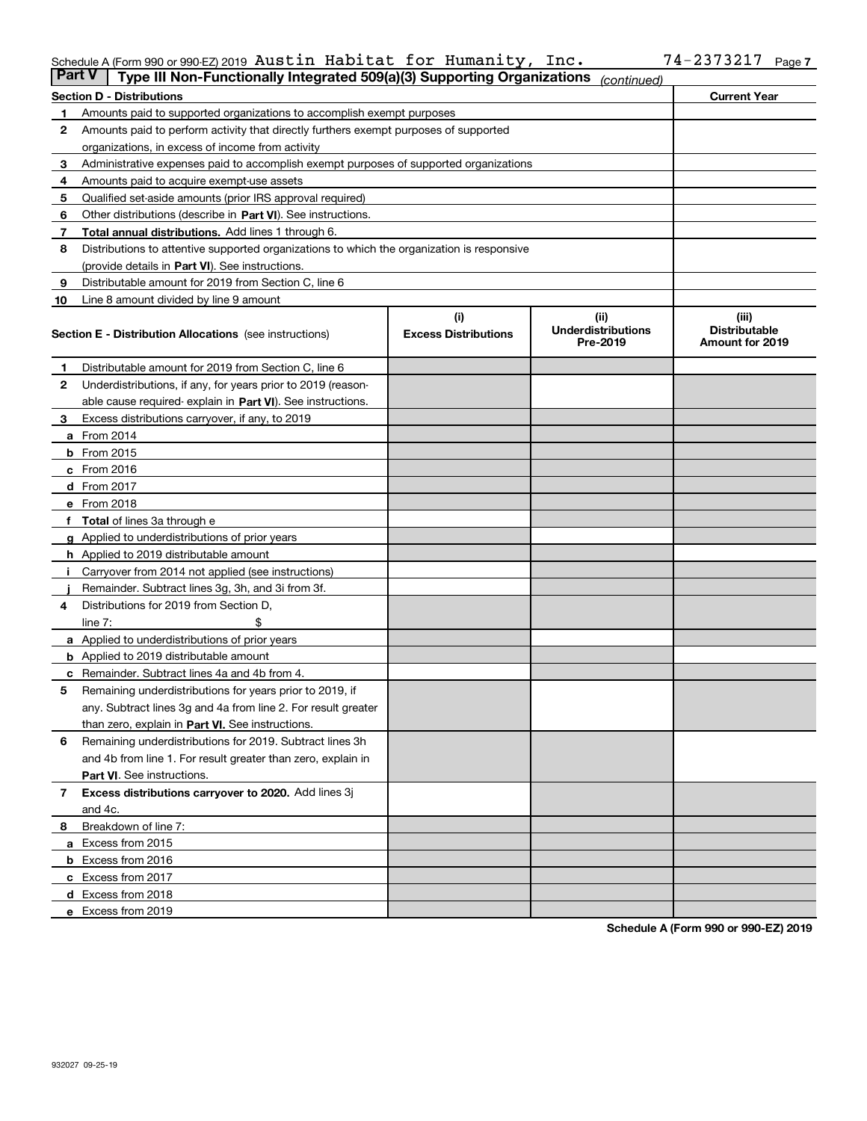## Schedule A (Form 990 or 990-EZ) 2019 Page Austin Habitat for Humanity, Inc. 74-2373217

| <b>Part V</b> | Type III Non-Functionally Integrated 509(a)(3) Supporting Organizations                    |                             | (continued)                           |                                         |  |  |
|---------------|--------------------------------------------------------------------------------------------|-----------------------------|---------------------------------------|-----------------------------------------|--|--|
|               | <b>Section D - Distributions</b>                                                           |                             |                                       | <b>Current Year</b>                     |  |  |
| 1             | Amounts paid to supported organizations to accomplish exempt purposes                      |                             |                                       |                                         |  |  |
| 2             | Amounts paid to perform activity that directly furthers exempt purposes of supported       |                             |                                       |                                         |  |  |
|               | organizations, in excess of income from activity                                           |                             |                                       |                                         |  |  |
| з             | Administrative expenses paid to accomplish exempt purposes of supported organizations      |                             |                                       |                                         |  |  |
| 4             | Amounts paid to acquire exempt-use assets                                                  |                             |                                       |                                         |  |  |
| 5             | Qualified set-aside amounts (prior IRS approval required)                                  |                             |                                       |                                         |  |  |
| 6             | Other distributions (describe in Part VI). See instructions.                               |                             |                                       |                                         |  |  |
| 7             | Total annual distributions. Add lines 1 through 6.                                         |                             |                                       |                                         |  |  |
| 8             | Distributions to attentive supported organizations to which the organization is responsive |                             |                                       |                                         |  |  |
|               | (provide details in Part VI). See instructions.                                            |                             |                                       |                                         |  |  |
| 9             | Distributable amount for 2019 from Section C, line 6                                       |                             |                                       |                                         |  |  |
| 10            | Line 8 amount divided by line 9 amount                                                     |                             |                                       |                                         |  |  |
|               |                                                                                            | (i)                         | (iii)                                 | (iii)                                   |  |  |
|               | <b>Section E - Distribution Allocations</b> (see instructions)                             | <b>Excess Distributions</b> | <b>Underdistributions</b><br>Pre-2019 | <b>Distributable</b><br>Amount for 2019 |  |  |
| 1             | Distributable amount for 2019 from Section C, line 6                                       |                             |                                       |                                         |  |  |
| 2             | Underdistributions, if any, for years prior to 2019 (reason-                               |                             |                                       |                                         |  |  |
|               | able cause required- explain in Part VI). See instructions.                                |                             |                                       |                                         |  |  |
| з             | Excess distributions carryover, if any, to 2019                                            |                             |                                       |                                         |  |  |
|               | <b>a</b> From 2014                                                                         |                             |                                       |                                         |  |  |
|               | <b>b</b> From $2015$                                                                       |                             |                                       |                                         |  |  |
|               | $c$ From 2016                                                                              |                             |                                       |                                         |  |  |
|               | <b>d</b> From 2017                                                                         |                             |                                       |                                         |  |  |
|               | e From 2018                                                                                |                             |                                       |                                         |  |  |
|               | Total of lines 3a through e                                                                |                             |                                       |                                         |  |  |
|               | <b>g</b> Applied to underdistributions of prior years                                      |                             |                                       |                                         |  |  |
|               | <b>h</b> Applied to 2019 distributable amount                                              |                             |                                       |                                         |  |  |
|               | Carryover from 2014 not applied (see instructions)                                         |                             |                                       |                                         |  |  |
|               | Remainder. Subtract lines 3g, 3h, and 3i from 3f.                                          |                             |                                       |                                         |  |  |
| 4             | Distributions for 2019 from Section D,                                                     |                             |                                       |                                         |  |  |
|               | line $7:$                                                                                  |                             |                                       |                                         |  |  |
|               | <b>a</b> Applied to underdistributions of prior years                                      |                             |                                       |                                         |  |  |
|               | <b>b</b> Applied to 2019 distributable amount                                              |                             |                                       |                                         |  |  |
| c             | Remainder. Subtract lines 4a and 4b from 4.                                                |                             |                                       |                                         |  |  |
| 5             | Remaining underdistributions for years prior to 2019, if                                   |                             |                                       |                                         |  |  |
|               | any. Subtract lines 3g and 4a from line 2. For result greater                              |                             |                                       |                                         |  |  |
|               | than zero, explain in Part VI. See instructions.                                           |                             |                                       |                                         |  |  |
| 6             | Remaining underdistributions for 2019. Subtract lines 3h                                   |                             |                                       |                                         |  |  |
|               | and 4b from line 1. For result greater than zero, explain in                               |                             |                                       |                                         |  |  |
|               | Part VI. See instructions.                                                                 |                             |                                       |                                         |  |  |
| 7             | Excess distributions carryover to 2020. Add lines 3j                                       |                             |                                       |                                         |  |  |
|               | and 4c.                                                                                    |                             |                                       |                                         |  |  |
| 8             | Breakdown of line 7:                                                                       |                             |                                       |                                         |  |  |
|               | a Excess from 2015                                                                         |                             |                                       |                                         |  |  |
|               |                                                                                            |                             |                                       |                                         |  |  |
|               | <b>b</b> Excess from 2016<br>c Excess from 2017                                            |                             |                                       |                                         |  |  |
|               |                                                                                            |                             |                                       |                                         |  |  |
|               | d Excess from 2018<br>e Excess from 2019                                                   |                             |                                       |                                         |  |  |
|               |                                                                                            |                             |                                       |                                         |  |  |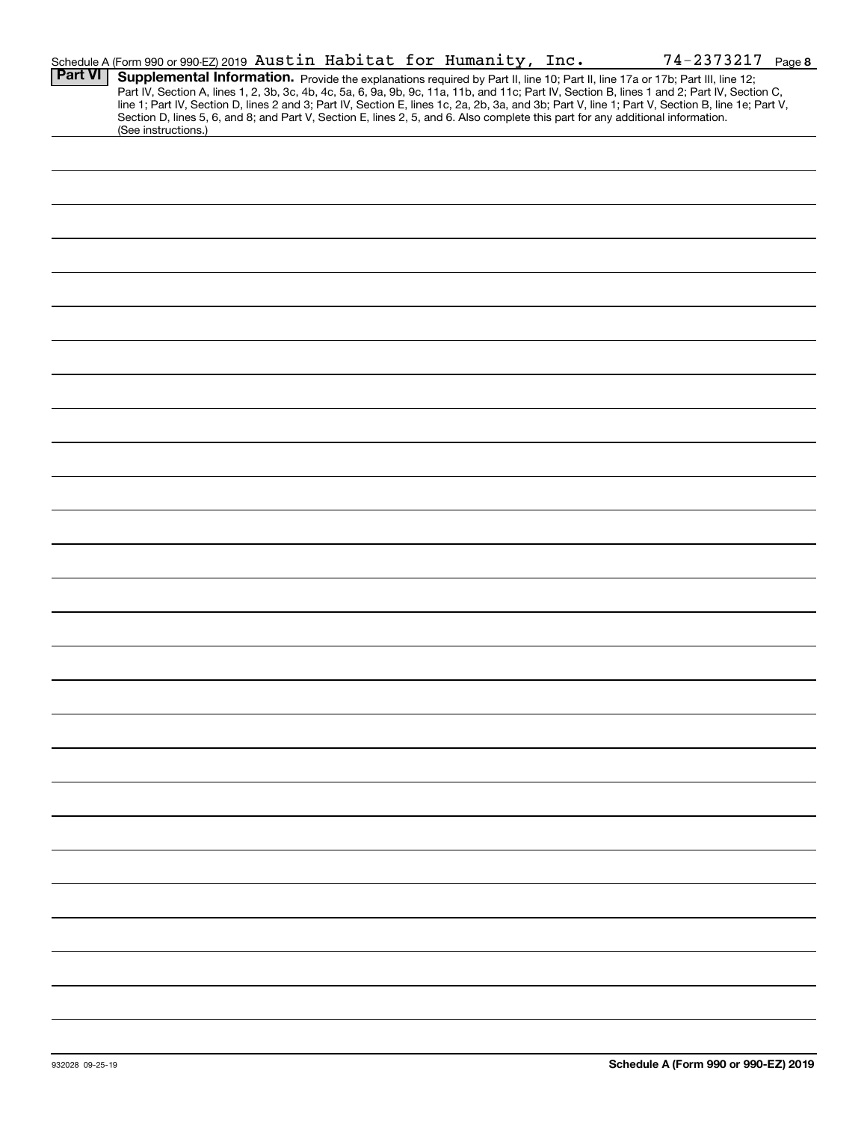|                | Schedule A (Form 990 or 990-EZ) 2019 Austin Habitat for Humanity, Inc.<br>74-2373217 Page 8                                                                                                                                                                                                                                                                                                                                                                                                                                                                                                 |
|----------------|---------------------------------------------------------------------------------------------------------------------------------------------------------------------------------------------------------------------------------------------------------------------------------------------------------------------------------------------------------------------------------------------------------------------------------------------------------------------------------------------------------------------------------------------------------------------------------------------|
| <b>Part VI</b> | Supplemental Information. Provide the explanations required by Part II, line 10; Part II, line 17a or 17b; Part III, line 12;<br>Part IV, Section A, lines 1, 2, 3b, 3c, 4b, 4c, 5a, 6, 9a, 9b, 9c, 11a, 11b, and 11c; Part IV, Section B, lines 1 and 2; Part IV, Section C,<br>line 1; Part IV, Section D, lines 2 and 3; Part IV, Section E, lines 1c, 2a, 2b, 3a, and 3b; Part V, line 1; Part V, Section B, line 1e; Part V,<br>Section D, lines 5, 6, and 8; and Part V, Section E, lines 2, 5, and 6. Also complete this part for any additional information.<br>(See instructions.) |
|                |                                                                                                                                                                                                                                                                                                                                                                                                                                                                                                                                                                                             |
|                |                                                                                                                                                                                                                                                                                                                                                                                                                                                                                                                                                                                             |
|                |                                                                                                                                                                                                                                                                                                                                                                                                                                                                                                                                                                                             |
|                |                                                                                                                                                                                                                                                                                                                                                                                                                                                                                                                                                                                             |
|                |                                                                                                                                                                                                                                                                                                                                                                                                                                                                                                                                                                                             |
|                |                                                                                                                                                                                                                                                                                                                                                                                                                                                                                                                                                                                             |
|                |                                                                                                                                                                                                                                                                                                                                                                                                                                                                                                                                                                                             |
|                |                                                                                                                                                                                                                                                                                                                                                                                                                                                                                                                                                                                             |
|                |                                                                                                                                                                                                                                                                                                                                                                                                                                                                                                                                                                                             |
|                |                                                                                                                                                                                                                                                                                                                                                                                                                                                                                                                                                                                             |
|                |                                                                                                                                                                                                                                                                                                                                                                                                                                                                                                                                                                                             |
|                |                                                                                                                                                                                                                                                                                                                                                                                                                                                                                                                                                                                             |
|                |                                                                                                                                                                                                                                                                                                                                                                                                                                                                                                                                                                                             |
|                |                                                                                                                                                                                                                                                                                                                                                                                                                                                                                                                                                                                             |
|                |                                                                                                                                                                                                                                                                                                                                                                                                                                                                                                                                                                                             |
|                |                                                                                                                                                                                                                                                                                                                                                                                                                                                                                                                                                                                             |
|                |                                                                                                                                                                                                                                                                                                                                                                                                                                                                                                                                                                                             |
|                |                                                                                                                                                                                                                                                                                                                                                                                                                                                                                                                                                                                             |
|                |                                                                                                                                                                                                                                                                                                                                                                                                                                                                                                                                                                                             |
|                |                                                                                                                                                                                                                                                                                                                                                                                                                                                                                                                                                                                             |
|                |                                                                                                                                                                                                                                                                                                                                                                                                                                                                                                                                                                                             |
|                |                                                                                                                                                                                                                                                                                                                                                                                                                                                                                                                                                                                             |
|                |                                                                                                                                                                                                                                                                                                                                                                                                                                                                                                                                                                                             |
|                |                                                                                                                                                                                                                                                                                                                                                                                                                                                                                                                                                                                             |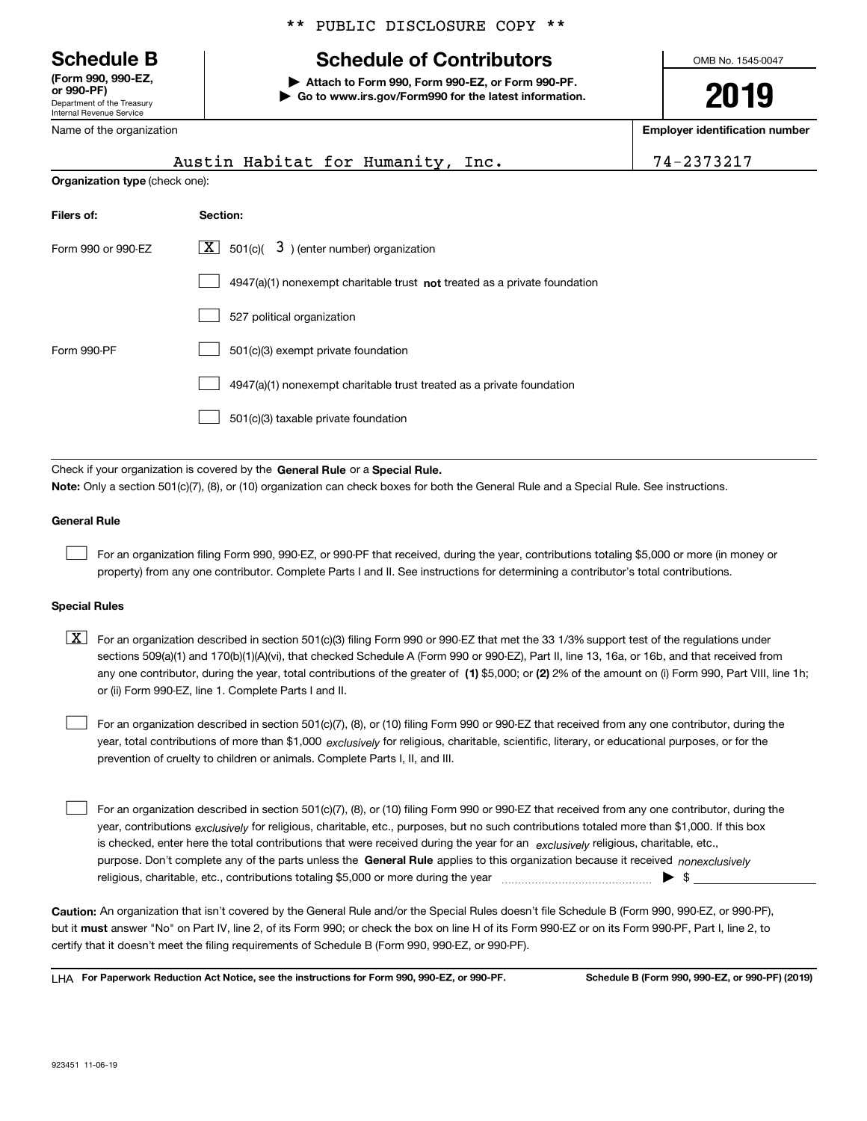Department of the Treasury Internal Revenue Service **(Form 990, 990-EZ, or 990-PF)**

Name of the organization

# \*\* PUBLIC DISCLOSURE COPY \*\*

# **Schedule B Schedule of Contributors**

**| Attach to Form 990, Form 990-EZ, or Form 990-PF. | Go to www.irs.gov/Form990 for the latest information.** OMB No. 1545-0047

**2019**

**Employer identification number**

|                                | Austin Habitat for Humanity, Inc.                                                                                                                                                                                         | 74-2373217 |  |  |  |  |
|--------------------------------|---------------------------------------------------------------------------------------------------------------------------------------------------------------------------------------------------------------------------|------------|--|--|--|--|
| Organization type (check one): |                                                                                                                                                                                                                           |            |  |  |  |  |
| Filers of:                     | Section:                                                                                                                                                                                                                  |            |  |  |  |  |
| Form 990 or 990-EZ             | 501(c)( $\overline{3}$ ) (enter number) organization<br>  X                                                                                                                                                               |            |  |  |  |  |
|                                | 4947(a)(1) nonexempt charitable trust not treated as a private foundation                                                                                                                                                 |            |  |  |  |  |
|                                | 527 political organization                                                                                                                                                                                                |            |  |  |  |  |
| Form 990-PF                    | 501(c)(3) exempt private foundation                                                                                                                                                                                       |            |  |  |  |  |
|                                | 4947(a)(1) nonexempt charitable trust treated as a private foundation                                                                                                                                                     |            |  |  |  |  |
|                                | 501(c)(3) taxable private foundation                                                                                                                                                                                      |            |  |  |  |  |
|                                |                                                                                                                                                                                                                           |            |  |  |  |  |
|                                | Check if your organization is covered by the General Rule or a Special Rule.<br>Note: Only a section 501(c)(7), (8), or (10) organization can check boxes for both the General Rule and a Special Rule. See instructions. |            |  |  |  |  |
| <b>General Rule</b>            |                                                                                                                                                                                                                           |            |  |  |  |  |

For an organization filing Form 990, 990-EZ, or 990-PF that received, during the year, contributions totaling \$5,000 or more (in money or property) from any one contributor. Complete Parts I and II. See instructions for determining a contributor's total contributions.

### **Special Rules**

 $\mathcal{L}^{\text{max}}$ 

any one contributor, during the year, total contributions of the greater of  $\,$  (1) \$5,000; or **(2)** 2% of the amount on (i) Form 990, Part VIII, line 1h;  $\boxed{\textbf{X}}$  For an organization described in section 501(c)(3) filing Form 990 or 990-EZ that met the 33 1/3% support test of the regulations under sections 509(a)(1) and 170(b)(1)(A)(vi), that checked Schedule A (Form 990 or 990-EZ), Part II, line 13, 16a, or 16b, and that received from or (ii) Form 990-EZ, line 1. Complete Parts I and II.

year, total contributions of more than \$1,000 *exclusively* for religious, charitable, scientific, literary, or educational purposes, or for the For an organization described in section 501(c)(7), (8), or (10) filing Form 990 or 990-EZ that received from any one contributor, during the prevention of cruelty to children or animals. Complete Parts I, II, and III.  $\mathcal{L}^{\text{max}}$ 

purpose. Don't complete any of the parts unless the **General Rule** applies to this organization because it received *nonexclusively* year, contributions <sub>exclusively</sub> for religious, charitable, etc., purposes, but no such contributions totaled more than \$1,000. If this box is checked, enter here the total contributions that were received during the year for an  $\;$ exclusively religious, charitable, etc., For an organization described in section 501(c)(7), (8), or (10) filing Form 990 or 990-EZ that received from any one contributor, during the religious, charitable, etc., contributions totaling \$5,000 or more during the year  $\Box$ — $\Box$   $\Box$  $\mathcal{L}^{\text{max}}$ 

**Caution:**  An organization that isn't covered by the General Rule and/or the Special Rules doesn't file Schedule B (Form 990, 990-EZ, or 990-PF),  **must** but it answer "No" on Part IV, line 2, of its Form 990; or check the box on line H of its Form 990-EZ or on its Form 990-PF, Part I, line 2, to certify that it doesn't meet the filing requirements of Schedule B (Form 990, 990-EZ, or 990-PF).

**For Paperwork Reduction Act Notice, see the instructions for Form 990, 990-EZ, or 990-PF. Schedule B (Form 990, 990-EZ, or 990-PF) (2019)** LHA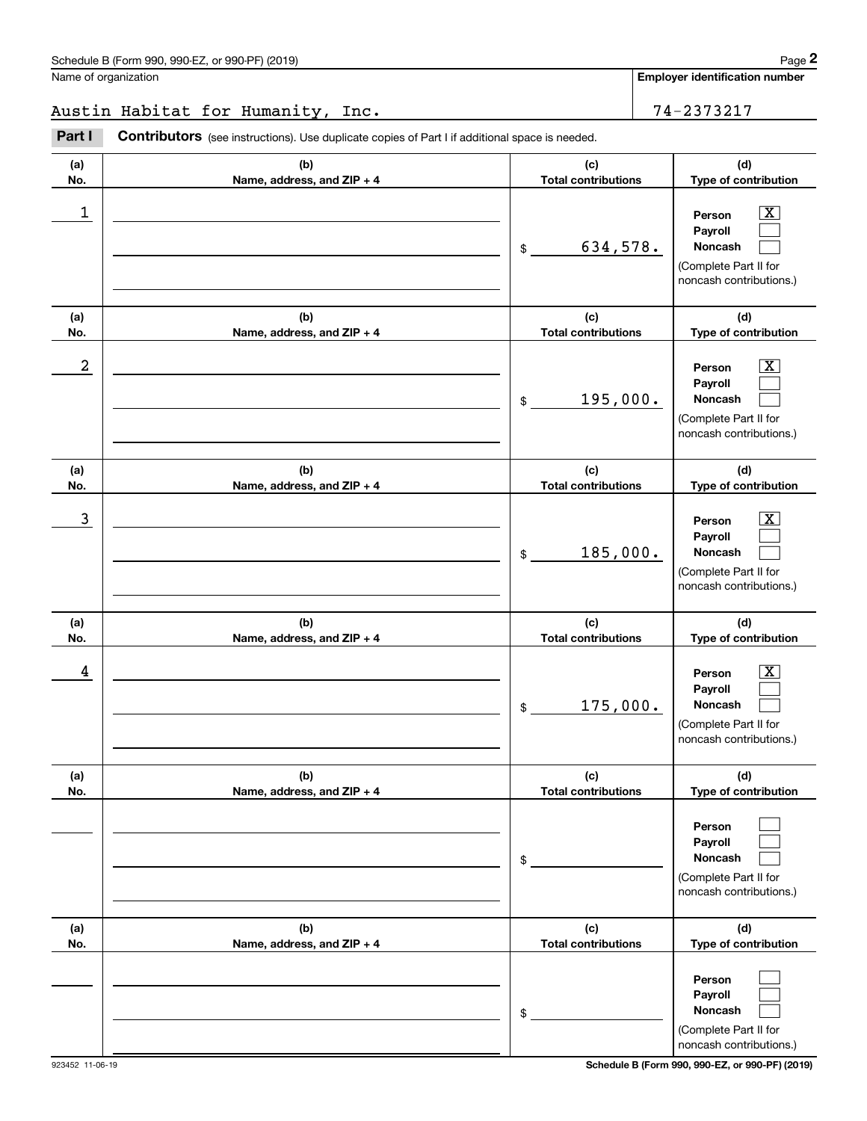**Employer identification number**

Austin Habitat for Humanity, Inc. 1994 1994 1995

(schedule B (Form 990, 990-EZ, or 990-PF) (2019)<br>
lame of organization<br> **24 - 2373217**<br> **29 - 2373217**<br> **24 - 2373217**<br> **29 - 2373217**<br> **24 - 2373217** 

| (a)<br>No. | (b)<br>Name, address, and ZIP + 4 | (c)<br><b>Total contributions</b> | (d)<br>Type of contribution                                                                                 |
|------------|-----------------------------------|-----------------------------------|-------------------------------------------------------------------------------------------------------------|
| 1          |                                   | 634,578.<br>\$                    | $\overline{\text{X}}$<br>Person<br>Payroll<br>Noncash<br>(Complete Part II for<br>noncash contributions.)   |
| (a)<br>No. | (b)<br>Name, address, and ZIP + 4 | (c)<br><b>Total contributions</b> | (d)<br>Type of contribution                                                                                 |
| 2          |                                   | 195,000.<br>\$                    | $\overline{\texttt{x}}$<br>Person<br>Payroll<br>Noncash<br>(Complete Part II for<br>noncash contributions.) |
| (a)<br>No. | (b)<br>Name, address, and ZIP + 4 | (c)<br><b>Total contributions</b> | (d)<br>Type of contribution                                                                                 |
| 3          |                                   | 185,000.<br>\$                    | $\overline{\text{X}}$<br>Person<br>Payroll<br>Noncash<br>(Complete Part II for<br>noncash contributions.)   |
| (a)<br>No. | (b)<br>Name, address, and ZIP + 4 | (c)<br><b>Total contributions</b> | (d)<br>Type of contribution                                                                                 |
| 4          |                                   | 175,000.<br>\$                    | $\overline{\text{X}}$<br>Person<br>Payroll<br>Noncash<br>(Complete Part II for<br>noncash contributions.)   |
| (a)<br>No. | (b)<br>Name, address, and ZIP + 4 | (c)<br><b>Total contributions</b> | (d)<br>Type of contribution                                                                                 |
|            |                                   | $\$$                              | Person<br>Payroll<br>Noncash<br>(Complete Part II for<br>noncash contributions.)                            |
| (a)<br>No. | (b)<br>Name, address, and ZIP + 4 | (c)<br><b>Total contributions</b> | (d)<br>Type of contribution                                                                                 |
|            |                                   | $\$$                              | Person<br>Payroll<br>Noncash<br>(Complete Part II for<br>noncash contributions.)                            |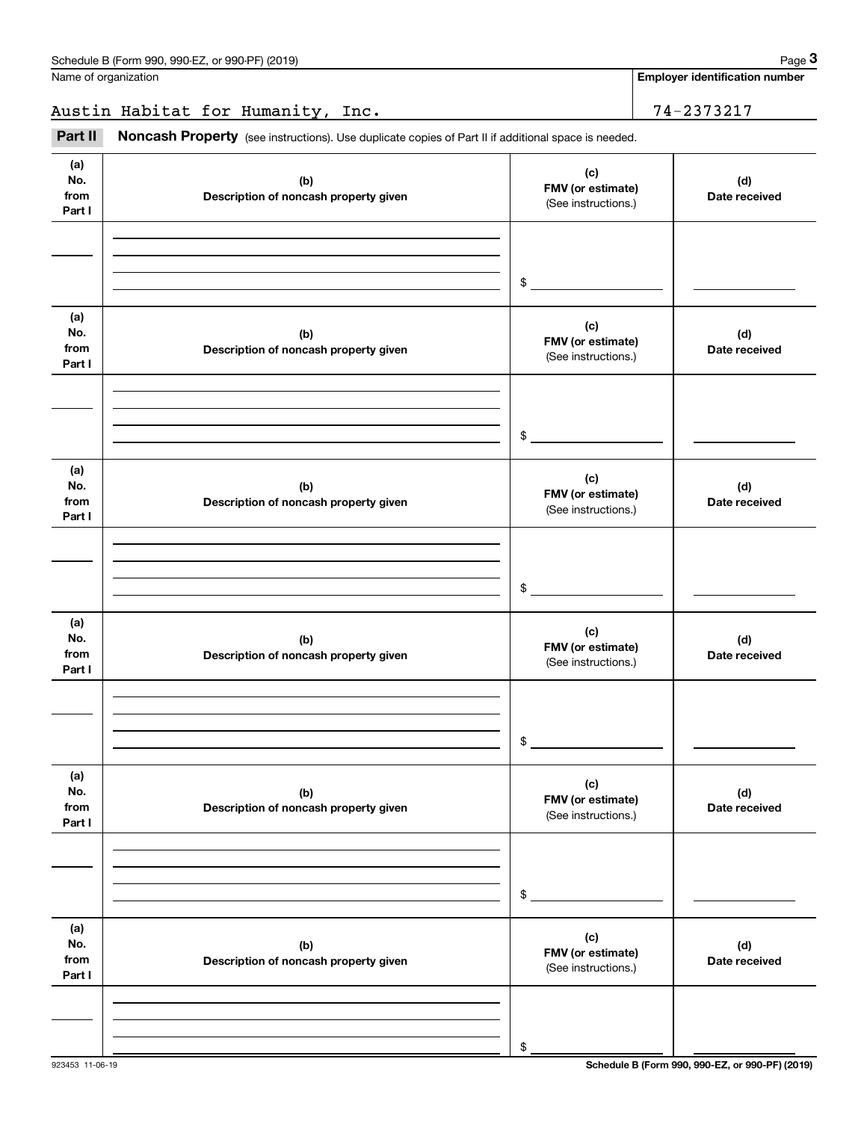**Employer identification number**

Austin Habitat for Humanity, Inc. 1994 1994 1995

Fage 3 (schedule B (Form 990, 990-EZ, or 990-PF) (2019)<br>
lame of organization<br> **3Part II Noncash Property** (see instructions). Use duplicate copies of Part II if additional space is needed.

| (a)<br>No.<br>from<br>Part I | (b)<br>Description of noncash property given | (c)<br>FMV (or estimate)<br>(See instructions.) | (d)<br>Date received |
|------------------------------|----------------------------------------------|-------------------------------------------------|----------------------|
|                              |                                              |                                                 |                      |
|                              |                                              | $\frac{1}{2}$                                   |                      |
| (a)<br>No.<br>from<br>Part I | (b)<br>Description of noncash property given | (c)<br>FMV (or estimate)<br>(See instructions.) | (d)<br>Date received |
|                              |                                              |                                                 |                      |
|                              |                                              | $\frac{1}{2}$                                   |                      |
| (a)<br>No.<br>from<br>Part I | (b)<br>Description of noncash property given | (c)<br>FMV (or estimate)<br>(See instructions.) | (d)<br>Date received |
|                              |                                              |                                                 |                      |
|                              |                                              | $\frac{1}{2}$                                   |                      |
| (a)<br>No.<br>from<br>Part I | (b)<br>Description of noncash property given | (c)<br>FMV (or estimate)<br>(See instructions.) | (d)<br>Date received |
|                              |                                              |                                                 |                      |
|                              |                                              | $\frac{1}{2}$                                   |                      |
| (a)<br>No.<br>from<br>Part I | (b)<br>Description of noncash property given | (c)<br>FMV (or estimate)<br>(See instructions.) | (d)<br>Date received |
|                              |                                              |                                                 |                      |
|                              |                                              | $\$$                                            |                      |
| (a)<br>No.<br>from<br>Part I | (b)<br>Description of noncash property given | (c)<br>FMV (or estimate)<br>(See instructions.) | (d)<br>Date received |
|                              |                                              |                                                 |                      |
|                              |                                              | $\,$                                            |                      |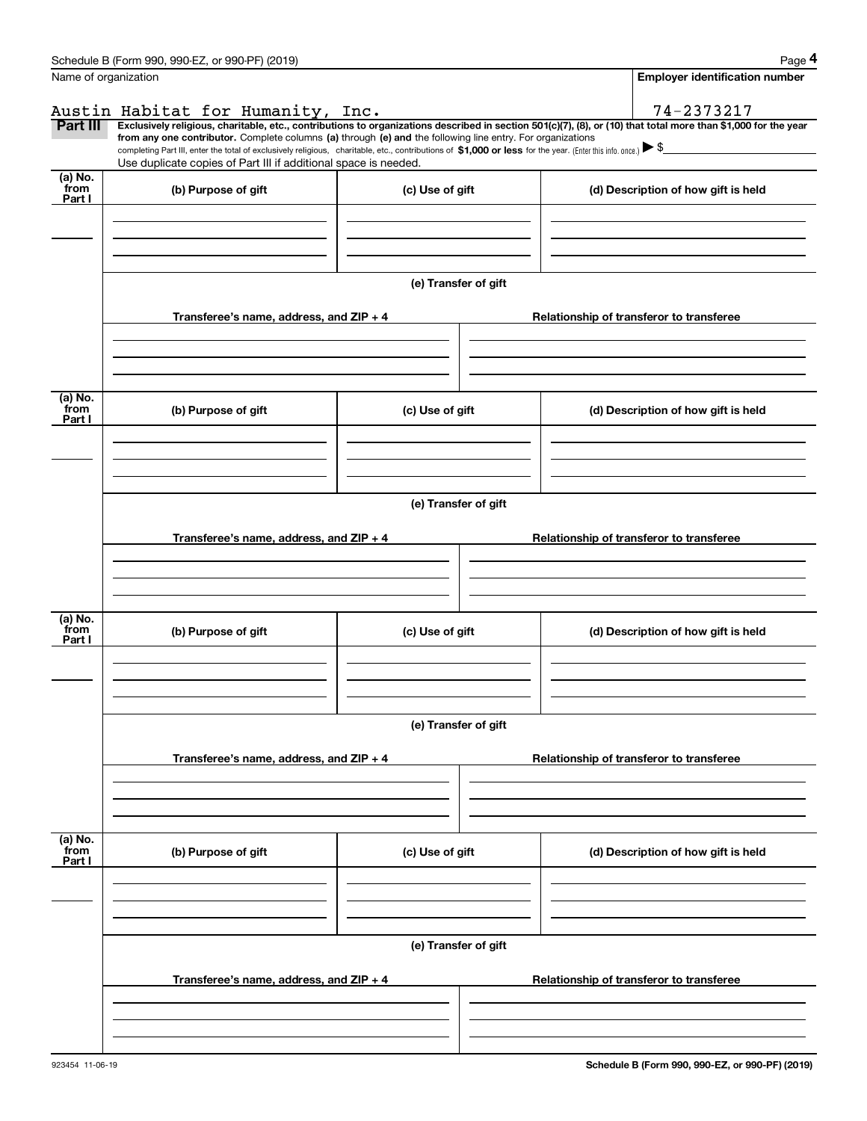|                           | Schedule B (Form 990, 990-EZ, or 990-PF) (2019)                                                                                                                                                                                                      |                      | Page 4                                                                                                                                                         |  |  |  |  |  |
|---------------------------|------------------------------------------------------------------------------------------------------------------------------------------------------------------------------------------------------------------------------------------------------|----------------------|----------------------------------------------------------------------------------------------------------------------------------------------------------------|--|--|--|--|--|
|                           | Name of organization                                                                                                                                                                                                                                 |                      | <b>Employer identification number</b>                                                                                                                          |  |  |  |  |  |
|                           | Austin Habitat for Humanity, Inc.                                                                                                                                                                                                                    |                      | 74-2373217                                                                                                                                                     |  |  |  |  |  |
| Part III                  | from any one contributor. Complete columns (a) through (e) and the following line entry. For organizations                                                                                                                                           |                      | Exclusively religious, charitable, etc., contributions to organizations described in section 501(c)(7), (8), or (10) that total more than \$1,000 for the year |  |  |  |  |  |
|                           | completing Part III, enter the total of exclusively religious, charitable, etc., contributions of \$1,000 or less for the year. (Enter this info. once.) $\blacktriangleright$ \$<br>Use duplicate copies of Part III if additional space is needed. |                      |                                                                                                                                                                |  |  |  |  |  |
| (a) No.<br>from           |                                                                                                                                                                                                                                                      |                      |                                                                                                                                                                |  |  |  |  |  |
| Part I                    | (b) Purpose of gift                                                                                                                                                                                                                                  | (c) Use of gift      | (d) Description of how gift is held                                                                                                                            |  |  |  |  |  |
|                           |                                                                                                                                                                                                                                                      |                      |                                                                                                                                                                |  |  |  |  |  |
|                           |                                                                                                                                                                                                                                                      | (e) Transfer of gift |                                                                                                                                                                |  |  |  |  |  |
|                           | Transferee's name, address, and ZIP + 4                                                                                                                                                                                                              |                      | Relationship of transferor to transferee                                                                                                                       |  |  |  |  |  |
|                           |                                                                                                                                                                                                                                                      |                      |                                                                                                                                                                |  |  |  |  |  |
|                           |                                                                                                                                                                                                                                                      |                      |                                                                                                                                                                |  |  |  |  |  |
| (a) No.<br>from<br>Part I | (b) Purpose of gift                                                                                                                                                                                                                                  | (c) Use of gift      | (d) Description of how gift is held                                                                                                                            |  |  |  |  |  |
|                           |                                                                                                                                                                                                                                                      |                      |                                                                                                                                                                |  |  |  |  |  |
|                           |                                                                                                                                                                                                                                                      |                      |                                                                                                                                                                |  |  |  |  |  |
|                           |                                                                                                                                                                                                                                                      | (e) Transfer of gift |                                                                                                                                                                |  |  |  |  |  |
|                           | Transferee's name, address, and $ZIP + 4$                                                                                                                                                                                                            |                      | Relationship of transferor to transferee                                                                                                                       |  |  |  |  |  |
|                           |                                                                                                                                                                                                                                                      |                      |                                                                                                                                                                |  |  |  |  |  |
| (a) No.<br>from           | (b) Purpose of gift                                                                                                                                                                                                                                  | (c) Use of gift      | (d) Description of how gift is held                                                                                                                            |  |  |  |  |  |
| Part I                    |                                                                                                                                                                                                                                                      |                      |                                                                                                                                                                |  |  |  |  |  |
|                           |                                                                                                                                                                                                                                                      |                      |                                                                                                                                                                |  |  |  |  |  |
|                           | (e) Transfer of gift                                                                                                                                                                                                                                 |                      |                                                                                                                                                                |  |  |  |  |  |
|                           | Transferee's name, address, and $ZIP + 4$                                                                                                                                                                                                            |                      | Relationship of transferor to transferee                                                                                                                       |  |  |  |  |  |
|                           |                                                                                                                                                                                                                                                      |                      |                                                                                                                                                                |  |  |  |  |  |
|                           |                                                                                                                                                                                                                                                      |                      |                                                                                                                                                                |  |  |  |  |  |
| (a) No.<br>from<br>Part I | (b) Purpose of gift                                                                                                                                                                                                                                  | (c) Use of gift      | (d) Description of how gift is held                                                                                                                            |  |  |  |  |  |
|                           |                                                                                                                                                                                                                                                      |                      |                                                                                                                                                                |  |  |  |  |  |
|                           |                                                                                                                                                                                                                                                      |                      |                                                                                                                                                                |  |  |  |  |  |
|                           | (e) Transfer of gift                                                                                                                                                                                                                                 |                      |                                                                                                                                                                |  |  |  |  |  |
|                           | Transferee's name, address, and ZIP + 4                                                                                                                                                                                                              |                      | Relationship of transferor to transferee                                                                                                                       |  |  |  |  |  |
|                           |                                                                                                                                                                                                                                                      |                      |                                                                                                                                                                |  |  |  |  |  |
|                           |                                                                                                                                                                                                                                                      |                      |                                                                                                                                                                |  |  |  |  |  |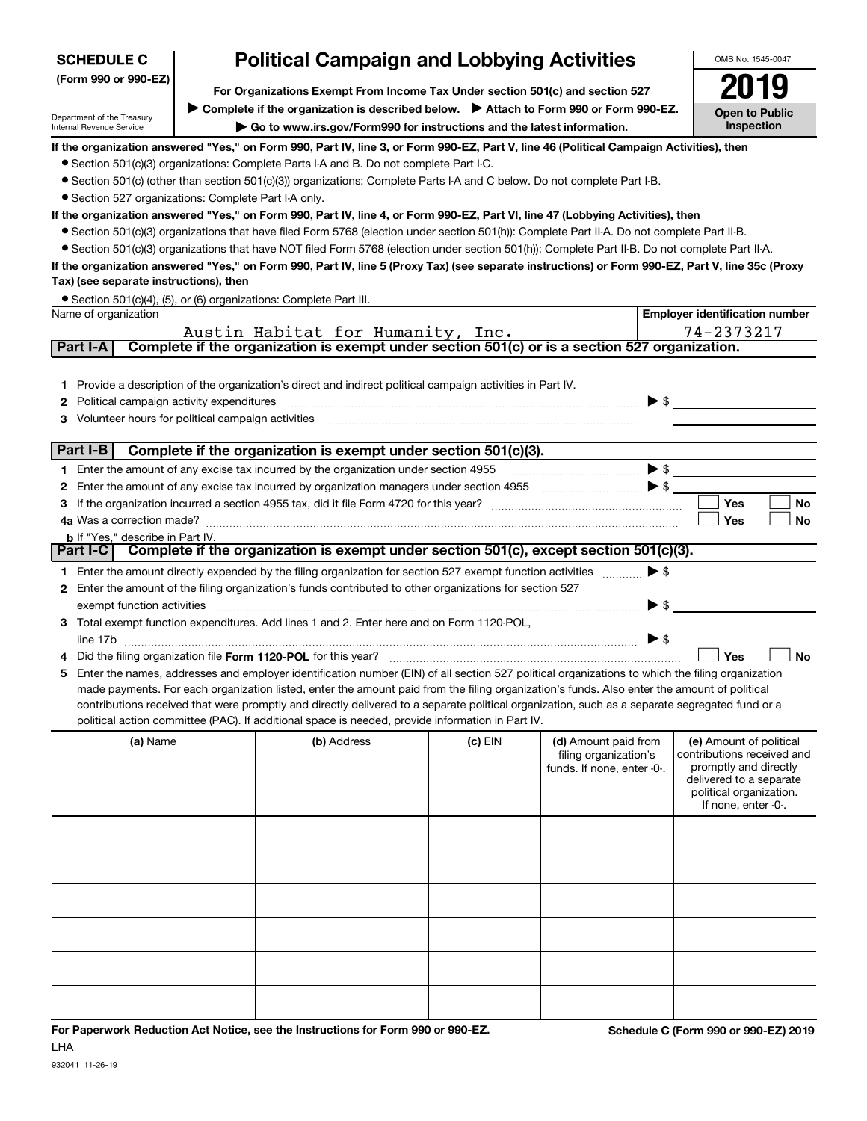| <b>SCHEDULE C</b>                                      |                                                                                                                                                                          | <b>Political Campaign and Lobbying Activities</b>                                                                                                                                                                                                                             |           |                                                                           | OMB No. 1545-0047                                     |  |  |  |  |
|--------------------------------------------------------|--------------------------------------------------------------------------------------------------------------------------------------------------------------------------|-------------------------------------------------------------------------------------------------------------------------------------------------------------------------------------------------------------------------------------------------------------------------------|-----------|---------------------------------------------------------------------------|-------------------------------------------------------|--|--|--|--|
| (Form 990 or 990-EZ)                                   |                                                                                                                                                                          |                                                                                                                                                                                                                                                                               |           |                                                                           |                                                       |  |  |  |  |
|                                                        | For Organizations Exempt From Income Tax Under section 501(c) and section 527<br>▶ Complete if the organization is described below. ▶ Attach to Form 990 or Form 990-EZ. |                                                                                                                                                                                                                                                                               |           |                                                                           |                                                       |  |  |  |  |
| Department of the Treasury<br>Internal Revenue Service | <b>Open to Public</b><br>Inspection                                                                                                                                      |                                                                                                                                                                                                                                                                               |           |                                                                           |                                                       |  |  |  |  |
|                                                        |                                                                                                                                                                          | If the organization answered "Yes," on Form 990, Part IV, line 3, or Form 990-EZ, Part V, line 46 (Political Campaign Activities), then                                                                                                                                       |           |                                                                           |                                                       |  |  |  |  |
|                                                        |                                                                                                                                                                          | • Section 501(c)(3) organizations: Complete Parts I-A and B. Do not complete Part I-C.                                                                                                                                                                                        |           |                                                                           |                                                       |  |  |  |  |
|                                                        |                                                                                                                                                                          | • Section 501(c) (other than section 501(c)(3)) organizations: Complete Parts I-A and C below. Do not complete Part I-B.                                                                                                                                                      |           |                                                                           |                                                       |  |  |  |  |
| • Section 527 organizations: Complete Part I-A only.   |                                                                                                                                                                          |                                                                                                                                                                                                                                                                               |           |                                                                           |                                                       |  |  |  |  |
|                                                        |                                                                                                                                                                          | If the organization answered "Yes," on Form 990, Part IV, line 4, or Form 990-EZ, Part VI, line 47 (Lobbying Activities), then<br>• Section 501(c)(3) organizations that have filed Form 5768 (election under section 501(h)): Complete Part II-A. Do not complete Part II-B. |           |                                                                           |                                                       |  |  |  |  |
|                                                        |                                                                                                                                                                          | • Section 501(c)(3) organizations that have NOT filed Form 5768 (election under section 501(h)): Complete Part II-B. Do not complete Part II-A.                                                                                                                               |           |                                                                           |                                                       |  |  |  |  |
|                                                        |                                                                                                                                                                          | If the organization answered "Yes," on Form 990, Part IV, line 5 (Proxy Tax) (see separate instructions) or Form 990-EZ, Part V, line 35c (Proxy                                                                                                                              |           |                                                                           |                                                       |  |  |  |  |
| Tax) (see separate instructions), then                 |                                                                                                                                                                          |                                                                                                                                                                                                                                                                               |           |                                                                           |                                                       |  |  |  |  |
|                                                        |                                                                                                                                                                          | • Section 501(c)(4), (5), or (6) organizations: Complete Part III.                                                                                                                                                                                                            |           |                                                                           |                                                       |  |  |  |  |
| Name of organization                                   |                                                                                                                                                                          |                                                                                                                                                                                                                                                                               |           |                                                                           | <b>Employer identification number</b>                 |  |  |  |  |
|                                                        |                                                                                                                                                                          | Austin Habitat for Humanity, Inc.                                                                                                                                                                                                                                             |           |                                                                           | 74-2373217                                            |  |  |  |  |
| Part I-A                                               |                                                                                                                                                                          | Complete if the organization is exempt under section 501(c) or is a section 527 organization.                                                                                                                                                                                 |           |                                                                           |                                                       |  |  |  |  |
|                                                        |                                                                                                                                                                          |                                                                                                                                                                                                                                                                               |           |                                                                           |                                                       |  |  |  |  |
| 1.                                                     |                                                                                                                                                                          | Provide a description of the organization's direct and indirect political campaign activities in Part IV.                                                                                                                                                                     |           |                                                                           |                                                       |  |  |  |  |
| Political campaign activity expenditures<br>2          |                                                                                                                                                                          |                                                                                                                                                                                                                                                                               |           | $\blacktriangleright$ \$                                                  |                                                       |  |  |  |  |
| Volunteer hours for political campaign activities<br>з |                                                                                                                                                                          |                                                                                                                                                                                                                                                                               |           |                                                                           |                                                       |  |  |  |  |
| Part I-B                                               |                                                                                                                                                                          | Complete if the organization is exempt under section 501(c)(3).                                                                                                                                                                                                               |           |                                                                           |                                                       |  |  |  |  |
|                                                        |                                                                                                                                                                          | 1 Enter the amount of any excise tax incurred by the organization under section 4955                                                                                                                                                                                          |           | $\blacktriangleright$ \$                                                  |                                                       |  |  |  |  |
| 2                                                      |                                                                                                                                                                          | Enter the amount of any excise tax incurred by organization managers under section 4955                                                                                                                                                                                       |           | $\begin{array}{c}\n\bullet \\ \bullet \\ \bullet \\ \bullet\n\end{array}$ |                                                       |  |  |  |  |
| З                                                      |                                                                                                                                                                          |                                                                                                                                                                                                                                                                               |           |                                                                           | <b>Yes</b><br><b>No</b>                               |  |  |  |  |
| 4a Was a correction made?                              |                                                                                                                                                                          |                                                                                                                                                                                                                                                                               |           |                                                                           | Yes<br>No                                             |  |  |  |  |
| <b>b</b> If "Yes," describe in Part IV.                |                                                                                                                                                                          |                                                                                                                                                                                                                                                                               |           |                                                                           |                                                       |  |  |  |  |
| Part I-C                                               |                                                                                                                                                                          | Complete if the organization is exempt under section 501(c), except section 501(c)(3).                                                                                                                                                                                        |           |                                                                           |                                                       |  |  |  |  |
|                                                        |                                                                                                                                                                          | 1 Enter the amount directly expended by the filing organization for section 527 exempt function activities                                                                                                                                                                    |           | $\blacktriangleright$ \$                                                  |                                                       |  |  |  |  |
| 2                                                      |                                                                                                                                                                          | Enter the amount of the filing organization's funds contributed to other organizations for section 527                                                                                                                                                                        |           |                                                                           |                                                       |  |  |  |  |
| exempt function activities                             |                                                                                                                                                                          |                                                                                                                                                                                                                                                                               |           | $\blacktriangleright$ \$                                                  |                                                       |  |  |  |  |
| З                                                      |                                                                                                                                                                          | Total exempt function expenditures. Add lines 1 and 2. Enter here and on Form 1120-POL,                                                                                                                                                                                       |           |                                                                           |                                                       |  |  |  |  |
|                                                        |                                                                                                                                                                          |                                                                                                                                                                                                                                                                               |           | $\blacktriangleright$ \$                                                  |                                                       |  |  |  |  |
|                                                        |                                                                                                                                                                          | Did the filing organization file Form 1120-POL for this year?                                                                                                                                                                                                                 |           |                                                                           | <b>No</b><br>Yes                                      |  |  |  |  |
| 5                                                      |                                                                                                                                                                          | Enter the names, addresses and employer identification number (EIN) of all section 527 political organizations to which the filing organization                                                                                                                               |           |                                                                           |                                                       |  |  |  |  |
|                                                        |                                                                                                                                                                          | made payments. For each organization listed, enter the amount paid from the filing organization's funds. Also enter the amount of political                                                                                                                                   |           |                                                                           |                                                       |  |  |  |  |
|                                                        |                                                                                                                                                                          | contributions received that were promptly and directly delivered to a separate political organization, such as a separate segregated fund or a<br>political action committee (PAC). If additional space is needed, provide information in Part IV.                            |           |                                                                           |                                                       |  |  |  |  |
|                                                        |                                                                                                                                                                          |                                                                                                                                                                                                                                                                               |           |                                                                           |                                                       |  |  |  |  |
| (a) Name                                               |                                                                                                                                                                          | (b) Address                                                                                                                                                                                                                                                                   | $(c)$ EIN | (d) Amount paid from<br>filing organization's                             | (e) Amount of political<br>contributions received and |  |  |  |  |
|                                                        |                                                                                                                                                                          |                                                                                                                                                                                                                                                                               |           | funds. If none, enter -0-.                                                | promptly and directly                                 |  |  |  |  |
|                                                        |                                                                                                                                                                          |                                                                                                                                                                                                                                                                               |           |                                                                           | delivered to a separate                               |  |  |  |  |
|                                                        |                                                                                                                                                                          |                                                                                                                                                                                                                                                                               |           |                                                                           | political organization.<br>If none, enter -0-.        |  |  |  |  |
|                                                        |                                                                                                                                                                          |                                                                                                                                                                                                                                                                               |           |                                                                           |                                                       |  |  |  |  |
|                                                        |                                                                                                                                                                          |                                                                                                                                                                                                                                                                               |           |                                                                           |                                                       |  |  |  |  |
|                                                        |                                                                                                                                                                          |                                                                                                                                                                                                                                                                               |           |                                                                           |                                                       |  |  |  |  |
|                                                        |                                                                                                                                                                          |                                                                                                                                                                                                                                                                               |           |                                                                           |                                                       |  |  |  |  |
|                                                        |                                                                                                                                                                          |                                                                                                                                                                                                                                                                               |           |                                                                           |                                                       |  |  |  |  |
|                                                        |                                                                                                                                                                          |                                                                                                                                                                                                                                                                               |           |                                                                           |                                                       |  |  |  |  |
|                                                        |                                                                                                                                                                          |                                                                                                                                                                                                                                                                               |           |                                                                           |                                                       |  |  |  |  |
|                                                        |                                                                                                                                                                          |                                                                                                                                                                                                                                                                               |           |                                                                           |                                                       |  |  |  |  |
|                                                        |                                                                                                                                                                          |                                                                                                                                                                                                                                                                               |           |                                                                           |                                                       |  |  |  |  |
|                                                        |                                                                                                                                                                          |                                                                                                                                                                                                                                                                               |           |                                                                           |                                                       |  |  |  |  |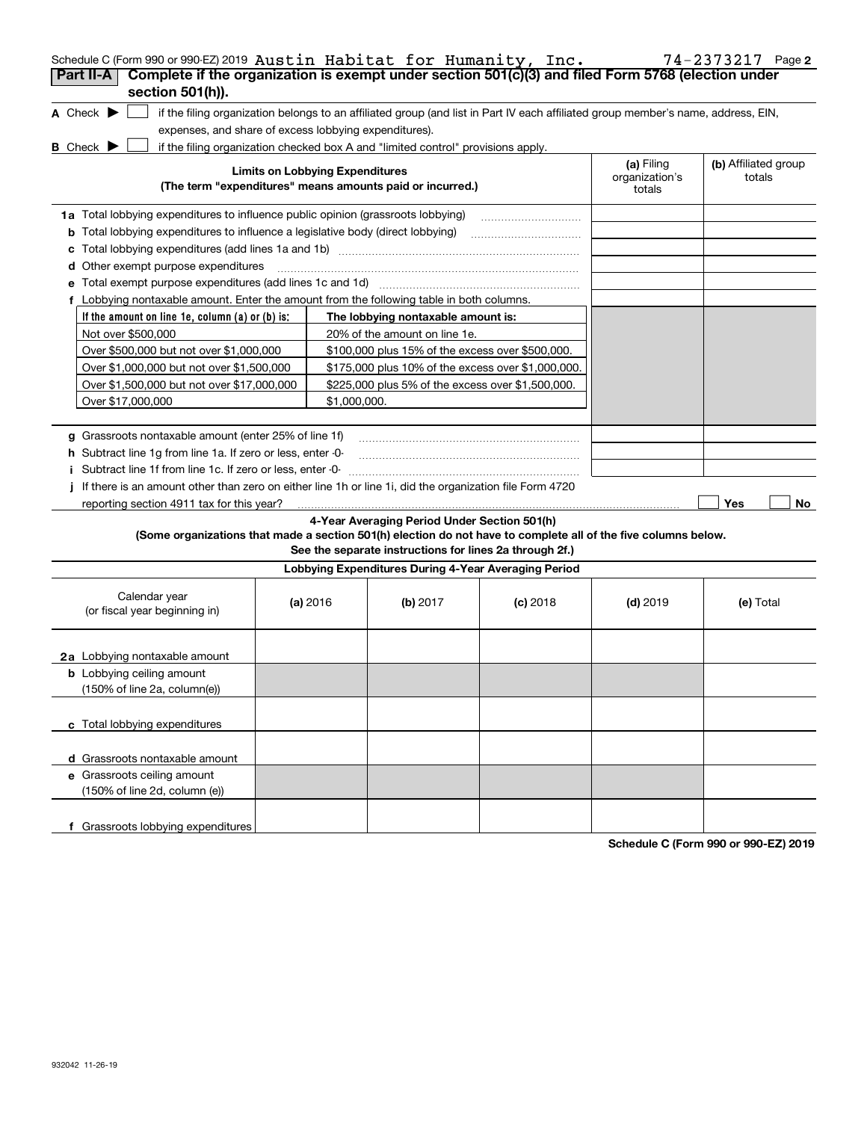| Schedule C (Form 990 or 990-EZ) 2019 Austin Habitat for Humanity, Inc.<br>Complete if the organization is exempt under section 501(c)(3) and filed Form 5768 (election under |                                        |                                                                                  |                                                                                                                                   |                                        | 74-2373217 Page 2              |
|------------------------------------------------------------------------------------------------------------------------------------------------------------------------------|----------------------------------------|----------------------------------------------------------------------------------|-----------------------------------------------------------------------------------------------------------------------------------|----------------------------------------|--------------------------------|
| Part II-A<br>section 501(h)).                                                                                                                                                |                                        |                                                                                  |                                                                                                                                   |                                        |                                |
| A Check $\blacktriangleright$<br>expenses, and share of excess lobbying expenditures).                                                                                       |                                        |                                                                                  | if the filing organization belongs to an affiliated group (and list in Part IV each affiliated group member's name, address, EIN, |                                        |                                |
| <b>B</b> Check $\blacktriangleright$                                                                                                                                         |                                        | if the filing organization checked box A and "limited control" provisions apply. |                                                                                                                                   |                                        |                                |
|                                                                                                                                                                              | <b>Limits on Lobbying Expenditures</b> | (The term "expenditures" means amounts paid or incurred.)                        |                                                                                                                                   | (a) Filing<br>organization's<br>totals | (b) Affiliated group<br>totals |
| 1a Total lobbying expenditures to influence public opinion (grassroots lobbying)                                                                                             |                                        |                                                                                  |                                                                                                                                   |                                        |                                |
| <b>b</b> Total lobbying expenditures to influence a legislative body (direct lobbying)                                                                                       |                                        |                                                                                  |                                                                                                                                   |                                        |                                |
|                                                                                                                                                                              |                                        |                                                                                  |                                                                                                                                   |                                        |                                |
| Other exempt purpose expenditures<br>d                                                                                                                                       |                                        |                                                                                  |                                                                                                                                   |                                        |                                |
|                                                                                                                                                                              |                                        |                                                                                  |                                                                                                                                   |                                        |                                |
| f Lobbying nontaxable amount. Enter the amount from the following table in both columns.                                                                                     |                                        |                                                                                  |                                                                                                                                   |                                        |                                |
| If the amount on line 1e, column (a) or (b) is:                                                                                                                              |                                        | The lobbying nontaxable amount is:                                               |                                                                                                                                   |                                        |                                |
| Not over \$500,000                                                                                                                                                           |                                        | 20% of the amount on line 1e.                                                    |                                                                                                                                   |                                        |                                |
| Over \$500,000 but not over \$1,000,000                                                                                                                                      |                                        | \$100,000 plus 15% of the excess over \$500,000.                                 |                                                                                                                                   |                                        |                                |
| Over \$1,000,000 but not over \$1,500,000                                                                                                                                    |                                        | \$175,000 plus 10% of the excess over \$1,000,000.                               |                                                                                                                                   |                                        |                                |
| Over \$1,500,000 but not over \$17,000,000                                                                                                                                   |                                        | \$225,000 plus 5% of the excess over \$1,500,000.                                |                                                                                                                                   |                                        |                                |
| Over \$17,000,000                                                                                                                                                            | \$1,000,000.                           |                                                                                  |                                                                                                                                   |                                        |                                |
| g Grassroots nontaxable amount (enter 25% of line 1f)                                                                                                                        |                                        |                                                                                  |                                                                                                                                   |                                        |                                |
| h Subtract line 1q from line 1a. If zero or less, enter -0-                                                                                                                  |                                        |                                                                                  |                                                                                                                                   |                                        |                                |
| Subtract line 1f from line 1c. If zero or less, enter 0                                                                                                                      |                                        |                                                                                  |                                                                                                                                   |                                        |                                |
| If there is an amount other than zero on either line 1h or line 1i, did the organization file Form 4720                                                                      |                                        |                                                                                  |                                                                                                                                   |                                        |                                |
| reporting section 4911 tax for this year?                                                                                                                                    |                                        |                                                                                  |                                                                                                                                   |                                        | <b>Yes</b><br>No               |
|                                                                                                                                                                              |                                        | 4-Year Averaging Period Under Section 501(h)                                     |                                                                                                                                   |                                        |                                |
| (Some organizations that made a section 501(h) election do not have to complete all of the five columns below.                                                               |                                        | See the separate instructions for lines 2a through 2f.)                          |                                                                                                                                   |                                        |                                |
|                                                                                                                                                                              |                                        | Lobbying Expenditures During 4-Year Averaging Period                             |                                                                                                                                   |                                        |                                |
| Calendar year<br>(or fiscal year beginning in)                                                                                                                               | (a) 2016                               | (b) $2017$                                                                       | $(c)$ 2018                                                                                                                        | $(d)$ 2019                             | (e) Total                      |
| <b>2a</b> Lobbying nontaxable amount                                                                                                                                         |                                        |                                                                                  |                                                                                                                                   |                                        |                                |
| <b>b</b> Lobbying ceiling amount<br>(150% of line 2a, column(e))                                                                                                             |                                        |                                                                                  |                                                                                                                                   |                                        |                                |
| c Total lobbying expenditures                                                                                                                                                |                                        |                                                                                  |                                                                                                                                   |                                        |                                |
| d Grassroots nontaxable amount                                                                                                                                               |                                        |                                                                                  |                                                                                                                                   |                                        |                                |
| e Grassroots ceiling amount                                                                                                                                                  |                                        |                                                                                  |                                                                                                                                   |                                        |                                |
| (150% of line 2d, column (e))                                                                                                                                                |                                        |                                                                                  |                                                                                                                                   |                                        |                                |
| f Grassroots lobbying expenditures                                                                                                                                           |                                        |                                                                                  |                                                                                                                                   |                                        |                                |
|                                                                                                                                                                              |                                        |                                                                                  |                                                                                                                                   |                                        |                                |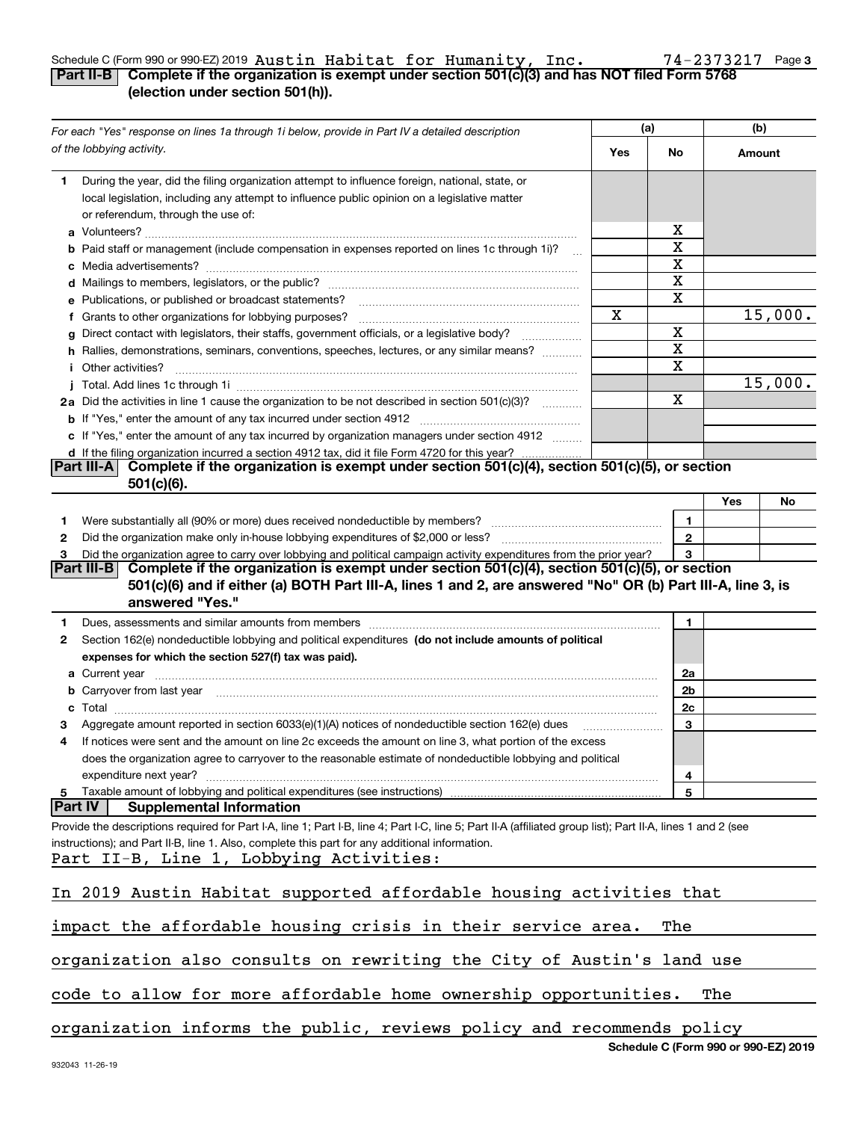### Schedule C (Form 990 or 990-EZ) 2019 <code>Austin Habitat for Humanity, Inc.</code>  $74\text{--}2373217$  Page 3 Austin Habitat for Humanity, Inc. 74-2373217

 $\top$ 

| Part II-B $\mid$ Complete if the organization is exempt under section 501(c)(3) and has NOT filed Form 5768 |  |  |
|-------------------------------------------------------------------------------------------------------------|--|--|
| (election under section 501(h)).                                                                            |  |  |

| For each "Yes" response on lines 1a through 1i below, provide in Part IV a detailed description |                                                                                                                                                                                                                                           |     | (a)          | (b)    |                                      |
|-------------------------------------------------------------------------------------------------|-------------------------------------------------------------------------------------------------------------------------------------------------------------------------------------------------------------------------------------------|-----|--------------|--------|--------------------------------------|
|                                                                                                 | of the lobbying activity.                                                                                                                                                                                                                 | Yes | No           | Amount |                                      |
| 1                                                                                               | During the year, did the filing organization attempt to influence foreign, national, state, or<br>local legislation, including any attempt to influence public opinion on a legislative matter<br>or referendum, through the use of:      |     |              |        |                                      |
|                                                                                                 |                                                                                                                                                                                                                                           |     | x            |        |                                      |
|                                                                                                 | <b>b</b> Paid staff or management (include compensation in expenses reported on lines 1c through 1i)?                                                                                                                                     |     | х            |        |                                      |
|                                                                                                 |                                                                                                                                                                                                                                           |     | X            |        |                                      |
|                                                                                                 |                                                                                                                                                                                                                                           |     | х            |        |                                      |
|                                                                                                 | e Publications, or published or broadcast statements?                                                                                                                                                                                     |     | х            |        |                                      |
|                                                                                                 | f Grants to other organizations for lobbying purposes?                                                                                                                                                                                    | Χ   |              |        | 15,000.                              |
| g                                                                                               | Direct contact with legislators, their staffs, government officials, or a legislative body?                                                                                                                                               |     | X            |        |                                      |
|                                                                                                 | h Rallies, demonstrations, seminars, conventions, speeches, lectures, or any similar means?                                                                                                                                               |     | х<br>х       |        |                                      |
|                                                                                                 | <i>i</i> Other activities?                                                                                                                                                                                                                |     |              |        | 15,000.                              |
|                                                                                                 |                                                                                                                                                                                                                                           |     | Χ            |        |                                      |
|                                                                                                 | 2a Did the activities in line 1 cause the organization to be not described in section 501(c)(3)?                                                                                                                                          |     |              |        |                                      |
|                                                                                                 |                                                                                                                                                                                                                                           |     |              |        |                                      |
|                                                                                                 | c If "Yes," enter the amount of any tax incurred by organization managers under section 4912                                                                                                                                              |     |              |        |                                      |
|                                                                                                 | d If the filing organization incurred a section 4912 tax, did it file Form 4720 for this year?<br>Complete if the organization is exempt under section 501(c)(4), section 501(c)(5), or section<br><b>Part III-A</b>                      |     |              |        |                                      |
|                                                                                                 | $501(c)(6)$ .                                                                                                                                                                                                                             |     |              |        |                                      |
|                                                                                                 |                                                                                                                                                                                                                                           |     |              | Yes    | No                                   |
| 1.                                                                                              |                                                                                                                                                                                                                                           |     | 1            |        |                                      |
| 2                                                                                               |                                                                                                                                                                                                                                           |     | $\mathbf{2}$ |        |                                      |
| З                                                                                               | Did the organization agree to carry over lobbying and political campaign activity expenditures from the prior year?                                                                                                                       |     | 3            |        |                                      |
|                                                                                                 | Part III-B <br>Complete if the organization is exempt under section 501(c)(4), section 501(c)(5), or section                                                                                                                              |     |              |        |                                      |
|                                                                                                 | 501(c)(6) and if either (a) BOTH Part III-A, lines 1 and 2, are answered "No" OR (b) Part III-A, line 3, is                                                                                                                               |     |              |        |                                      |
|                                                                                                 | answered "Yes."                                                                                                                                                                                                                           |     |              |        |                                      |
| 1.                                                                                              | Dues, assessments and similar amounts from members [11] matter contracts and similar amounts from members [11] matter contracts and similar amounts from members [11] matter contracts and similar amounts from members [11] m            |     | 1            |        |                                      |
| 2                                                                                               | Section 162(e) nondeductible lobbying and political expenditures (do not include amounts of political                                                                                                                                     |     |              |        |                                      |
|                                                                                                 | expenses for which the section 527(f) tax was paid).                                                                                                                                                                                      |     |              |        |                                      |
|                                                                                                 |                                                                                                                                                                                                                                           |     | 2a           |        |                                      |
|                                                                                                 | <b>b</b> Carryover from last year <i>maching and a content of the content of the content of the content of the content of the content of the content of the content of the content of the content of the content of the content of th</i> |     | 2b           |        |                                      |
|                                                                                                 | <b>c</b> Total                                                                                                                                                                                                                            |     | 2c           |        |                                      |
|                                                                                                 | Aggregate amount reported in section 6033(e)(1)(A) notices of nondeductible section 162(e) dues                                                                                                                                           |     | 3            |        |                                      |
| 4                                                                                               | If notices were sent and the amount on line 2c exceeds the amount on line 3, what portion of the excess                                                                                                                                   |     |              |        |                                      |
|                                                                                                 | does the organization agree to carryover to the reasonable estimate of nondeductible lobbying and political                                                                                                                               |     |              |        |                                      |
|                                                                                                 | expenditure next year?                                                                                                                                                                                                                    |     | 4            |        |                                      |
| 5                                                                                               | Taxable amount of lobbying and political expenditures (see instructions)                                                                                                                                                                  |     | 5            |        |                                      |
| <b>Part IV</b>                                                                                  | <b>Supplemental Information</b>                                                                                                                                                                                                           |     |              |        |                                      |
|                                                                                                 | Provide the descriptions required for Part I-A, line 1; Part I-B, line 4; Part I-C, line 5; Part II-A (affiliated group list); Part II-A, lines 1 and 2 (see                                                                              |     |              |        |                                      |
|                                                                                                 | instructions); and Part II-B, line 1. Also, complete this part for any additional information.<br>Part II-B, Line 1, Lobbying Activities:                                                                                                 |     |              |        |                                      |
|                                                                                                 |                                                                                                                                                                                                                                           |     |              |        |                                      |
|                                                                                                 | In 2019 Austin Habitat supported affordable housing activities that                                                                                                                                                                       |     |              |        |                                      |
|                                                                                                 | impact the affordable housing crisis in their service area.                                                                                                                                                                               |     | The          |        |                                      |
|                                                                                                 | organization also consults on rewriting the City of Austin's land use                                                                                                                                                                     |     |              |        |                                      |
|                                                                                                 | code to allow for more affordable home ownership opportunities.                                                                                                                                                                           |     |              | The    |                                      |
|                                                                                                 | organization informs the public, reviews policy and recommends policy                                                                                                                                                                     |     |              |        |                                      |
|                                                                                                 |                                                                                                                                                                                                                                           |     |              |        | Schedule C (Form 990 or 990-EZ) 2019 |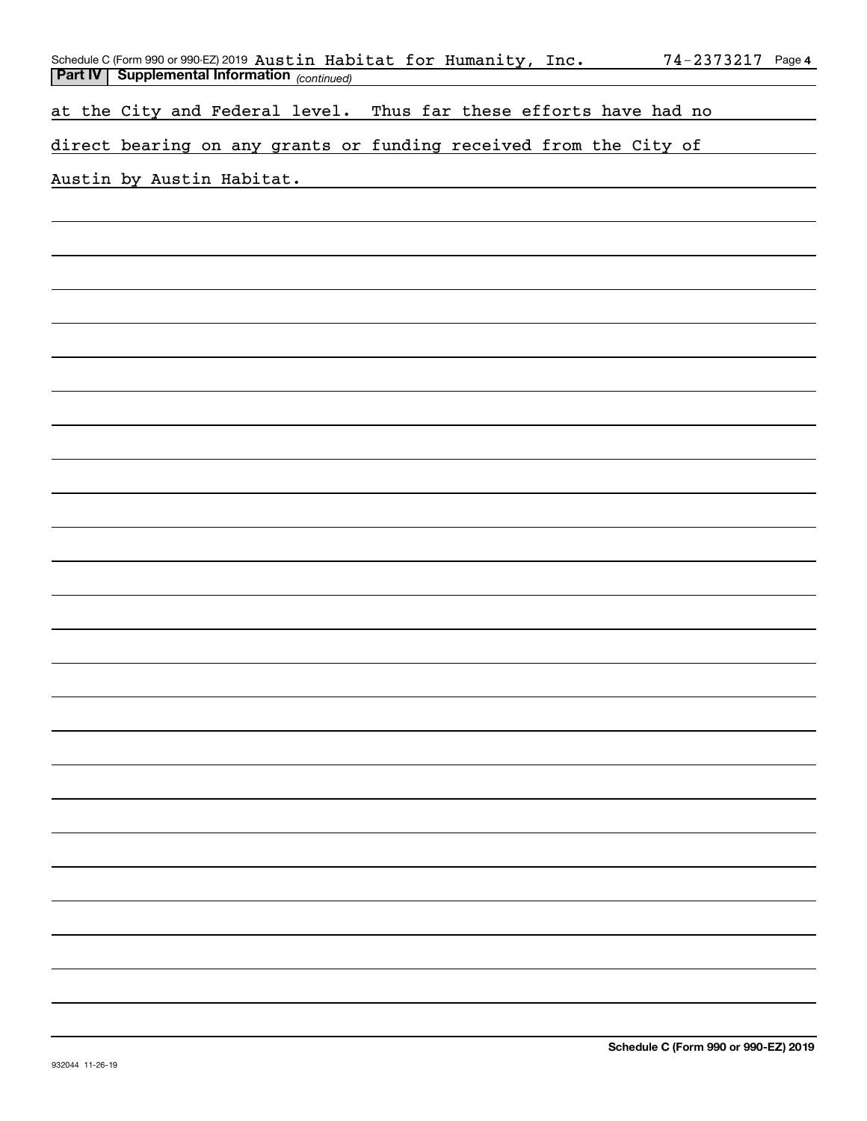| Schedule C (Form 990 or 990-EZ) 2019 Austin Habitat for Humanity, Inc.<br><b>Part IV   Supplemental Information</b> (continued) | 74-2373217 Page 4 |
|---------------------------------------------------------------------------------------------------------------------------------|-------------------|
|                                                                                                                                 |                   |
| at the City and Federal level. Thus far these efforts have had no                                                               |                   |
| direct bearing on any grants or funding received from the City of                                                               |                   |
| Austin by Austin Habitat.                                                                                                       |                   |
|                                                                                                                                 |                   |
|                                                                                                                                 |                   |
|                                                                                                                                 |                   |
|                                                                                                                                 |                   |
|                                                                                                                                 |                   |
|                                                                                                                                 |                   |
|                                                                                                                                 |                   |
|                                                                                                                                 |                   |
|                                                                                                                                 |                   |
|                                                                                                                                 |                   |
|                                                                                                                                 |                   |
|                                                                                                                                 |                   |
|                                                                                                                                 |                   |
|                                                                                                                                 |                   |
|                                                                                                                                 |                   |
|                                                                                                                                 |                   |
|                                                                                                                                 |                   |
|                                                                                                                                 |                   |
|                                                                                                                                 |                   |
|                                                                                                                                 |                   |
|                                                                                                                                 |                   |
|                                                                                                                                 |                   |
|                                                                                                                                 |                   |
|                                                                                                                                 |                   |
|                                                                                                                                 |                   |
|                                                                                                                                 |                   |
|                                                                                                                                 |                   |
|                                                                                                                                 |                   |
|                                                                                                                                 |                   |
|                                                                                                                                 |                   |
|                                                                                                                                 |                   |
|                                                                                                                                 |                   |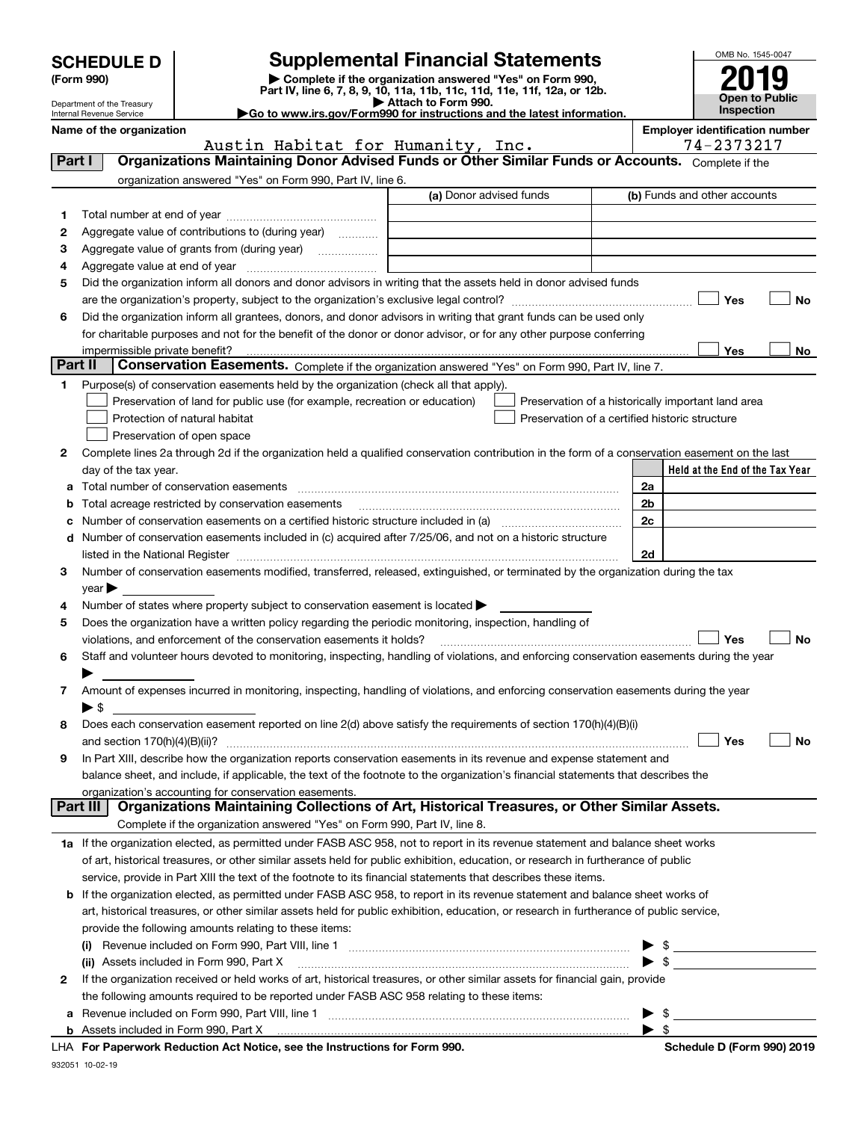| <b>SCHEDULE D</b> |  |
|-------------------|--|
|-------------------|--|

| (Form 990) |
|------------|
|            |

# **SCHEDULE D Supplemental Financial Statements**

(Form 990)<br>
Pepartment of the Treasury<br>
Department of the Treasury<br>
Department of the Treasury<br>
Department of the Treasury<br> **Co to www.irs.gov/Form990 for instructions and the latest information.**<br> **Co to www.irs.gov/Form9** 





|         | Department of the Treasury<br>Internal Revenue Service | Go to www.irs.gov/Form990 for instructions and the latest information.                                                                                                                | Attach to Form 990. |                                                |    | <b>Inspection</b>                                  | Open to Public |
|---------|--------------------------------------------------------|---------------------------------------------------------------------------------------------------------------------------------------------------------------------------------------|---------------------|------------------------------------------------|----|----------------------------------------------------|----------------|
|         | Name of the organization                               |                                                                                                                                                                                       |                     |                                                |    | <b>Employer identification number</b>              |                |
|         |                                                        | Austin Habitat for Humanity, Inc.<br>Organizations Maintaining Donor Advised Funds or Other Similar Funds or Accounts. Complete if the                                                |                     |                                                |    | 74-2373217                                         |                |
| Part I  |                                                        |                                                                                                                                                                                       |                     |                                                |    |                                                    |                |
|         |                                                        | organization answered "Yes" on Form 990, Part IV, line 6.                                                                                                                             |                     |                                                |    |                                                    |                |
|         |                                                        |                                                                                                                                                                                       |                     | (a) Donor advised funds                        |    | (b) Funds and other accounts                       |                |
| 1.      |                                                        |                                                                                                                                                                                       |                     |                                                |    |                                                    |                |
| 2       |                                                        | Aggregate value of contributions to (during year)                                                                                                                                     |                     |                                                |    |                                                    |                |
| з       |                                                        | Aggregate value of grants from (during year)                                                                                                                                          |                     |                                                |    |                                                    |                |
| 4       |                                                        |                                                                                                                                                                                       |                     |                                                |    |                                                    |                |
| 5       |                                                        | Did the organization inform all donors and donor advisors in writing that the assets held in donor advised funds                                                                      |                     |                                                |    |                                                    |                |
|         |                                                        |                                                                                                                                                                                       |                     |                                                |    | Yes                                                | No             |
| 6       |                                                        | Did the organization inform all grantees, donors, and donor advisors in writing that grant funds can be used only                                                                     |                     |                                                |    |                                                    |                |
|         |                                                        | for charitable purposes and not for the benefit of the donor or donor advisor, or for any other purpose conferring                                                                    |                     |                                                |    |                                                    |                |
| Part II | impermissible private benefit?                         |                                                                                                                                                                                       |                     |                                                |    | Yes                                                | No             |
|         |                                                        | Conservation Easements. Complete if the organization answered "Yes" on Form 990, Part IV, line 7.                                                                                     |                     |                                                |    |                                                    |                |
| 1.      |                                                        | Purpose(s) of conservation easements held by the organization (check all that apply).                                                                                                 |                     |                                                |    |                                                    |                |
|         |                                                        | Preservation of land for public use (for example, recreation or education)                                                                                                            |                     |                                                |    | Preservation of a historically important land area |                |
|         |                                                        | Protection of natural habitat                                                                                                                                                         |                     | Preservation of a certified historic structure |    |                                                    |                |
|         |                                                        | Preservation of open space                                                                                                                                                            |                     |                                                |    |                                                    |                |
| 2       |                                                        | Complete lines 2a through 2d if the organization held a qualified conservation contribution in the form of a conservation easement on the last                                        |                     |                                                |    |                                                    |                |
|         | day of the tax year.                                   |                                                                                                                                                                                       |                     |                                                |    | Held at the End of the Tax Year                    |                |
|         |                                                        | a Total number of conservation easements                                                                                                                                              |                     |                                                | 2a |                                                    |                |
| b       |                                                        | Total acreage restricted by conservation easements                                                                                                                                    |                     |                                                | 2b |                                                    |                |
| с       |                                                        |                                                                                                                                                                                       |                     |                                                | 2c |                                                    |                |
| d       |                                                        | Number of conservation easements included in (c) acquired after 7/25/06, and not on a historic structure                                                                              |                     |                                                |    |                                                    |                |
|         |                                                        |                                                                                                                                                                                       |                     |                                                | 2d |                                                    |                |
| 3       |                                                        | Number of conservation easements modified, transferred, released, extinguished, or terminated by the organization during the tax                                                      |                     |                                                |    |                                                    |                |
|         | year                                                   |                                                                                                                                                                                       |                     |                                                |    |                                                    |                |
| 4<br>5  |                                                        | Number of states where property subject to conservation easement is located<br>Does the organization have a written policy regarding the periodic monitoring, inspection, handling of |                     |                                                |    |                                                    |                |
|         |                                                        |                                                                                                                                                                                       |                     |                                                |    | Yes                                                | No             |
|         |                                                        | violations, and enforcement of the conservation easements it holds?                                                                                                                   |                     |                                                |    |                                                    |                |
| 6       |                                                        | Staff and volunteer hours devoted to monitoring, inspecting, handling of violations, and enforcing conservation easements during the year                                             |                     |                                                |    |                                                    |                |
|         |                                                        | Amount of expenses incurred in monitoring, inspecting, handling of violations, and enforcing conservation easements during the year                                                   |                     |                                                |    |                                                    |                |
| 7       | $\blacktriangleright$ \$                               |                                                                                                                                                                                       |                     |                                                |    |                                                    |                |
| 8       |                                                        | Does each conservation easement reported on line 2(d) above satisfy the requirements of section 170(h)(4)(B)(i)                                                                       |                     |                                                |    |                                                    |                |
|         | and section 170(h)(4)(B)(ii)?                          |                                                                                                                                                                                       |                     |                                                |    | Yes                                                | No             |
| 9       |                                                        | In Part XIII, describe how the organization reports conservation easements in its revenue and expense statement and                                                                   |                     |                                                |    |                                                    |                |
|         |                                                        | balance sheet, and include, if applicable, the text of the footnote to the organization's financial statements that describes the                                                     |                     |                                                |    |                                                    |                |
|         |                                                        | organization's accounting for conservation easements.                                                                                                                                 |                     |                                                |    |                                                    |                |
|         | Part III                                               | Organizations Maintaining Collections of Art, Historical Treasures, or Other Similar Assets.                                                                                          |                     |                                                |    |                                                    |                |
|         |                                                        | Complete if the organization answered "Yes" on Form 990, Part IV, line 8.                                                                                                             |                     |                                                |    |                                                    |                |
|         |                                                        | 1a If the organization elected, as permitted under FASB ASC 958, not to report in its revenue statement and balance sheet works                                                       |                     |                                                |    |                                                    |                |
|         |                                                        | of art, historical treasures, or other similar assets held for public exhibition, education, or research in furtherance of public                                                     |                     |                                                |    |                                                    |                |
|         |                                                        | service, provide in Part XIII the text of the footnote to its financial statements that describes these items.                                                                        |                     |                                                |    |                                                    |                |
| b       |                                                        | If the organization elected, as permitted under FASB ASC 958, to report in its revenue statement and balance sheet works of                                                           |                     |                                                |    |                                                    |                |
|         |                                                        | art, historical treasures, or other similar assets held for public exhibition, education, or research in furtherance of public service,                                               |                     |                                                |    |                                                    |                |
|         |                                                        | provide the following amounts relating to these items:                                                                                                                                |                     |                                                |    |                                                    |                |
|         | $\mathbf{u}$                                           |                                                                                                                                                                                       |                     |                                                | \$ |                                                    |                |
|         |                                                        | (ii) Assets included in Form 990, Part X                                                                                                                                              |                     |                                                | \$ |                                                    |                |
| 2       |                                                        | If the organization received or held works of art, historical treasures, or other similar assets for financial gain, provide                                                          |                     |                                                |    |                                                    |                |
|         |                                                        | the following amounts required to be reported under FASB ASC 958 relating to these items:                                                                                             |                     |                                                |    |                                                    |                |

| <b>b</b> Assets included in Form 990. Part X |                                                                            |
|----------------------------------------------|----------------------------------------------------------------------------|
|                                              | LHA For Paperwork Reduction Act Notice, see the Instructions for Form 990. |

**a**Revenue included on Form 990, Part VIII, line 1 ~~~~~~~~~~~~~~~~~~~~~~~~~~~~~~

 $\blacktriangleright$  \$

 $\blacktriangleright$  \$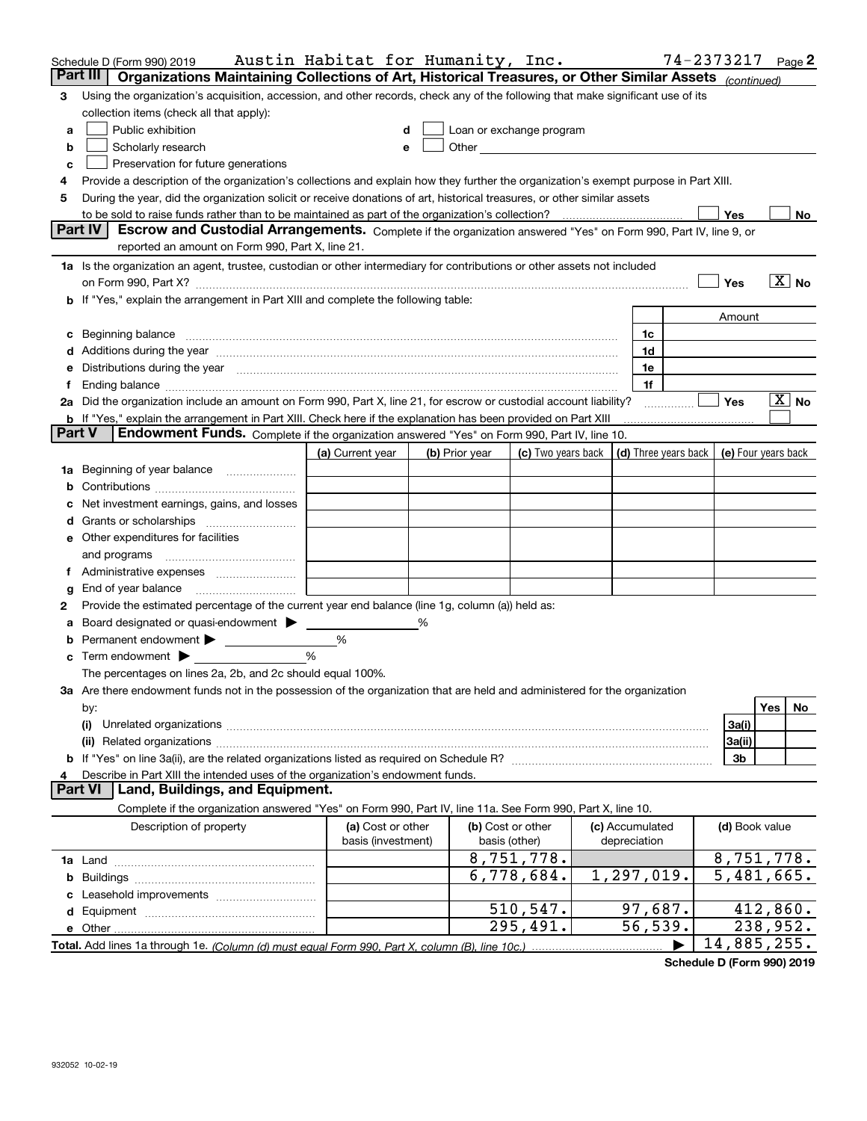|          | Schedule D (Form 990) 2019                                                                                                                                                                                                     | Austin Habitat for Humanity, Inc. |   |                                    |                    |                                 | 74-2373217           |                          |          | Page 2 |
|----------|--------------------------------------------------------------------------------------------------------------------------------------------------------------------------------------------------------------------------------|-----------------------------------|---|------------------------------------|--------------------|---------------------------------|----------------------|--------------------------|----------|--------|
| Part III | Organizations Maintaining Collections of Art, Historical Treasures, or Other Similar Assets (continued)                                                                                                                        |                                   |   |                                    |                    |                                 |                      |                          |          |        |
| З        | Using the organization's acquisition, accession, and other records, check any of the following that make significant use of its                                                                                                |                                   |   |                                    |                    |                                 |                      |                          |          |        |
|          | collection items (check all that apply):                                                                                                                                                                                       |                                   |   |                                    |                    |                                 |                      |                          |          |        |
| a        | Public exhibition                                                                                                                                                                                                              |                                   | d | Loan or exchange program           |                    |                                 |                      |                          |          |        |
| b        | Scholarly research                                                                                                                                                                                                             |                                   | е |                                    |                    |                                 |                      |                          |          |        |
| c        | Preservation for future generations                                                                                                                                                                                            |                                   |   |                                    |                    |                                 |                      |                          |          |        |
| 4        | Provide a description of the organization's collections and explain how they further the organization's exempt purpose in Part XIII.                                                                                           |                                   |   |                                    |                    |                                 |                      |                          |          |        |
| 5        | During the year, did the organization solicit or receive donations of art, historical treasures, or other similar assets                                                                                                       |                                   |   |                                    |                    |                                 |                      |                          |          |        |
|          | to be sold to raise funds rather than to be maintained as part of the organization's collection?                                                                                                                               |                                   |   |                                    |                    |                                 |                      | Yes                      |          | No     |
| Part IV  | Escrow and Custodial Arrangements. Complete if the organization answered "Yes" on Form 990, Part IV, line 9, or                                                                                                                |                                   |   |                                    |                    |                                 |                      |                          |          |        |
|          | reported an amount on Form 990, Part X, line 21.                                                                                                                                                                               |                                   |   |                                    |                    |                                 |                      |                          |          |        |
|          | 1a Is the organization an agent, trustee, custodian or other intermediary for contributions or other assets not included                                                                                                       |                                   |   |                                    |                    |                                 |                      |                          |          |        |
|          | on Form 990, Part X? [11] matter continuum matter contract to the state of the state of the state of the state of the state of the state of the state of the state of the state of the state of the state of the state of the  |                                   |   |                                    |                    |                                 |                      | Yes                      |          | $X$ No |
|          | b If "Yes," explain the arrangement in Part XIII and complete the following table:                                                                                                                                             |                                   |   |                                    |                    |                                 |                      |                          |          |        |
|          |                                                                                                                                                                                                                                |                                   |   |                                    |                    |                                 |                      | Amount                   |          |        |
|          | c Beginning balance measurements and the contract of the contract of the contract of the contract of the contract of the contract of the contract of the contract of the contract of the contract of the contract of the contr |                                   |   |                                    |                    | 1c                              |                      |                          |          |        |
|          |                                                                                                                                                                                                                                |                                   |   |                                    |                    | 1d                              |                      |                          |          |        |
|          | Distributions during the year manufactured and continuum and the year manufactured and the year manufactured and the year manufactured and the year manufactured and the year manufactured and the year manufactured and the y |                                   |   |                                    |                    | 1e                              |                      |                          |          |        |
|          |                                                                                                                                                                                                                                |                                   |   |                                    |                    | 1f                              |                      |                          |          |        |
|          | 2a Did the organization include an amount on Form 990, Part X, line 21, for escrow or custodial account liability?                                                                                                             |                                   |   |                                    |                    |                                 |                      | Yes                      |          | ∣X∣No  |
|          | <b>b</b> If "Yes," explain the arrangement in Part XIII. Check here if the explanation has been provided on Part XIII                                                                                                          |                                   |   |                                    |                    |                                 |                      |                          |          |        |
| Part V   | Endowment Funds. Complete if the organization answered "Yes" on Form 990, Part IV, line 10.                                                                                                                                    |                                   |   |                                    |                    |                                 |                      |                          |          |        |
|          |                                                                                                                                                                                                                                | (a) Current year                  |   | (b) Prior year                     | (c) Two years back |                                 | (d) Three years back | (e) Four years back      |          |        |
| 1a       | Beginning of year balance                                                                                                                                                                                                      |                                   |   |                                    |                    |                                 |                      |                          |          |        |
| b        |                                                                                                                                                                                                                                |                                   |   |                                    |                    |                                 |                      |                          |          |        |
|          | Net investment earnings, gains, and losses                                                                                                                                                                                     |                                   |   |                                    |                    |                                 |                      |                          |          |        |
|          |                                                                                                                                                                                                                                |                                   |   |                                    |                    |                                 |                      |                          |          |        |
|          | e Other expenditures for facilities                                                                                                                                                                                            |                                   |   |                                    |                    |                                 |                      |                          |          |        |
|          | and programs                                                                                                                                                                                                                   |                                   |   |                                    |                    |                                 |                      |                          |          |        |
|          |                                                                                                                                                                                                                                |                                   |   |                                    |                    |                                 |                      |                          |          |        |
| g        | End of year balance                                                                                                                                                                                                            |                                   |   |                                    |                    |                                 |                      |                          |          |        |
| 2        | Provide the estimated percentage of the current year end balance (line 1g, column (a)) held as:                                                                                                                                |                                   |   |                                    |                    |                                 |                      |                          |          |        |
|          | Board designated or quasi-endowment >                                                                                                                                                                                          |                                   |   |                                    |                    |                                 |                      |                          |          |        |
| а        |                                                                                                                                                                                                                                | %                                 |   |                                    |                    |                                 |                      |                          |          |        |
| b        | <b>c</b> Term endowment $\blacktriangleright$                                                                                                                                                                                  | $\%$                              |   |                                    |                    |                                 |                      |                          |          |        |
|          | The percentages on lines 2a, 2b, and 2c should equal 100%.                                                                                                                                                                     |                                   |   |                                    |                    |                                 |                      |                          |          |        |
|          | 3a Are there endowment funds not in the possession of the organization that are held and administered for the organization                                                                                                     |                                   |   |                                    |                    |                                 |                      |                          |          |        |
|          |                                                                                                                                                                                                                                |                                   |   |                                    |                    |                                 |                      |                          | Yes      | No     |
|          | by:                                                                                                                                                                                                                            |                                   |   |                                    |                    |                                 |                      |                          |          |        |
|          | (i)                                                                                                                                                                                                                            |                                   |   |                                    |                    |                                 |                      | 3a(i)                    |          |        |
|          |                                                                                                                                                                                                                                |                                   |   |                                    |                    |                                 |                      | 3a(ii)                   |          |        |
|          | <b>b</b> If "Yes" on line 3a(ii), are the related organizations listed as required on Schedule R?                                                                                                                              |                                   |   |                                    |                    |                                 |                      | 3b                       |          |        |
| 4        | Describe in Part XIII the intended uses of the organization's endowment funds.<br>Land, Buildings, and Equipment.<br><b>Part VI</b>                                                                                            |                                   |   |                                    |                    |                                 |                      |                          |          |        |
|          | Complete if the organization answered "Yes" on Form 990, Part IV, line 11a. See Form 990, Part X, line 10.                                                                                                                     |                                   |   |                                    |                    |                                 |                      |                          |          |        |
|          | Description of property                                                                                                                                                                                                        | (a) Cost or other                 |   |                                    |                    |                                 |                      | (d) Book value           |          |        |
|          |                                                                                                                                                                                                                                | basis (investment)                |   | (b) Cost or other<br>basis (other) |                    | (c) Accumulated<br>depreciation |                      |                          |          |        |
|          |                                                                                                                                                                                                                                |                                   |   |                                    | 8,751,778.         |                                 |                      | 8,751,778.               |          |        |
|          |                                                                                                                                                                                                                                |                                   |   |                                    | 6.778,684.         |                                 |                      | $\overline{5,481,665}$ . |          |        |
|          |                                                                                                                                                                                                                                |                                   |   |                                    |                    | 1,297,019.                      |                      |                          |          |        |
|          |                                                                                                                                                                                                                                |                                   |   |                                    |                    |                                 |                      |                          |          |        |
|          |                                                                                                                                                                                                                                |                                   |   |                                    | 510, 547.          | <u>97,687.</u>                  |                      |                          | 412,860. |        |
|          | e Other                                                                                                                                                                                                                        |                                   |   |                                    | 295,491.           | 56, 539.                        |                      |                          | 238,952. |        |
|          |                                                                                                                                                                                                                                |                                   |   |                                    |                    |                                 |                      | 14,885,255.              |          |        |

**Schedule D (Form 990) 2019**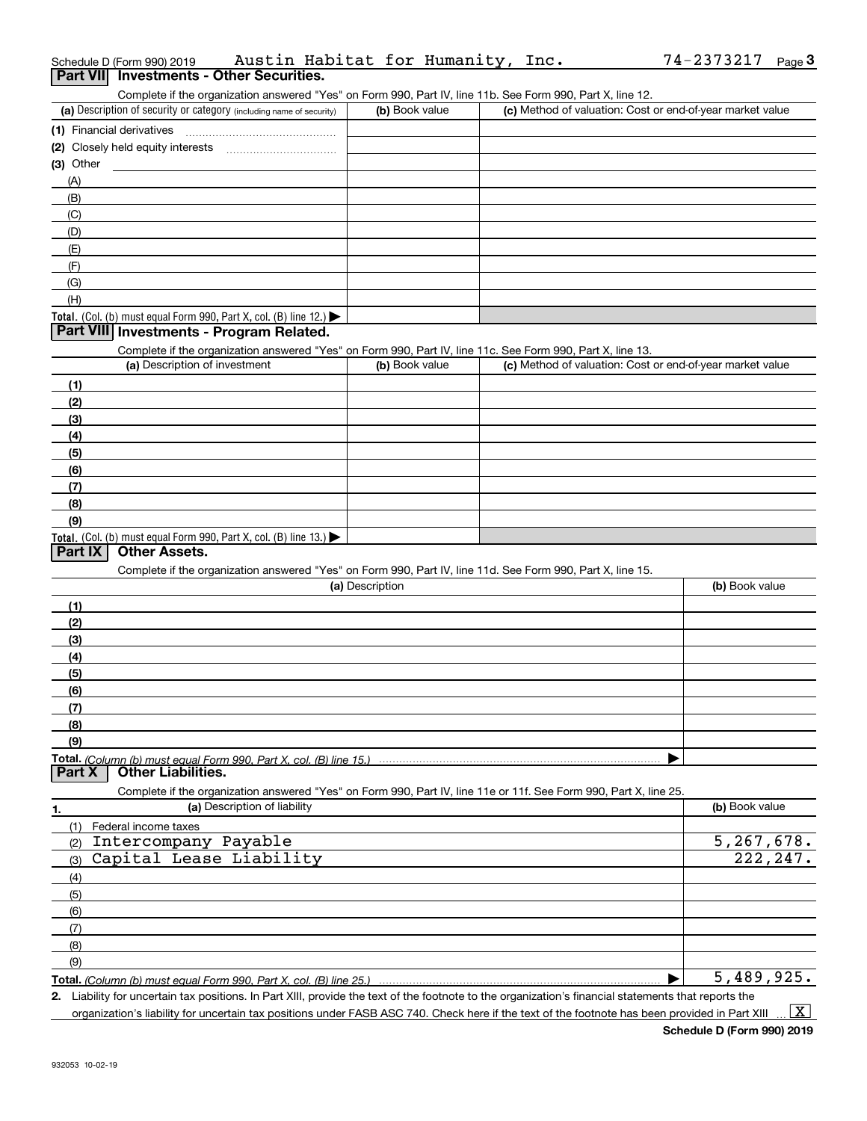|             | Schedule D (Form 990) 2019                                                                                        | Austin Habitat for Humanity, Inc. |                 |  |                                                           | 74-2373217     | Page 3    |
|-------------|-------------------------------------------------------------------------------------------------------------------|-----------------------------------|-----------------|--|-----------------------------------------------------------|----------------|-----------|
|             | Part VII Investments - Other Securities.                                                                          |                                   |                 |  |                                                           |                |           |
|             | Complete if the organization answered "Yes" on Form 990, Part IV, line 11b. See Form 990, Part X, line 12.        |                                   |                 |  |                                                           |                |           |
|             | (a) Description of security or category (including name of security)                                              |                                   | (b) Book value  |  | (c) Method of valuation: Cost or end-of-year market value |                |           |
|             | (1) Financial derivatives                                                                                         |                                   |                 |  |                                                           |                |           |
|             |                                                                                                                   |                                   |                 |  |                                                           |                |           |
| $(3)$ Other |                                                                                                                   |                                   |                 |  |                                                           |                |           |
| (A)         |                                                                                                                   |                                   |                 |  |                                                           |                |           |
| (B)         |                                                                                                                   |                                   |                 |  |                                                           |                |           |
| (C)         |                                                                                                                   |                                   |                 |  |                                                           |                |           |
| (D)         |                                                                                                                   |                                   |                 |  |                                                           |                |           |
| (E)         |                                                                                                                   |                                   |                 |  |                                                           |                |           |
| (F)         |                                                                                                                   |                                   |                 |  |                                                           |                |           |
| (G)         |                                                                                                                   |                                   |                 |  |                                                           |                |           |
| (H)         |                                                                                                                   |                                   |                 |  |                                                           |                |           |
|             | Total. (Col. (b) must equal Form 990, Part X, col. (B) line 12.) $\blacktriangleright$                            |                                   |                 |  |                                                           |                |           |
|             | Part VIII Investments - Program Related.                                                                          |                                   |                 |  |                                                           |                |           |
|             | Complete if the organization answered "Yes" on Form 990, Part IV, line 11c. See Form 990, Part X, line 13.        |                                   |                 |  |                                                           |                |           |
|             | (a) Description of investment                                                                                     |                                   | (b) Book value  |  | (c) Method of valuation: Cost or end-of-year market value |                |           |
| (1)         |                                                                                                                   |                                   |                 |  |                                                           |                |           |
| (2)         |                                                                                                                   |                                   |                 |  |                                                           |                |           |
| (3)         |                                                                                                                   |                                   |                 |  |                                                           |                |           |
| (4)         |                                                                                                                   |                                   |                 |  |                                                           |                |           |
| (5)         |                                                                                                                   |                                   |                 |  |                                                           |                |           |
| (6)         |                                                                                                                   |                                   |                 |  |                                                           |                |           |
| (7)         |                                                                                                                   |                                   |                 |  |                                                           |                |           |
| (8)         |                                                                                                                   |                                   |                 |  |                                                           |                |           |
| (9)         |                                                                                                                   |                                   |                 |  |                                                           |                |           |
|             | Total. (Col. (b) must equal Form 990, Part X, col. (B) line 13.)                                                  |                                   |                 |  |                                                           |                |           |
| Part IX     | <b>Other Assets.</b>                                                                                              |                                   |                 |  |                                                           |                |           |
|             | Complete if the organization answered "Yes" on Form 990, Part IV, line 11d. See Form 990, Part X, line 15.        |                                   |                 |  |                                                           |                |           |
|             |                                                                                                                   |                                   | (a) Description |  |                                                           | (b) Book value |           |
| (1)         |                                                                                                                   |                                   |                 |  |                                                           |                |           |
| (2)         |                                                                                                                   |                                   |                 |  |                                                           |                |           |
| (3)         |                                                                                                                   |                                   |                 |  |                                                           |                |           |
| (4)         |                                                                                                                   |                                   |                 |  |                                                           |                |           |
| (5)         |                                                                                                                   |                                   |                 |  |                                                           |                |           |
| (6)         |                                                                                                                   |                                   |                 |  |                                                           |                |           |
| (7)         |                                                                                                                   |                                   |                 |  |                                                           |                |           |
| (8)         |                                                                                                                   |                                   |                 |  |                                                           |                |           |
| (9)         |                                                                                                                   |                                   |                 |  |                                                           |                |           |
|             |                                                                                                                   |                                   |                 |  |                                                           |                |           |
| Part X      | Total. (Column (b) must equal Form 990. Part X, col. (B) line 15.)<br><b>Other Liabilities.</b>                   |                                   |                 |  |                                                           |                |           |
|             | Complete if the organization answered "Yes" on Form 990, Part IV, line 11e or 11f. See Form 990, Part X, line 25. |                                   |                 |  |                                                           |                |           |
|             |                                                                                                                   | (a) Description of liability      |                 |  |                                                           | (b) Book value |           |
| 1.          |                                                                                                                   |                                   |                 |  |                                                           |                |           |
| (1)<br>(2)  | Federal income taxes<br>Intercompany Payable                                                                      |                                   |                 |  |                                                           | 5,267,678.     |           |
|             | Capital Lease Liability                                                                                           |                                   |                 |  |                                                           |                | 222, 247. |
| (3)         |                                                                                                                   |                                   |                 |  |                                                           |                |           |
| (4)         |                                                                                                                   |                                   |                 |  |                                                           |                |           |
| (5)         |                                                                                                                   |                                   |                 |  |                                                           |                |           |
| (6)         |                                                                                                                   |                                   |                 |  |                                                           |                |           |
| (7)         |                                                                                                                   |                                   |                 |  |                                                           |                |           |
| (8)         |                                                                                                                   |                                   |                 |  |                                                           |                |           |
| (9)         |                                                                                                                   |                                   |                 |  |                                                           |                |           |
|             | Total. (Column (b) must equal Form 990, Part X, col. (B) line 25.)                                                |                                   |                 |  |                                                           | 5,489,925.     |           |

**2.** Liability for uncertain tax positions. In Part XIII, provide the text of the footnote to the organization's financial statements that reports the organization's liability for uncertain tax positions under FASB ASC 740. Check here if the text of the footnote has been provided in Part XIII  $\vert$  X  $\vert$ 

74-2373217 Page 3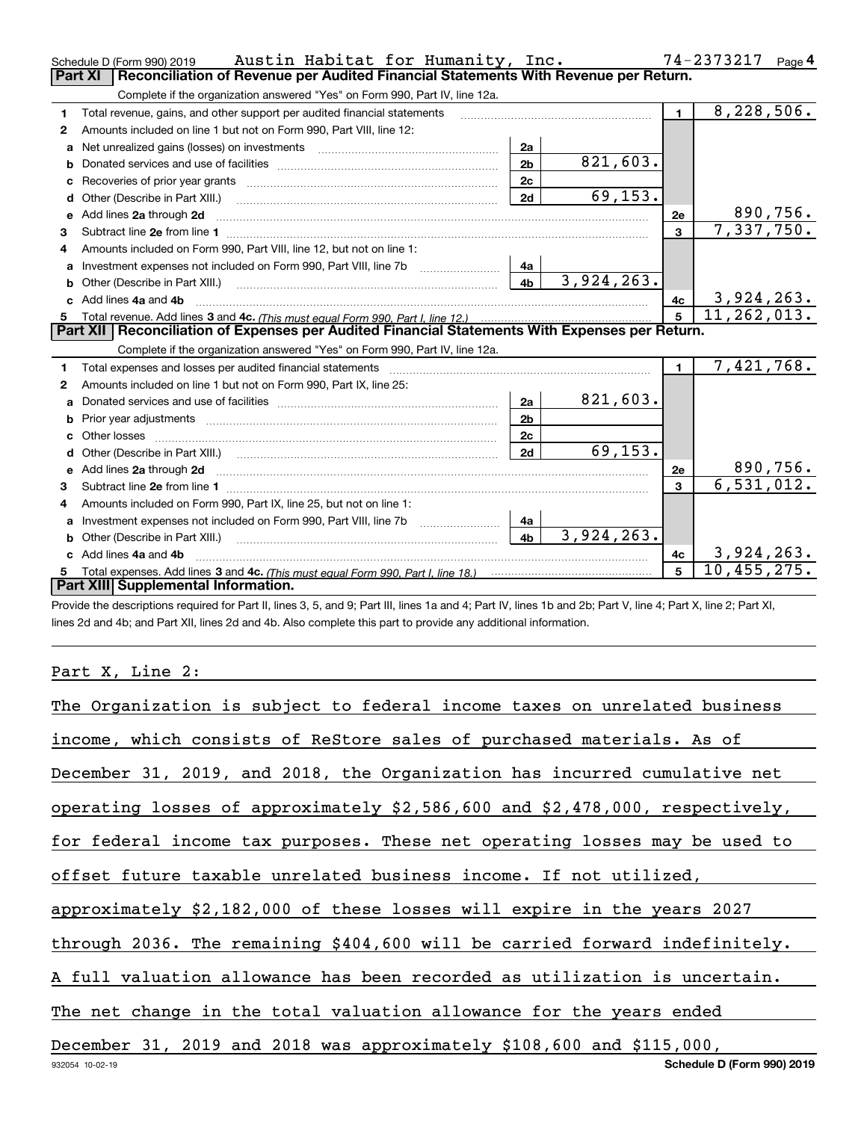|              | Austin Habitat for Humanity, Inc.<br>Schedule D (Form 990) 2019                                                         |                | 74-2373217<br>Page $4$ |                |                 |  |  |  |  |  |
|--------------|-------------------------------------------------------------------------------------------------------------------------|----------------|------------------------|----------------|-----------------|--|--|--|--|--|
|              | Reconciliation of Revenue per Audited Financial Statements With Revenue per Return.<br><b>Part XI</b>                   |                |                        |                |                 |  |  |  |  |  |
|              | Complete if the organization answered "Yes" on Form 990, Part IV, line 12a.                                             |                |                        |                |                 |  |  |  |  |  |
| 1            | Total revenue, gains, and other support per audited financial statements                                                |                |                        | $\mathbf{1}$   | 8,228,506.      |  |  |  |  |  |
| $\mathbf{2}$ | Amounts included on line 1 but not on Form 990, Part VIII, line 12:                                                     |                |                        |                |                 |  |  |  |  |  |
| a            | Net unrealized gains (losses) on investments                                                                            | 2a             |                        |                |                 |  |  |  |  |  |
| b            |                                                                                                                         | 2 <sub>b</sub> | 821,603.               |                |                 |  |  |  |  |  |
| c            |                                                                                                                         | 2c             |                        |                |                 |  |  |  |  |  |
| d            | Other (Describe in Part XIII.)                                                                                          | 2d             | 69, 153.               |                |                 |  |  |  |  |  |
| е            | Add lines 2a through 2d                                                                                                 |                |                        | 2e             | 890,756.        |  |  |  |  |  |
| з            | Subtract line 2e from line 1 <b>Manual Community and Community</b> Subtract line 2e from line 1                         |                |                        | $\mathbf{3}$   | 7,337,750.      |  |  |  |  |  |
| 4            | Amounts included on Form 990, Part VIII, line 12, but not on line 1:                                                    |                |                        |                |                 |  |  |  |  |  |
| a            | Investment expenses not included on Form 990, Part VIII, line 7b                                                        | 4a             |                        |                |                 |  |  |  |  |  |
| b            | Other (Describe in Part XIII.)                                                                                          | 4 <sub>b</sub> | 3,924,263.             |                |                 |  |  |  |  |  |
| c            | Add lines 4a and 4b                                                                                                     |                |                        | 4c             | 3,924,263.      |  |  |  |  |  |
|              |                                                                                                                         | 5              | 11,262,013.            |                |                 |  |  |  |  |  |
|              | Reconciliation of Expenses per Audited Financial Statements With Expenses per Return.<br>Part XII I                     |                |                        |                |                 |  |  |  |  |  |
|              | Complete if the organization answered "Yes" on Form 990, Part IV, line 12a.                                             |                |                        |                |                 |  |  |  |  |  |
| 1            | Total expenses and losses per audited financial statements                                                              |                |                        | $\blacksquare$ | 7,421,768.      |  |  |  |  |  |
| 2            | Amounts included on line 1 but not on Form 990, Part IX, line 25:                                                       |                |                        |                |                 |  |  |  |  |  |
| a            |                                                                                                                         | 2a             | 821,603.               |                |                 |  |  |  |  |  |
|              | Prior year adjustments <i>www.www.www.www.www.www.www.www.www.</i> ww.                                                  | 2 <sub>b</sub> |                        |                |                 |  |  |  |  |  |
|              | Other losses                                                                                                            | 2c             |                        |                |                 |  |  |  |  |  |
|              |                                                                                                                         | 2d             | 69, 153.               |                |                 |  |  |  |  |  |
| e            | Add lines 2a through 2d <b>contract and a contract and a contract a</b> contract a contract and a contract a contract a |                |                        | 2e             | <u>890,756.</u> |  |  |  |  |  |
| З.           |                                                                                                                         |                |                        | 3              | 6, 531, 012.    |  |  |  |  |  |
| 4            | Amounts included on Form 990, Part IX, line 25, but not on line 1:                                                      |                |                        |                |                 |  |  |  |  |  |
| a            | Investment expenses not included on Form 990, Part VIII, line 7b                                                        | 4a             |                        |                |                 |  |  |  |  |  |
|              | Other (Describe in Part XIII.)                                                                                          | 4 <sub>h</sub> | 3,924,263.             |                |                 |  |  |  |  |  |
|              | Add lines 4a and 4b                                                                                                     |                |                        | 4c             | 3,924,263.      |  |  |  |  |  |
| 5            |                                                                                                                         |                |                        | 5              | 10,455,275.     |  |  |  |  |  |
|              | Part XIII Supplemental Information.                                                                                     |                |                        |                |                 |  |  |  |  |  |

Provide the descriptions required for Part II, lines 3, 5, and 9; Part III, lines 1a and 4; Part IV, lines 1b and 2b; Part V, line 4; Part X, line 2; Part XI, lines 2d and 4b; and Part XII, lines 2d and 4b. Also complete this part to provide any additional information.

# Part X, Line 2:

| The Organization is subject to federal income taxes on unrelated business    |
|------------------------------------------------------------------------------|
| income, which consists of ReStore sales of purchased materials. As of        |
| December 31, 2019, and 2018, the Organization has incurred cumulative net    |
| operating losses of approximately \$2,586,600 and \$2,478,000, respectively, |
| for federal income tax purposes. These net operating losses may be used to   |
| offset future taxable unrelated business income. If not utilized,            |
| approximately \$2,182,000 of these losses will expire in the years 2027      |
| through 2036. The remaining \$404,600 will be carried forward indefinitely.  |
| A full valuation allowance has been recorded as utilization is uncertain.    |
| The net change in the total valuation allowance for the years ended          |
| December 31, 2019 and 2018 was approximately \$108,600 and \$115,000,        |
| Schedule D (Form 990) 2019<br>932054 10-02-19                                |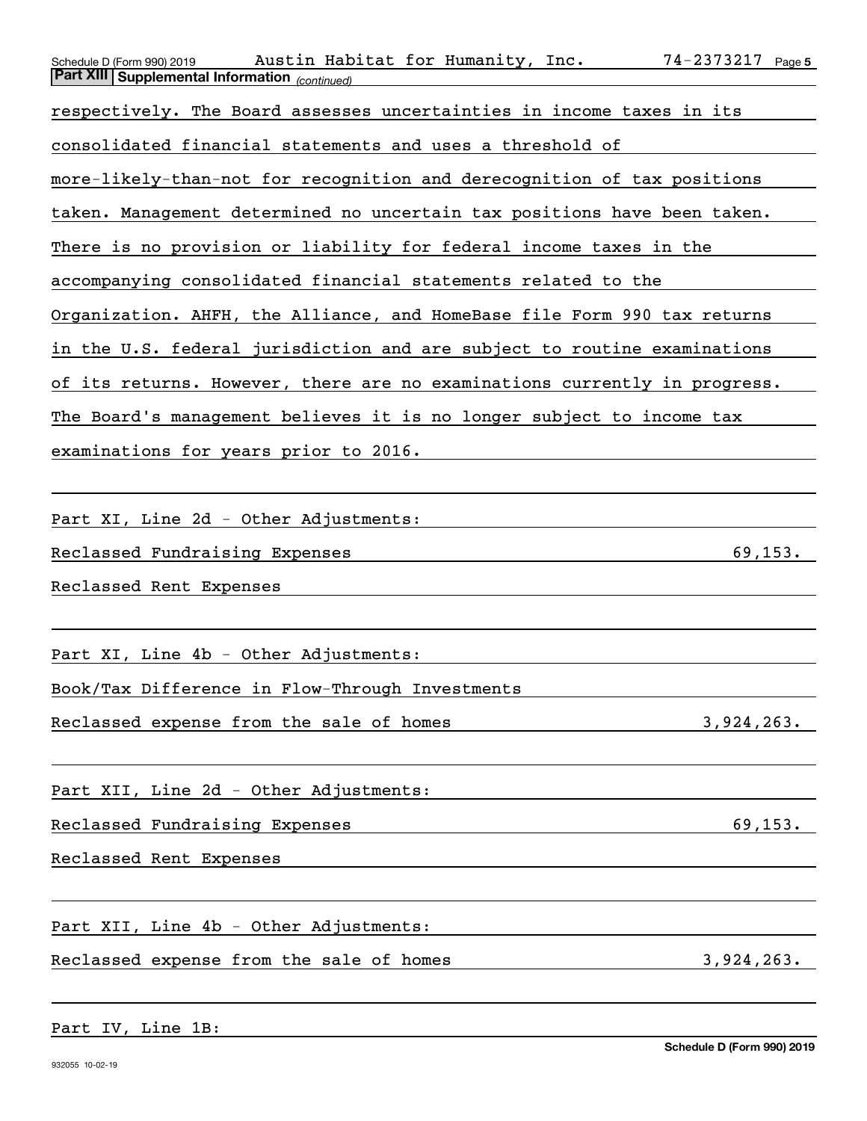| Austin Habitat for Humanity, Inc.<br>$74 - 2373217$ Page 5<br>Schedule D (Form 990) 2019<br>Part XIII Supplemental Information (continued) |
|--------------------------------------------------------------------------------------------------------------------------------------------|
|                                                                                                                                            |
| respectively. The Board assesses uncertainties in income taxes in its                                                                      |
| consolidated financial statements and uses a threshold of                                                                                  |
| more-likely-than-not for recognition and derecognition of tax positions                                                                    |
| taken. Management determined no uncertain tax positions have been taken.                                                                   |
| There is no provision or liability for federal income taxes in the                                                                         |
| accompanying consolidated financial statements related to the                                                                              |
| Organization. AHFH, the Alliance, and HomeBase file Form 990 tax returns                                                                   |
| in the U.S. federal jurisdiction and are subject to routine examinations                                                                   |
| of its returns. However, there are no examinations currently in progress.                                                                  |
| The Board's management believes it is no longer subject to income tax                                                                      |
| examinations for years prior to 2016.                                                                                                      |
|                                                                                                                                            |
| Part XI, Line 2d - Other Adjustments:                                                                                                      |
| 69, 153.<br>Reclassed Fundraising Expenses                                                                                                 |
| Reclassed Rent Expenses                                                                                                                    |
|                                                                                                                                            |
| Part XI, Line 4b - Other Adjustments:                                                                                                      |
| Book/Tax Difference in Flow-Through Investments                                                                                            |
| Reclassed expense from the sale of homes<br>3,924,263.                                                                                     |
|                                                                                                                                            |
| Part XII, Line 2d - Other Adjustments:                                                                                                     |
| 69, 153.<br>Reclassed Fundraising Expenses                                                                                                 |
| Reclassed Rent Expenses                                                                                                                    |
|                                                                                                                                            |
| Part XII, Line 4b - Other Adjustments:                                                                                                     |
| Reclassed expense from the sale of homes<br>3,924,263.                                                                                     |
|                                                                                                                                            |
|                                                                                                                                            |

Part IV, Line 1B: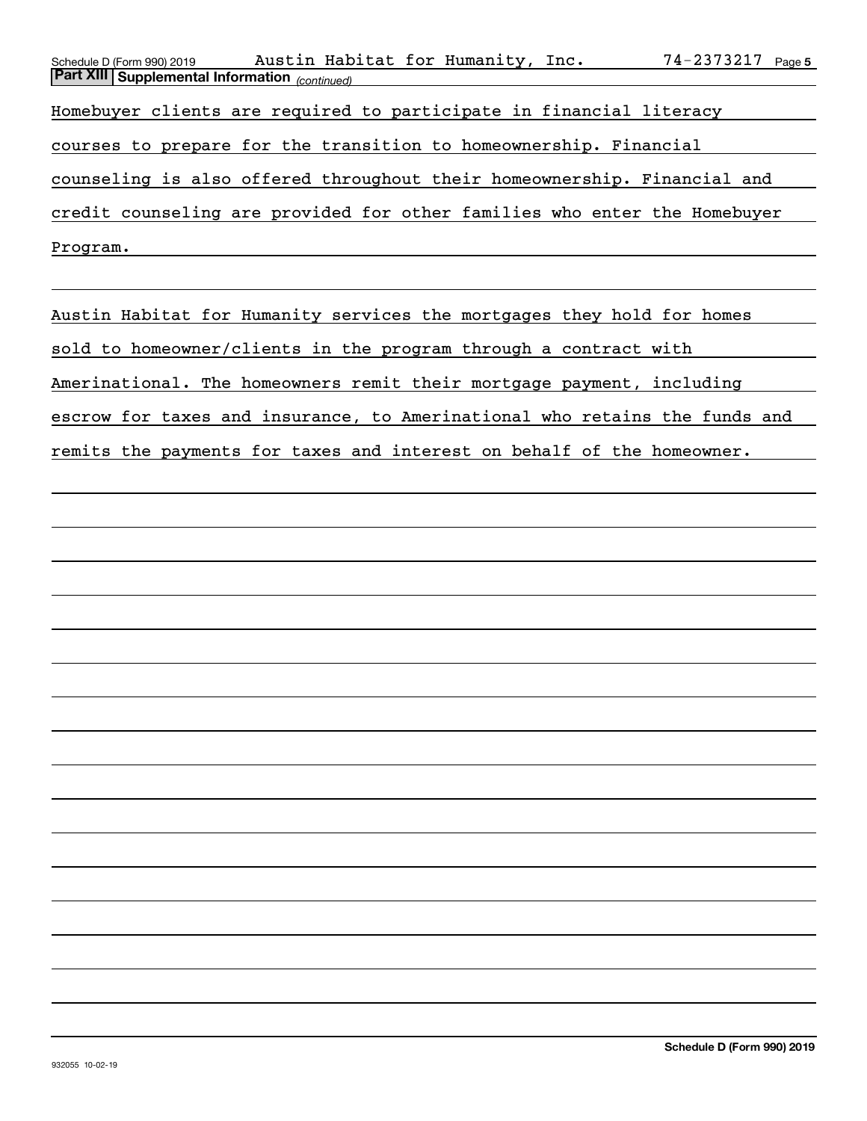| Austin Habitat for Humanity, Inc.<br>Schedule D (Form 990) 2019           | $74 - 2373217$ Page 5 |
|---------------------------------------------------------------------------|-----------------------|
| Part XIII Supplemental Information (continued)                            |                       |
| Homebuyer clients are required to participate in financial literacy       |                       |
| courses to prepare for the transition to homeownership. Financial         |                       |
| counseling is also offered throughout their homeownership. Financial and  |                       |
| credit counseling are provided for other families who enter the Homebuyer |                       |
| Program.                                                                  |                       |

Austin Habitat for Humanity services the mortgages they hold for homes sold to homeowner/clients in the program through a contract with Amerinational. The homeowners remit their mortgage payment, including escrow for taxes and insurance, to Amerinational who retains the funds and remits the payments for taxes and interest on behalf of the homeowner.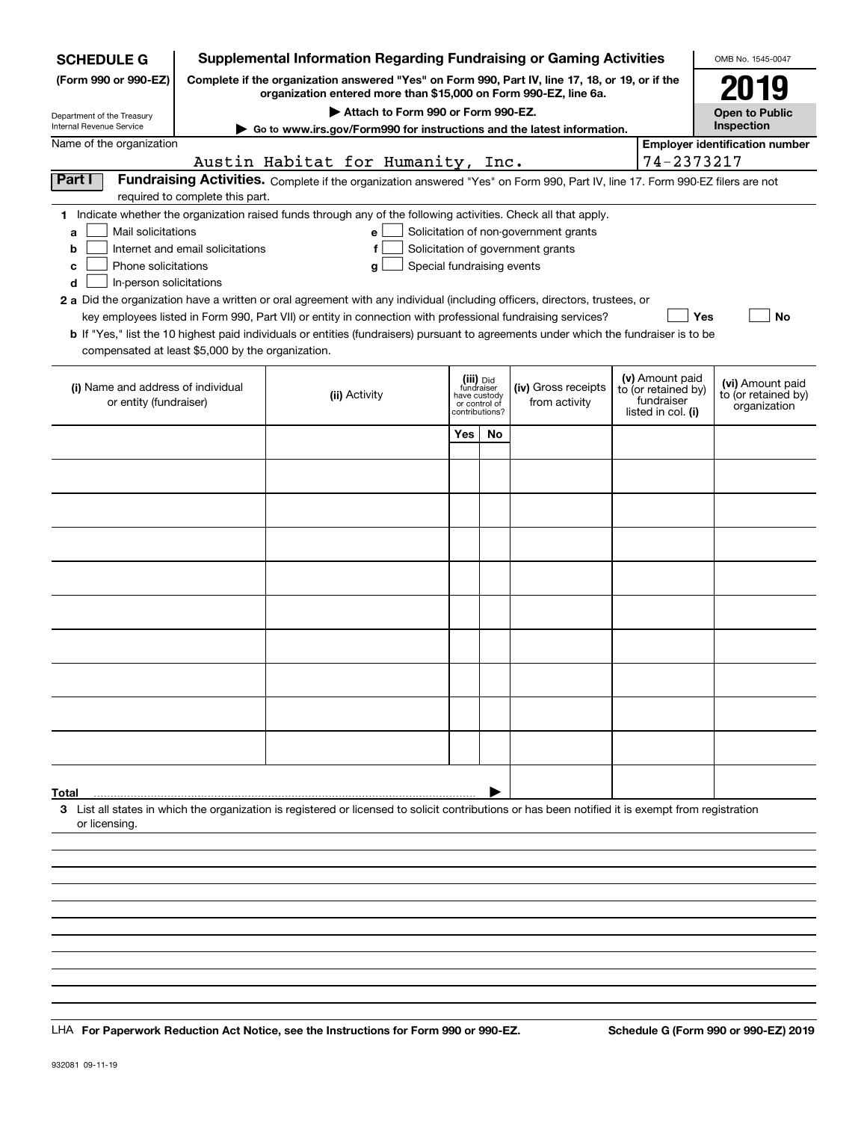| <b>SCHEDULE G</b>                                            |                                  | <b>Supplemental Information Regarding Fundraising or Gaming Activities</b>                                                                                                                                                                           |                            |                                                                            |                                                                            |                                                                            | OMB No. 1545-0047                                       |
|--------------------------------------------------------------|----------------------------------|------------------------------------------------------------------------------------------------------------------------------------------------------------------------------------------------------------------------------------------------------|----------------------------|----------------------------------------------------------------------------|----------------------------------------------------------------------------|----------------------------------------------------------------------------|---------------------------------------------------------|
| (Form 990 or 990-EZ)                                         |                                  | Complete if the organization answered "Yes" on Form 990, Part IV, line 17, 18, or 19, or if the<br>organization entered more than \$15,000 on Form 990-EZ, line 6a.                                                                                  |                            |                                                                            |                                                                            |                                                                            | 2019                                                    |
| Department of the Treasury                                   |                                  | Attach to Form 990 or Form 990-EZ.                                                                                                                                                                                                                   |                            |                                                                            |                                                                            |                                                                            | <b>Open to Public</b><br>Inspection                     |
| Internal Revenue Service<br>Name of the organization         |                                  | Go to www.irs.gov/Form990 for instructions and the latest information.                                                                                                                                                                               |                            |                                                                            |                                                                            |                                                                            | <b>Employer identification number</b>                   |
|                                                              |                                  | Austin Habitat for Humanity, Inc.                                                                                                                                                                                                                    |                            |                                                                            |                                                                            | 74-2373217                                                                 |                                                         |
| Part I                                                       |                                  | Fundraising Activities. Complete if the organization answered "Yes" on Form 990, Part IV, line 17. Form 990-EZ filers are not                                                                                                                        |                            |                                                                            |                                                                            |                                                                            |                                                         |
|                                                              | required to complete this part.  |                                                                                                                                                                                                                                                      |                            |                                                                            |                                                                            |                                                                            |                                                         |
| Mail solicitations<br>a<br>b                                 | Internet and email solicitations | 1 Indicate whether the organization raised funds through any of the following activities. Check all that apply.<br>e<br>f                                                                                                                            |                            |                                                                            | Solicitation of non-government grants<br>Solicitation of government grants |                                                                            |                                                         |
| Phone solicitations<br>с<br>In-person solicitations<br>d     |                                  | $\mathbf{q}$                                                                                                                                                                                                                                         | Special fundraising events |                                                                            |                                                                            |                                                                            |                                                         |
|                                                              |                                  | 2 a Did the organization have a written or oral agreement with any individual (including officers, directors, trustees, or                                                                                                                           |                            |                                                                            |                                                                            |                                                                            |                                                         |
| compensated at least \$5,000 by the organization.            |                                  | key employees listed in Form 990, Part VII) or entity in connection with professional fundraising services?<br>b If "Yes," list the 10 highest paid individuals or entities (fundraisers) pursuant to agreements under which the fundraiser is to be |                            |                                                                            |                                                                            | Yes                                                                        | No                                                      |
| (i) Name and address of individual<br>or entity (fundraiser) |                                  | (ii) Activity                                                                                                                                                                                                                                        |                            | (iii) Did<br>fundraiser<br>have custody<br>or control of<br>contributions? | (iv) Gross receipts<br>from activity                                       | (v) Amount paid<br>to (or retained by)<br>fundraiser<br>listed in col. (i) | (vi) Amount paid<br>to (or retained by)<br>organization |
|                                                              |                                  |                                                                                                                                                                                                                                                      | Yes                        | No                                                                         |                                                                            |                                                                            |                                                         |
|                                                              |                                  |                                                                                                                                                                                                                                                      |                            |                                                                            |                                                                            |                                                                            |                                                         |
|                                                              |                                  |                                                                                                                                                                                                                                                      |                            |                                                                            |                                                                            |                                                                            |                                                         |
|                                                              |                                  |                                                                                                                                                                                                                                                      |                            |                                                                            |                                                                            |                                                                            |                                                         |
|                                                              |                                  |                                                                                                                                                                                                                                                      |                            |                                                                            |                                                                            |                                                                            |                                                         |
|                                                              |                                  |                                                                                                                                                                                                                                                      |                            |                                                                            |                                                                            |                                                                            |                                                         |
|                                                              |                                  |                                                                                                                                                                                                                                                      |                            |                                                                            |                                                                            |                                                                            |                                                         |
|                                                              |                                  |                                                                                                                                                                                                                                                      |                            |                                                                            |                                                                            |                                                                            |                                                         |
|                                                              |                                  |                                                                                                                                                                                                                                                      |                            |                                                                            |                                                                            |                                                                            |                                                         |
|                                                              |                                  |                                                                                                                                                                                                                                                      |                            |                                                                            |                                                                            |                                                                            |                                                         |
|                                                              |                                  |                                                                                                                                                                                                                                                      |                            |                                                                            |                                                                            |                                                                            |                                                         |
|                                                              |                                  |                                                                                                                                                                                                                                                      |                            |                                                                            |                                                                            |                                                                            |                                                         |
|                                                              |                                  |                                                                                                                                                                                                                                                      |                            |                                                                            |                                                                            |                                                                            |                                                         |
|                                                              |                                  |                                                                                                                                                                                                                                                      |                            |                                                                            |                                                                            |                                                                            |                                                         |
|                                                              |                                  |                                                                                                                                                                                                                                                      |                            |                                                                            |                                                                            |                                                                            |                                                         |
|                                                              |                                  |                                                                                                                                                                                                                                                      |                            |                                                                            |                                                                            |                                                                            |                                                         |
|                                                              |                                  |                                                                                                                                                                                                                                                      |                            |                                                                            |                                                                            |                                                                            |                                                         |
|                                                              |                                  |                                                                                                                                                                                                                                                      |                            |                                                                            |                                                                            |                                                                            |                                                         |
| Total                                                        |                                  | 3 List all states in which the organization is registered or licensed to solicit contributions or has been notified it is exempt from registration                                                                                                   |                            |                                                                            |                                                                            |                                                                            |                                                         |
| or licensing                                                 |                                  |                                                                                                                                                                                                                                                      |                            |                                                                            |                                                                            |                                                                            |                                                         |
|                                                              |                                  |                                                                                                                                                                                                                                                      |                            |                                                                            |                                                                            |                                                                            |                                                         |
|                                                              |                                  |                                                                                                                                                                                                                                                      |                            |                                                                            |                                                                            |                                                                            |                                                         |
|                                                              |                                  |                                                                                                                                                                                                                                                      |                            |                                                                            |                                                                            |                                                                            |                                                         |
|                                                              |                                  |                                                                                                                                                                                                                                                      |                            |                                                                            |                                                                            |                                                                            |                                                         |

LHA For Paperwork Reduction Act Notice, see the Instructions for Form 990 or 990-EZ. Schedule G (Form 990 or 990-EZ) 2019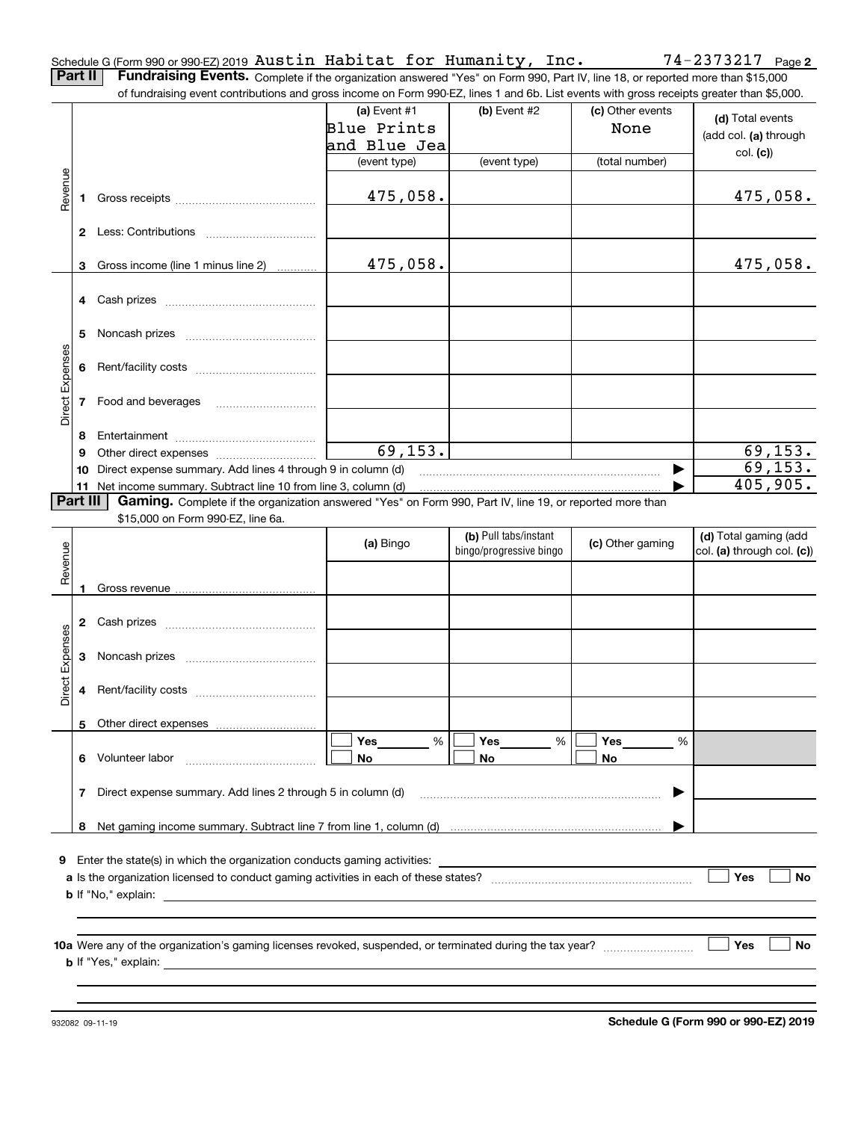Schedule G (Form 990 or 990-EZ) 2019 Page Austin Habitat for Humanity, Inc. 74-2373217

**2**

**Part II** | Fundraising Events. Complete if the organization answered "Yes" on Form 990, Part IV, line 18, or reported more than \$15,000 of fundraising event contributions and gross income on Form 990-EZ, lines 1 and 6b. List events with gross receipts greater than \$5,000.

|                 |          | 000,000 ומסומים מחס מחסט וחסטוחט טודו טווח טטט בב, ווחטט ד מחס טט. בוטג טזטוונט זזומו קוטטט וטטטוףנט קוטמנטר מומח |                |                         |                  |                            |
|-----------------|----------|-------------------------------------------------------------------------------------------------------------------|----------------|-------------------------|------------------|----------------------------|
|                 |          |                                                                                                                   | (a) Event $#1$ | $(b)$ Event #2          | (c) Other events | (d) Total events           |
|                 |          |                                                                                                                   | Blue Prints    |                         | None             |                            |
|                 |          |                                                                                                                   | and Blue Jea   |                         |                  | (add col. (a) through      |
|                 |          |                                                                                                                   | (event type)   | (event type)            | (total number)   | col. (c)                   |
|                 |          |                                                                                                                   |                |                         |                  |                            |
| Revenue         |          |                                                                                                                   | 475,058.       |                         |                  | 475,058.                   |
|                 |          |                                                                                                                   |                |                         |                  |                            |
|                 |          |                                                                                                                   |                |                         |                  |                            |
|                 |          |                                                                                                                   |                |                         |                  |                            |
|                 |          | 3 Gross income (line 1 minus line 2)                                                                              | 475,058.       |                         |                  | 475,058.                   |
|                 |          |                                                                                                                   |                |                         |                  |                            |
|                 |          |                                                                                                                   |                |                         |                  |                            |
|                 |          |                                                                                                                   |                |                         |                  |                            |
|                 | 5        |                                                                                                                   |                |                         |                  |                            |
|                 |          |                                                                                                                   |                |                         |                  |                            |
|                 |          |                                                                                                                   |                |                         |                  |                            |
|                 |          |                                                                                                                   |                |                         |                  |                            |
| Direct Expenses |          | 7 Food and beverages                                                                                              |                |                         |                  |                            |
|                 |          |                                                                                                                   |                |                         |                  |                            |
|                 | 8        |                                                                                                                   |                |                         |                  |                            |
|                 | 9        |                                                                                                                   | 69, 153.       |                         |                  | 69,153.                    |
|                 |          | 10 Direct expense summary. Add lines 4 through 9 in column (d)                                                    |                |                         | ▶                | 69, 153.                   |
|                 |          |                                                                                                                   |                |                         |                  | 405,905.                   |
|                 | Part III | Gaming. Complete if the organization answered "Yes" on Form 990, Part IV, line 19, or reported more than          |                |                         |                  |                            |
|                 |          | \$15,000 on Form 990-EZ, line 6a.                                                                                 |                |                         |                  |                            |
|                 |          |                                                                                                                   |                | (b) Pull tabs/instant   |                  | (d) Total gaming (add      |
|                 |          |                                                                                                                   | (a) Bingo      | bingo/progressive bingo | (c) Other gaming | col. (a) through col. (c)) |
| Revenue         |          |                                                                                                                   |                |                         |                  |                            |
|                 |          |                                                                                                                   |                |                         |                  |                            |
|                 |          |                                                                                                                   |                |                         |                  |                            |
|                 |          |                                                                                                                   |                |                         |                  |                            |
|                 |          |                                                                                                                   |                |                         |                  |                            |
|                 |          |                                                                                                                   |                |                         |                  |                            |
| Direct Expenses |          |                                                                                                                   |                |                         |                  |                            |
|                 |          |                                                                                                                   |                |                         |                  |                            |
|                 |          |                                                                                                                   |                |                         |                  |                            |
|                 |          |                                                                                                                   |                |                         |                  |                            |
|                 |          |                                                                                                                   | Yes<br>%       | Yes<br>%                | Yes<br>%         |                            |
|                 |          | 6 Volunteer labor                                                                                                 | No             | No                      | No               |                            |
|                 |          |                                                                                                                   |                |                         |                  |                            |
|                 | 7        | Direct expense summary. Add lines 2 through 5 in column (d)                                                       |                |                         |                  |                            |
|                 |          |                                                                                                                   |                |                         |                  |                            |
|                 | 8        |                                                                                                                   |                |                         |                  |                            |
|                 |          |                                                                                                                   |                |                         |                  |                            |
| 9               |          | Enter the state(s) in which the organization conducts gaming activities:                                          |                |                         |                  |                            |
|                 |          |                                                                                                                   |                |                         |                  | Yes<br>No                  |
|                 |          | <b>b</b> If "No," explain:                                                                                        |                |                         |                  |                            |
|                 |          |                                                                                                                   |                |                         |                  |                            |
|                 |          |                                                                                                                   |                |                         |                  |                            |
|                 |          |                                                                                                                   |                |                         |                  | Yes<br>No                  |
|                 |          | <b>b</b> If "Yes," explain:                                                                                       |                |                         |                  |                            |
|                 |          |                                                                                                                   |                |                         |                  |                            |
|                 |          |                                                                                                                   |                |                         |                  |                            |
|                 |          |                                                                                                                   |                |                         |                  |                            |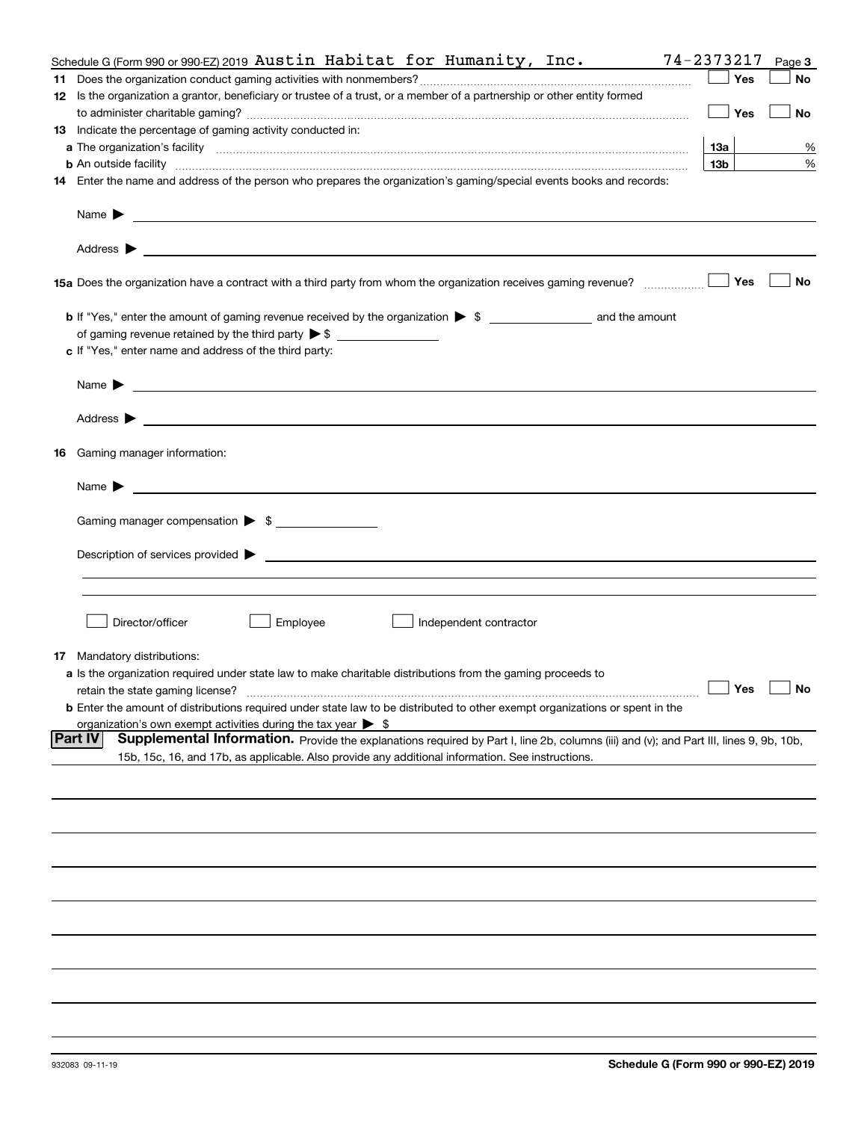| 74-2373217<br>Schedule G (Form 990 or 990-EZ) 2019 Austin Habitat for Humanity, Inc.                                                                                                                                                                                                                           |                 |     | Page 3               |
|----------------------------------------------------------------------------------------------------------------------------------------------------------------------------------------------------------------------------------------------------------------------------------------------------------------|-----------------|-----|----------------------|
|                                                                                                                                                                                                                                                                                                                |                 | Yes | No                   |
| 12 Is the organization a grantor, beneficiary or trustee of a trust, or a member of a partnership or other entity formed                                                                                                                                                                                       |                 |     |                      |
|                                                                                                                                                                                                                                                                                                                |                 | Yes | No                   |
| 13 Indicate the percentage of gaming activity conducted in:                                                                                                                                                                                                                                                    |                 |     |                      |
|                                                                                                                                                                                                                                                                                                                | 13а             |     | %                    |
| <b>b</b> An outside facility <i>www.communicality communicality communicality communicality communicality communicality communicality communicality communicality communicality communicality communicality communicality communicali</i>                                                                      | 13 <sub>b</sub> |     | %                    |
|                                                                                                                                                                                                                                                                                                                |                 |     |                      |
| 14 Enter the name and address of the person who prepares the organization's gaming/special events books and records:                                                                                                                                                                                           |                 |     |                      |
| Name $\sum_{n=1}^{\infty}$ and $\sum_{n=1}^{\infty}$ and $\sum_{n=1}^{\infty}$ and $\sum_{n=1}^{\infty}$ and $\sum_{n=1}^{\infty}$ and $\sum_{n=1}^{\infty}$ and $\sum_{n=1}^{\infty}$ and $\sum_{n=1}^{\infty}$ and $\sum_{n=1}^{\infty}$ and $\sum_{n=1}^{\infty}$ and $\sum_{n=1}^{\infty}$ and $\sum_{n=1$ |                 |     |                      |
|                                                                                                                                                                                                                                                                                                                |                 |     |                      |
| 15a Does the organization have a contract with a third party from whom the organization receives gaming revenue?                                                                                                                                                                                               |                 | Yes | No                   |
|                                                                                                                                                                                                                                                                                                                |                 |     |                      |
| of gaming revenue retained by the third party $\triangleright$ \$ $\_\_\_\_\_\_\_\_\_\_\_\_\_\_\_\_\_\_\_\_\_\_\_\_\_\_$                                                                                                                                                                                       |                 |     |                      |
| c If "Yes," enter name and address of the third party:                                                                                                                                                                                                                                                         |                 |     |                      |
|                                                                                                                                                                                                                                                                                                                |                 |     |                      |
|                                                                                                                                                                                                                                                                                                                |                 |     |                      |
|                                                                                                                                                                                                                                                                                                                |                 |     |                      |
| <b>16</b> Gaming manager information:                                                                                                                                                                                                                                                                          |                 |     |                      |
|                                                                                                                                                                                                                                                                                                                |                 |     |                      |
| Gaming manager compensation > \$                                                                                                                                                                                                                                                                               |                 |     |                      |
|                                                                                                                                                                                                                                                                                                                |                 |     |                      |
|                                                                                                                                                                                                                                                                                                                |                 |     |                      |
|                                                                                                                                                                                                                                                                                                                |                 |     |                      |
|                                                                                                                                                                                                                                                                                                                |                 |     |                      |
|                                                                                                                                                                                                                                                                                                                |                 |     |                      |
| Director/officer<br>Employee<br>Independent contractor                                                                                                                                                                                                                                                         |                 |     |                      |
|                                                                                                                                                                                                                                                                                                                |                 |     |                      |
| <b>17</b> Mandatory distributions:                                                                                                                                                                                                                                                                             |                 |     |                      |
| a Is the organization required under state law to make charitable distributions from the gaming proceeds to                                                                                                                                                                                                    |                 |     |                      |
|                                                                                                                                                                                                                                                                                                                |                 |     | $\Box$ Yes $\Box$ No |
| <b>b</b> Enter the amount of distributions required under state law to be distributed to other exempt organizations or spent in the                                                                                                                                                                            |                 |     |                      |
| organization's own exempt activities during the tax year $\triangleright$ \$                                                                                                                                                                                                                                   |                 |     |                      |
| <b>Part IV</b><br>Supplemental Information. Provide the explanations required by Part I, line 2b, columns (iii) and (v); and Part III, lines 9, 9b, 10b,                                                                                                                                                       |                 |     |                      |
| 15b, 15c, 16, and 17b, as applicable. Also provide any additional information. See instructions.                                                                                                                                                                                                               |                 |     |                      |
|                                                                                                                                                                                                                                                                                                                |                 |     |                      |
|                                                                                                                                                                                                                                                                                                                |                 |     |                      |
|                                                                                                                                                                                                                                                                                                                |                 |     |                      |
|                                                                                                                                                                                                                                                                                                                |                 |     |                      |
|                                                                                                                                                                                                                                                                                                                |                 |     |                      |
|                                                                                                                                                                                                                                                                                                                |                 |     |                      |
|                                                                                                                                                                                                                                                                                                                |                 |     |                      |
|                                                                                                                                                                                                                                                                                                                |                 |     |                      |
|                                                                                                                                                                                                                                                                                                                |                 |     |                      |
|                                                                                                                                                                                                                                                                                                                |                 |     |                      |
|                                                                                                                                                                                                                                                                                                                |                 |     |                      |

932083 09-11-19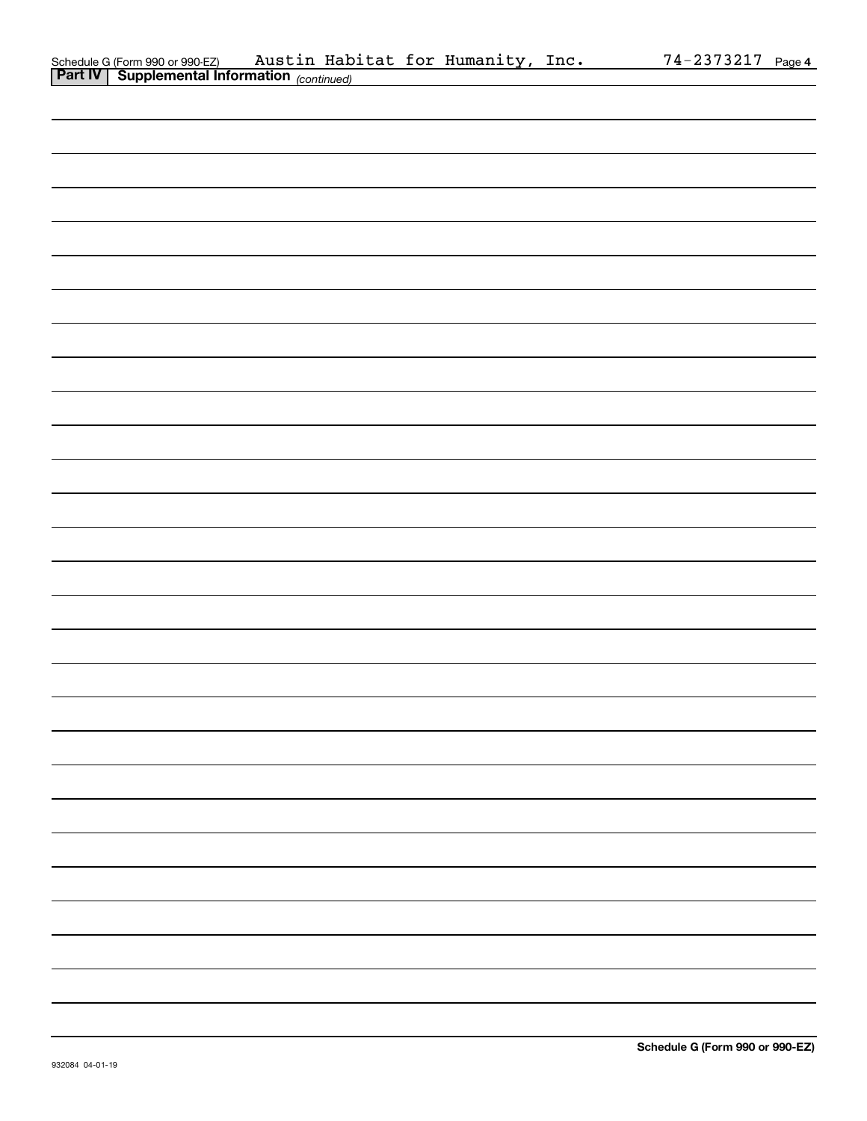| Schedule G (Form 990 or 990-EZ)                       |  | Austin Habitat for Humanity, Inc. | $74 - 2373217$ Page 4 |  |
|-------------------------------------------------------|--|-----------------------------------|-----------------------|--|
| <b>Part IV   Supplemental Information</b> (continued) |  |                                   |                       |  |

| <b>Part IV</b> Supplemental Information $_{(continued)}$ |  |
|----------------------------------------------------------|--|
|                                                          |  |
|                                                          |  |
|                                                          |  |
|                                                          |  |
|                                                          |  |
|                                                          |  |
|                                                          |  |
|                                                          |  |
|                                                          |  |
|                                                          |  |
|                                                          |  |
|                                                          |  |
|                                                          |  |
|                                                          |  |
|                                                          |  |
|                                                          |  |
|                                                          |  |
|                                                          |  |
|                                                          |  |
|                                                          |  |
|                                                          |  |
|                                                          |  |
|                                                          |  |
|                                                          |  |
|                                                          |  |
|                                                          |  |
|                                                          |  |
|                                                          |  |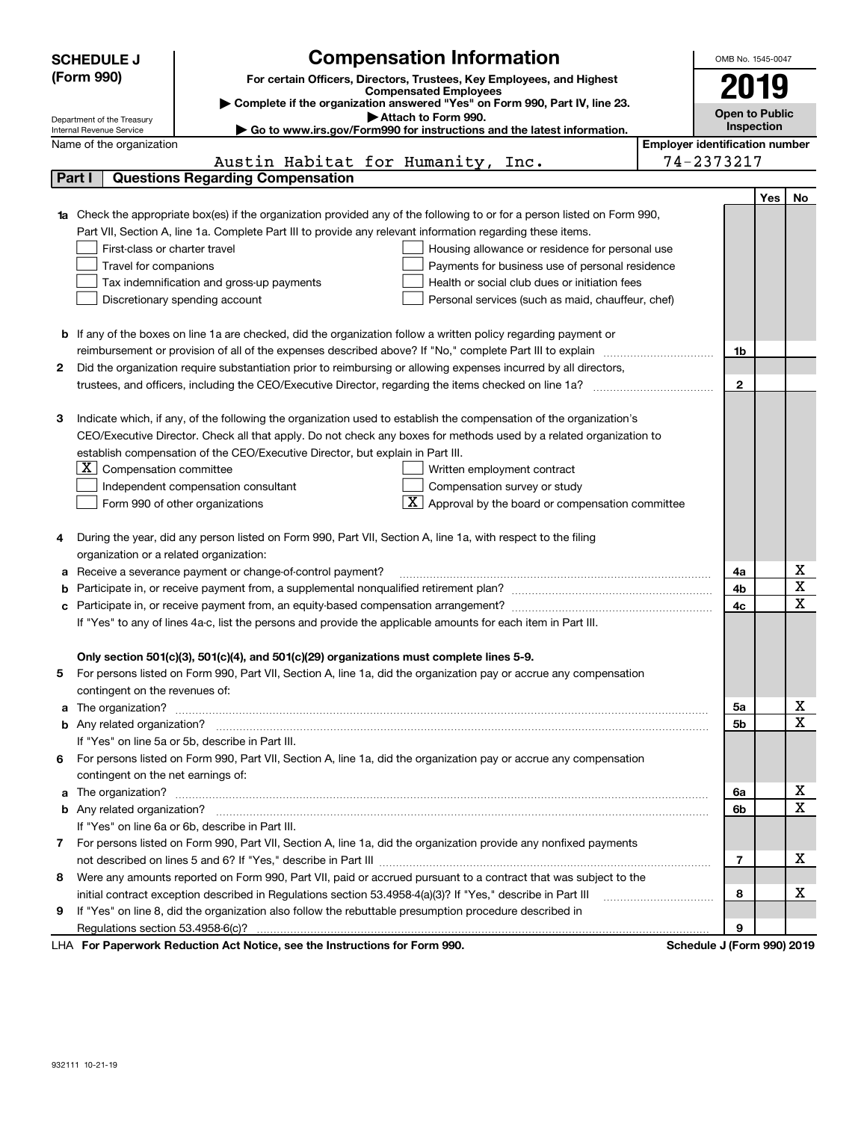|   | <b>SCHEDULE J</b>                                      | <b>Compensation Information</b>                                                                                                  |                                       | OMB No. 1545-0047     |            |                         |  |  |  |
|---|--------------------------------------------------------|----------------------------------------------------------------------------------------------------------------------------------|---------------------------------------|-----------------------|------------|-------------------------|--|--|--|
|   | (Form 990)                                             | For certain Officers, Directors, Trustees, Key Employees, and Highest                                                            |                                       | 2019                  |            |                         |  |  |  |
|   |                                                        | <b>Compensated Employees</b>                                                                                                     |                                       |                       |            |                         |  |  |  |
|   |                                                        | Complete if the organization answered "Yes" on Form 990, Part IV, line 23.<br>Attach to Form 990.                                |                                       | <b>Open to Public</b> |            |                         |  |  |  |
|   | Department of the Treasury<br>Internal Revenue Service | Go to www.irs.gov/Form990 for instructions and the latest information.                                                           |                                       | Inspection            |            |                         |  |  |  |
|   | Name of the organization                               |                                                                                                                                  | <b>Employer identification number</b> |                       |            |                         |  |  |  |
|   |                                                        | Austin Habitat for Humanity, Inc.                                                                                                |                                       | 74-2373217            |            |                         |  |  |  |
|   | Part I                                                 | <b>Questions Regarding Compensation</b>                                                                                          |                                       |                       |            |                         |  |  |  |
|   |                                                        |                                                                                                                                  |                                       |                       | <b>Yes</b> | No                      |  |  |  |
|   |                                                        | <b>1a</b> Check the appropriate box(es) if the organization provided any of the following to or for a person listed on Form 990, |                                       |                       |            |                         |  |  |  |
|   |                                                        | Part VII, Section A, line 1a. Complete Part III to provide any relevant information regarding these items.                       |                                       |                       |            |                         |  |  |  |
|   | First-class or charter travel                          | Housing allowance or residence for personal use                                                                                  |                                       |                       |            |                         |  |  |  |
|   | Travel for companions                                  | Payments for business use of personal residence                                                                                  |                                       |                       |            |                         |  |  |  |
|   |                                                        | Tax indemnification and gross-up payments<br>Health or social club dues or initiation fees                                       |                                       |                       |            |                         |  |  |  |
|   |                                                        | Discretionary spending account<br>Personal services (such as maid, chauffeur, chef)                                              |                                       |                       |            |                         |  |  |  |
|   |                                                        |                                                                                                                                  |                                       |                       |            |                         |  |  |  |
|   |                                                        | <b>b</b> If any of the boxes on line 1a are checked, did the organization follow a written policy regarding payment or           |                                       |                       |            |                         |  |  |  |
|   |                                                        | reimbursement or provision of all of the expenses described above? If "No," complete Part III to explain                         |                                       | 1b                    |            |                         |  |  |  |
| 2 |                                                        | Did the organization require substantiation prior to reimbursing or allowing expenses incurred by all directors,                 |                                       |                       |            |                         |  |  |  |
|   |                                                        | trustees, and officers, including the CEO/Executive Director, regarding the items checked on line 1a?                            |                                       | $\mathbf{2}$          |            |                         |  |  |  |
|   |                                                        |                                                                                                                                  |                                       |                       |            |                         |  |  |  |
| 3 |                                                        | Indicate which, if any, of the following the organization used to establish the compensation of the organization's               |                                       |                       |            |                         |  |  |  |
|   |                                                        | CEO/Executive Director. Check all that apply. Do not check any boxes for methods used by a related organization to               |                                       |                       |            |                         |  |  |  |
|   |                                                        | establish compensation of the CEO/Executive Director, but explain in Part III.                                                   |                                       |                       |            |                         |  |  |  |
|   | $X$ Compensation committee                             | Written employment contract                                                                                                      |                                       |                       |            |                         |  |  |  |
|   |                                                        | Compensation survey or study<br>Independent compensation consultant                                                              |                                       |                       |            |                         |  |  |  |
|   |                                                        | $\overline{\mathbf{X}}$ Approval by the board or compensation committee<br>Form 990 of other organizations                       |                                       |                       |            |                         |  |  |  |
|   |                                                        |                                                                                                                                  |                                       |                       |            |                         |  |  |  |
| 4 |                                                        | During the year, did any person listed on Form 990, Part VII, Section A, line 1a, with respect to the filing                     |                                       |                       |            |                         |  |  |  |
|   | organization or a related organization:                |                                                                                                                                  |                                       |                       |            |                         |  |  |  |
| а |                                                        | Receive a severance payment or change-of-control payment?                                                                        |                                       | 4a                    |            | х                       |  |  |  |
| b |                                                        |                                                                                                                                  |                                       | 4b                    |            | $\overline{\textbf{X}}$ |  |  |  |
| с |                                                        |                                                                                                                                  |                                       | 4c                    |            | $\mathbf x$             |  |  |  |
|   |                                                        | If "Yes" to any of lines 4a-c, list the persons and provide the applicable amounts for each item in Part III.                    |                                       |                       |            |                         |  |  |  |
|   |                                                        |                                                                                                                                  |                                       |                       |            |                         |  |  |  |
|   |                                                        | Only section 501(c)(3), 501(c)(4), and 501(c)(29) organizations must complete lines 5-9.                                         |                                       |                       |            |                         |  |  |  |
|   |                                                        | For persons listed on Form 990, Part VII, Section A, line 1a, did the organization pay or accrue any compensation                |                                       |                       |            |                         |  |  |  |
|   | contingent on the revenues of:                         |                                                                                                                                  |                                       |                       |            | х                       |  |  |  |
| a |                                                        |                                                                                                                                  |                                       | 5a                    |            | $\mathbf x$             |  |  |  |
|   |                                                        |                                                                                                                                  |                                       | 5b                    |            |                         |  |  |  |
|   |                                                        | If "Yes" on line 5a or 5b, describe in Part III.                                                                                 |                                       |                       |            |                         |  |  |  |
| 6 | contingent on the net earnings of:                     | For persons listed on Form 990, Part VII, Section A, line 1a, did the organization pay or accrue any compensation                |                                       |                       |            |                         |  |  |  |
|   |                                                        |                                                                                                                                  |                                       |                       |            | х                       |  |  |  |
|   |                                                        | a The organization? <b>Entitation</b> 2008 Communications and the organization of the organization?                              |                                       | 6a<br>6b              |            | $\overline{\mathbf{x}}$ |  |  |  |
|   |                                                        | If "Yes" on line 6a or 6b, describe in Part III.                                                                                 |                                       |                       |            |                         |  |  |  |
|   |                                                        | 7 For persons listed on Form 990, Part VII, Section A, line 1a, did the organization provide any nonfixed payments               |                                       |                       |            |                         |  |  |  |
|   |                                                        |                                                                                                                                  |                                       | 7                     |            | x                       |  |  |  |
| 8 |                                                        | Were any amounts reported on Form 990, Part VII, paid or accrued pursuant to a contract that was subject to the                  |                                       |                       |            |                         |  |  |  |
|   |                                                        | initial contract exception described in Regulations section 53.4958-4(a)(3)? If "Yes," describe in Part III                      |                                       | 8                     |            | x                       |  |  |  |
| 9 |                                                        | If "Yes" on line 8, did the organization also follow the rebuttable presumption procedure described in                           |                                       |                       |            |                         |  |  |  |
|   |                                                        |                                                                                                                                  |                                       | 9                     |            |                         |  |  |  |
|   |                                                        | uli Deduction Act Notice, and the Instructions for Form 000                                                                      |                                       |                       |            |                         |  |  |  |

LHA For Paperwork Reduction Act Notice, see the Instructions for Form 990. Schedule J (Form 990) 2019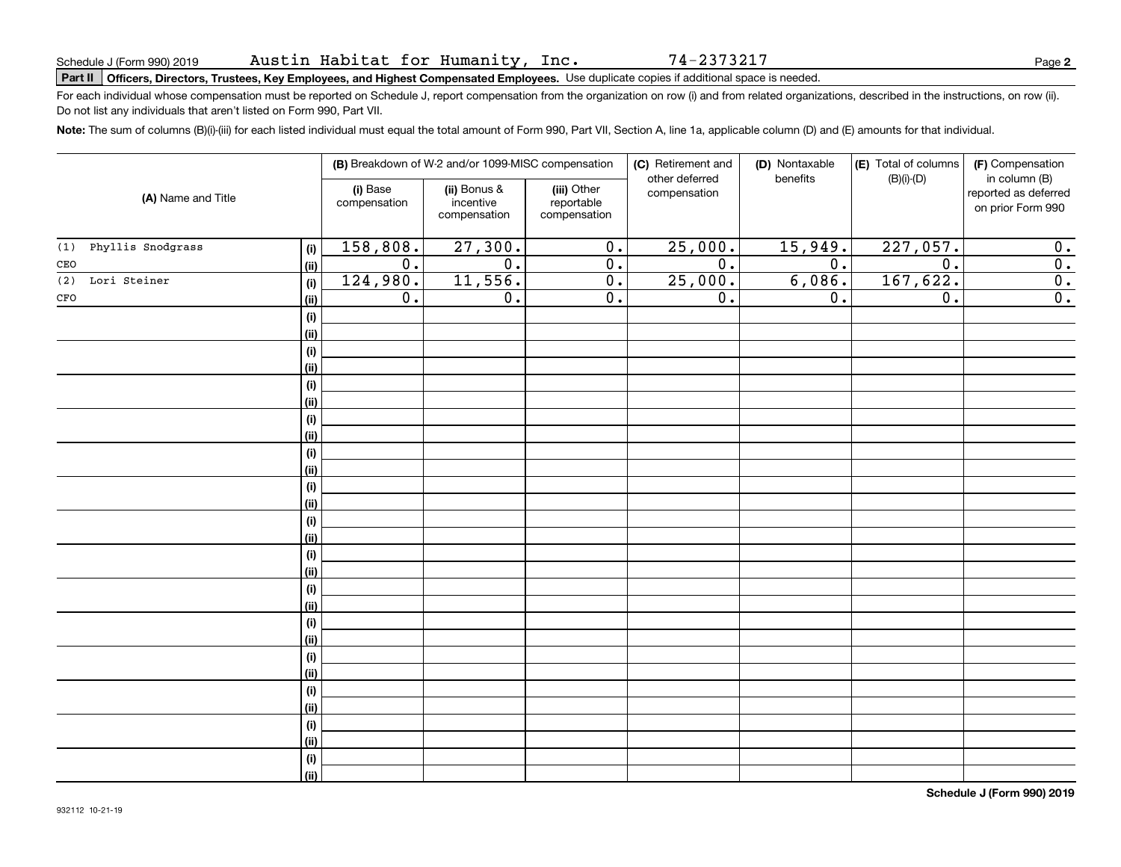74-2373217

**2**

# **Part II Officers, Directors, Trustees, Key Employees, and Highest Compensated Employees.**  Schedule J (Form 990) 2019 Page Use duplicate copies if additional space is needed.

For each individual whose compensation must be reported on Schedule J, report compensation from the organization on row (i) and from related organizations, described in the instructions, on row (ii). Do not list any individuals that aren't listed on Form 990, Part VII.

**Note:**  The sum of columns (B)(i)-(iii) for each listed individual must equal the total amount of Form 990, Part VII, Section A, line 1a, applicable column (D) and (E) amounts for that individual.

|                          |                          | (B) Breakdown of W-2 and/or 1099-MISC compensation |                                           | (C) Retirement and<br>other deferred | (D) Nontaxable<br>benefits | (E) Total of columns<br>$(B)(i)-(D)$ | (F) Compensation<br>in column (B)         |
|--------------------------|--------------------------|----------------------------------------------------|-------------------------------------------|--------------------------------------|----------------------------|--------------------------------------|-------------------------------------------|
| (A) Name and Title       | (i) Base<br>compensation | (ii) Bonus &<br>incentive<br>compensation          | (iii) Other<br>reportable<br>compensation | compensation                         |                            |                                      | reported as deferred<br>on prior Form 990 |
| Phyllis Snodgrass<br>(1) | 158,808.<br>(i)          | 27,300.                                            | $\overline{0}$ .                          | 25,000.                              | 15,949.                    | 227,057.                             | 0.                                        |
| CEO                      | 0.<br>(ii)               | $\overline{0}$ .                                   | $\overline{0}$ .                          | $\overline{0}$ .                     | 0.                         | $\overline{0}$ .                     | $\overline{\mathbf{0}}$ .                 |
| (2)<br>Lori Steiner      | 124,980.<br>(i)          | 11,556.                                            | $\overline{0}$ .                          | 25,000.                              | 6,086.                     | 167,622.                             | $\overline{\mathbf{0}}$ .                 |
| $_{\mbox{\small CFO}}$   | 0.<br>(ii)               | $\overline{0}$ .                                   | $\overline{0}$ .                          | $\overline{0}$ .                     | 0.                         | 0.                                   | $\overline{\mathbf{0}}$ .                 |
|                          | $(\sf{i})$               |                                                    |                                           |                                      |                            |                                      |                                           |
|                          | (ii)                     |                                                    |                                           |                                      |                            |                                      |                                           |
|                          | $(\sf{i})$               |                                                    |                                           |                                      |                            |                                      |                                           |
|                          | (i)                      |                                                    |                                           |                                      |                            |                                      |                                           |
|                          | $(\sf{i})$               |                                                    |                                           |                                      |                            |                                      |                                           |
|                          | (ii)                     |                                                    |                                           |                                      |                            |                                      |                                           |
|                          | $(\sf{i})$               |                                                    |                                           |                                      |                            |                                      |                                           |
|                          | (ii)                     |                                                    |                                           |                                      |                            |                                      |                                           |
|                          | $(\sf{i})$               |                                                    |                                           |                                      |                            |                                      |                                           |
|                          | (ii)                     |                                                    |                                           |                                      |                            |                                      |                                           |
|                          | $(\sf{i})$               |                                                    |                                           |                                      |                            |                                      |                                           |
|                          | (i)                      |                                                    |                                           |                                      |                            |                                      |                                           |
|                          | $(\sf{i})$<br>(i)        |                                                    |                                           |                                      |                            |                                      |                                           |
|                          | $(\sf{i})$               |                                                    |                                           |                                      |                            |                                      |                                           |
|                          | (i)                      |                                                    |                                           |                                      |                            |                                      |                                           |
|                          | $(\sf{i})$               |                                                    |                                           |                                      |                            |                                      |                                           |
|                          | (i)                      |                                                    |                                           |                                      |                            |                                      |                                           |
|                          | $(\sf{i})$               |                                                    |                                           |                                      |                            |                                      |                                           |
|                          | (i)                      |                                                    |                                           |                                      |                            |                                      |                                           |
|                          | $(\sf{i})$               |                                                    |                                           |                                      |                            |                                      |                                           |
|                          | (i)                      |                                                    |                                           |                                      |                            |                                      |                                           |
|                          | $(\sf{i})$               |                                                    |                                           |                                      |                            |                                      |                                           |
|                          | (ii)                     |                                                    |                                           |                                      |                            |                                      |                                           |
|                          | $(\sf{i})$               |                                                    |                                           |                                      |                            |                                      |                                           |
|                          | (i)                      |                                                    |                                           |                                      |                            |                                      |                                           |
|                          | $(\sf{i})$               |                                                    |                                           |                                      |                            |                                      |                                           |
|                          | (ii)                     |                                                    |                                           |                                      |                            |                                      |                                           |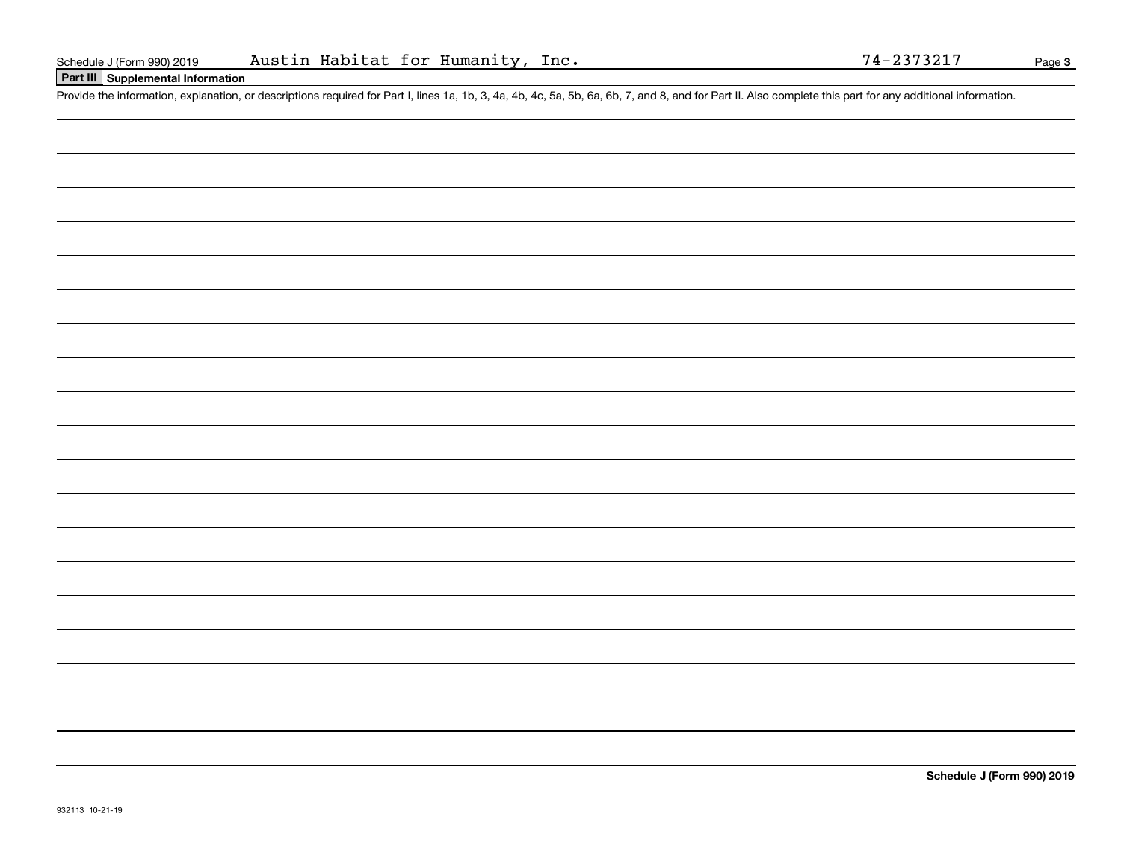# **Part III Supplemental Information**

Schedule J (Form 990) 2019 Austin Habitat for Humanity, Inc. 74-2373217<br>Part III Supplemental Information<br>Provide the information, explanation, or descriptions required for Part I, lines 1a, 1b, 3, 4a, 4b, 4c, 5a, 5b, 6a,

**Schedule J (Form 990) 2019**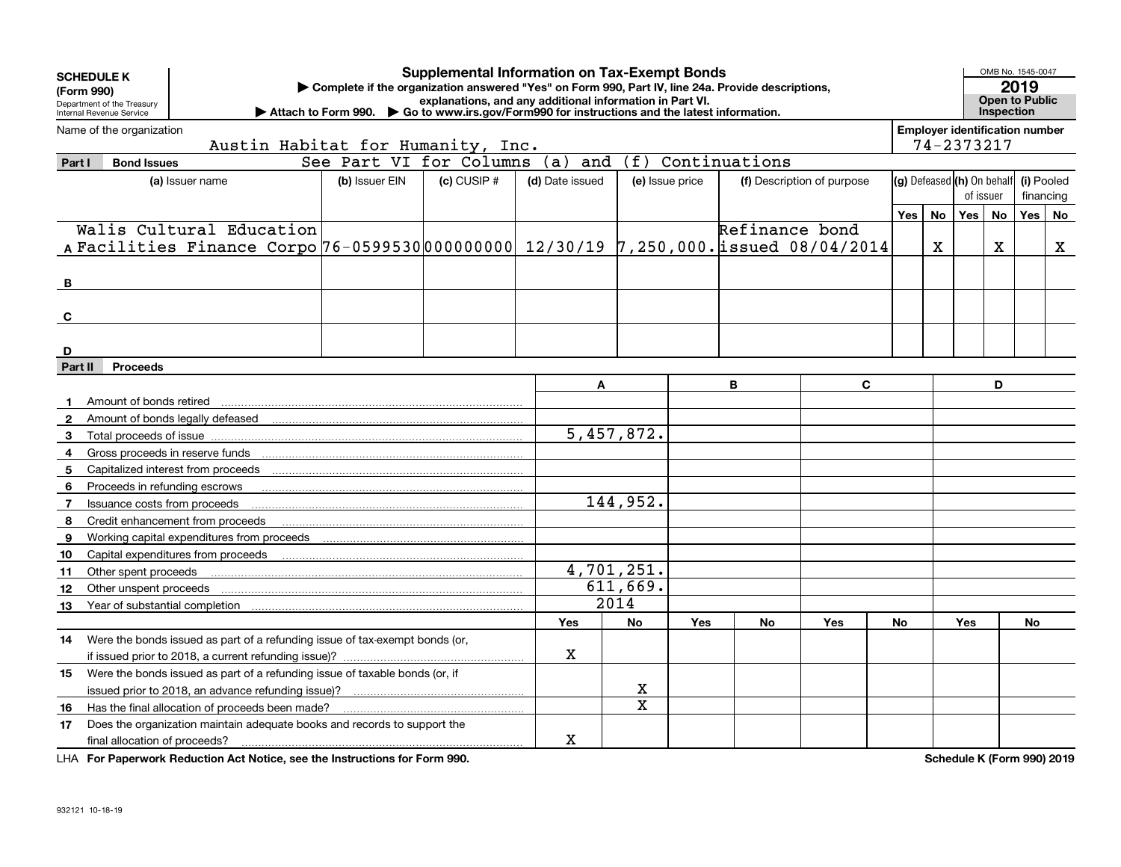| <b>SCHEDULE K</b>                                                                                                                                                                                         |                                   |                                                                                       |                                 | <b>Supplemental Information on Tax-Exempt Bonds</b> |                 |            |                 |                               |                            |                   |                                       |           | OMB No. 1545-0047 |            |    |
|-----------------------------------------------------------------------------------------------------------------------------------------------------------------------------------------------------------|-----------------------------------|---------------------------------------------------------------------------------------|---------------------------------|-----------------------------------------------------|-----------------|------------|-----------------|-------------------------------|----------------------------|-------------------|---------------------------------------|-----------|-------------------|------------|----|
| Complete if the organization answered "Yes" on Form 990, Part IV, line 24a. Provide descriptions,<br>(Form 990)<br>explanations, and any additional information in Part VI.<br>Department of the Treasury |                                   |                                                                                       |                                 |                                                     |                 |            |                 | 2019<br><b>Open to Public</b> |                            |                   |                                       |           |                   |            |    |
| Go to www.irs.gov/Form990 for instructions and the latest information.<br>Internal Revenue Service<br>Attach to Form 990.                                                                                 |                                   |                                                                                       |                                 |                                                     |                 |            |                 |                               |                            | <b>Inspection</b> |                                       |           |                   |            |    |
|                                                                                                                                                                                                           | Name of the organization          |                                                                                       |                                 |                                                     |                 |            |                 |                               |                            |                   | <b>Employer identification number</b> |           |                   |            |    |
|                                                                                                                                                                                                           | Austin Habitat for Humanity, Inc. |                                                                                       |                                 |                                                     |                 |            |                 |                               |                            | 74-2373217        |                                       |           |                   |            |    |
| Part I                                                                                                                                                                                                    | <b>Bond Issues</b>                |                                                                                       | See Part VI for Columns (a) and |                                                     |                 | (f)        |                 | Continuations                 |                            |                   |                                       |           |                   |            |    |
|                                                                                                                                                                                                           |                                   | (a) Issuer name                                                                       | (b) Issuer EIN                  | $(c)$ CUSIP $#$                                     | (d) Date issued |            | (e) Issue price |                               | (f) Description of purpose |                   | (g) Defeased (h) On behalf            |           |                   | (i) Pooled |    |
|                                                                                                                                                                                                           |                                   |                                                                                       |                                 |                                                     |                 |            |                 |                               |                            |                   |                                       | of issuer |                   | financing  |    |
|                                                                                                                                                                                                           |                                   |                                                                                       |                                 |                                                     |                 |            |                 |                               |                            | Yes               | <b>No</b>                             | Yes       | <b>No</b>         | <b>Yes</b> | No |
|                                                                                                                                                                                                           |                                   | Walis Cultural Education                                                              |                                 |                                                     |                 |            |                 | Refinance bond                |                            |                   |                                       |           |                   |            |    |
|                                                                                                                                                                                                           |                                   | A Facilities Finance Corpo 76-05995300000000000 12/30/19 7,250,000. issued 08/04/2014 |                                 |                                                     |                 |            |                 |                               |                            |                   | $\mathbf x$                           |           | $\mathbf{x}$      |            | X  |
|                                                                                                                                                                                                           |                                   |                                                                                       |                                 |                                                     |                 |            |                 |                               |                            |                   |                                       |           |                   |            |    |
| B                                                                                                                                                                                                         |                                   |                                                                                       |                                 |                                                     |                 |            |                 |                               |                            |                   |                                       |           |                   |            |    |
|                                                                                                                                                                                                           |                                   |                                                                                       |                                 |                                                     |                 |            |                 |                               |                            |                   |                                       |           |                   |            |    |
| C                                                                                                                                                                                                         |                                   |                                                                                       |                                 |                                                     |                 |            |                 |                               |                            |                   |                                       |           |                   |            |    |
| D                                                                                                                                                                                                         |                                   |                                                                                       |                                 |                                                     |                 |            |                 |                               |                            |                   |                                       |           |                   |            |    |
| Part II                                                                                                                                                                                                   | <b>Proceeds</b>                   |                                                                                       |                                 |                                                     |                 |            |                 |                               |                            |                   |                                       |           |                   |            |    |
|                                                                                                                                                                                                           |                                   |                                                                                       |                                 |                                                     |                 | A          |                 | B                             | $\mathbf{C}$               |                   |                                       |           | D                 |            |    |
|                                                                                                                                                                                                           | Amount of bonds retired           |                                                                                       |                                 |                                                     |                 |            |                 |                               |                            |                   |                                       |           |                   |            |    |
| $\mathbf{2}$                                                                                                                                                                                              |                                   |                                                                                       |                                 |                                                     |                 |            |                 |                               |                            |                   |                                       |           |                   |            |    |
| 3                                                                                                                                                                                                         |                                   |                                                                                       |                                 |                                                     |                 | 5,457,872. |                 |                               |                            |                   |                                       |           |                   |            |    |
| 4                                                                                                                                                                                                         |                                   |                                                                                       |                                 |                                                     |                 |            |                 |                               |                            |                   |                                       |           |                   |            |    |
| 5                                                                                                                                                                                                         |                                   |                                                                                       |                                 |                                                     |                 |            |                 |                               |                            |                   |                                       |           |                   |            |    |
| 6                                                                                                                                                                                                         |                                   | Proceeds in refunding escrows                                                         |                                 |                                                     |                 |            |                 |                               |                            |                   |                                       |           |                   |            |    |
| $\overline{7}$                                                                                                                                                                                            | Issuance costs from proceeds      |                                                                                       |                                 |                                                     |                 | 144,952.   |                 |                               |                            |                   |                                       |           |                   |            |    |
| 8                                                                                                                                                                                                         |                                   | Credit enhancement from proceeds                                                      |                                 |                                                     |                 |            |                 |                               |                            |                   |                                       |           |                   |            |    |
| 9                                                                                                                                                                                                         |                                   | Working capital expenditures from proceeds                                            |                                 |                                                     |                 |            |                 |                               |                            |                   |                                       |           |                   |            |    |
| 10                                                                                                                                                                                                        |                                   |                                                                                       |                                 |                                                     |                 |            |                 |                               |                            |                   |                                       |           |                   |            |    |
| 11                                                                                                                                                                                                        | Other spent proceeds              |                                                                                       |                                 |                                                     |                 | 4,701,251. |                 |                               |                            |                   |                                       |           |                   |            |    |
| 12                                                                                                                                                                                                        |                                   |                                                                                       |                                 |                                                     |                 | 611,669.   |                 |                               |                            |                   |                                       |           |                   |            |    |
| 13                                                                                                                                                                                                        |                                   |                                                                                       |                                 |                                                     |                 | 2014       |                 |                               |                            |                   |                                       |           |                   |            |    |
|                                                                                                                                                                                                           |                                   |                                                                                       |                                 |                                                     | Yes             | <b>No</b>  | Yes             | No                            | Yes                        | No                |                                       | Yes       |                   | No         |    |
| 14                                                                                                                                                                                                        |                                   | Were the bonds issued as part of a refunding issue of tax-exempt bonds (or,           |                                 |                                                     |                 |            |                 |                               |                            |                   |                                       |           |                   |            |    |
|                                                                                                                                                                                                           |                                   |                                                                                       |                                 |                                                     | х               |            |                 |                               |                            |                   |                                       |           |                   |            |    |
| 15                                                                                                                                                                                                        |                                   | Were the bonds issued as part of a refunding issue of taxable bonds (or, if           |                                 |                                                     |                 |            |                 |                               |                            |                   |                                       |           |                   |            |    |
|                                                                                                                                                                                                           |                                   | issued prior to 2018, an advance refunding issue)?                                    |                                 |                                                     |                 | x          |                 |                               |                            |                   |                                       |           |                   |            |    |
| 16                                                                                                                                                                                                        |                                   | Has the final allocation of proceeds been made?                                       |                                 |                                                     |                 | X          |                 |                               |                            |                   |                                       |           |                   |            |    |
| 17                                                                                                                                                                                                        |                                   | Does the organization maintain adequate books and records to support the              |                                 |                                                     |                 |            |                 |                               |                            |                   |                                       |           |                   |            |    |
|                                                                                                                                                                                                           | final allocation of proceeds?     |                                                                                       |                                 |                                                     | х               |            |                 |                               |                            |                   |                                       |           |                   |            |    |

**For Paperwork Reduction Act Notice, see the Instructions for Form 990. Schedule K (Form 990) 2019** LHA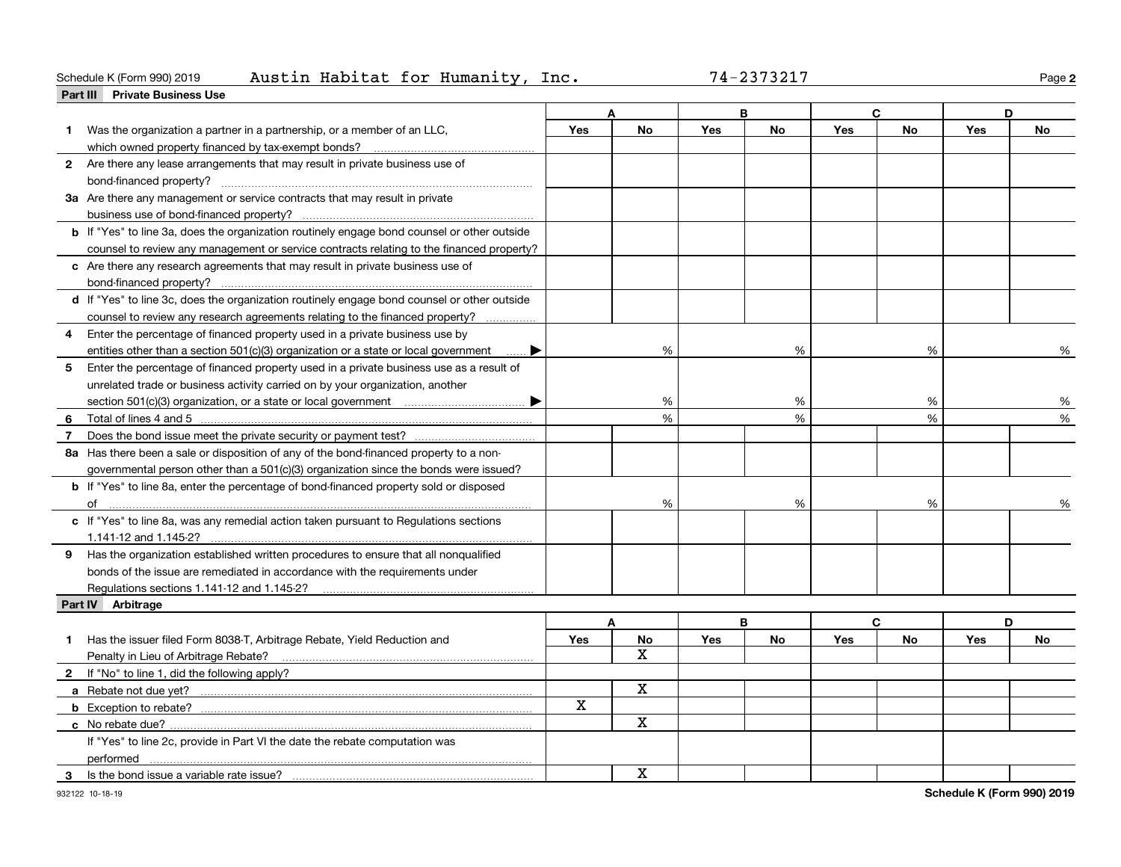### **Part III Private Business Use** Schedule K (Form 990) 2019 Page Austin Habitat for Humanity, Inc. 74-2373217

| 74-2373217 |  |  |  |  |
|------------|--|--|--|--|
|------------|--|--|--|--|

**2**

|    |                                                                                                    |             |               | B          |           | C          |           | D          |    |
|----|----------------------------------------------------------------------------------------------------|-------------|---------------|------------|-----------|------------|-----------|------------|----|
|    | Was the organization a partner in a partnership, or a member of an LLC,                            | <b>Yes</b>  | <b>No</b>     | Yes        | <b>No</b> | <b>Yes</b> | <b>No</b> | <b>Yes</b> | No |
| 1  | which owned property financed by tax-exempt bonds?                                                 |             |               |            |           |            |           |            |    |
|    | 2 Are there any lease arrangements that may result in private business use of                      |             |               |            |           |            |           |            |    |
|    |                                                                                                    |             |               |            |           |            |           |            |    |
|    | 3a Are there any management or service contracts that may result in private                        |             |               |            |           |            |           |            |    |
|    |                                                                                                    |             |               |            |           |            |           |            |    |
|    | <b>b</b> If "Yes" to line 3a, does the organization routinely engage bond counsel or other outside |             |               |            |           |            |           |            |    |
|    | counsel to review any management or service contracts relating to the financed property?           |             |               |            |           |            |           |            |    |
|    | c Are there any research agreements that may result in private business use of                     |             |               |            |           |            |           |            |    |
|    |                                                                                                    |             |               |            |           |            |           |            |    |
|    | d If "Yes" to line 3c, does the organization routinely engage bond counsel or other outside        |             |               |            |           |            |           |            |    |
|    | counsel to review any research agreements relating to the financed property?                       |             |               |            |           |            |           |            |    |
| 4  | Enter the percentage of financed property used in a private business use by                        |             |               |            |           |            |           |            |    |
|    | entities other than a section 501(c)(3) organization or a state or local government                |             | %             |            | %         |            | %         |            | ℅  |
| 5  | Enter the percentage of financed property used in a private business use as a result of            |             |               |            |           |            |           |            |    |
|    | unrelated trade or business activity carried on by your organization, another                      |             |               |            |           |            |           |            |    |
|    |                                                                                                    |             | %             |            | %         |            | %         |            | %  |
|    | 6 Total of lines 4 and 5                                                                           |             | $\frac{0}{6}$ |            | %         |            | %         |            | %  |
| 7  |                                                                                                    |             |               |            |           |            |           |            |    |
|    | 8a Has there been a sale or disposition of any of the bond-financed property to a non-             |             |               |            |           |            |           |            |    |
|    | governmental person other than a 501(c)(3) organization since the bonds were issued?               |             |               |            |           |            |           |            |    |
|    | <b>b</b> If "Yes" to line 8a, enter the percentage of bond-financed property sold or disposed      |             |               |            |           |            |           |            |    |
|    | of                                                                                                 |             | %             |            | $\%$      |            | %         |            | %  |
|    | c If "Yes" to line 8a, was any remedial action taken pursuant to Regulations sections              |             |               |            |           |            |           |            |    |
|    | 1.141-12 and 1.145-2?                                                                              |             |               |            |           |            |           |            |    |
|    | 9 Has the organization established written procedures to ensure that all nonqualified              |             |               |            |           |            |           |            |    |
|    | bonds of the issue are remediated in accordance with the requirements under                        |             |               |            |           |            |           |            |    |
|    | Regulations sections 1.141-12 and 1.145-2?                                                         |             |               |            |           |            |           |            |    |
|    | Part IV Arbitrage                                                                                  |             |               |            |           |            |           |            |    |
|    |                                                                                                    | A           |               |            | B         |            | C         |            | D  |
| 1. | Has the issuer filed Form 8038-T, Arbitrage Rebate, Yield Reduction and                            | Yes         | No            | <b>Yes</b> | No        | Yes        | No        | Yes        | No |
|    | Penalty in Lieu of Arbitrage Rebate?                                                               |             | X.            |            |           |            |           |            |    |
|    | 2 If "No" to line 1, did the following apply?                                                      |             |               |            |           |            |           |            |    |
|    |                                                                                                    |             | X             |            |           |            |           |            |    |
|    |                                                                                                    | $\mathbf x$ |               |            |           |            |           |            |    |
|    |                                                                                                    |             | x             |            |           |            |           |            |    |
|    | If "Yes" to line 2c, provide in Part VI the date the rebate computation was                        |             |               |            |           |            |           |            |    |
|    | performed                                                                                          |             |               |            |           |            |           |            |    |
| 3  | Is the bond issue a variable rate issue?                                                           |             | x             |            |           |            |           |            |    |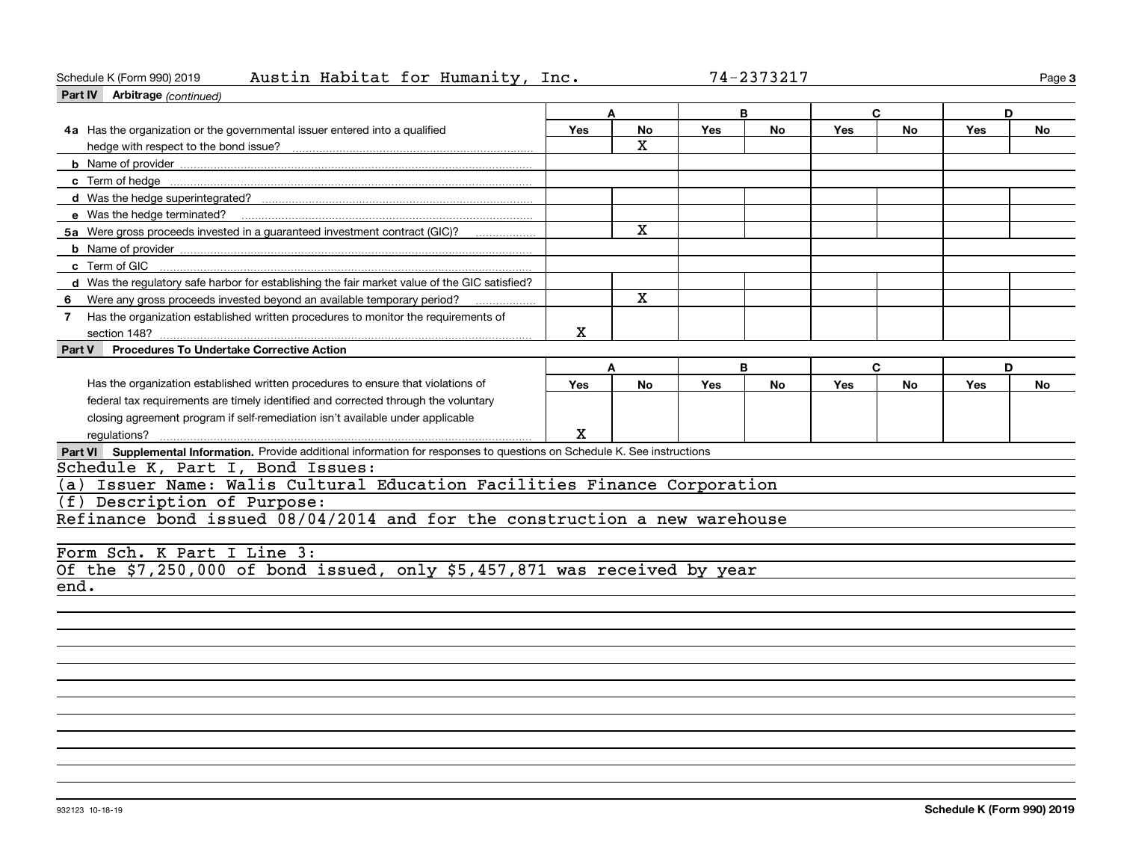### Schedule K (Form 990) 2019 Page Austin Habitat for Humanity, Inc. 74-2373217

| Schedule K (Form 990) 2019<br>Austin Habitat for Humanity, Inc.<br>Part IV Arbitrage (continued)                            |             |              |            | 74-2373217 |            |           |     | Page 3    |  |
|-----------------------------------------------------------------------------------------------------------------------------|-------------|--------------|------------|------------|------------|-----------|-----|-----------|--|
|                                                                                                                             | C<br>A<br>В |              |            |            |            |           | D   |           |  |
| 4a Has the organization or the governmental issuer entered into a qualified                                                 | Yes         | No<br>X.     | <b>Yes</b> | No         | Yes        | No        | Yes | No        |  |
|                                                                                                                             |             |              |            |            |            |           |     |           |  |
|                                                                                                                             |             |              |            |            |            |           |     |           |  |
|                                                                                                                             |             |              |            |            |            |           |     |           |  |
| e Was the hedge terminated?                                                                                                 |             |              |            |            |            |           |     |           |  |
| 5a Were gross proceeds invested in a guaranteed investment contract (GIC)?                                                  |             | $\mathbf{x}$ |            |            |            |           |     |           |  |
|                                                                                                                             |             |              |            |            |            |           |     |           |  |
| c Term of GIC                                                                                                               |             |              |            |            |            |           |     |           |  |
| d Was the regulatory safe harbor for establishing the fair market value of the GIC satisfied?                               |             |              |            |            |            |           |     |           |  |
| 6                                                                                                                           |             | $\mathbf{x}$ |            |            |            |           |     |           |  |
| Has the organization established written procedures to monitor the requirements of<br>$7^{\circ}$<br>section 148?           | X           |              |            |            |            |           |     |           |  |
| <b>Procedures To Undertake Corrective Action</b><br>Part V                                                                  |             |              |            |            |            |           |     |           |  |
|                                                                                                                             | A           |              |            | B          |            | C         | D   |           |  |
| Has the organization established written procedures to ensure that violations of                                            | Yes         | <b>No</b>    | <b>Yes</b> | <b>No</b>  | <b>Yes</b> | <b>No</b> | Yes | <b>No</b> |  |
| federal tax requirements are timely identified and corrected through the voluntary                                          |             |              |            |            |            |           |     |           |  |
| closing agreement program if self-remediation isn't available under applicable                                              |             |              |            |            |            |           |     |           |  |
|                                                                                                                             | X           |              |            |            |            |           |     |           |  |
| Part VI Supplemental Information. Provide additional information for responses to questions on Schedule K. See instructions |             |              |            |            |            |           |     |           |  |
| Schedule K, Part I, Bond Issues:                                                                                            |             |              |            |            |            |           |     |           |  |
| (a) Issuer Name: Walis Cultural Education Facilities Finance Corporation                                                    |             |              |            |            |            |           |     |           |  |
| (f) Description of Purpose:                                                                                                 |             |              |            |            |            |           |     |           |  |
| Refinance bond issued 08/04/2014 and for the construction a new warehouse                                                   |             |              |            |            |            |           |     |           |  |
|                                                                                                                             |             |              |            |            |            |           |     |           |  |
| Form Sch. K Part I Line 3:                                                                                                  |             |              |            |            |            |           |     |           |  |
| Of the $$7,250,000$ of bond issued, only $$5,457,871$ was received by year                                                  |             |              |            |            |            |           |     |           |  |
| end.                                                                                                                        |             |              |            |            |            |           |     |           |  |
|                                                                                                                             |             |              |            |            |            |           |     |           |  |
|                                                                                                                             |             |              |            |            |            |           |     |           |  |
|                                                                                                                             |             |              |            |            |            |           |     |           |  |
|                                                                                                                             |             |              |            |            |            |           |     |           |  |
|                                                                                                                             |             |              |            |            |            |           |     |           |  |
|                                                                                                                             |             |              |            |            |            |           |     |           |  |
|                                                                                                                             |             |              |            |            |            |           |     |           |  |
|                                                                                                                             |             |              |            |            |            |           |     |           |  |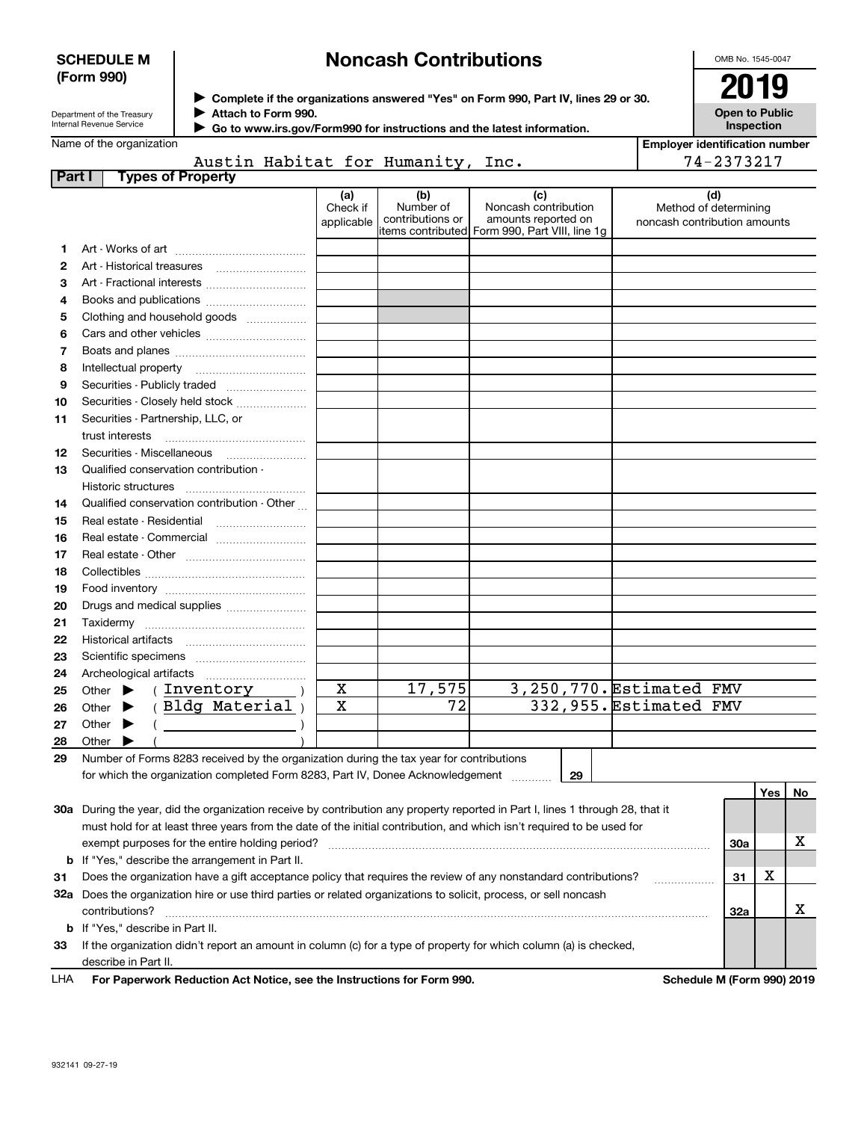### **SCHEDULE M (Form 990)**

# **Noncash Contributions**

OMB No. 1545-0047

| Department of the Treasury |
|----------------------------|
| Internal Revenue Service   |

**Complete if the organizations answered "Yes" on Form 990, Part IV, lines 29 or 30.** <sup>J</sup>**2019 Attach to Form 990.** J

 **Go to www.irs.gov/Form990 for instructions and the latest information.** J

| ΖU                                         |  |
|--------------------------------------------|--|
| <b>Open to Public</b><br><b>Inspection</b> |  |

Name of the organization

|  | Austin Habitat for Humanity, Inc. |  |
|--|-----------------------------------|--|

| <b>Employer identification number</b> |
|---------------------------------------|
| 74-2373217                            |

| Part I | <b>Types of Property</b>                                                                                                       |                               |                                                           |                                                                                    |                                                       |     |     |    |
|--------|--------------------------------------------------------------------------------------------------------------------------------|-------------------------------|-----------------------------------------------------------|------------------------------------------------------------------------------------|-------------------------------------------------------|-----|-----|----|
|        |                                                                                                                                | (a)<br>Check if<br>applicable | (b)<br>Number of<br>contributions or<br>items contributed | (c)<br>Noncash contribution<br>amounts reported on<br>Form 990, Part VIII, line 1g | Method of determining<br>noncash contribution amounts | (d) |     |    |
| 1      |                                                                                                                                |                               |                                                           |                                                                                    |                                                       |     |     |    |
| 2      |                                                                                                                                |                               |                                                           |                                                                                    |                                                       |     |     |    |
| з      | Art - Fractional interests                                                                                                     |                               |                                                           |                                                                                    |                                                       |     |     |    |
| 4      | Books and publications                                                                                                         |                               |                                                           |                                                                                    |                                                       |     |     |    |
| 5      | Clothing and household goods                                                                                                   |                               |                                                           |                                                                                    |                                                       |     |     |    |
| 6      |                                                                                                                                |                               |                                                           |                                                                                    |                                                       |     |     |    |
| 7      |                                                                                                                                |                               |                                                           |                                                                                    |                                                       |     |     |    |
| 8      |                                                                                                                                |                               |                                                           |                                                                                    |                                                       |     |     |    |
| 9      | Securities - Publicly traded                                                                                                   |                               |                                                           |                                                                                    |                                                       |     |     |    |
| 10     | Securities - Closely held stock                                                                                                |                               |                                                           |                                                                                    |                                                       |     |     |    |
| 11     | Securities - Partnership, LLC, or                                                                                              |                               |                                                           |                                                                                    |                                                       |     |     |    |
|        | trust interests                                                                                                                |                               |                                                           |                                                                                    |                                                       |     |     |    |
| 12     |                                                                                                                                |                               |                                                           |                                                                                    |                                                       |     |     |    |
| 13     | Qualified conservation contribution -                                                                                          |                               |                                                           |                                                                                    |                                                       |     |     |    |
|        |                                                                                                                                |                               |                                                           |                                                                                    |                                                       |     |     |    |
| 14     | Qualified conservation contribution - Other                                                                                    |                               |                                                           |                                                                                    |                                                       |     |     |    |
| 15     |                                                                                                                                |                               |                                                           |                                                                                    |                                                       |     |     |    |
| 16     | Real estate - Commercial                                                                                                       |                               |                                                           |                                                                                    |                                                       |     |     |    |
| 17     |                                                                                                                                |                               |                                                           |                                                                                    |                                                       |     |     |    |
| 18     |                                                                                                                                |                               |                                                           |                                                                                    |                                                       |     |     |    |
| 19     |                                                                                                                                |                               |                                                           |                                                                                    |                                                       |     |     |    |
| 20     | Drugs and medical supplies                                                                                                     |                               |                                                           |                                                                                    |                                                       |     |     |    |
| 21     |                                                                                                                                |                               |                                                           |                                                                                    |                                                       |     |     |    |
| 22     |                                                                                                                                |                               |                                                           |                                                                                    |                                                       |     |     |    |
| 23     |                                                                                                                                |                               |                                                           |                                                                                    |                                                       |     |     |    |
| 24     |                                                                                                                                |                               |                                                           |                                                                                    |                                                       |     |     |    |
| 25     | (Inventory<br>▶<br>Other                                                                                                       | X                             | 17,575                                                    | 3,250,770. Estimated FMV                                                           |                                                       |     |     |    |
| 26     | (Bldg Material)<br>Other<br>▶                                                                                                  | $\mathbf x$                   | $\overline{72}$                                           |                                                                                    | 332,955. Estimated FMV                                |     |     |    |
| 27     | Other<br>▶                                                                                                                     |                               |                                                           |                                                                                    |                                                       |     |     |    |
| 28     | Other                                                                                                                          |                               |                                                           |                                                                                    |                                                       |     |     |    |
| 29     | Number of Forms 8283 received by the organization during the tax year for contributions                                        |                               |                                                           |                                                                                    |                                                       |     |     |    |
|        | for which the organization completed Form 8283, Part IV, Donee Acknowledgement                                                 |                               |                                                           | 29                                                                                 |                                                       |     |     |    |
|        |                                                                                                                                |                               |                                                           |                                                                                    |                                                       |     | Yes | No |
|        | 30a During the year, did the organization receive by contribution any property reported in Part I, lines 1 through 28, that it |                               |                                                           |                                                                                    |                                                       |     |     |    |
|        | must hold for at least three years from the date of the initial contribution, and which isn't required to be used for          |                               |                                                           |                                                                                    |                                                       |     |     |    |
|        | exempt purposes for the entire holding period?                                                                                 |                               |                                                           |                                                                                    |                                                       | 30a |     | х  |
|        | <b>b</b> If "Yes," describe the arrangement in Part II.                                                                        |                               |                                                           |                                                                                    |                                                       |     |     |    |
| 31     | Does the organization have a gift acceptance policy that requires the review of any nonstandard contributions?                 |                               |                                                           |                                                                                    |                                                       | 31  | х   |    |
|        | 32a Does the organization hire or use third parties or related organizations to solicit, process, or sell noncash              |                               |                                                           |                                                                                    |                                                       |     |     |    |
|        | contributions?                                                                                                                 |                               |                                                           |                                                                                    |                                                       | 32a |     | Х  |
|        | <b>b</b> If "Yes," describe in Part II.                                                                                        |                               |                                                           |                                                                                    |                                                       |     |     |    |
| 33     | If the organization didn't report an amount in column (c) for a type of property for which column (a) is checked,              |                               |                                                           |                                                                                    |                                                       |     |     |    |
|        | describe in Part II.                                                                                                           |                               |                                                           |                                                                                    |                                                       |     |     |    |

For Paperwork Reduction Act Notice, see the Instructions for Form 990. Schedule M (Form 990) 2019 LHA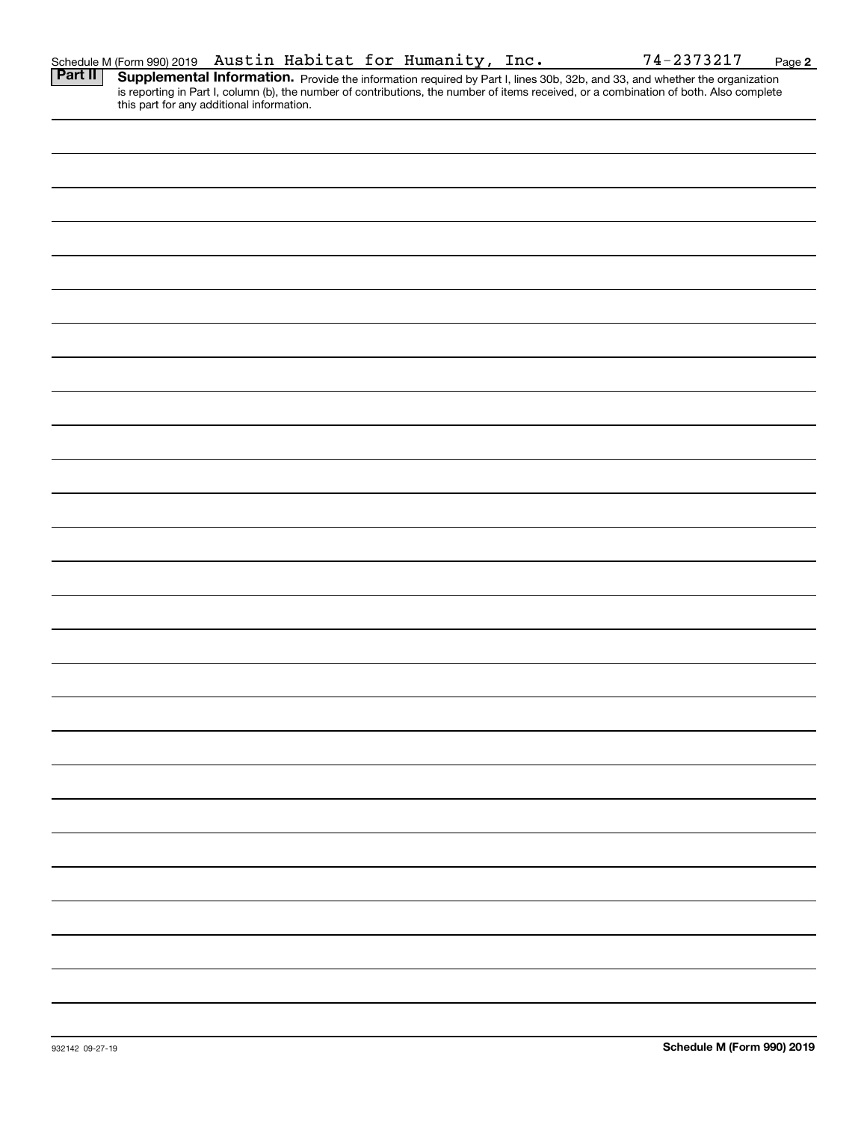|                | Schedule M (Form 990) 2019 Austin Habitat for Humanity, Inc.                                                                                                                                                                                                                     |  |  |  | 74-2373217 | Page 2 |
|----------------|----------------------------------------------------------------------------------------------------------------------------------------------------------------------------------------------------------------------------------------------------------------------------------|--|--|--|------------|--------|
| <b>Part II</b> | <b>Supplemental Information.</b> Provide the information required by Part I, lines 30b, 32b, and 33, and whether the organization is reporting in Part I, column (b), the number of contributions, the number of items received, or<br>this part for any additional information. |  |  |  |            |        |
|                |                                                                                                                                                                                                                                                                                  |  |  |  |            |        |
|                |                                                                                                                                                                                                                                                                                  |  |  |  |            |        |
|                |                                                                                                                                                                                                                                                                                  |  |  |  |            |        |
|                |                                                                                                                                                                                                                                                                                  |  |  |  |            |        |
|                |                                                                                                                                                                                                                                                                                  |  |  |  |            |        |
|                |                                                                                                                                                                                                                                                                                  |  |  |  |            |        |
|                |                                                                                                                                                                                                                                                                                  |  |  |  |            |        |
|                |                                                                                                                                                                                                                                                                                  |  |  |  |            |        |
|                |                                                                                                                                                                                                                                                                                  |  |  |  |            |        |
|                |                                                                                                                                                                                                                                                                                  |  |  |  |            |        |
|                |                                                                                                                                                                                                                                                                                  |  |  |  |            |        |
|                |                                                                                                                                                                                                                                                                                  |  |  |  |            |        |
|                |                                                                                                                                                                                                                                                                                  |  |  |  |            |        |
|                |                                                                                                                                                                                                                                                                                  |  |  |  |            |        |
|                |                                                                                                                                                                                                                                                                                  |  |  |  |            |        |
|                |                                                                                                                                                                                                                                                                                  |  |  |  |            |        |
|                |                                                                                                                                                                                                                                                                                  |  |  |  |            |        |
|                |                                                                                                                                                                                                                                                                                  |  |  |  |            |        |
|                |                                                                                                                                                                                                                                                                                  |  |  |  |            |        |
|                |                                                                                                                                                                                                                                                                                  |  |  |  |            |        |
|                |                                                                                                                                                                                                                                                                                  |  |  |  |            |        |
|                |                                                                                                                                                                                                                                                                                  |  |  |  |            |        |
|                |                                                                                                                                                                                                                                                                                  |  |  |  |            |        |
|                |                                                                                                                                                                                                                                                                                  |  |  |  |            |        |
|                |                                                                                                                                                                                                                                                                                  |  |  |  |            |        |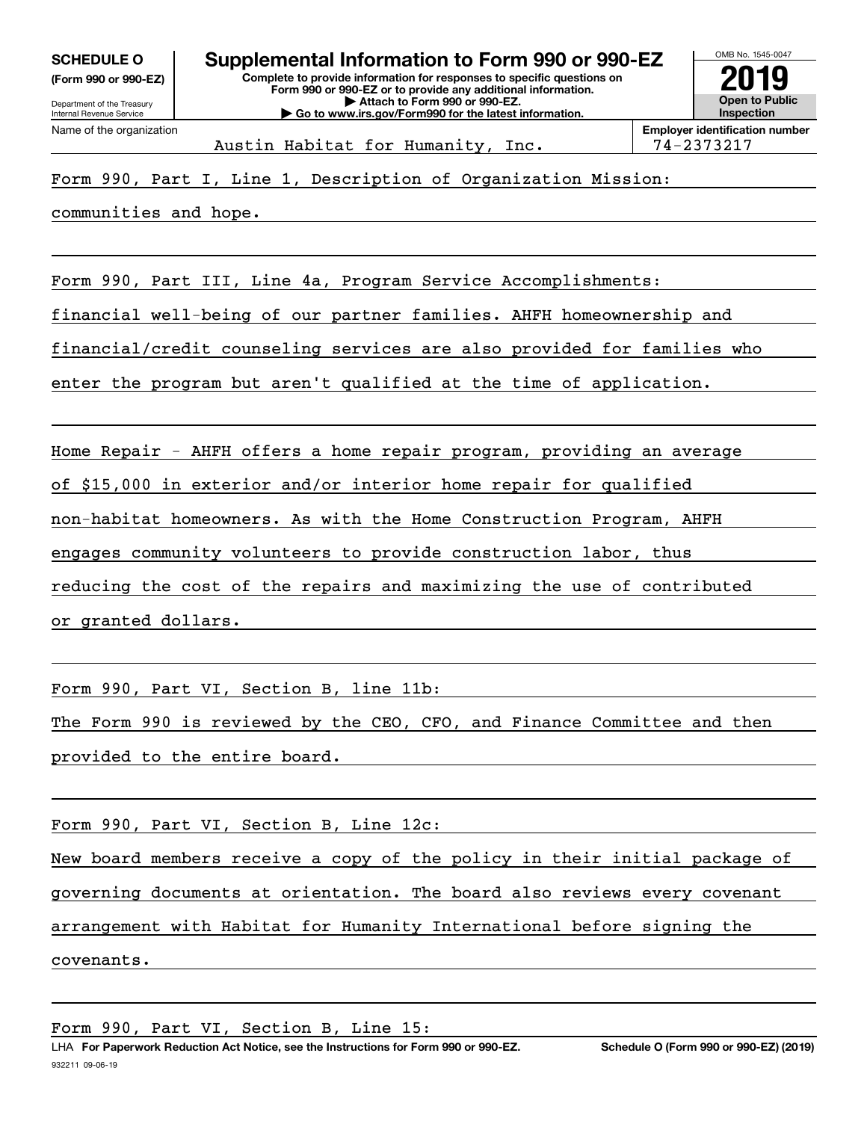**(Form 990 or 990-EZ)**



Austin Habitat for Humanity, Inc. 194-2373217

# Form 990, Part I, Line 1, Description of Organization Mission:

communities and hope.

Form 990, Part III, Line 4a, Program Service Accomplishments:

financial well-being of our partner families. AHFH homeownership and

financial/credit counseling services are also provided for families who

enter the program but aren't qualified at the time of application.

Home Repair - AHFH offers a home repair program, providing an average

of \$15,000 in exterior and/or interior home repair for qualified

non-habitat homeowners. As with the Home Construction Program, AHFH

engages community volunteers to provide construction labor, thus

reducing the cost of the repairs and maximizing the use of contributed

or granted dollars.

Form 990, Part VI, Section B, line 11b:

The Form 990 is reviewed by the CEO, CFO, and Finance Committee and then provided to the entire board.

Form 990, Part VI, Section B, Line 12c:

New board members receive a copy of the policy in their initial package of governing documents at orientation. The board also reviews every covenant arrangement with Habitat for Humanity International before signing the covenants.

Form 990, Part VI, Section B, Line 15: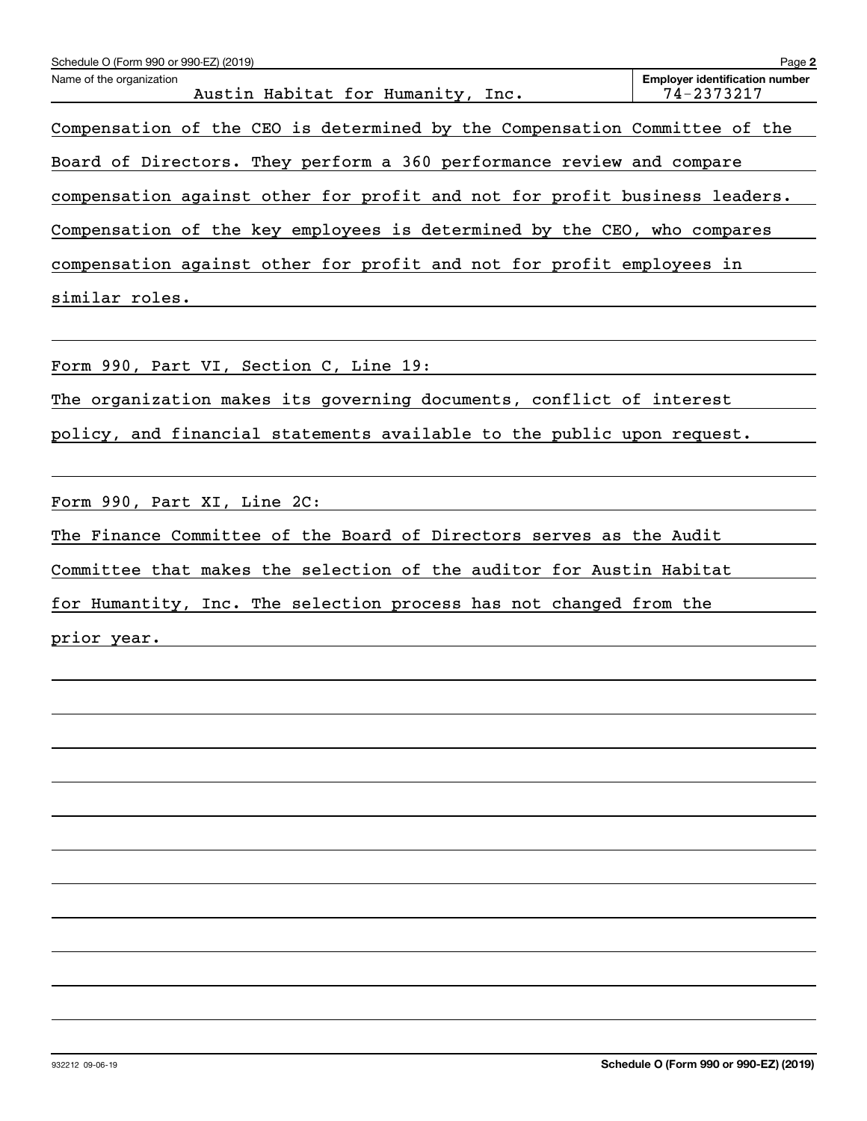| Schedule O (Form 990 or 990-EZ) (2019)                                     | Page 2                                              |
|----------------------------------------------------------------------------|-----------------------------------------------------|
| Name of the organization<br>Austin Habitat for Humanity, Inc.              | <b>Employer identification number</b><br>74-2373217 |
| Compensation of the CEO is determined by the Compensation Committee of the |                                                     |
| Board of Directors. They perform a 360 performance review and compare      |                                                     |
| compensation against other for profit and not for profit business leaders. |                                                     |
| Compensation of the key employees is determined by the CEO, who compares   |                                                     |
| compensation against other for profit and not for profit employees in      |                                                     |
| similar roles.                                                             |                                                     |
|                                                                            |                                                     |
| Form 990, Part VI, Section C, Line 19:                                     |                                                     |
| The organization makes its governing documents, conflict of interest       |                                                     |
| policy, and financial statements available to the public upon request.     |                                                     |
|                                                                            |                                                     |
| Form 990, Part XI, Line 2C:                                                |                                                     |
| The Finance Committee of the Board of Directors serves as the Audit        |                                                     |
| Committee that makes the selection of the auditor for Austin Habitat       |                                                     |
| for Humantity, Inc. The selection process has not changed from the         |                                                     |
| prior year.                                                                |                                                     |
|                                                                            |                                                     |
|                                                                            |                                                     |
|                                                                            |                                                     |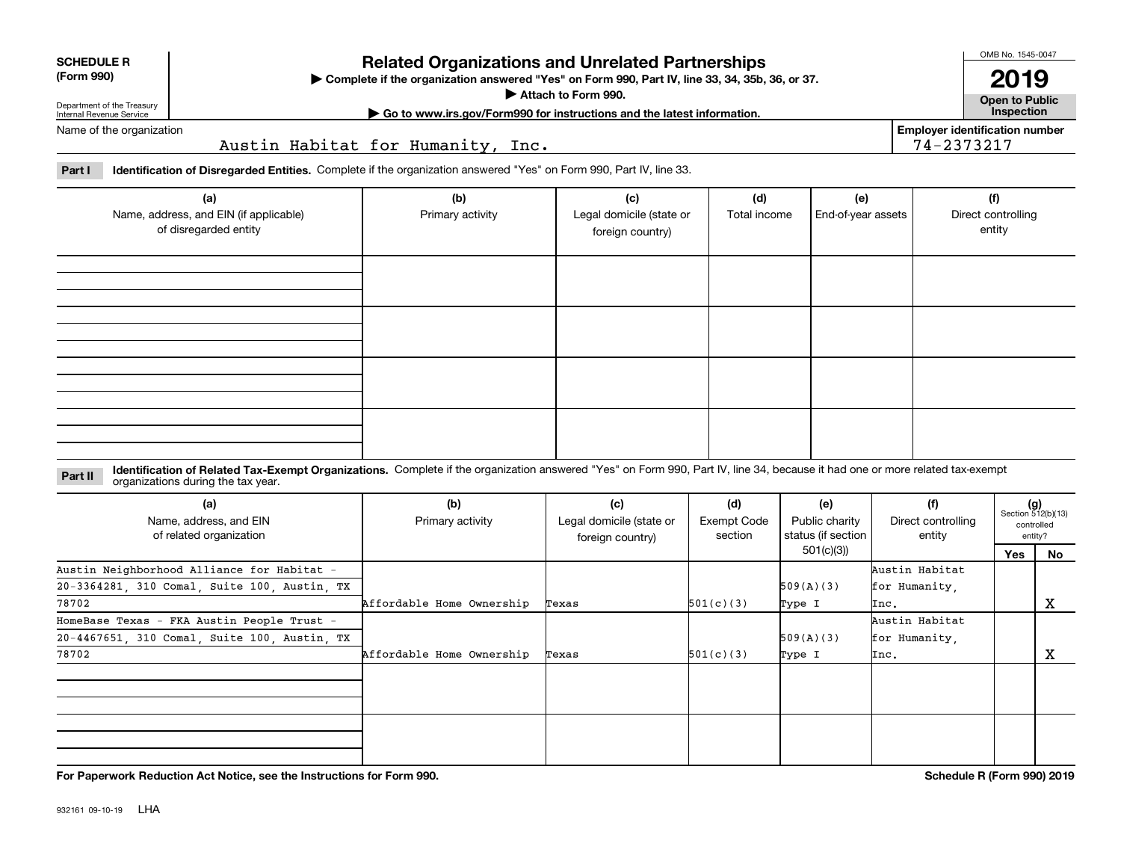| <b>SCHEDULE R</b> |
|-------------------|
|                   |

### **(Form 990)**

# **Related Organizations and Unrelated Partnerships**

**Complete if the organization answered "Yes" on Form 990, Part IV, line 33, 34, 35b, 36, or 37.** |

**Attach to Form 990.**  |

OMB No. 1545-0047

**Open to Public | Go to www.irs.gov/Form990 for instructions and the latest information. Inspection 2019**

**Employer identification number**

74-2373217

Department of the Treasury Internal Revenue Service Name of the organization

Austin Habitat for Humanity, Inc.

**Part I Identification of Disregarded Entities.**  Complete if the organization answered "Yes" on Form 990, Part IV, line 33.

| (a)<br>Name, address, and EIN (if applicable)<br>of disregarded entity | (b)<br>Primary activity | (c)<br>Legal domicile (state or<br>foreign country) | (d)<br>Total income | (e)<br>End-of-year assets | (f)<br>Direct controlling<br>entity |
|------------------------------------------------------------------------|-------------------------|-----------------------------------------------------|---------------------|---------------------------|-------------------------------------|
|                                                                        |                         |                                                     |                     |                           |                                     |
|                                                                        |                         |                                                     |                     |                           |                                     |
|                                                                        |                         |                                                     |                     |                           |                                     |
|                                                                        |                         |                                                     |                     |                           |                                     |

### **Identification of Related Tax-Exempt Organizations.** Complete if the organization answered "Yes" on Form 990, Part IV, line 34, because it had one or more related tax-exempt **Part II** organizations during the tax year.

| (a)<br>Name, address, and EIN<br>of related organization | (b)<br>(c)<br>Primary activity<br>Legal domicile (state or<br>foreign country) |       | (d)<br>Exempt Code<br>section | (e)<br>Public charity<br>status (if section | (f)<br>Direct controlling<br>entity | $(g)$<br>Section 512(b)(13) | controlled<br>entity? |
|----------------------------------------------------------|--------------------------------------------------------------------------------|-------|-------------------------------|---------------------------------------------|-------------------------------------|-----------------------------|-----------------------|
|                                                          |                                                                                |       |                               | 501(c)(3)                                   |                                     | <b>Yes</b>                  | No                    |
| Austin Neighborhood Alliance for Habitat -               |                                                                                |       |                               |                                             | Austin Habitat                      |                             |                       |
| 20-3364281, 310 Comal, Suite 100, Austin, TX             |                                                                                |       |                               | 509(A)(3)                                   | for Humanity,                       |                             |                       |
| 78702                                                    | Affordable Home Ownership                                                      | Texas | 501(c)(3)                     | Type I                                      | Inc.                                |                             | х                     |
| HomeBase Texas - FKA Austin People Trust -               |                                                                                |       |                               |                                             | Austin Habitat                      |                             |                       |
| 20-4467651, 310 Comal, Suite 100, Austin, TX             |                                                                                |       |                               | 509(A)(3)                                   | for Humanity.                       |                             |                       |
| 78702                                                    | Affordable Home Ownership                                                      | Texas | 501(c)(3)                     | Type I                                      | Inc.                                |                             | х                     |
|                                                          |                                                                                |       |                               |                                             |                                     |                             |                       |
|                                                          |                                                                                |       |                               |                                             |                                     |                             |                       |
|                                                          |                                                                                |       |                               |                                             |                                     |                             |                       |
|                                                          |                                                                                |       |                               |                                             |                                     |                             |                       |

**For Paperwork Reduction Act Notice, see the Instructions for Form 990. Schedule R (Form 990) 2019**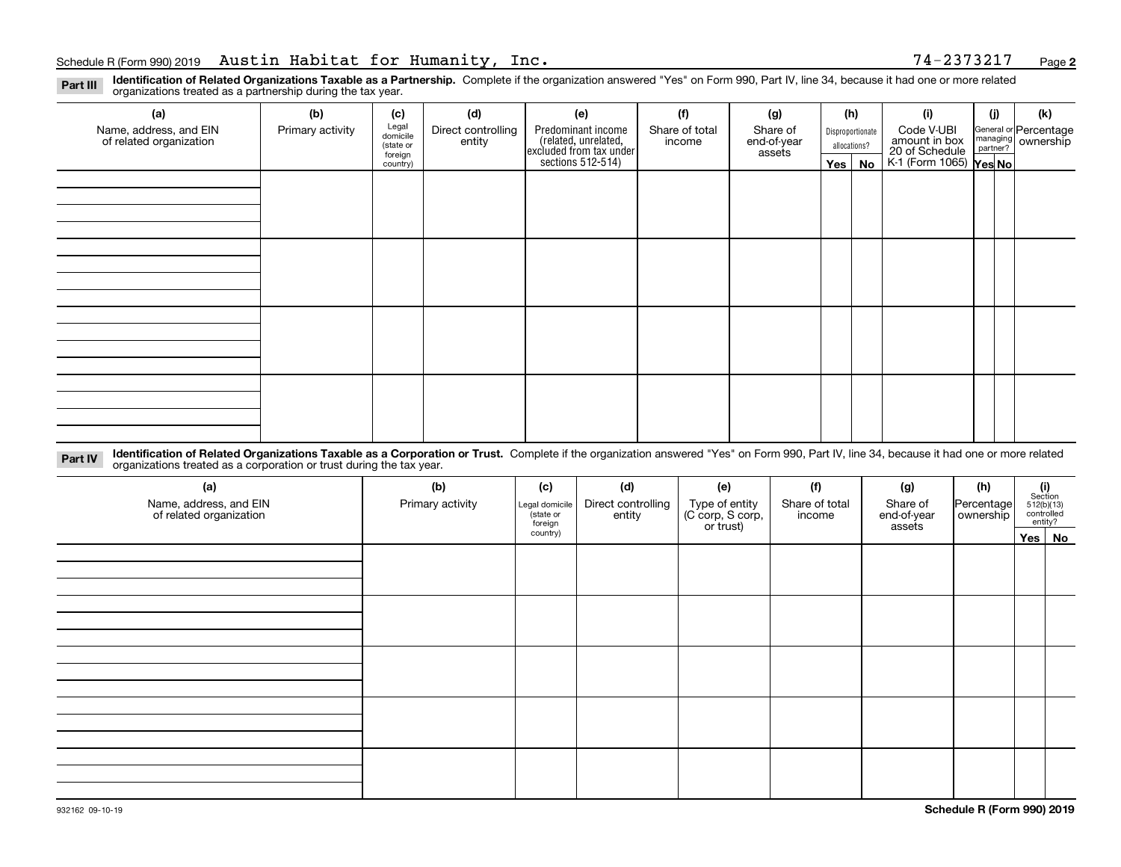**2**

**Identification of Related Organizations Taxable as a Partnership.** Complete if the organization answered "Yes" on Form 990, Part IV, line 34, because it had one or more related **Part III** organizations treated as a partnership during the tax year.

| (a)                                               | (b)              | (c)                  | (d)                | (e)                                                                                        | (f)            | (g)                   |                  | (h)          | (i)                                                              | (j) |  | (k)                                                     |
|---------------------------------------------------|------------------|----------------------|--------------------|--------------------------------------------------------------------------------------------|----------------|-----------------------|------------------|--------------|------------------------------------------------------------------|-----|--|---------------------------------------------------------|
| Name, address, and EIN<br>of related organization | Primary activity | Legal<br>domicile    | Direct controlling | Predominant income<br>(related, unrelated,<br>excluded from tax under<br>sections 512-514) | Share of total | Share of              | Disproportionate |              | Code V-UBI                                                       |     |  | General or Percentage<br>managing ownership<br>partner? |
|                                                   |                  | (state or<br>foreign | entity             |                                                                                            | income         | end-of-year<br>assets |                  | allocations? | amount in box<br>20 of Schedule<br>K-1 (Form 1065) <b>Yes No</b> |     |  |                                                         |
|                                                   |                  | country)             |                    |                                                                                            |                |                       | Yes $ $          | No           |                                                                  |     |  |                                                         |
|                                                   |                  |                      |                    |                                                                                            |                |                       |                  |              |                                                                  |     |  |                                                         |
|                                                   |                  |                      |                    |                                                                                            |                |                       |                  |              |                                                                  |     |  |                                                         |
|                                                   |                  |                      |                    |                                                                                            |                |                       |                  |              |                                                                  |     |  |                                                         |
|                                                   |                  |                      |                    |                                                                                            |                |                       |                  |              |                                                                  |     |  |                                                         |
|                                                   |                  |                      |                    |                                                                                            |                |                       |                  |              |                                                                  |     |  |                                                         |
|                                                   |                  |                      |                    |                                                                                            |                |                       |                  |              |                                                                  |     |  |                                                         |
|                                                   |                  |                      |                    |                                                                                            |                |                       |                  |              |                                                                  |     |  |                                                         |
|                                                   |                  |                      |                    |                                                                                            |                |                       |                  |              |                                                                  |     |  |                                                         |
|                                                   |                  |                      |                    |                                                                                            |                |                       |                  |              |                                                                  |     |  |                                                         |
|                                                   |                  |                      |                    |                                                                                            |                |                       |                  |              |                                                                  |     |  |                                                         |
|                                                   |                  |                      |                    |                                                                                            |                |                       |                  |              |                                                                  |     |  |                                                         |
|                                                   |                  |                      |                    |                                                                                            |                |                       |                  |              |                                                                  |     |  |                                                         |
|                                                   |                  |                      |                    |                                                                                            |                |                       |                  |              |                                                                  |     |  |                                                         |
|                                                   |                  |                      |                    |                                                                                            |                |                       |                  |              |                                                                  |     |  |                                                         |
|                                                   |                  |                      |                    |                                                                                            |                |                       |                  |              |                                                                  |     |  |                                                         |
|                                                   |                  |                      |                    |                                                                                            |                |                       |                  |              |                                                                  |     |  |                                                         |
|                                                   |                  |                      |                    |                                                                                            |                |                       |                  |              |                                                                  |     |  |                                                         |

**Identification of Related Organizations Taxable as a Corporation or Trust.** Complete if the organization answered "Yes" on Form 990, Part IV, line 34, because it had one or more related **Part IV** organizations treated as a corporation or trust during the tax year.

| (a)<br>Name, address, and EIN<br>of related organization | (b)<br>Primary activity | (c)<br>Legal domicile<br>(state or<br>foreign | (d)<br>Direct controlling<br>entity | (e)<br>Type of entity<br>(C corp, S corp,<br>or trust) | (f)<br>Share of total<br>income | (g)<br>Share of<br>end-of-year<br>assets | (h)<br>Percentage<br>ownership | $\begin{array}{c} \textbf{(i)}\\ \text{Section}\\ 512 \text{(b)} \text{(13)}\\ \text{controlled}\\ \text{entity?} \end{array}$ |        |
|----------------------------------------------------------|-------------------------|-----------------------------------------------|-------------------------------------|--------------------------------------------------------|---------------------------------|------------------------------------------|--------------------------------|--------------------------------------------------------------------------------------------------------------------------------|--------|
|                                                          |                         | country)                                      |                                     |                                                        |                                 |                                          |                                |                                                                                                                                | Yes No |
|                                                          |                         |                                               |                                     |                                                        |                                 |                                          |                                |                                                                                                                                |        |
|                                                          |                         |                                               |                                     |                                                        |                                 |                                          |                                |                                                                                                                                |        |
|                                                          |                         |                                               |                                     |                                                        |                                 |                                          |                                |                                                                                                                                |        |
|                                                          |                         |                                               |                                     |                                                        |                                 |                                          |                                |                                                                                                                                |        |
|                                                          |                         |                                               |                                     |                                                        |                                 |                                          |                                |                                                                                                                                |        |
|                                                          |                         |                                               |                                     |                                                        |                                 |                                          |                                |                                                                                                                                |        |
|                                                          |                         |                                               |                                     |                                                        |                                 |                                          |                                |                                                                                                                                |        |
|                                                          |                         |                                               |                                     |                                                        |                                 |                                          |                                |                                                                                                                                |        |
|                                                          |                         |                                               |                                     |                                                        |                                 |                                          |                                |                                                                                                                                |        |
|                                                          |                         |                                               |                                     |                                                        |                                 |                                          |                                |                                                                                                                                |        |
|                                                          |                         |                                               |                                     |                                                        |                                 |                                          |                                |                                                                                                                                |        |
|                                                          |                         |                                               |                                     |                                                        |                                 |                                          |                                |                                                                                                                                |        |
|                                                          |                         |                                               |                                     |                                                        |                                 |                                          |                                |                                                                                                                                |        |
|                                                          |                         |                                               |                                     |                                                        |                                 |                                          |                                |                                                                                                                                |        |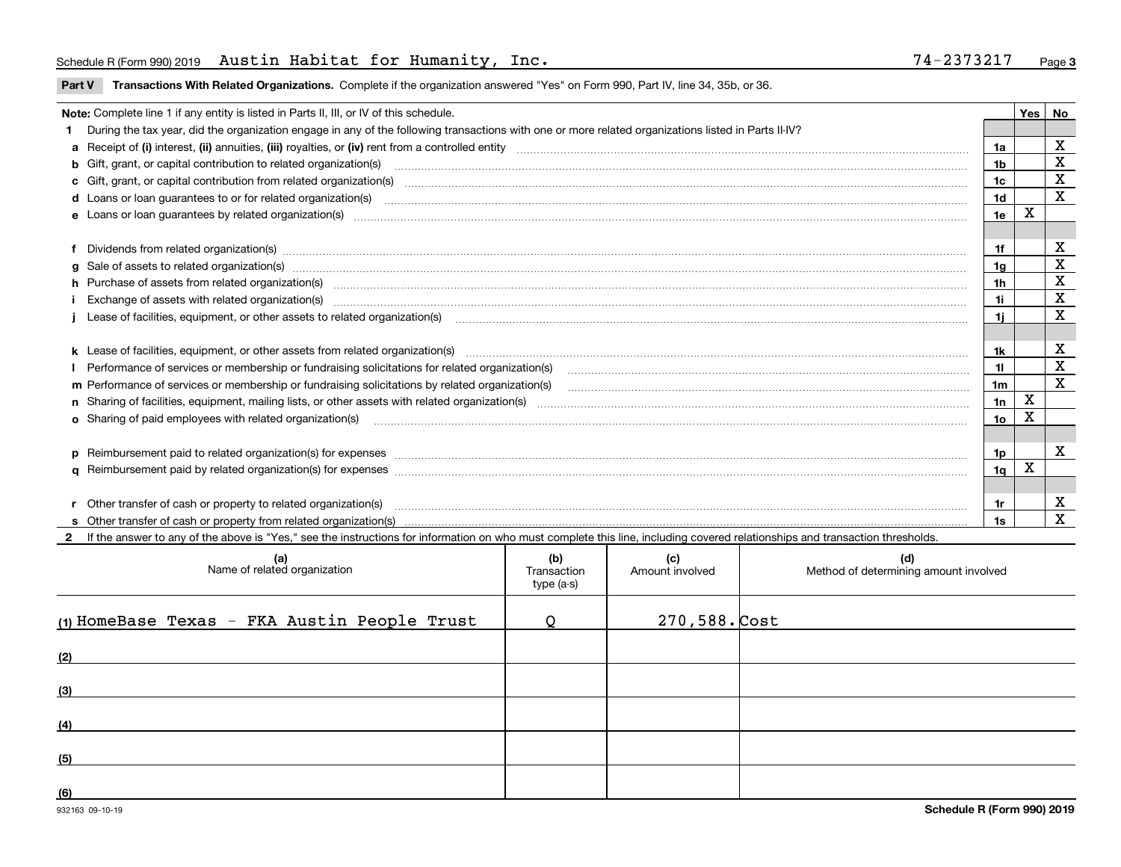### Schedule R (Form 990) 2019 Austin Habitat for Humanity, Inc. 74-2373217 Page

**Part V** T**ransactions With Related Organizations.** Complete if the organization answered "Yes" on Form 990, Part IV, line 34, 35b, or 36.

| Note: Complete line 1 if any entity is listed in Parts II, III, or IV of this schedule. |                                                                                                                                                                                                                                |     |   |             |  |
|-----------------------------------------------------------------------------------------|--------------------------------------------------------------------------------------------------------------------------------------------------------------------------------------------------------------------------------|-----|---|-------------|--|
|                                                                                         | During the tax year, did the organization engage in any of the following transactions with one or more related organizations listed in Parts II-IV?                                                                            |     |   |             |  |
|                                                                                         |                                                                                                                                                                                                                                | 1a  |   | х           |  |
|                                                                                         | <b>b</b> Gift, grant, or capital contribution to related organization(s)                                                                                                                                                       | 1b  |   | $\mathbf X$ |  |
|                                                                                         | c Gift, grant, or capital contribution from related organization(s) CONCO CONCORDIAL CONSERVITION CONTROVERSITY                                                                                                                | 1c  |   | х           |  |
|                                                                                         | <b>d</b> Loans or loan quarantees to or for related organization(s)                                                                                                                                                            | 1d  |   | $\mathbf X$ |  |
|                                                                                         | e Loans or loan guarantees by related organization(s) manufaction contraction and contract the contract of the contract or contract or contract or contract or contract or contract or contract or contract or contract or con | 1e  | х |             |  |
|                                                                                         |                                                                                                                                                                                                                                |     |   |             |  |
|                                                                                         | Dividends from related organization(s) CONSECTED MAGNET CONSECTED MAGNETIC CONSECTED MAGNETIC CONSECTED MAGNET                                                                                                                 | 1f  |   | x           |  |
|                                                                                         | g Sale of assets to related organization(s) www.assettion.com/www.assettion.com/www.assettion.com/www.assettion.com/www.assettion.com/www.assettion.com/www.assettion.com/www.assettion.com/www.assettion.com/www.assettion.co | 1g  |   | X           |  |
|                                                                                         | h Purchase of assets from related organization(s) www.assettion.com/www.assettion.com/www.assettion.com/www.assettion.com/www.assettion.com/www.assettion.com/www.assettion.com/www.assettion.com/www.assettion.com/www.assett | 1h  |   | $\mathbf X$ |  |
|                                                                                         |                                                                                                                                                                                                                                | 1i. |   | $\mathbf X$ |  |
|                                                                                         | Lease of facilities, equipment, or other assets to related organization(s) contained and contained and contained and contained and contained and contained and contained and contained and contained and contained and contain | 1i. |   | х           |  |
|                                                                                         |                                                                                                                                                                                                                                |     |   |             |  |
|                                                                                         |                                                                                                                                                                                                                                | 1k. |   | X           |  |
|                                                                                         |                                                                                                                                                                                                                                | 11  |   | $\mathbf X$ |  |
|                                                                                         | m Performance of services or membership or fundraising solicitations by related organization(s)                                                                                                                                | 1m  |   | X           |  |
|                                                                                         |                                                                                                                                                                                                                                | 1n  | X |             |  |
|                                                                                         | <b>o</b> Sharing of paid employees with related organization(s)                                                                                                                                                                | 10  | Χ |             |  |
|                                                                                         |                                                                                                                                                                                                                                |     |   |             |  |
|                                                                                         | p Reimbursement paid to related organization(s) for expenses [1111] and manufacture manufacture manufacture manufacture manufacture manufacture manufacture manufacture manufacture manufacture manufacture manufacture manufa | 1p. |   | х           |  |
|                                                                                         |                                                                                                                                                                                                                                | 1q  | X |             |  |
|                                                                                         |                                                                                                                                                                                                                                |     |   |             |  |
|                                                                                         | r Other transfer of cash or property to related organization(s)                                                                                                                                                                | 1r. |   | х           |  |
|                                                                                         |                                                                                                                                                                                                                                | 1s  |   | $\mathbf X$ |  |
|                                                                                         | 2 If the answer to any of the above is "Yes," see the instructions for information on who must complete this line, including covered relationships and transaction thresholds.                                                 |     |   |             |  |

**(a) (b) (c) (d) (1)**HomeBase Texas - FKA Austin People Trust Q 270,588. **(2)(3)(4)(5)(6)**Name of related organization  $\vert$  Transaction type (a-s) Amount involved late and Method of determining amount involved  $270,588.$ Cost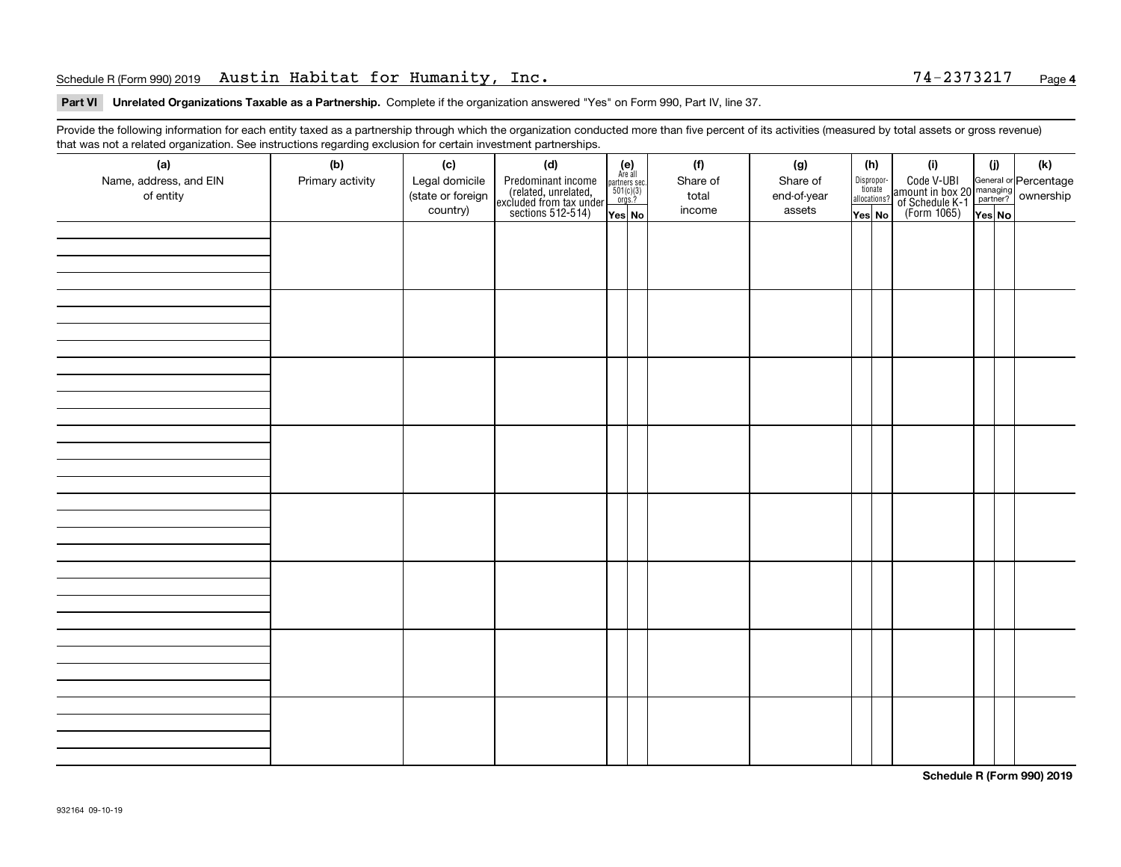### Schedule R (Form 990) 2019 Austin Habitat for Humanity, Inc. 74-2373217 Page

### **4**

### **Part VI Unrelated Organizations Taxable as a Partnership. Complete if the organization answered "Yes" on Form 990, Part IV, line 37.**

Provide the following information for each entity taxed as a partnership through which the organization conducted more than five percent of its activities (measured by total assets or gross revenue) that was not a related organization. See instructions regarding exclusion for certain investment partnerships.

| (a)<br>Name, address, and EIN<br>of entity | $\tilde{}$<br>(b)<br>Primary activity | (c)<br>Legal domicile<br>(state or foreign<br>country) | (d)<br>Predominant income<br>(related, unrelated,<br>excluded from tax under<br>sections 512-514) | $(e)$<br>Are all<br>$\begin{array}{c}\n\text{partners} \sec.\n\\ \n501(c)(3)\n\\ \n0rgs.?\n\end{array}$<br>Yes No | (f)<br>Share of<br>total<br>income | (g)<br>Share of<br>end-of-year<br>assets | (h)<br>Dispropor-<br>tionate<br>allocations?<br>Yes No | (i)<br>Code V-UBI<br>amount in box 20<br>of Schedule K-1<br>(Form 1065) | (i)<br>Yes No | $(\mathsf{k})$<br>General or Percentage<br>managing ownership |
|--------------------------------------------|---------------------------------------|--------------------------------------------------------|---------------------------------------------------------------------------------------------------|-------------------------------------------------------------------------------------------------------------------|------------------------------------|------------------------------------------|--------------------------------------------------------|-------------------------------------------------------------------------|---------------|---------------------------------------------------------------|
|                                            |                                       |                                                        |                                                                                                   |                                                                                                                   |                                    |                                          |                                                        |                                                                         |               |                                                               |
|                                            |                                       |                                                        |                                                                                                   |                                                                                                                   |                                    |                                          |                                                        |                                                                         |               |                                                               |
|                                            |                                       |                                                        |                                                                                                   |                                                                                                                   |                                    |                                          |                                                        |                                                                         |               |                                                               |
|                                            |                                       |                                                        |                                                                                                   |                                                                                                                   |                                    |                                          |                                                        |                                                                         |               |                                                               |
|                                            |                                       |                                                        |                                                                                                   |                                                                                                                   |                                    |                                          |                                                        |                                                                         |               |                                                               |
|                                            |                                       |                                                        |                                                                                                   |                                                                                                                   |                                    |                                          |                                                        |                                                                         |               |                                                               |
|                                            |                                       |                                                        |                                                                                                   |                                                                                                                   |                                    |                                          |                                                        |                                                                         |               |                                                               |
|                                            |                                       |                                                        |                                                                                                   |                                                                                                                   |                                    |                                          |                                                        |                                                                         |               |                                                               |

**Schedule R (Form 990) 2019**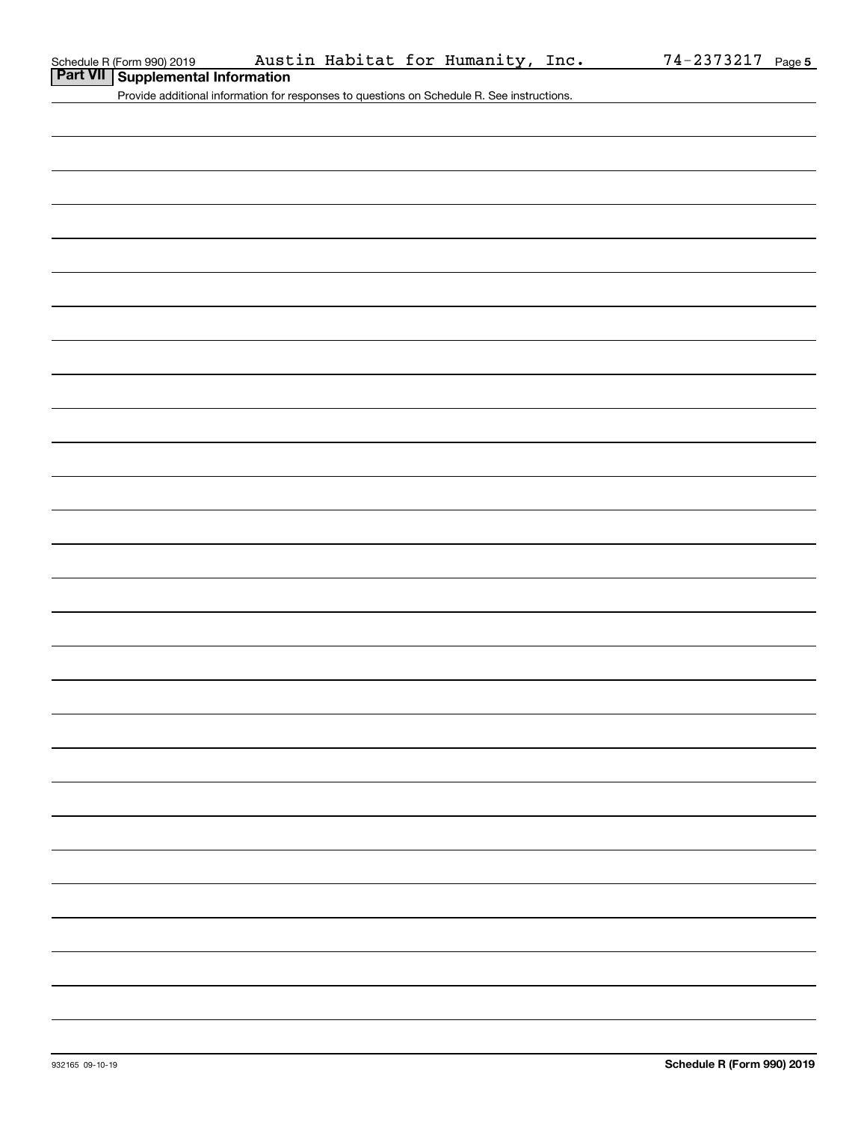|  | Part VII Supplemental Information |  |
|--|-----------------------------------|--|
|--|-----------------------------------|--|

Provide additional information for responses to questions on Schedule R. See instructions.